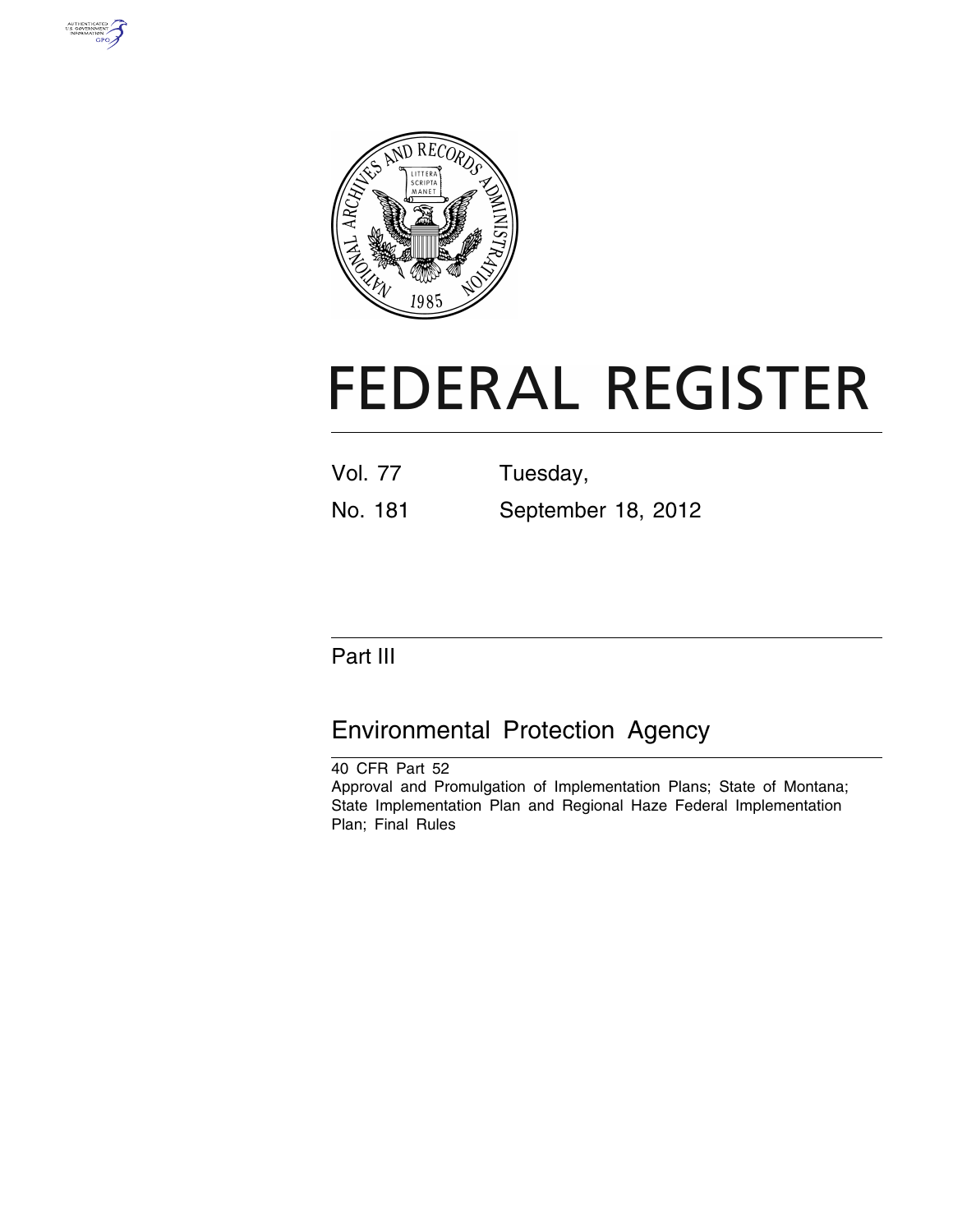



# **FEDERAL REGISTER**

Vol. 77 Tuesday,

No. 181 September 18, 2012

## Part III

## Environmental Protection Agency

40 CFR Part 52 Approval and Promulgation of Implementation Plans; State of Montana; State Implementation Plan and Regional Haze Federal Implementation Plan; Final Rules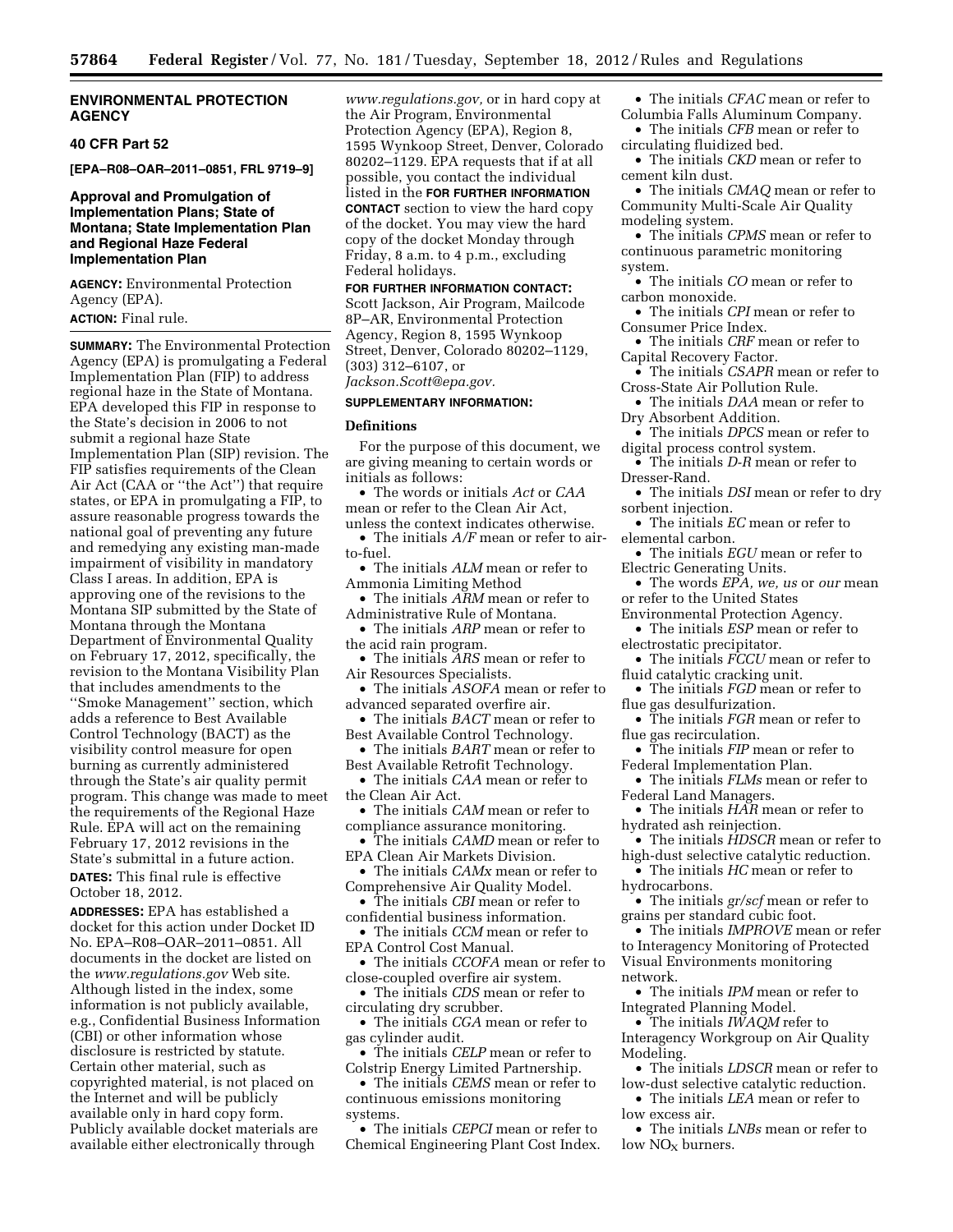#### **ENVIRONMENTAL PROTECTION AGENCY**

#### **40 CFR Part 52**

**[EPA–R08–OAR–2011–0851, FRL 9719–9]** 

#### **Approval and Promulgation of Implementation Plans; State of Montana; State Implementation Plan and Regional Haze Federal Implementation Plan**

**AGENCY:** Environmental Protection Agency (EPA).

**ACTION:** Final rule.

**SUMMARY:** The Environmental Protection Agency (EPA) is promulgating a Federal Implementation Plan (FIP) to address regional haze in the State of Montana. EPA developed this FIP in response to the State's decision in 2006 to not submit a regional haze State Implementation Plan (SIP) revision. The FIP satisfies requirements of the Clean Air Act (CAA or ''the Act'') that require states, or EPA in promulgating a FIP, to assure reasonable progress towards the national goal of preventing any future and remedying any existing man-made impairment of visibility in mandatory Class I areas. In addition, EPA is approving one of the revisions to the Montana SIP submitted by the State of Montana through the Montana Department of Environmental Quality on February 17, 2012, specifically, the revision to the Montana Visibility Plan that includes amendments to the ''Smoke Management'' section, which adds a reference to Best Available Control Technology (BACT) as the visibility control measure for open burning as currently administered through the State's air quality permit program. This change was made to meet the requirements of the Regional Haze Rule. EPA will act on the remaining February 17, 2012 revisions in the State's submittal in a future action.

**DATES:** This final rule is effective October 18, 2012.

**ADDRESSES:** EPA has established a docket for this action under Docket ID No. EPA–R08–OAR–2011–0851. All documents in the docket are listed on the *[www.regulations.gov](http://www.regulations.gov)* Web site. Although listed in the index, some information is not publicly available, e.g., Confidential Business Information (CBI) or other information whose disclosure is restricted by statute. Certain other material, such as copyrighted material, is not placed on the Internet and will be publicly available only in hard copy form. Publicly available docket materials are available either electronically through

*[www.regulations.gov,](http://www.regulations.gov)* or in hard copy at the Air Program, Environmental Protection Agency (EPA), Region 8, 1595 Wynkoop Street, Denver, Colorado 80202–1129. EPA requests that if at all possible, you contact the individual listed in the **FOR FURTHER INFORMATION CONTACT** section to view the hard copy of the docket. You may view the hard copy of the docket Monday through Friday, 8 a.m. to 4 p.m., excluding Federal holidays.

**FOR FURTHER INFORMATION CONTACT:**  Scott Jackson, Air Program, Mailcode 8P–AR, Environmental Protection Agency, Region 8, 1595 Wynkoop Street, Denver, Colorado 80202–1129, (303) 312–6107, or

### *[Jackson.Scott@epa.gov.](mailto:Jackson.Scott@epa.gov)*

#### **SUPPLEMENTARY INFORMATION:**

#### **Definitions**

For the purpose of this document, we are giving meaning to certain words or initials as follows:

• The words or initials *Act* or *CAA*  mean or refer to the Clean Air Act,

unless the context indicates otherwise. • The initials *A/F* mean or refer to airto-fuel.

• The initials *ALM* mean or refer to Ammonia Limiting Method

• The initials *ARM* mean or refer to Administrative Rule of Montana.

• The initials *ARP* mean or refer to the acid rain program.

• The initials *ARS* mean or refer to Air Resources Specialists.

• The initials *ASOFA* mean or refer to advanced separated overfire air.

• The initials *BACT* mean or refer to Best Available Control Technology.

• The initials *BART* mean or refer to Best Available Retrofit Technology.

• The initials *CAA* mean or refer to the Clean Air Act.

• The initials *CAM* mean or refer to compliance assurance monitoring.

• The initials *CAMD* mean or refer to EPA Clean Air Markets Division.

• The initials *CAMx* mean or refer to Comprehensive Air Quality Model.

• The initials *CBI* mean or refer to confidential business information.

• The initials *CCM* mean or refer to EPA Control Cost Manual.

• The initials *CCOFA* mean or refer to close-coupled overfire air system.

• The initials *CDS* mean or refer to circulating dry scrubber.

• The initials *CGA* mean or refer to gas cylinder audit.

• The initials *CELP* mean or refer to Colstrip Energy Limited Partnership.

• The initials *CEMS* mean or refer to continuous emissions monitoring systems.

• The initials *CEPCI* mean or refer to Chemical Engineering Plant Cost Index.

• The initials *CFAC* mean or refer to Columbia Falls Aluminum Company.

• The initials *CFB* mean or refer to circulating fluidized bed.

• The initials *CKD* mean or refer to cement kiln dust.

• The initials *CMAQ* mean or refer to Community Multi-Scale Air Quality modeling system.

• The initials *CPMS* mean or refer to continuous parametric monitoring system.

• The initials *CO* mean or refer to carbon monoxide.

• The initials *CPI* mean or refer to Consumer Price Index.

• The initials *CRF* mean or refer to Capital Recovery Factor.

• The initials *CSAPR* mean or refer to Cross-State Air Pollution Rule.

• The initials *DAA* mean or refer to Dry Absorbent Addition.

• The initials *DPCS* mean or refer to digital process control system.

• The initials *D-R* mean or refer to Dresser-Rand.

• The initials *DSI* mean or refer to dry sorbent injection.

• The initials *EC* mean or refer to elemental carbon.

• The initials *EGU* mean or refer to Electric Generating Units.

• The words *EPA*, we, us or *our* mean or refer to the United States

Environmental Protection Agency.

• The initials *ESP* mean or refer to electrostatic precipitator.

• The initials *FCCU* mean or refer to

fluid catalytic cracking unit.

• The initials *FGD* mean or refer to flue gas desulfurization.

• The initials *FGR* mean or refer to flue gas recirculation.

• The initials *FIP* mean or refer to Federal Implementation Plan.

• The initials *FLMs* mean or refer to Federal Land Managers.

• The initials *HAR* mean or refer to hydrated ash reinjection.

• The initials *HDSCR* mean or refer to high-dust selective catalytic reduction.

• The initials *HC* mean or refer to hydrocarbons.

• The initials *gr/scf* mean or refer to grains per standard cubic foot.

• The initials *IMPROVE* mean or refer to Interagency Monitoring of Protected Visual Environments monitoring network.

• The initials *IPM* mean or refer to Integrated Planning Model.

• The initials *IWAQM* refer to Interagency Workgroup on Air Quality Modeling.

• The initials *LDSCR* mean or refer to low-dust selective catalytic reduction.

• The initials *LEA* mean or refer to low excess air.

• The initials *LNBs* mean or refer to  $low NO<sub>x</sub> burnsers.$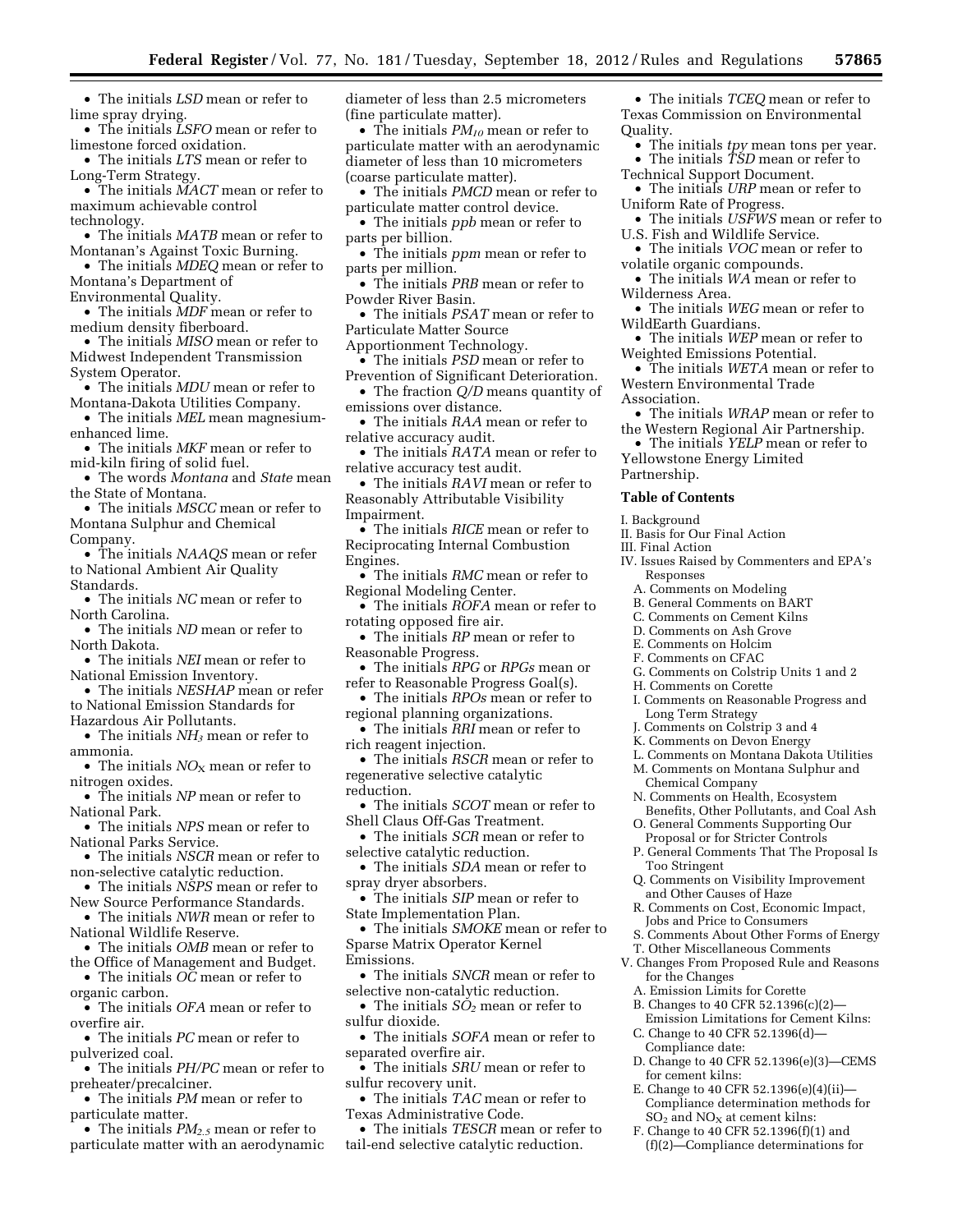• The initials *LSD* mean or refer to lime spray drying.

• The initials *LSFO* mean or refer to limestone forced oxidation.

• The initials *LTS* mean or refer to Long-Term Strategy.

• The initials *MACT* mean or refer to maximum achievable control technology.

• The initials *MATB* mean or refer to Montanan's Against Toxic Burning.

• The initials *MDEQ* mean or refer to Montana's Department of

Environmental Quality.

• The initials *MDF* mean or refer to medium density fiberboard.

• The initials *MISO* mean or refer to Midwest Independent Transmission System Operator.

• The initials *MDU* mean or refer to Montana-Dakota Utilities Company.

• The initials *MEL* mean magnesiumenhanced lime.

• The initials *MKF* mean or refer to mid-kiln firing of solid fuel.

• The words *Montana* and *State* mean the State of Montana.

• The initials *MSCC* mean or refer to Montana Sulphur and Chemical Company.

• The initials *NAAQS* mean or refer to National Ambient Air Quality Standards.

• The initials *NC* mean or refer to North Carolina.

• The initials *ND* mean or refer to North Dakota.

• The initials *NEI* mean or refer to National Emission Inventory.

• The initials *NESHAP* mean or refer to National Emission Standards for Hazardous Air Pollutants.

• The initials *NH3* mean or refer to ammonia.

• The initials *NO*<sub>X</sub> mean or refer to nitrogen oxides.

• The initials *NP* mean or refer to National Park.

• The initials *NPS* mean or refer to National Parks Service.

• The initials *NSCR* mean or refer to non-selective catalytic reduction.

- The initials *NSPS* mean or refer to New Source Performance Standards.
- The initials *NWR* mean or refer to National Wildlife Reserve.

• The initials *OMB* mean or refer to

the Office of Management and Budget.

• The initials *OC* mean or refer to organic carbon.

• The initials *OFA* mean or refer to overfire air.

• The initials *PC* mean or refer to pulverized coal.

• The initials *PH/PC* mean or refer to preheater/precalciner.

• The initials *PM* mean or refer to particulate matter.

• The initials *PM2.5* mean or refer to particulate matter with an aerodynamic diameter of less than 2.5 micrometers (fine particulate matter).

• The initials *PM10* mean or refer to particulate matter with an aerodynamic diameter of less than 10 micrometers (coarse particulate matter).

• The initials *PMCD* mean or refer to particulate matter control device.

• The initials *ppb* mean or refer to parts per billion.

• The initials *ppm* mean or refer to parts per million.

• The initials *PRB* mean or refer to Powder River Basin.

• The initials *PSAT* mean or refer to Particulate Matter Source

Apportionment Technology.

• The initials *PSD* mean or refer to Prevention of Significant Deterioration.

• The fraction *Q/D* means quantity of emissions over distance.

• The initials *RAA* mean or refer to relative accuracy audit.

• The initials *RATA* mean or refer to relative accuracy test audit.

• The initials *RAVI* mean or refer to Reasonably Attributable Visibility Impairment.

• The initials *RICE* mean or refer to Reciprocating Internal Combustion Engines.

• The initials *RMC* mean or refer to Regional Modeling Center.

• The initials *ROFA* mean or refer to rotating opposed fire air.

• The initials *RP* mean or refer to Reasonable Progress.

• The initials *RPG* or *RPGs* mean or refer to Reasonable Progress Goal(s).

• The initials *RPOs* mean or refer to regional planning organizations.

• The initials *RRI* mean or refer to rich reagent injection.

• The initials *RSCR* mean or refer to regenerative selective catalytic reduction.

• The initials *SCOT* mean or refer to Shell Claus Off-Gas Treatment.

• The initials *SCR* mean or refer to selective catalytic reduction.

• The initials *SDA* mean or refer to spray dryer absorbers.

• The initials *SIP* mean or refer to State Implementation Plan.

• The initials *SMOKE* mean or refer to Sparse Matrix Operator Kernel Emissions.

• The initials *SNCR* mean or refer to selective non-catalytic reduction.

• The initials *SO2* mean or refer to sulfur dioxide.

• The initials *SOFA* mean or refer to separated overfire air.

• The initials *SRU* mean or refer to sulfur recovery unit.

• The initials *TAC* mean or refer to Texas Administrative Code.

• The initials *TESCR* mean or refer to tail-end selective catalytic reduction.

• The initials *TCEQ* mean or refer to Texas Commission on Environmental Quality.

• The initials *tpy* mean tons per year. • The initials *TSD* mean or refer to

Technical Support Document. • The initials *URP* mean or refer to

Uniform Rate of Progress.

• The initials *USFWS* mean or refer to U.S. Fish and Wildlife Service.

• The initials *VOC* mean or refer to volatile organic compounds.

• The initials *WA* mean or refer to Wilderness Area.

• The initials *WEG* mean or refer to WildEarth Guardians.

• The initials *WEP* mean or refer to Weighted Emissions Potential.

• The initials *WETA* mean or refer to Western Environmental Trade Association.

• The initials *WRAP* mean or refer to

the Western Regional Air Partnership. • The initials *YELP* mean or refer to

Yellowstone Energy Limited Partnership.

**Table of Contents** 

I. Background

II. Basis for Our Final Action

III. Final Action

IV. Issues Raised by Commenters and EPA's Responses

A. Comments on Modeling

B. General Comments on BART

C. Comments on Cement Kilns

D. Comments on Ash Grove

E. Comments on Holcim

F. Comments on CFAC

G. Comments on Colstrip Units 1 and 2

H. Comments on Corette

Too Stringent

for the Changes

Compliance date:

for cement kilns:

I. Comments on Reasonable Progress and Long Term Strategy

J. Comments on Colstrip 3 and 4

K. Comments on Devon Energy

Proposal or for Stricter Controls P. General Comments That The Proposal Is

and Other Causes of Haze

A. Emission Limits for Corette B. Changes to 40 CFR 52.1396(c)(2)— Emission Limitations for Cement Kilns:

C. Change to 40 CFR 52.1396(d)—

L. Comments on Montana Dakota Utilities

M. Comments on Montana Sulphur and Chemical Company

N. Comments on Health, Ecosystem Benefits, Other Pollutants, and Coal Ash O. General Comments Supporting Our

Q. Comments on Visibility Improvement

R. Comments on Cost, Economic Impact, Jobs and Price to Consumers

S. Comments About Other Forms of Energy T. Other Miscellaneous Comments V. Changes From Proposed Rule and Reasons

D. Change to 40 CFR 52.1396(e)(3)—CEMS

E. Change to 40 CFR 52.1396(e)(4)(ii)— Compliance determination methods for  $SO<sub>2</sub>$  and  $NO<sub>x</sub>$  at cement kilns: F. Change to 40 CFR 52.1396(f)(1) and (f)(2)—Compliance determinations for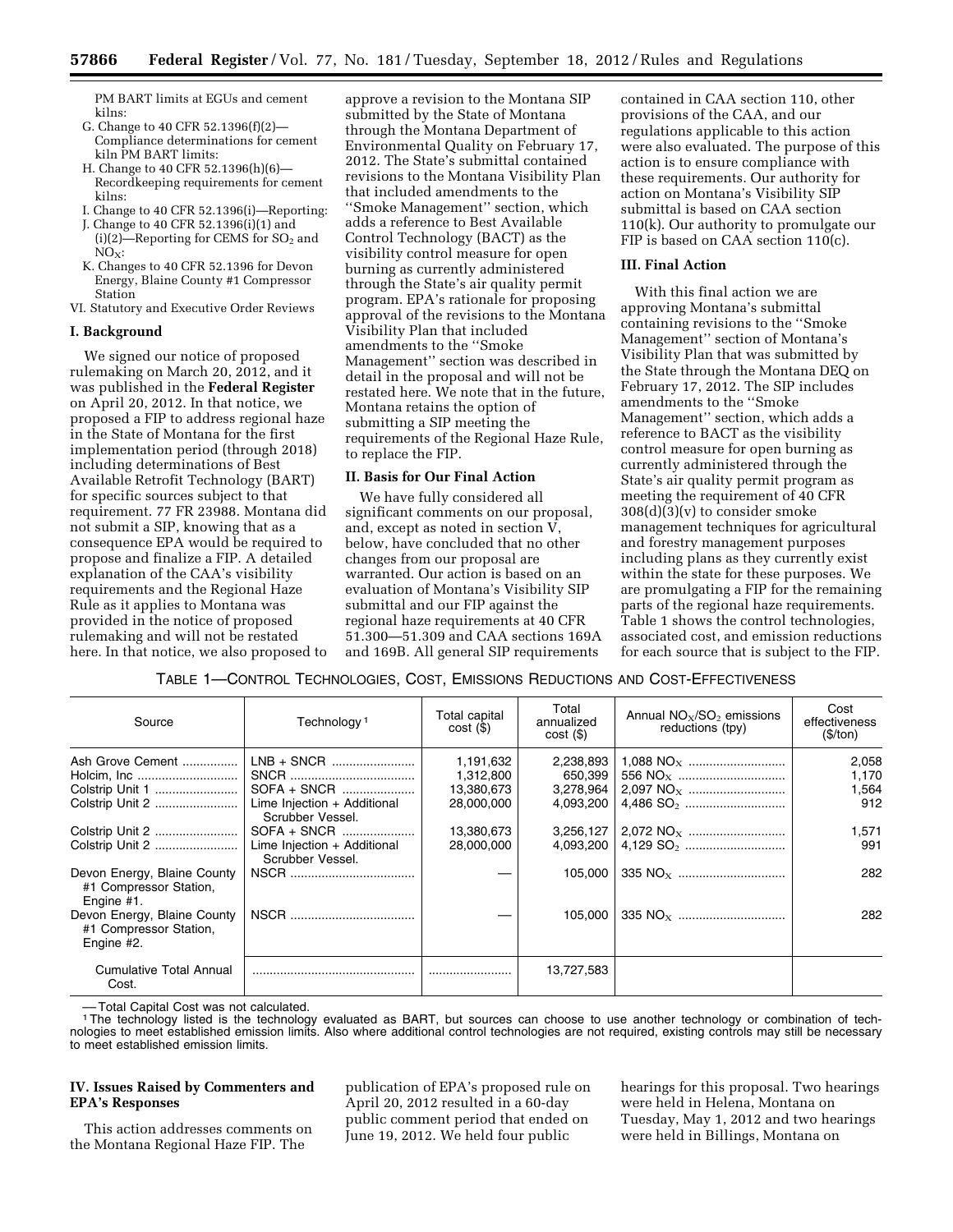PM BART limits at EGUs and cement kilns:

- G. Change to 40 CFR 52.1396(f)(2)— Compliance determinations for cement kiln PM BART limits:
- H. Change to 40 CFR 52.1396(h)(6)— Recordkeeping requirements for cement kilns:
- I. Change to 40 CFR 52.1396(i)—Reporting:
- J. Change to 40 CFR 52.1396(i)(1) and  $(i)(2)$ -Reporting for CEMS for SO<sub>2</sub> and  $NO<sub>x</sub>$ :
- K. Changes to 40 CFR 52.1396 for Devon Energy, Blaine County #1 Compressor Station
- VI. Statutory and Executive Order Reviews

#### **I. Background**

We signed our notice of proposed rulemaking on March 20, 2012, and it was published in the **Federal Register**  on April 20, 2012. In that notice, we proposed a FIP to address regional haze in the State of Montana for the first implementation period (through 2018) including determinations of Best Available Retrofit Technology (BART) for specific sources subject to that requirement. 77 FR 23988. Montana did not submit a SIP, knowing that as a consequence EPA would be required to propose and finalize a FIP. A detailed explanation of the CAA's visibility requirements and the Regional Haze Rule as it applies to Montana was provided in the notice of proposed rulemaking and will not be restated here. In that notice, we also proposed to

approve a revision to the Montana SIP submitted by the State of Montana through the Montana Department of Environmental Quality on February 17, 2012. The State's submittal contained revisions to the Montana Visibility Plan that included amendments to the ''Smoke Management'' section, which adds a reference to Best Available Control Technology (BACT) as the visibility control measure for open burning as currently administered through the State's air quality permit program. EPA's rationale for proposing approval of the revisions to the Montana Visibility Plan that included amendments to the ''Smoke Management'' section was described in detail in the proposal and will not be restated here. We note that in the future, Montana retains the option of submitting a SIP meeting the requirements of the Regional Haze Rule, to replace the FIP.

#### **II. Basis for Our Final Action**

We have fully considered all significant comments on our proposal, and, except as noted in section V, below, have concluded that no other changes from our proposal are warranted. Our action is based on an evaluation of Montana's Visibility SIP submittal and our FIP against the regional haze requirements at 40 CFR 51.300—51.309 and CAA sections 169A and 169B. All general SIP requirements

contained in CAA section 110, other provisions of the CAA, and our regulations applicable to this action were also evaluated. The purpose of this action is to ensure compliance with these requirements. Our authority for action on Montana's Visibility SIP submittal is based on CAA section 110(k). Our authority to promulgate our FIP is based on CAA section 110(c).

#### **III. Final Action**

With this final action we are approving Montana's submittal containing revisions to the ''Smoke Management'' section of Montana's Visibility Plan that was submitted by the State through the Montana DEQ on February 17, 2012. The SIP includes amendments to the ''Smoke Management'' section, which adds a reference to BACT as the visibility control measure for open burning as currently administered through the State's air quality permit program as meeting the requirement of 40 CFR  $308(d)(3)(v)$  to consider smoke management techniques for agricultural and forestry management purposes including plans as they currently exist within the state for these purposes. We are promulgating a FIP for the remaining parts of the regional haze requirements. Table 1 shows the control technologies, associated cost, and emission reductions for each source that is subject to the FIP.

#### TABLE 1—CONTROL TECHNOLOGIES, COST, EMISSIONS REDUCTIONS AND COST-EFFECTIVENESS

| Source                                                              | Technology <sup>1</sup>                         | Total capital<br>$cost($ \$) | Total<br>annualized<br>$cost($ \$) | Annual $NO_x/SO_2$ emissions<br>reductions (tpy) | Cost<br>effectiveness<br>(\$/ton) |
|---------------------------------------------------------------------|-------------------------------------------------|------------------------------|------------------------------------|--------------------------------------------------|-----------------------------------|
| Ash Grove Cement                                                    | LNB + SNCR                                      | 1,191,632                    | 2,238,893                          |                                                  | 2,058                             |
|                                                                     |                                                 | 1,312,800                    | 650.399                            |                                                  | 1,170                             |
|                                                                     | SOFA + SNCR                                     | 13,380,673                   | 3,278,964                          |                                                  | 1,564                             |
|                                                                     | Lime Injection + Additional<br>Scrubber Vessel. | 28,000,000                   | 4.093.200                          |                                                  | 912                               |
|                                                                     |                                                 | 13,380,673                   |                                    |                                                  | 1,571                             |
|                                                                     | Lime Injection + Additional<br>Scrubber Vessel. | 28,000,000                   |                                    |                                                  | 991                               |
| Devon Energy, Blaine County<br>#1 Compressor Station,<br>Engine #1. |                                                 |                              | 105.000                            |                                                  | 282                               |
| Devon Energy, Blaine County<br>#1 Compressor Station,<br>Engine #2. |                                                 |                              | 105.000                            |                                                  | 282                               |
| Cumulative Total Annual<br>Cost.                                    |                                                 |                              | 13,727,583                         |                                                  |                                   |

–– Total Capital Cost was not calculated.

1The technology listed is the technology evaluated as BART, but sources can choose to use another technology or combination of technologies to meet established emission limits. Also where additional control technologies are not required, existing controls may still be necessary to meet established emission limits.

#### **IV. Issues Raised by Commenters and EPA's Responses**

This action addresses comments on the Montana Regional Haze FIP. The

publication of EPA's proposed rule on April 20, 2012 resulted in a 60-day public comment period that ended on June 19, 2012. We held four public

hearings for this proposal. Two hearings were held in Helena, Montana on Tuesday, May 1, 2012 and two hearings were held in Billings, Montana on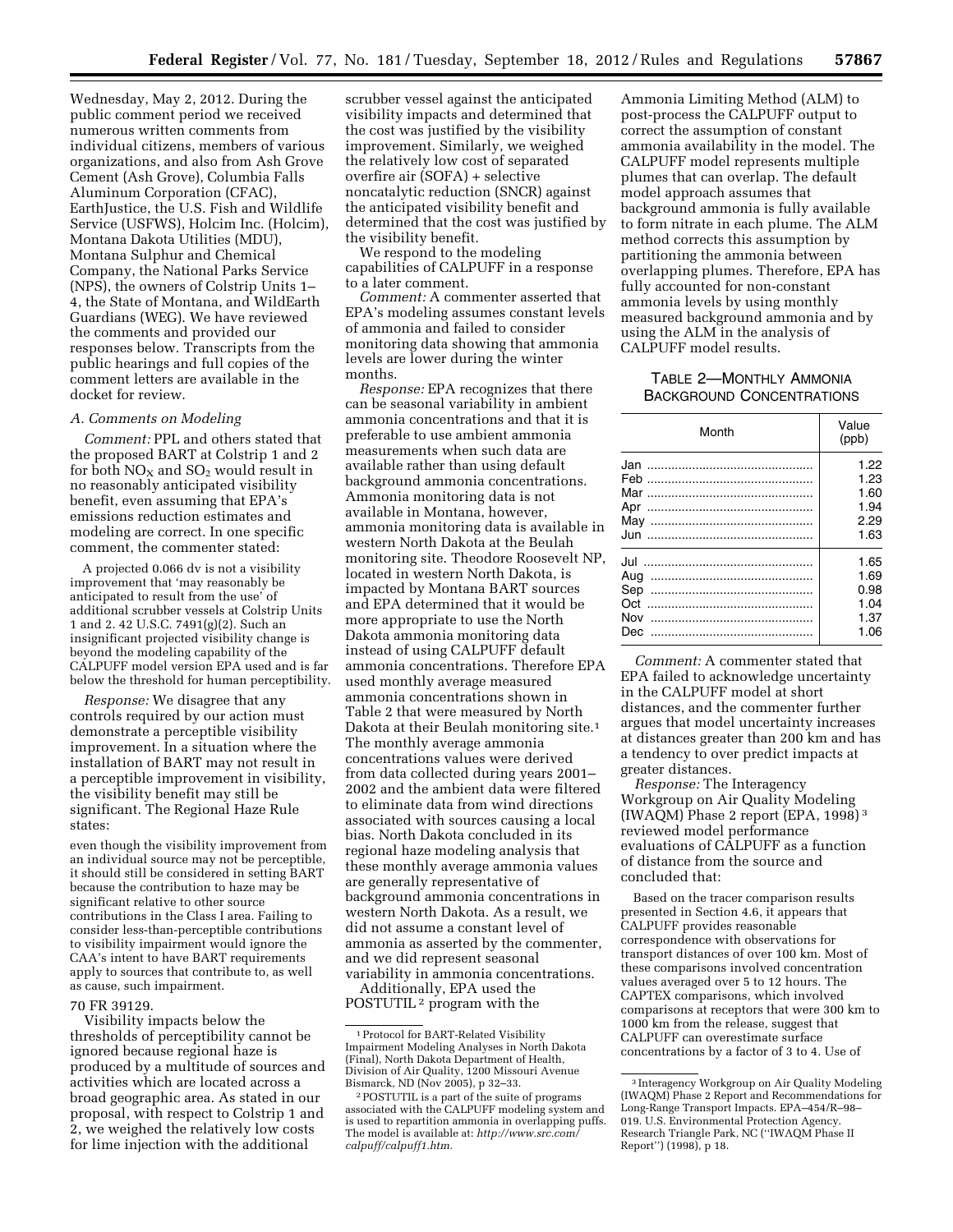Wednesday, May 2, 2012. During the public comment period we received numerous written comments from individual citizens, members of various organizations, and also from Ash Grove Cement (Ash Grove), Columbia Falls Aluminum Corporation (CFAC), EarthJustice, the U.S. Fish and Wildlife Service (USFWS), Holcim Inc. (Holcim), Montana Dakota Utilities (MDU), Montana Sulphur and Chemical Company, the National Parks Service (NPS), the owners of Colstrip Units 1– 4, the State of Montana, and WildEarth Guardians (WEG). We have reviewed the comments and provided our responses below. Transcripts from the public hearings and full copies of the comment letters are available in the docket for review.

#### *A. Comments on Modeling*

*Comment:* PPL and others stated that the proposed BART at Colstrip 1 and 2 for both  $NO<sub>X</sub>$  and  $SO<sub>2</sub>$  would result in no reasonably anticipated visibility benefit, even assuming that EPA's emissions reduction estimates and modeling are correct. In one specific comment, the commenter stated:

A projected 0.066 dv is not a visibility improvement that 'may reasonably be anticipated to result from the use' of additional scrubber vessels at Colstrip Units 1 and 2. 42 U.S.C. 7491(g)(2). Such an insignificant projected visibility change is beyond the modeling capability of the CALPUFF model version EPA used and is far below the threshold for human perceptibility.

*Response:* We disagree that any controls required by our action must demonstrate a perceptible visibility improvement. In a situation where the installation of BART may not result in a perceptible improvement in visibility, the visibility benefit may still be significant. The Regional Haze Rule states:

even though the visibility improvement from an individual source may not be perceptible, it should still be considered in setting BART because the contribution to haze may be significant relative to other source contributions in the Class I area. Failing to consider less-than-perceptible contributions to visibility impairment would ignore the CAA's intent to have BART requirements apply to sources that contribute to, as well as cause, such impairment.

#### 70 FR 39129.

Visibility impacts below the thresholds of perceptibility cannot be ignored because regional haze is produced by a multitude of sources and activities which are located across a broad geographic area. As stated in our proposal, with respect to Colstrip 1 and 2, we weighed the relatively low costs for lime injection with the additional

scrubber vessel against the anticipated visibility impacts and determined that the cost was justified by the visibility improvement. Similarly, we weighed the relatively low cost of separated overfire air (SOFA) + selective noncatalytic reduction (SNCR) against the anticipated visibility benefit and determined that the cost was justified by the visibility benefit.

We respond to the modeling capabilities of CALPUFF in a response to a later comment.

*Comment:* A commenter asserted that EPA's modeling assumes constant levels of ammonia and failed to consider monitoring data showing that ammonia levels are lower during the winter months.

*Response:* EPA recognizes that there can be seasonal variability in ambient ammonia concentrations and that it is preferable to use ambient ammonia measurements when such data are available rather than using default background ammonia concentrations. Ammonia monitoring data is not available in Montana, however, ammonia monitoring data is available in western North Dakota at the Beulah monitoring site. Theodore Roosevelt NP, located in western North Dakota, is impacted by Montana BART sources and EPA determined that it would be more appropriate to use the North Dakota ammonia monitoring data instead of using CALPUFF default ammonia concentrations. Therefore EPA used monthly average measured ammonia concentrations shown in Table 2 that were measured by North Dakota at their Beulah monitoring site.1 The monthly average ammonia concentrations values were derived from data collected during years 2001– 2002 and the ambient data were filtered to eliminate data from wind directions associated with sources causing a local bias. North Dakota concluded in its regional haze modeling analysis that these monthly average ammonia values are generally representative of background ammonia concentrations in western North Dakota. As a result, we did not assume a constant level of ammonia as asserted by the commenter, and we did represent seasonal variability in ammonia concentrations.

Additionally, EPA used the POSTUTIL 2 program with the

Ammonia Limiting Method (ALM) to post-process the CALPUFF output to correct the assumption of constant ammonia availability in the model. The CALPUFF model represents multiple plumes that can overlap. The default model approach assumes that background ammonia is fully available to form nitrate in each plume. The ALM method corrects this assumption by partitioning the ammonia between overlapping plumes. Therefore, EPA has fully accounted for non-constant ammonia levels by using monthly measured background ammonia and by using the ALM in the analysis of CALPUFF model results.

#### TABLE 2—MONTHLY AMMONIA BACKGROUND CONCENTRATIONS

| Month | Value<br>(ppb) |  |
|-------|----------------|--|
|       | 1.22           |  |
|       | 1.23           |  |
|       | 1.60           |  |
| Apr   | 1.94           |  |
|       | 2.29           |  |
|       | 1.63           |  |
|       | 1.65           |  |
| Aug   | 1.69           |  |
| Sep   | 0.98           |  |
| Oct   | 1.04           |  |
| Nov   | 1.37           |  |
| Dec   | 1.06           |  |

*Comment:* A commenter stated that EPA failed to acknowledge uncertainty in the CALPUFF model at short distances, and the commenter further argues that model uncertainty increases at distances greater than 200 km and has a tendency to over predict impacts at greater distances.

*Response:* The Interagency Workgroup on Air Quality Modeling (IWAQM) Phase 2 report (EPA, 1998) 3 reviewed model performance evaluations of CALPUFF as a function of distance from the source and concluded that:

Based on the tracer comparison results presented in Section 4.6, it appears that CALPUFF provides reasonable correspondence with observations for transport distances of over 100 km. Most of these comparisons involved concentration values averaged over 5 to 12 hours. The CAPTEX comparisons, which involved comparisons at receptors that were 300 km to 1000 km from the release, suggest that CALPUFF can overestimate surface concentrations by a factor of 3 to 4. Use of

<sup>1</sup>Protocol for BART-Related Visibility Impairment Modeling Analyses in North Dakota (Final), North Dakota Department of Health, Division of Air Quality, 1200 Missouri Avenue

<sup>&</sup>lt;sup>2</sup> POSTUTIL is a part of the suite of programs associated with the CALPUFF modeling system and is used to repartition ammonia in overlapping puffs. The model is available at: *[http://www.src.com/](http://www.src.com/calpuff/calpuff1.htm) [calpuff/calpuff1.htm.](http://www.src.com/calpuff/calpuff1.htm)* 

<sup>3</sup> Interagency Workgroup on Air Quality Modeling (IWAQM) Phase 2 Report and Recommendations for Long-Range Transport Impacts. EPA–454/R–98– 019. U.S. Environmental Protection Agency. Research Triangle Park, NC (''IWAQM Phase II Report'') (1998), p 18.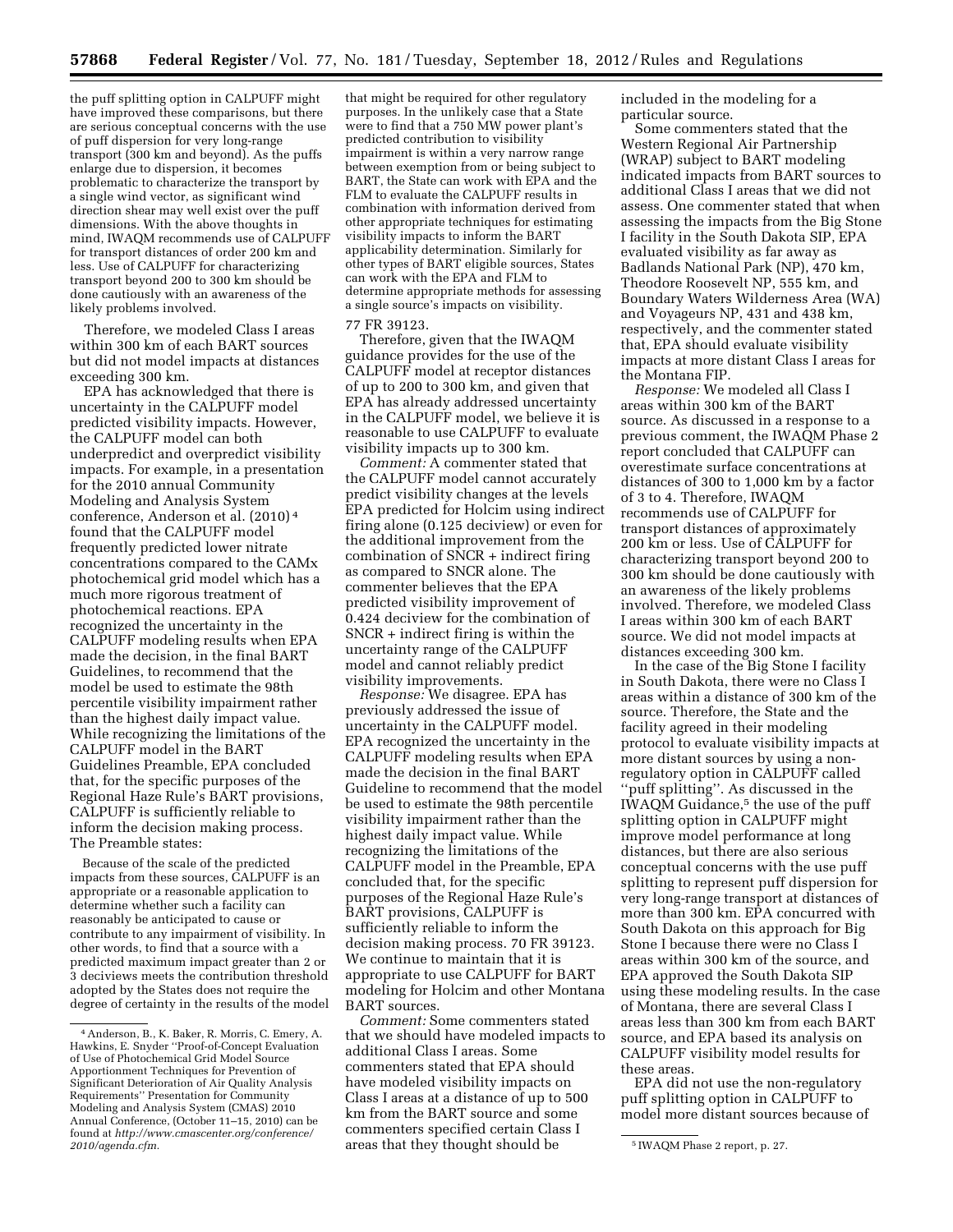the puff splitting option in CALPUFF might have improved these comparisons, but there are serious conceptual concerns with the use of puff dispersion for very long-range transport (300 km and beyond). As the puffs enlarge due to dispersion, it becomes problematic to characterize the transport by a single wind vector, as significant wind direction shear may well exist over the puff dimensions. With the above thoughts in mind, IWAQM recommends use of CALPUFF for transport distances of order 200 km and less. Use of CALPUFF for characterizing transport beyond 200 to 300 km should be done cautiously with an awareness of the likely problems involved.

Therefore, we modeled Class I areas within 300 km of each BART sources but did not model impacts at distances exceeding 300 km.

EPA has acknowledged that there is uncertainty in the CALPUFF model predicted visibility impacts. However, the CALPUFF model can both underpredict and overpredict visibility impacts. For example, in a presentation for the 2010 annual Community Modeling and Analysis System conference, Anderson et al. (2010) 4 found that the CALPUFF model frequently predicted lower nitrate concentrations compared to the CAMx photochemical grid model which has a much more rigorous treatment of photochemical reactions. EPA recognized the uncertainty in the CALPUFF modeling results when EPA made the decision, in the final BART Guidelines, to recommend that the model be used to estimate the 98th percentile visibility impairment rather than the highest daily impact value. While recognizing the limitations of the CALPUFF model in the BART Guidelines Preamble, EPA concluded that, for the specific purposes of the Regional Haze Rule's BART provisions, CALPUFF is sufficiently reliable to inform the decision making process. The Preamble states:

Because of the scale of the predicted impacts from these sources, CALPUFF is an appropriate or a reasonable application to determine whether such a facility can reasonably be anticipated to cause or contribute to any impairment of visibility. In other words, to find that a source with a predicted maximum impact greater than 2 or 3 deciviews meets the contribution threshold adopted by the States does not require the degree of certainty in the results of the model

that might be required for other regulatory purposes. In the unlikely case that a State were to find that a 750 MW power plant's predicted contribution to visibility impairment is within a very narrow range between exemption from or being subject to BART, the State can work with EPA and the FLM to evaluate the CALPUFF results in combination with information derived from other appropriate techniques for estimating visibility impacts to inform the BART applicability determination. Similarly for other types of BART eligible sources, States can work with the EPA and FLM to determine appropriate methods for assessing a single source's impacts on visibility.

#### 77 FR 39123.

Therefore, given that the IWAQM guidance provides for the use of the CALPUFF model at receptor distances of up to 200 to 300 km, and given that EPA has already addressed uncertainty in the CALPUFF model, we believe it is reasonable to use CALPUFF to evaluate visibility impacts up to 300 km.

*Comment:* A commenter stated that the CALPUFF model cannot accurately predict visibility changes at the levels EPA predicted for Holcim using indirect firing alone (0.125 deciview) or even for the additional improvement from the combination of SNCR + indirect firing as compared to SNCR alone. The commenter believes that the EPA predicted visibility improvement of 0.424 deciview for the combination of SNCR + indirect firing is within the uncertainty range of the CALPUFF model and cannot reliably predict visibility improvements.

*Response:* We disagree. EPA has previously addressed the issue of uncertainty in the CALPUFF model. EPA recognized the uncertainty in the CALPUFF modeling results when EPA made the decision in the final BART Guideline to recommend that the model be used to estimate the 98th percentile visibility impairment rather than the highest daily impact value. While recognizing the limitations of the CALPUFF model in the Preamble, EPA concluded that, for the specific purposes of the Regional Haze Rule's BART provisions, CALPUFF is sufficiently reliable to inform the decision making process. 70 FR 39123. We continue to maintain that it is appropriate to use CALPUFF for BART modeling for Holcim and other Montana BART sources.

*Comment:* Some commenters stated that we should have modeled impacts to additional Class I areas. Some commenters stated that EPA should have modeled visibility impacts on Class I areas at a distance of up to 500 km from the BART source and some commenters specified certain Class I

included in the modeling for a particular source.

Some commenters stated that the Western Regional Air Partnership (WRAP) subject to BART modeling indicated impacts from BART sources to additional Class I areas that we did not assess. One commenter stated that when assessing the impacts from the Big Stone I facility in the South Dakota SIP, EPA evaluated visibility as far away as Badlands National Park (NP), 470 km, Theodore Roosevelt NP, 555 km, and Boundary Waters Wilderness Area (WA) and Voyageurs NP, 431 and 438 km, respectively, and the commenter stated that, EPA should evaluate visibility impacts at more distant Class I areas for the Montana FIP.

*Response:* We modeled all Class I areas within 300 km of the BART source. As discussed in a response to a previous comment, the IWAQM Phase 2 report concluded that CALPUFF can overestimate surface concentrations at distances of 300 to 1,000 km by a factor of 3 to 4. Therefore, IWAQM recommends use of CALPUFF for transport distances of approximately 200 km or less. Use of CALPUFF for characterizing transport beyond 200 to 300 km should be done cautiously with an awareness of the likely problems involved. Therefore, we modeled Class I areas within 300 km of each BART source. We did not model impacts at distances exceeding 300 km.

In the case of the Big Stone I facility in South Dakota, there were no Class I areas within a distance of 300 km of the source. Therefore, the State and the facility agreed in their modeling protocol to evaluate visibility impacts at more distant sources by using a nonregulatory option in CALPUFF called ''puff splitting''. As discussed in the IWAQM Guidance,5 the use of the puff splitting option in CALPUFF might improve model performance at long distances, but there are also serious conceptual concerns with the use puff splitting to represent puff dispersion for very long-range transport at distances of more than 300 km. EPA concurred with South Dakota on this approach for Big Stone I because there were no Class I areas within 300 km of the source, and EPA approved the South Dakota SIP using these modeling results. In the case of Montana, there are several Class I areas less than 300 km from each BART source, and EPA based its analysis on CALPUFF visibility model results for these areas.

EPA did not use the non-regulatory puff splitting option in CALPUFF to model more distant sources because of

<sup>4</sup>Anderson, B., K. Baker, R. Morris, C. Emery, A. Hawkins, E. Snyder ''Proof-of-Concept Evaluation of Use of Photochemical Grid Model Source Apportionment Techniques for Prevention of Significant Deterioration of Air Quality Analysis Requirements'' Presentation for Community Modeling and Analysis System (CMAS) 2010 Annual Conference, (October 11–15, 2010) can be found at *[http://www.cmascenter.org/conference/](http://www.cmascenter.org/conference/2010/agenda.cfm) [2010/agenda.cfm.](http://www.cmascenter.org/conference/2010/agenda.cfm)* 5 IWAQM Phase 2 report, p. 27. areas that they thought should be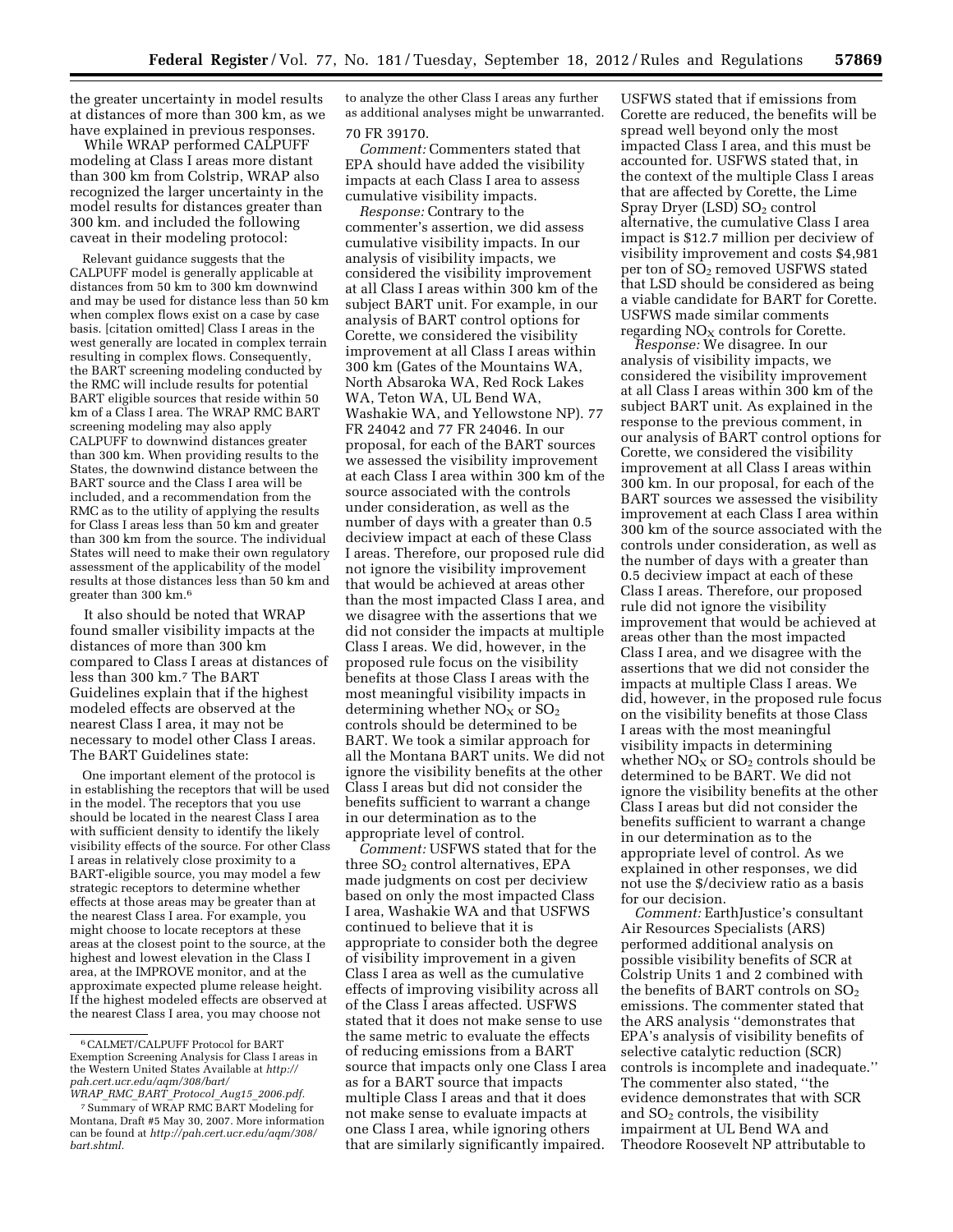the greater uncertainty in model results at distances of more than 300 km, as we have explained in previous responses.

While WRAP performed CALPUFF modeling at Class I areas more distant than 300 km from Colstrip, WRAP also recognized the larger uncertainty in the model results for distances greater than 300 km. and included the following caveat in their modeling protocol:

Relevant guidance suggests that the CALPUFF model is generally applicable at distances from 50 km to 300 km downwind and may be used for distance less than 50 km when complex flows exist on a case by case basis. [citation omitted] Class I areas in the west generally are located in complex terrain resulting in complex flows. Consequently, the BART screening modeling conducted by the RMC will include results for potential BART eligible sources that reside within 50 km of a Class I area. The WRAP RMC BART screening modeling may also apply CALPUFF to downwind distances greater than 300 km. When providing results to the States, the downwind distance between the BART source and the Class I area will be included, and a recommendation from the RMC as to the utility of applying the results for Class I areas less than 50 km and greater than 300 km from the source. The individual States will need to make their own regulatory assessment of the applicability of the model results at those distances less than 50 km and greater than 300 km.6

It also should be noted that WRAP found smaller visibility impacts at the distances of more than 300 km compared to Class I areas at distances of less than 300 km.7 The BART Guidelines explain that if the highest modeled effects are observed at the nearest Class I area, it may not be necessary to model other Class I areas. The BART Guidelines state:

One important element of the protocol is in establishing the receptors that will be used in the model. The receptors that you use should be located in the nearest Class I area with sufficient density to identify the likely visibility effects of the source. For other Class I areas in relatively close proximity to a BART-eligible source, you may model a few strategic receptors to determine whether effects at those areas may be greater than at the nearest Class I area. For example, you might choose to locate receptors at these areas at the closest point to the source, at the highest and lowest elevation in the Class I area, at the IMPROVE monitor, and at the approximate expected plume release height. If the highest modeled effects are observed at the nearest Class I area, you may choose not

to analyze the other Class I areas any further as additional analyses might be unwarranted. 70 FR 39170.

*Comment:* Commenters stated that EPA should have added the visibility impacts at each Class I area to assess cumulative visibility impacts.

*Response:* Contrary to the commenter's assertion, we did assess cumulative visibility impacts. In our analysis of visibility impacts, we considered the visibility improvement at all Class I areas within 300 km of the subject BART unit. For example, in our analysis of BART control options for Corette, we considered the visibility improvement at all Class I areas within 300 km (Gates of the Mountains WA, North Absaroka WA, Red Rock Lakes WA, Teton WA, UL Bend WA, Washakie WA, and Yellowstone NP). 77 FR 24042 and 77 FR 24046. In our proposal, for each of the BART sources we assessed the visibility improvement at each Class I area within 300 km of the source associated with the controls under consideration, as well as the number of days with a greater than 0.5 deciview impact at each of these Class I areas. Therefore, our proposed rule did not ignore the visibility improvement that would be achieved at areas other than the most impacted Class I area, and we disagree with the assertions that we did not consider the impacts at multiple Class I areas. We did, however, in the proposed rule focus on the visibility benefits at those Class I areas with the most meaningful visibility impacts in determining whether  $NO<sub>x</sub>$  or  $SO<sub>2</sub>$ controls should be determined to be BART. We took a similar approach for all the Montana BART units. We did not ignore the visibility benefits at the other Class I areas but did not consider the benefits sufficient to warrant a change in our determination as to the appropriate level of control.

*Comment:* USFWS stated that for the three  $SO<sub>2</sub>$  control alternatives, EPA made judgments on cost per deciview based on only the most impacted Class I area, Washakie WA and that USFWS continued to believe that it is appropriate to consider both the degree of visibility improvement in a given Class I area as well as the cumulative effects of improving visibility across all of the Class I areas affected. USFWS stated that it does not make sense to use the same metric to evaluate the effects of reducing emissions from a BART source that impacts only one Class I area as for a BART source that impacts multiple Class I areas and that it does not make sense to evaluate impacts at one Class I area, while ignoring others that are similarly significantly impaired.

USFWS stated that if emissions from Corette are reduced, the benefits will be spread well beyond only the most impacted Class I area, and this must be accounted for. USFWS stated that, in the context of the multiple Class I areas that are affected by Corette, the Lime  $Spray Dryer (LSD) SO<sub>2</sub> control$ alternative, the cumulative Class I area impact is \$12.7 million per deciview of visibility improvement and costs \$4,981 per ton of  $SO<sub>2</sub>$  removed USFWS stated that LSD should be considered as being a viable candidate for BART for Corette. USFWS made similar comments regarding  $NO<sub>X</sub>$  controls for Corette.

*Response:* We disagree. In our analysis of visibility impacts, we considered the visibility improvement at all Class I areas within 300 km of the subject BART unit. As explained in the response to the previous comment, in our analysis of BART control options for Corette, we considered the visibility improvement at all Class I areas within 300 km. In our proposal, for each of the BART sources we assessed the visibility improvement at each Class I area within 300 km of the source associated with the controls under consideration, as well as the number of days with a greater than 0.5 deciview impact at each of these Class I areas. Therefore, our proposed rule did not ignore the visibility improvement that would be achieved at areas other than the most impacted Class I area, and we disagree with the assertions that we did not consider the impacts at multiple Class I areas. We did, however, in the proposed rule focus on the visibility benefits at those Class I areas with the most meaningful visibility impacts in determining whether  $NO_X$  or  $SO_2$  controls should be determined to be BART. We did not ignore the visibility benefits at the other Class I areas but did not consider the benefits sufficient to warrant a change in our determination as to the appropriate level of control. As we explained in other responses, we did not use the \$/deciview ratio as a basis for our decision.

*Comment:* EarthJustice's consultant Air Resources Specialists (ARS) performed additional analysis on possible visibility benefits of SCR at Colstrip Units 1 and 2 combined with the benefits of BART controls on  $SO<sub>2</sub>$ emissions. The commenter stated that the ARS analysis ''demonstrates that EPA's analysis of visibility benefits of selective catalytic reduction (SCR) controls is incomplete and inadequate.'' The commenter also stated, ''the evidence demonstrates that with SCR and  $SO<sub>2</sub>$  controls, the visibility impairment at UL Bend WA and Theodore Roosevelt NP attributable to

<sup>6</sup>CALMET/CALPUFF Protocol for BART Exemption Screening Analysis for Class I areas in the Western United States Available at *[http://](http://pah.cert.ucr.edu/aqm/308/bart/WRAP_RMC_BART_Protocol_Aug15_2006.pdf) [pah.cert.ucr.edu/aqm/308/bart/](http://pah.cert.ucr.edu/aqm/308/bart/WRAP_RMC_BART_Protocol_Aug15_2006.pdf)* 

*WRAP*\_*RMC*\_*BART*\_*Protocol*\_*Aug15*\_*[2006.pdf.](http://pah.cert.ucr.edu/aqm/308/bart/WRAP_RMC_BART_Protocol_Aug15_2006.pdf)*  7Summary of WRAP RMC BART Modeling for

Montana, Draft #5 May 30, 2007. More information can be found at *[http://pah.cert.ucr.edu/aqm/308/](http://pah.cert.ucr.edu/aqm/308/bart.shtml)  [bart.shtml.](http://pah.cert.ucr.edu/aqm/308/bart.shtml)*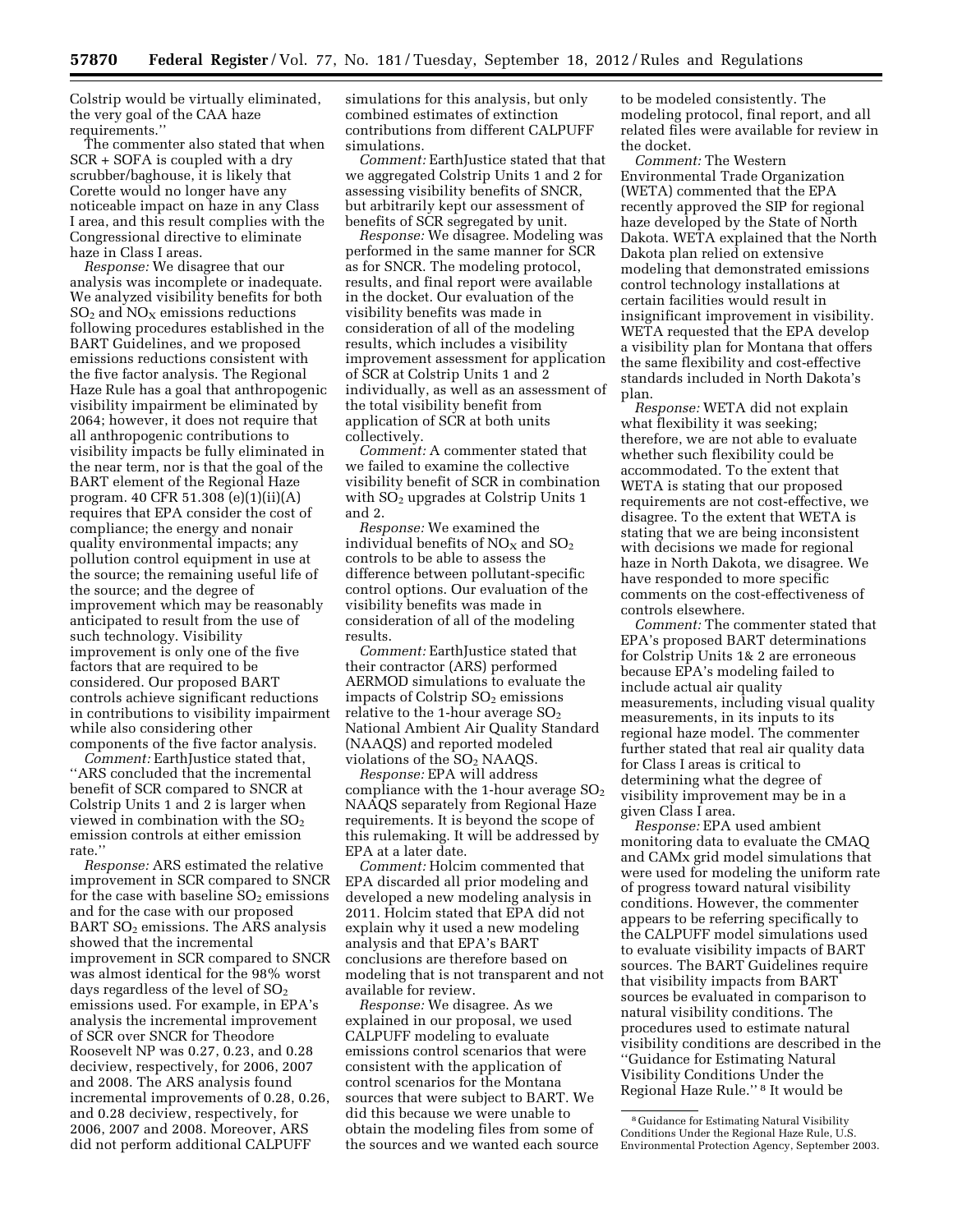Colstrip would be virtually eliminated, the very goal of the CAA haze requirements.''

The commenter also stated that when SCR + SOFA is coupled with a dry scrubber/baghouse, it is likely that Corette would no longer have any noticeable impact on haze in any Class I area, and this result complies with the Congressional directive to eliminate haze in Class I areas.

*Response:* We disagree that our analysis was incomplete or inadequate. We analyzed visibility benefits for both  $SO<sub>2</sub>$  and  $NO<sub>X</sub>$  emissions reductions following procedures established in the BART Guidelines, and we proposed emissions reductions consistent with the five factor analysis. The Regional Haze Rule has a goal that anthropogenic visibility impairment be eliminated by 2064; however, it does not require that all anthropogenic contributions to visibility impacts be fully eliminated in the near term, nor is that the goal of the BART element of the Regional Haze program. 40 CFR 51.308 (e)(1)(ii)(A) requires that EPA consider the cost of compliance; the energy and nonair quality environmental impacts; any pollution control equipment in use at the source; the remaining useful life of the source; and the degree of improvement which may be reasonably anticipated to result from the use of such technology. Visibility improvement is only one of the five factors that are required to be considered. Our proposed BART controls achieve significant reductions in contributions to visibility impairment while also considering other components of the five factor analysis.

*Comment:* EarthJustice stated that, ''ARS concluded that the incremental benefit of SCR compared to SNCR at Colstrip Units 1 and 2 is larger when viewed in combination with the  $SO<sub>2</sub>$ emission controls at either emission rate.''

*Response:* ARS estimated the relative improvement in SCR compared to SNCR for the case with baseline  $SO<sub>2</sub>$  emissions and for the case with our proposed BART  $SO<sub>2</sub>$  emissions. The ARS analysis showed that the incremental improvement in SCR compared to SNCR was almost identical for the 98% worst days regardless of the level of  $SO<sub>2</sub>$ emissions used. For example, in EPA's analysis the incremental improvement of SCR over SNCR for Theodore Roosevelt NP was 0.27, 0.23, and 0.28 deciview, respectively, for 2006, 2007 and 2008. The ARS analysis found incremental improvements of 0.28, 0.26, and 0.28 deciview, respectively, for 2006, 2007 and 2008. Moreover, ARS did not perform additional CALPUFF

simulations for this analysis, but only combined estimates of extinction contributions from different CALPUFF simulations.

*Comment:* EarthJustice stated that that we aggregated Colstrip Units 1 and 2 for assessing visibility benefits of SNCR, but arbitrarily kept our assessment of benefits of SCR segregated by unit.

*Response:* We disagree. Modeling was performed in the same manner for SCR as for SNCR. The modeling protocol, results, and final report were available in the docket. Our evaluation of the visibility benefits was made in consideration of all of the modeling results, which includes a visibility improvement assessment for application of SCR at Colstrip Units 1 and 2 individually, as well as an assessment of the total visibility benefit from application of SCR at both units collectively.

*Comment:* A commenter stated that we failed to examine the collective visibility benefit of SCR in combination with  $SO<sub>2</sub>$  upgrades at Colstrip Units 1 and 2.

*Response:* We examined the individual benefits of  $NO<sub>X</sub>$  and  $SO<sub>2</sub>$ controls to be able to assess the difference between pollutant-specific control options. Our evaluation of the visibility benefits was made in consideration of all of the modeling results.

*Comment:* EarthJustice stated that their contractor (ARS) performed AERMOD simulations to evaluate the impacts of Colstrip  $SO<sub>2</sub>$  emissions relative to the 1-hour average  $SO<sub>2</sub>$ National Ambient Air Quality Standard (NAAQS) and reported modeled violations of the  $SO<sub>2</sub>$  NAAQS.

*Response:* EPA will address compliance with the 1-hour average  $SO<sub>2</sub>$ NAAQS separately from Regional Haze requirements. It is beyond the scope of this rulemaking. It will be addressed by EPA at a later date.

*Comment:* Holcim commented that EPA discarded all prior modeling and developed a new modeling analysis in 2011. Holcim stated that EPA did not explain why it used a new modeling analysis and that EPA's BART conclusions are therefore based on modeling that is not transparent and not available for review.

*Response:* We disagree. As we explained in our proposal, we used CALPUFF modeling to evaluate emissions control scenarios that were consistent with the application of control scenarios for the Montana sources that were subject to BART. We did this because we were unable to obtain the modeling files from some of the sources and we wanted each source to be modeled consistently. The modeling protocol, final report, and all related files were available for review in the docket.

*Comment:* The Western Environmental Trade Organization (WETA) commented that the EPA recently approved the SIP for regional haze developed by the State of North Dakota. WETA explained that the North Dakota plan relied on extensive modeling that demonstrated emissions control technology installations at certain facilities would result in insignificant improvement in visibility. WETA requested that the EPA develop a visibility plan for Montana that offers the same flexibility and cost-effective standards included in North Dakota's plan.

*Response:* WETA did not explain what flexibility it was seeking; therefore, we are not able to evaluate whether such flexibility could be accommodated. To the extent that WETA is stating that our proposed requirements are not cost-effective, we disagree. To the extent that WETA is stating that we are being inconsistent with decisions we made for regional haze in North Dakota, we disagree. We have responded to more specific comments on the cost-effectiveness of controls elsewhere.

*Comment:* The commenter stated that EPA's proposed BART determinations for Colstrip Units 1& 2 are erroneous because EPA's modeling failed to include actual air quality measurements, including visual quality measurements, in its inputs to its regional haze model. The commenter further stated that real air quality data for Class I areas is critical to determining what the degree of visibility improvement may be in a given Class I area.

*Response:* EPA used ambient monitoring data to evaluate the CMAQ and CAMx grid model simulations that were used for modeling the uniform rate of progress toward natural visibility conditions. However, the commenter appears to be referring specifically to the CALPUFF model simulations used to evaluate visibility impacts of BART sources. The BART Guidelines require that visibility impacts from BART sources be evaluated in comparison to natural visibility conditions. The procedures used to estimate natural visibility conditions are described in the ''Guidance for Estimating Natural Visibility Conditions Under the Regional Haze Rule.'' 8 It would be

<sup>8</sup> Guidance for Estimating Natural Visibility Conditions Under the Regional Haze Rule, U.S. Environmental Protection Agency, September 2003.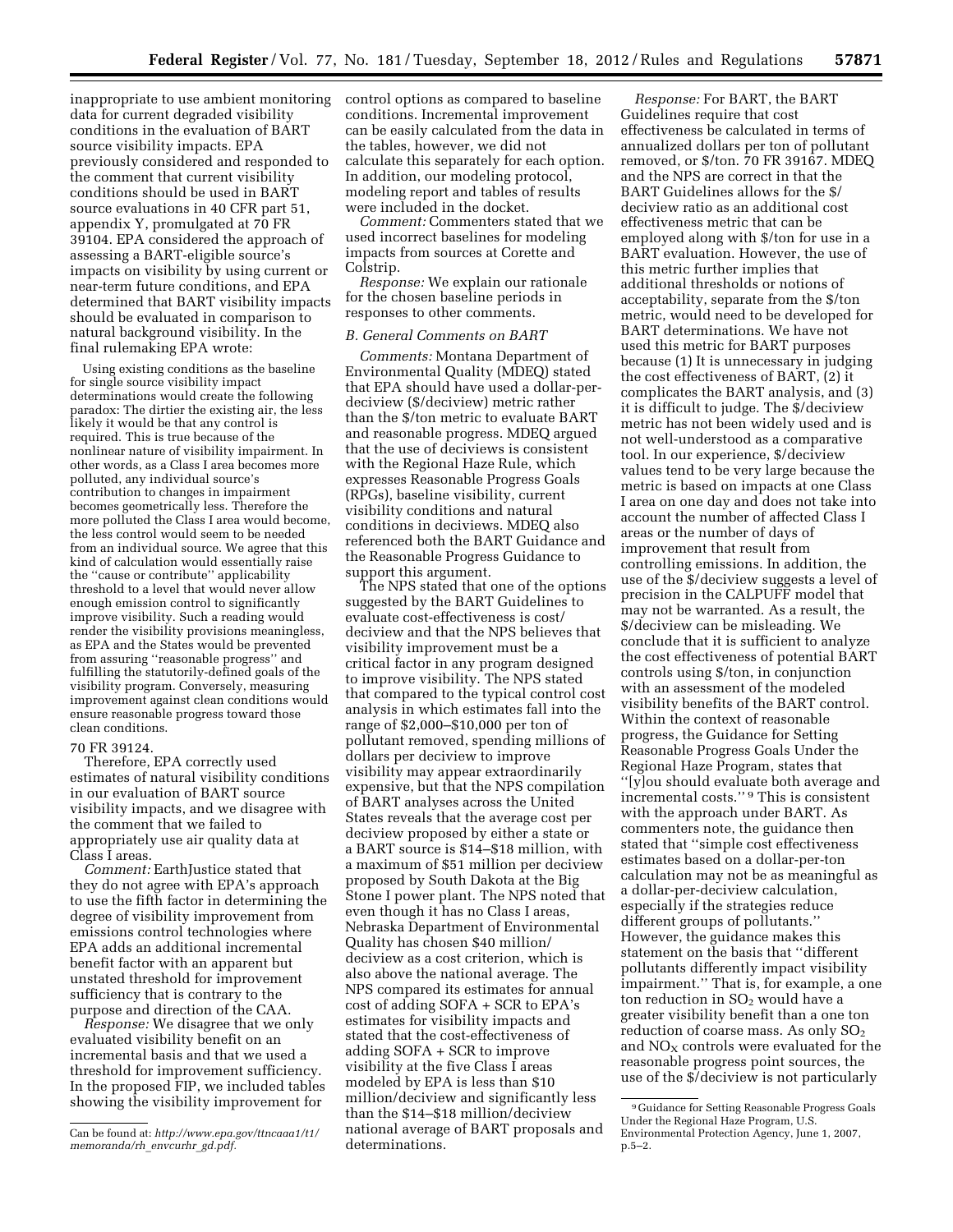inappropriate to use ambient monitoring data for current degraded visibility conditions in the evaluation of BART source visibility impacts. EPA previously considered and responded to the comment that current visibility conditions should be used in BART source evaluations in 40 CFR part 51, appendix Y, promulgated at 70 FR 39104. EPA considered the approach of assessing a BART-eligible source's impacts on visibility by using current or near-term future conditions, and EPA determined that BART visibility impacts should be evaluated in comparison to natural background visibility. In the final rulemaking EPA wrote:

Using existing conditions as the baseline for single source visibility impact determinations would create the following paradox: The dirtier the existing air, the less likely it would be that any control is required. This is true because of the nonlinear nature of visibility impairment. In other words, as a Class I area becomes more polluted, any individual source's contribution to changes in impairment becomes geometrically less. Therefore the more polluted the Class I area would become, the less control would seem to be needed from an individual source. We agree that this kind of calculation would essentially raise the ''cause or contribute'' applicability threshold to a level that would never allow enough emission control to significantly improve visibility. Such a reading would render the visibility provisions meaningless, as EPA and the States would be prevented from assuring ''reasonable progress'' and fulfilling the statutorily-defined goals of the visibility program. Conversely, measuring improvement against clean conditions would ensure reasonable progress toward those clean conditions.

#### 70 FR 39124.

Therefore, EPA correctly used estimates of natural visibility conditions in our evaluation of BART source visibility impacts, and we disagree with the comment that we failed to appropriately use air quality data at Class I areas.

*Comment:* EarthJustice stated that they do not agree with EPA's approach to use the fifth factor in determining the degree of visibility improvement from emissions control technologies where EPA adds an additional incremental benefit factor with an apparent but unstated threshold for improvement sufficiency that is contrary to the purpose and direction of the CAA.

*Response:* We disagree that we only evaluated visibility benefit on an incremental basis and that we used a threshold for improvement sufficiency. In the proposed FIP, we included tables showing the visibility improvement for

control options as compared to baseline conditions. Incremental improvement can be easily calculated from the data in the tables, however, we did not calculate this separately for each option. In addition, our modeling protocol, modeling report and tables of results were included in the docket.

*Comment:* Commenters stated that we used incorrect baselines for modeling impacts from sources at Corette and Colstrip.

*Response:* We explain our rationale for the chosen baseline periods in responses to other comments.

#### *B. General Comments on BART*

*Comments:* Montana Department of Environmental Quality (MDEQ) stated that EPA should have used a dollar-perdeciview (\$/deciview) metric rather than the \$/ton metric to evaluate BART and reasonable progress. MDEQ argued that the use of deciviews is consistent with the Regional Haze Rule, which expresses Reasonable Progress Goals (RPGs), baseline visibility, current visibility conditions and natural conditions in deciviews. MDEQ also referenced both the BART Guidance and the Reasonable Progress Guidance to support this argument.

The NPS stated that one of the options suggested by the BART Guidelines to evaluate cost-effectiveness is cost/ deciview and that the NPS believes that visibility improvement must be a critical factor in any program designed to improve visibility. The NPS stated that compared to the typical control cost analysis in which estimates fall into the range of \$2,000–\$10,000 per ton of pollutant removed, spending millions of dollars per deciview to improve visibility may appear extraordinarily expensive, but that the NPS compilation of BART analyses across the United States reveals that the average cost per deciview proposed by either a state or a BART source is \$14–\$18 million, with a maximum of \$51 million per deciview proposed by South Dakota at the Big Stone I power plant. The NPS noted that even though it has no Class I areas, Nebraska Department of Environmental Quality has chosen \$40 million/ deciview as a cost criterion, which is also above the national average. The NPS compared its estimates for annual cost of adding SOFA + SCR to EPA's estimates for visibility impacts and stated that the cost-effectiveness of adding SOFA + SCR to improve visibility at the five Class I areas modeled by EPA is less than \$10 million/deciview and significantly less than the \$14–\$18 million/deciview national average of BART proposals and determinations.

*Response:* For BART, the BART Guidelines require that cost effectiveness be calculated in terms of annualized dollars per ton of pollutant removed, or \$/ton. 70 FR 39167. MDEQ and the NPS are correct in that the BART Guidelines allows for the \$/ deciview ratio as an additional cost effectiveness metric that can be employed along with \$/ton for use in a BART evaluation. However, the use of this metric further implies that additional thresholds or notions of acceptability, separate from the \$/ton metric, would need to be developed for BART determinations. We have not used this metric for BART purposes because (1) It is unnecessary in judging the cost effectiveness of BART, (2) it complicates the BART analysis, and (3) it is difficult to judge. The \$/deciview metric has not been widely used and is not well-understood as a comparative tool. In our experience, \$/deciview values tend to be very large because the metric is based on impacts at one Class I area on one day and does not take into account the number of affected Class I areas or the number of days of improvement that result from controlling emissions. In addition, the use of the \$/deciview suggests a level of precision in the CALPUFF model that may not be warranted. As a result, the \$/deciview can be misleading. We conclude that it is sufficient to analyze the cost effectiveness of potential BART controls using \$/ton, in conjunction with an assessment of the modeled visibility benefits of the BART control. Within the context of reasonable progress, the Guidance for Setting Reasonable Progress Goals Under the Regional Haze Program, states that ''[y]ou should evaluate both average and incremental costs.'' 9 This is consistent with the approach under BART. As commenters note, the guidance then stated that ''simple cost effectiveness estimates based on a dollar-per-ton calculation may not be as meaningful as a dollar-per-deciview calculation, especially if the strategies reduce different groups of pollutants.'' However, the guidance makes this statement on the basis that ''different pollutants differently impact visibility impairment." That is, for example, a one ton reduction in  $SO<sub>2</sub>$  would have a greater visibility benefit than a one ton reduction of coarse mass. As only  $SO<sub>2</sub>$ and  $NO<sub>X</sub>$  controls were evaluated for the reasonable progress point sources, the use of the \$/deciview is not particularly

Can be found at: *[http://www.epa.gov/ttncaaa1/t1/](http://www.epa.gov/ttncaaa1/t1/memoranda/rh_envcurhr_gd.pdf)  [memoranda/rh](http://www.epa.gov/ttncaaa1/t1/memoranda/rh_envcurhr_gd.pdf)*\_*envcurhr*\_*gd.pdf.* 

<sup>9</sup> Guidance for Setting Reasonable Progress Goals Under the Regional Haze Program, U.S. Environmental Protection Agency, June 1, 2007, p.5–2.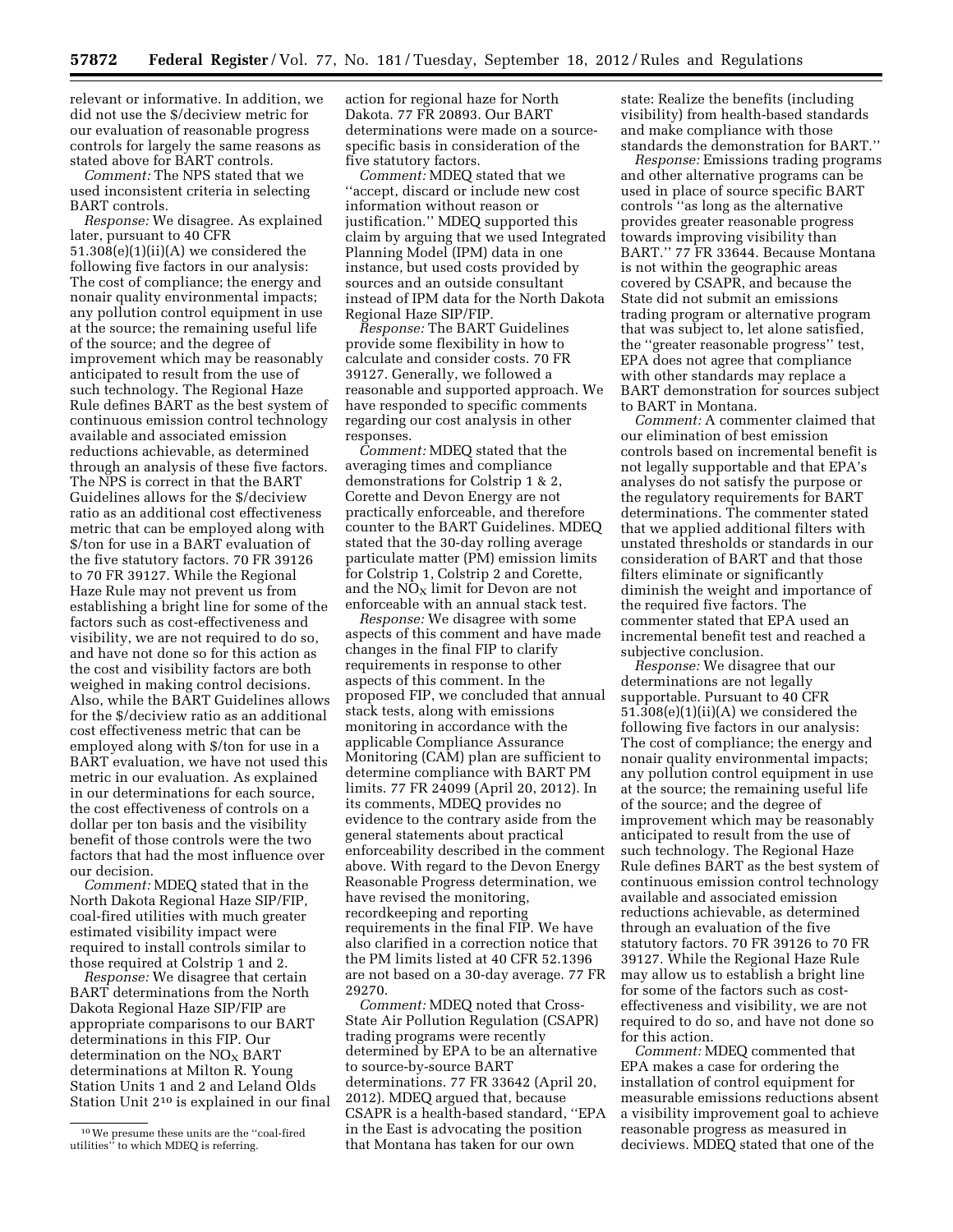relevant or informative. In addition, we did not use the \$/deciview metric for our evaluation of reasonable progress controls for largely the same reasons as stated above for BART controls.

*Comment:* The NPS stated that we used inconsistent criteria in selecting BART controls.

*Response:* We disagree. As explained later, pursuant to 40 CFR  $51.308(e)(1)(ii)(A)$  we considered the following five factors in our analysis: The cost of compliance; the energy and nonair quality environmental impacts; any pollution control equipment in use at the source; the remaining useful life of the source; and the degree of improvement which may be reasonably anticipated to result from the use of such technology. The Regional Haze Rule defines BART as the best system of continuous emission control technology available and associated emission reductions achievable, as determined through an analysis of these five factors. The NPS is correct in that the BART Guidelines allows for the \$/deciview ratio as an additional cost effectiveness metric that can be employed along with \$/ton for use in a BART evaluation of the five statutory factors. 70 FR 39126 to 70 FR 39127. While the Regional Haze Rule may not prevent us from establishing a bright line for some of the factors such as cost-effectiveness and visibility, we are not required to do so, and have not done so for this action as the cost and visibility factors are both weighed in making control decisions. Also, while the BART Guidelines allows for the \$/deciview ratio as an additional cost effectiveness metric that can be employed along with \$/ton for use in a BART evaluation, we have not used this metric in our evaluation. As explained in our determinations for each source, the cost effectiveness of controls on a dollar per ton basis and the visibility benefit of those controls were the two factors that had the most influence over our decision.

*Comment:* MDEQ stated that in the North Dakota Regional Haze SIP/FIP, coal-fired utilities with much greater estimated visibility impact were required to install controls similar to those required at Colstrip 1 and 2.

*Response:* We disagree that certain BART determinations from the North Dakota Regional Haze SIP/FIP are appropriate comparisons to our BART determinations in this FIP. Our determination on the  $NO<sub>x</sub>$  BART determinations at Milton R. Young Station Units 1 and 2 and Leland Olds Station Unit 210 is explained in our final

action for regional haze for North Dakota. 77 FR 20893. Our BART determinations were made on a sourcespecific basis in consideration of the five statutory factors.

*Comment:* MDEQ stated that we ''accept, discard or include new cost information without reason or justification.'' MDEQ supported this claim by arguing that we used Integrated Planning Model (IPM) data in one instance, but used costs provided by sources and an outside consultant instead of IPM data for the North Dakota Regional Haze SIP/FIP.

*Response:* The BART Guidelines provide some flexibility in how to calculate and consider costs. 70 FR 39127. Generally, we followed a reasonable and supported approach. We have responded to specific comments regarding our cost analysis in other responses.

*Comment:* MDEQ stated that the averaging times and compliance demonstrations for Colstrip 1 & 2, Corette and Devon Energy are not practically enforceable, and therefore counter to the BART Guidelines. MDEQ stated that the 30-day rolling average particulate matter (PM) emission limits for Colstrip 1, Colstrip 2 and Corette, and the  $NO<sub>x</sub>$  limit for Devon are not enforceable with an annual stack test.

*Response:* We disagree with some aspects of this comment and have made changes in the final FIP to clarify requirements in response to other aspects of this comment. In the proposed FIP, we concluded that annual stack tests, along with emissions monitoring in accordance with the applicable Compliance Assurance Monitoring (CAM) plan are sufficient to determine compliance with BART PM limits. 77 FR 24099 (April 20, 2012). In its comments, MDEQ provides no evidence to the contrary aside from the general statements about practical enforceability described in the comment above. With regard to the Devon Energy Reasonable Progress determination, we have revised the monitoring, recordkeeping and reporting requirements in the final FIP. We have also clarified in a correction notice that the PM limits listed at 40 CFR 52.1396 are not based on a 30-day average. 77 FR 29270.

*Comment:* MDEQ noted that Cross-State Air Pollution Regulation (CSAPR) trading programs were recently determined by EPA to be an alternative to source-by-source BART determinations. 77 FR 33642 (April 20, 2012). MDEQ argued that, because CSAPR is a health-based standard, ''EPA in the East is advocating the position that Montana has taken for our own

state: Realize the benefits (including visibility) from health-based standards and make compliance with those standards the demonstration for BART.''

*Response:* Emissions trading programs and other alternative programs can be used in place of source specific BART controls ''as long as the alternative provides greater reasonable progress towards improving visibility than BART.'' 77 FR 33644. Because Montana is not within the geographic areas covered by CSAPR, and because the State did not submit an emissions trading program or alternative program that was subject to, let alone satisfied, the ''greater reasonable progress'' test, EPA does not agree that compliance with other standards may replace a BART demonstration for sources subject to BART in Montana.

*Comment:* A commenter claimed that our elimination of best emission controls based on incremental benefit is not legally supportable and that EPA's analyses do not satisfy the purpose or the regulatory requirements for BART determinations. The commenter stated that we applied additional filters with unstated thresholds or standards in our consideration of BART and that those filters eliminate or significantly diminish the weight and importance of the required five factors. The commenter stated that EPA used an incremental benefit test and reached a subjective conclusion.

*Response:* We disagree that our determinations are not legally supportable. Pursuant to 40 CFR  $51.308(e)(1)(ii)(A)$  we considered the following five factors in our analysis: The cost of compliance; the energy and nonair quality environmental impacts; any pollution control equipment in use at the source; the remaining useful life of the source; and the degree of improvement which may be reasonably anticipated to result from the use of such technology. The Regional Haze Rule defines BART as the best system of continuous emission control technology available and associated emission reductions achievable, as determined through an evaluation of the five statutory factors. 70 FR 39126 to 70 FR 39127. While the Regional Haze Rule may allow us to establish a bright line for some of the factors such as costeffectiveness and visibility, we are not required to do so, and have not done so for this action.

*Comment:* MDEQ commented that EPA makes a case for ordering the installation of control equipment for measurable emissions reductions absent a visibility improvement goal to achieve reasonable progress as measured in deciviews. MDEQ stated that one of the

<sup>10</sup>We presume these units are the ''coal-fired utilities'' to which MDEQ is referring.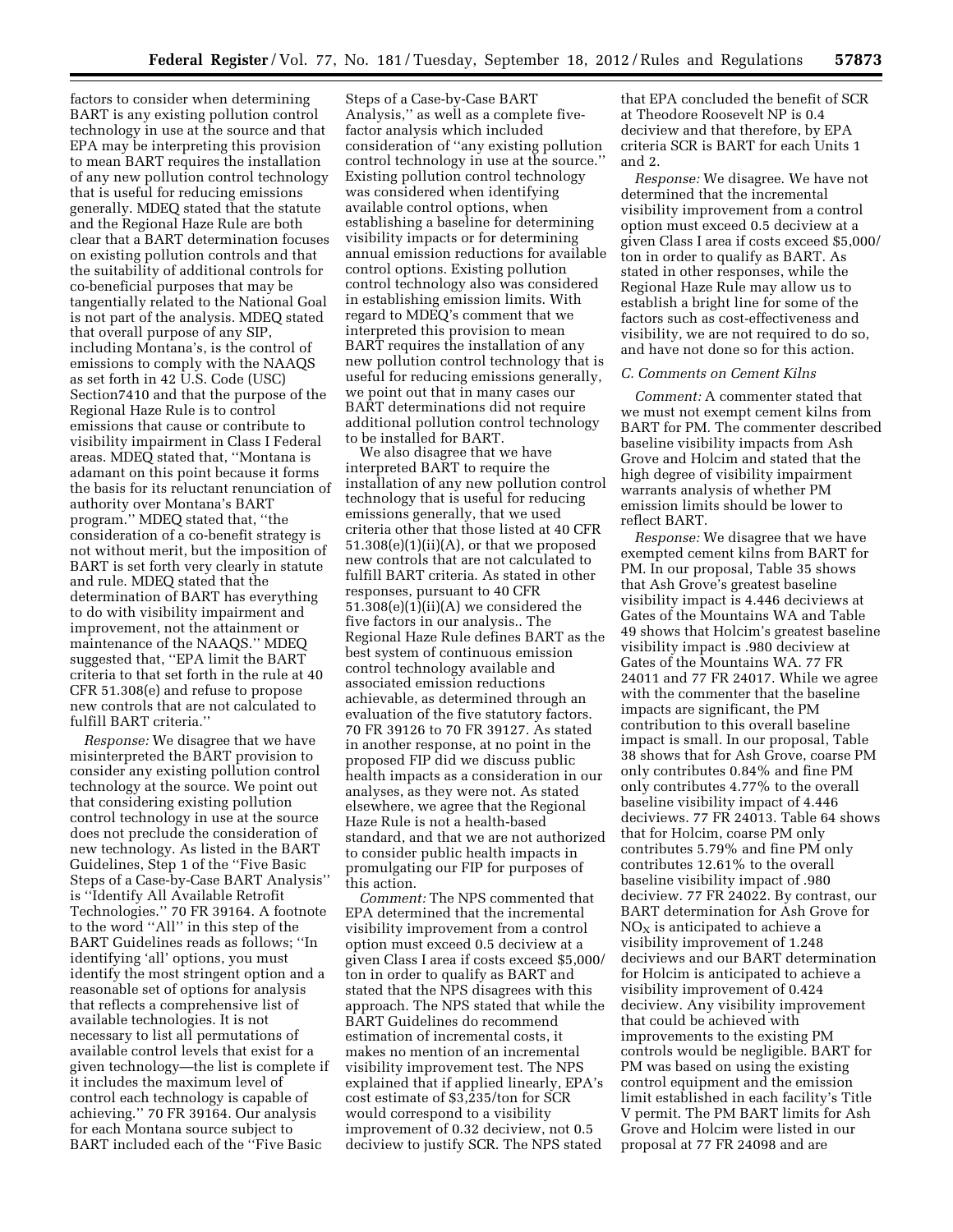factors to consider when determining BART is any existing pollution control technology in use at the source and that EPA may be interpreting this provision to mean BART requires the installation of any new pollution control technology that is useful for reducing emissions generally. MDEQ stated that the statute and the Regional Haze Rule are both clear that a BART determination focuses on existing pollution controls and that the suitability of additional controls for co-beneficial purposes that may be tangentially related to the National Goal is not part of the analysis. MDEQ stated that overall purpose of any SIP, including Montana's, is the control of emissions to comply with the NAAQS as set forth in 42 U.S. Code (USC) Section7410 and that the purpose of the Regional Haze Rule is to control emissions that cause or contribute to visibility impairment in Class I Federal areas. MDEQ stated that, ''Montana is adamant on this point because it forms the basis for its reluctant renunciation of authority over Montana's BART program.'' MDEQ stated that, ''the consideration of a co-benefit strategy is not without merit, but the imposition of BART is set forth very clearly in statute and rule. MDEQ stated that the determination of BART has everything to do with visibility impairment and improvement, not the attainment or maintenance of the NAAQS.'' MDEQ suggested that, ''EPA limit the BART criteria to that set forth in the rule at 40 CFR 51.308(e) and refuse to propose new controls that are not calculated to fulfill BART criteria.''

*Response:* We disagree that we have misinterpreted the BART provision to consider any existing pollution control technology at the source. We point out that considering existing pollution control technology in use at the source does not preclude the consideration of new technology. As listed in the BART Guidelines, Step 1 of the ''Five Basic Steps of a Case-by-Case BART Analysis'' is ''Identify All Available Retrofit Technologies.'' 70 FR 39164. A footnote to the word ''All'' in this step of the BART Guidelines reads as follows; ''In identifying 'all' options, you must identify the most stringent option and a reasonable set of options for analysis that reflects a comprehensive list of available technologies. It is not necessary to list all permutations of available control levels that exist for a given technology—the list is complete if it includes the maximum level of control each technology is capable of achieving.'' 70 FR 39164. Our analysis for each Montana source subject to BART included each of the ''Five Basic

Steps of a Case-by-Case BART Analysis,'' as well as a complete fivefactor analysis which included consideration of ''any existing pollution control technology in use at the source.'' Existing pollution control technology was considered when identifying available control options, when establishing a baseline for determining visibility impacts or for determining annual emission reductions for available control options. Existing pollution control technology also was considered in establishing emission limits. With regard to MDEQ's comment that we interpreted this provision to mean BART requires the installation of any new pollution control technology that is useful for reducing emissions generally, we point out that in many cases our BART determinations did not require additional pollution control technology to be installed for BART.

We also disagree that we have interpreted BART to require the installation of any new pollution control technology that is useful for reducing emissions generally, that we used criteria other that those listed at 40 CFR  $51.308(e)(1)(ii)(A)$ , or that we proposed new controls that are not calculated to fulfill BART criteria. As stated in other responses, pursuant to 40 CFR  $51.308(e)(1)(ii)(A)$  we considered the five factors in our analysis.. The Regional Haze Rule defines BART as the best system of continuous emission control technology available and associated emission reductions achievable, as determined through an evaluation of the five statutory factors. 70 FR 39126 to 70 FR 39127. As stated in another response, at no point in the proposed FIP did we discuss public health impacts as a consideration in our analyses, as they were not. As stated elsewhere, we agree that the Regional Haze Rule is not a health-based standard, and that we are not authorized to consider public health impacts in promulgating our FIP for purposes of this action.

*Comment:* The NPS commented that EPA determined that the incremental visibility improvement from a control option must exceed 0.5 deciview at a given Class I area if costs exceed \$5,000/ ton in order to qualify as BART and stated that the NPS disagrees with this approach. The NPS stated that while the BART Guidelines do recommend estimation of incremental costs, it makes no mention of an incremental visibility improvement test. The NPS explained that if applied linearly, EPA's cost estimate of \$3,235/ton for SCR would correspond to a visibility improvement of 0.32 deciview, not 0.5 deciview to justify SCR. The NPS stated

that EPA concluded the benefit of SCR at Theodore Roosevelt NP is 0.4 deciview and that therefore, by EPA criteria SCR is BART for each Units 1 and 2.

*Response:* We disagree. We have not determined that the incremental visibility improvement from a control option must exceed 0.5 deciview at a given Class I area if costs exceed \$5,000/ ton in order to qualify as BART. As stated in other responses, while the Regional Haze Rule may allow us to establish a bright line for some of the factors such as cost-effectiveness and visibility, we are not required to do so, and have not done so for this action.

#### *C. Comments on Cement Kilns*

*Comment:* A commenter stated that we must not exempt cement kilns from BART for PM. The commenter described baseline visibility impacts from Ash Grove and Holcim and stated that the high degree of visibility impairment warrants analysis of whether PM emission limits should be lower to reflect BART.

*Response:* We disagree that we have exempted cement kilns from BART for PM. In our proposal, Table 35 shows that Ash Grove's greatest baseline visibility impact is 4.446 deciviews at Gates of the Mountains WA and Table 49 shows that Holcim's greatest baseline visibility impact is .980 deciview at Gates of the Mountains WA. 77 FR 24011 and 77 FR 24017. While we agree with the commenter that the baseline impacts are significant, the PM contribution to this overall baseline impact is small. In our proposal, Table 38 shows that for Ash Grove, coarse PM only contributes 0.84% and fine PM only contributes 4.77% to the overall baseline visibility impact of 4.446 deciviews. 77 FR 24013. Table 64 shows that for Holcim, coarse PM only contributes 5.79% and fine PM only contributes 12.61% to the overall baseline visibility impact of .980 deciview. 77 FR 24022. By contrast, our BART determination for Ash Grove for  $NO<sub>X</sub>$  is anticipated to achieve a visibility improvement of 1.248 deciviews and our BART determination for Holcim is anticipated to achieve a visibility improvement of 0.424 deciview. Any visibility improvement that could be achieved with improvements to the existing PM controls would be negligible. BART for PM was based on using the existing control equipment and the emission limit established in each facility's Title V permit. The PM BART limits for Ash Grove and Holcim were listed in our proposal at 77 FR 24098 and are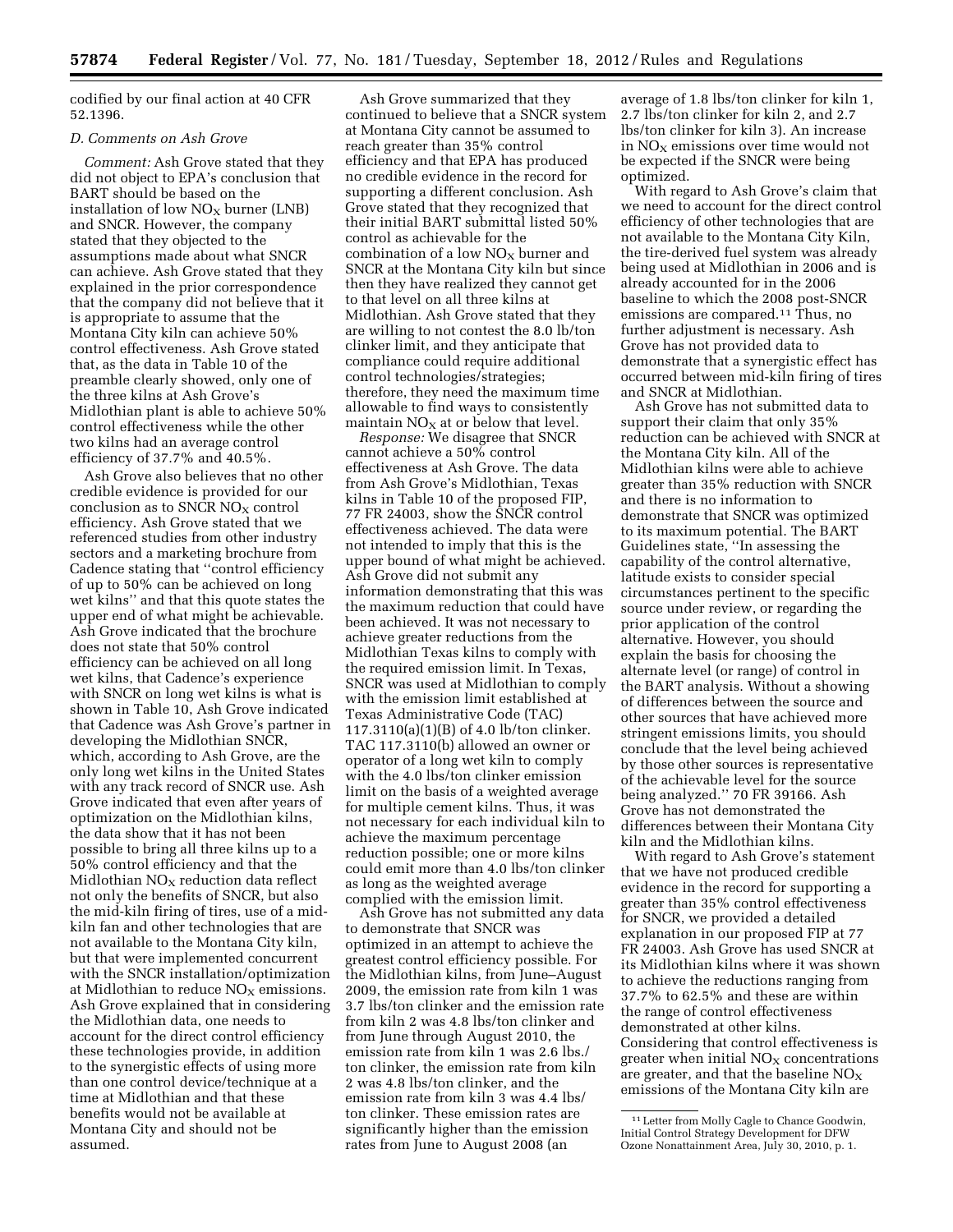codified by our final action at 40 CFR 52.1396.

#### *D. Comments on Ash Grove*

*Comment:* Ash Grove stated that they did not object to EPA's conclusion that BART should be based on the installation of low  $NO<sub>x</sub>$  burner (LNB) and SNCR. However, the company stated that they objected to the assumptions made about what SNCR can achieve. Ash Grove stated that they explained in the prior correspondence that the company did not believe that it is appropriate to assume that the Montana City kiln can achieve 50% control effectiveness. Ash Grove stated that, as the data in Table 10 of the preamble clearly showed, only one of the three kilns at Ash Grove's Midlothian plant is able to achieve 50% control effectiveness while the other two kilns had an average control efficiency of 37.7% and 40.5%.

Ash Grove also believes that no other credible evidence is provided for our conclusion as to SNCR  $NO<sub>X</sub>$  control efficiency. Ash Grove stated that we referenced studies from other industry sectors and a marketing brochure from Cadence stating that ''control efficiency of up to 50% can be achieved on long wet kilns'' and that this quote states the upper end of what might be achievable. Ash Grove indicated that the brochure does not state that 50% control efficiency can be achieved on all long wet kilns, that Cadence's experience with SNCR on long wet kilns is what is shown in Table 10, Ash Grove indicated that Cadence was Ash Grove's partner in developing the Midlothian SNCR, which, according to Ash Grove, are the only long wet kilns in the United States with any track record of SNCR use. Ash Grove indicated that even after years of optimization on the Midlothian kilns, the data show that it has not been possible to bring all three kilns up to a 50% control efficiency and that the Midlothian  $NO<sub>X</sub>$  reduction data reflect not only the benefits of SNCR, but also the mid-kiln firing of tires, use of a midkiln fan and other technologies that are not available to the Montana City kiln, but that were implemented concurrent with the SNCR installation/optimization at Midlothian to reduce  $NO<sub>x</sub>$  emissions. Ash Grove explained that in considering the Midlothian data, one needs to account for the direct control efficiency these technologies provide, in addition to the synergistic effects of using more than one control device/technique at a time at Midlothian and that these benefits would not be available at Montana City and should not be assumed.

Ash Grove summarized that they continued to believe that a SNCR system at Montana City cannot be assumed to reach greater than 35% control efficiency and that EPA has produced no credible evidence in the record for supporting a different conclusion. Ash Grove stated that they recognized that their initial BART submittal listed 50% control as achievable for the combination of a low  $NO<sub>x</sub>$  burner and SNCR at the Montana City kiln but since then they have realized they cannot get to that level on all three kilns at Midlothian. Ash Grove stated that they are willing to not contest the 8.0 lb/ton clinker limit, and they anticipate that compliance could require additional control technologies/strategies; therefore, they need the maximum time allowable to find ways to consistently maintain  $NO<sub>x</sub>$  at or below that level.

*Response:* We disagree that SNCR cannot achieve a 50% control effectiveness at Ash Grove. The data from Ash Grove's Midlothian, Texas kilns in Table 10 of the proposed FIP, 77 FR 24003, show the SNCR control effectiveness achieved. The data were not intended to imply that this is the upper bound of what might be achieved. Ash Grove did not submit any information demonstrating that this was the maximum reduction that could have been achieved. It was not necessary to achieve greater reductions from the Midlothian Texas kilns to comply with the required emission limit. In Texas, SNCR was used at Midlothian to comply with the emission limit established at Texas Administrative Code (TAC) 117.3110(a)(1)(B) of 4.0 lb/ton clinker. TAC 117.3110(b) allowed an owner or operator of a long wet kiln to comply with the 4.0 lbs/ton clinker emission limit on the basis of a weighted average for multiple cement kilns. Thus, it was not necessary for each individual kiln to achieve the maximum percentage reduction possible; one or more kilns could emit more than 4.0 lbs/ton clinker as long as the weighted average complied with the emission limit.

Ash Grove has not submitted any data to demonstrate that SNCR was optimized in an attempt to achieve the greatest control efficiency possible. For the Midlothian kilns, from June–August 2009, the emission rate from kiln 1 was 3.7 lbs/ton clinker and the emission rate from kiln 2 was 4.8 lbs/ton clinker and from June through August 2010, the emission rate from kiln 1 was 2.6 lbs./ ton clinker, the emission rate from kiln 2 was 4.8 lbs/ton clinker, and the emission rate from kiln 3 was 4.4 lbs/ ton clinker. These emission rates are significantly higher than the emission rates from June to August 2008 (an

average of 1.8 lbs/ton clinker for kiln 1, 2.7 lbs/ton clinker for kiln 2, and 2.7 lbs/ton clinker for kiln 3). An increase in  $NO<sub>x</sub>$  emissions over time would not be expected if the SNCR were being optimized.

With regard to Ash Grove's claim that we need to account for the direct control efficiency of other technologies that are not available to the Montana City Kiln, the tire-derived fuel system was already being used at Midlothian in 2006 and is already accounted for in the 2006 baseline to which the 2008 post-SNCR emissions are compared.11 Thus, no further adjustment is necessary. Ash Grove has not provided data to demonstrate that a synergistic effect has occurred between mid-kiln firing of tires and SNCR at Midlothian.

Ash Grove has not submitted data to support their claim that only 35% reduction can be achieved with SNCR at the Montana City kiln. All of the Midlothian kilns were able to achieve greater than 35% reduction with SNCR and there is no information to demonstrate that SNCR was optimized to its maximum potential. The BART Guidelines state, ''In assessing the capability of the control alternative, latitude exists to consider special circumstances pertinent to the specific source under review, or regarding the prior application of the control alternative. However, you should explain the basis for choosing the alternate level (or range) of control in the BART analysis. Without a showing of differences between the source and other sources that have achieved more stringent emissions limits, you should conclude that the level being achieved by those other sources is representative of the achievable level for the source being analyzed.'' 70 FR 39166. Ash Grove has not demonstrated the differences between their Montana City kiln and the Midlothian kilns.

With regard to Ash Grove's statement that we have not produced credible evidence in the record for supporting a greater than 35% control effectiveness for SNCR, we provided a detailed explanation in our proposed FIP at 77 FR 24003. Ash Grove has used SNCR at its Midlothian kilns where it was shown to achieve the reductions ranging from 37.7% to 62.5% and these are within the range of control effectiveness demonstrated at other kilns. Considering that control effectiveness is greater when initial  $NO<sub>x</sub>$  concentrations are greater, and that the baseline  $NO<sub>X</sub>$ emissions of the Montana City kiln are

<sup>11</sup>Letter from Molly Cagle to Chance Goodwin, Initial Control Strategy Development for DFW Ozone Nonattainment Area, July 30, 2010, p. 1.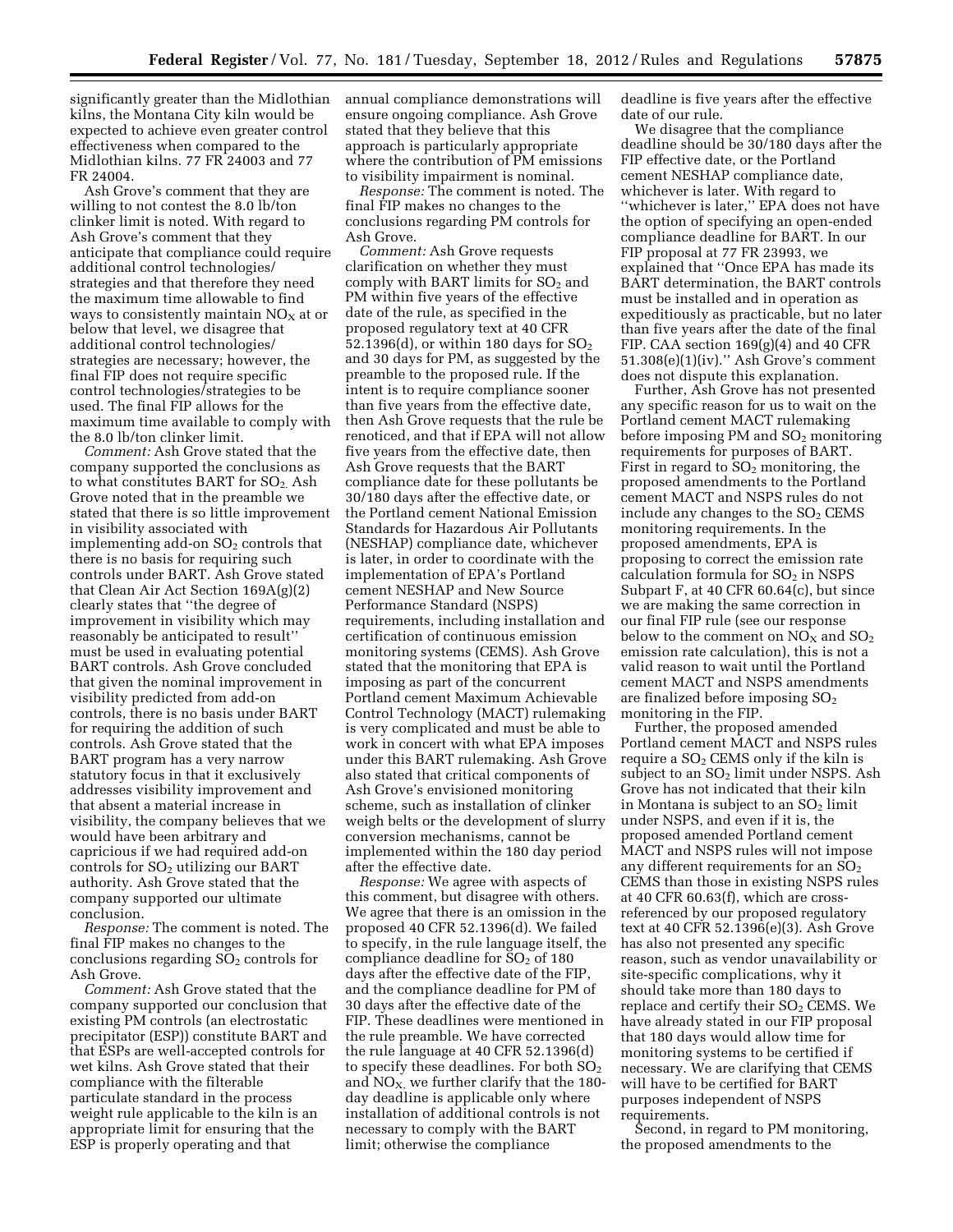significantly greater than the Midlothian kilns, the Montana City kiln would be expected to achieve even greater control effectiveness when compared to the Midlothian kilns. 77 FR 24003 and 77 FR 24004.

Ash Grove's comment that they are willing to not contest the 8.0 lb/ton clinker limit is noted. With regard to Ash Grove's comment that they anticipate that compliance could require additional control technologies/ strategies and that therefore they need the maximum time allowable to find ways to consistently maintain  $NO<sub>x</sub>$  at or below that level, we disagree that additional control technologies/ strategies are necessary; however, the final FIP does not require specific control technologies/strategies to be used. The final FIP allows for the maximum time available to comply with the 8.0 lb/ton clinker limit.

*Comment:* Ash Grove stated that the company supported the conclusions as to what constitutes BART for  $SO<sub>2</sub>$ . Ash Grove noted that in the preamble we stated that there is so little improvement in visibility associated with implementing add-on  $SO<sub>2</sub>$  controls that there is no basis for requiring such controls under BART. Ash Grove stated that Clean Air Act Section 169A(g)(2) clearly states that ''the degree of improvement in visibility which may reasonably be anticipated to result'' must be used in evaluating potential BART controls. Ash Grove concluded that given the nominal improvement in visibility predicted from add-on controls, there is no basis under BART for requiring the addition of such controls. Ash Grove stated that the BART program has a very narrow statutory focus in that it exclusively addresses visibility improvement and that absent a material increase in visibility, the company believes that we would have been arbitrary and capricious if we had required add-on controls for SO<sub>2</sub> utilizing our BART authority. Ash Grove stated that the company supported our ultimate conclusion.

*Response:* The comment is noted. The final FIP makes no changes to the conclusions regarding  $SO<sub>2</sub>$  controls for Ash Grove.

*Comment:* Ash Grove stated that the company supported our conclusion that existing PM controls (an electrostatic precipitator (ESP)) constitute BART and that ESPs are well-accepted controls for wet kilns. Ash Grove stated that their compliance with the filterable particulate standard in the process weight rule applicable to the kiln is an appropriate limit for ensuring that the ESP is properly operating and that

annual compliance demonstrations will ensure ongoing compliance. Ash Grove stated that they believe that this approach is particularly appropriate where the contribution of PM emissions to visibility impairment is nominal.

*Response:* The comment is noted. The final FIP makes no changes to the conclusions regarding PM controls for Ash Grove.

*Comment:* Ash Grove requests clarification on whether they must comply with BART limits for  $SO<sub>2</sub>$  and PM within five years of the effective date of the rule, as specified in the proposed regulatory text at 40 CFR 52.1396(d), or within 180 days for  $SO<sub>2</sub>$ and 30 days for PM, as suggested by the preamble to the proposed rule. If the intent is to require compliance sooner than five years from the effective date, then Ash Grove requests that the rule be renoticed, and that if EPA will not allow five years from the effective date, then Ash Grove requests that the BART compliance date for these pollutants be 30/180 days after the effective date, or the Portland cement National Emission Standards for Hazardous Air Pollutants (NESHAP) compliance date, whichever is later, in order to coordinate with the implementation of EPA's Portland cement NESHAP and New Source Performance Standard (NSPS) requirements, including installation and certification of continuous emission monitoring systems (CEMS). Ash Grove stated that the monitoring that EPA is imposing as part of the concurrent Portland cement Maximum Achievable Control Technology (MACT) rulemaking is very complicated and must be able to work in concert with what EPA imposes under this BART rulemaking. Ash Grove also stated that critical components of Ash Grove's envisioned monitoring scheme, such as installation of clinker weigh belts or the development of slurry conversion mechanisms, cannot be implemented within the 180 day period after the effective date.

*Response:* We agree with aspects of this comment, but disagree with others. We agree that there is an omission in the proposed 40 CFR 52.1396(d). We failed to specify, in the rule language itself, the compliance deadline for  $SO<sub>2</sub>$  of 180 days after the effective date of the FIP, and the compliance deadline for PM of 30 days after the effective date of the FIP. These deadlines were mentioned in the rule preamble. We have corrected the rule language at 40 CFR 52.1396(d) to specify these deadlines. For both  $SO<sub>2</sub>$ and  $NO<sub>X</sub>$ , we further clarify that the 180day deadline is applicable only where installation of additional controls is not necessary to comply with the BART limit; otherwise the compliance

deadline is five years after the effective date of our rule.

We disagree that the compliance deadline should be 30/180 days after the FIP effective date, or the Portland cement NESHAP compliance date, whichever is later. With regard to ''whichever is later,'' EPA does not have the option of specifying an open-ended compliance deadline for BART. In our FIP proposal at 77 FR 23993, we explained that ''Once EPA has made its BART determination, the BART controls must be installed and in operation as expeditiously as practicable, but no later than five years after the date of the final FIP. CAA section 169(g)(4) and 40 CFR 51.308(e)(1)(iv).'' Ash Grove's comment does not dispute this explanation.

Further, Ash Grove has not presented any specific reason for us to wait on the Portland cement MACT rulemaking before imposing  $PM$  and  $SO<sub>2</sub>$  monitoring requirements for purposes of BART. First in regard to  $SO<sub>2</sub>$  monitoring, the proposed amendments to the Portland cement MACT and NSPS rules do not include any changes to the  $SO<sub>2</sub>$  CEMS monitoring requirements. In the proposed amendments, EPA is proposing to correct the emission rate calculation formula for  $SO<sub>2</sub>$  in NSPS Subpart F, at 40 CFR 60.64(c), but since we are making the same correction in our final FIP rule (see our response below to the comment on  $NO<sub>x</sub>$  and  $SO<sub>2</sub>$ emission rate calculation), this is not a valid reason to wait until the Portland cement MACT and NSPS amendments are finalized before imposing  $SO<sub>2</sub>$ monitoring in the FIP.

Further, the proposed amended Portland cement MACT and NSPS rules require a  $SO<sub>2</sub>$  CEMS only if the kiln is subject to an  $SO<sub>2</sub>$  limit under NSPS. Ash Grove has not indicated that their kiln in Montana is subject to an  $SO<sub>2</sub>$  limit under NSPS, and even if it is, the proposed amended Portland cement MACT and NSPS rules will not impose any different requirements for an  $SO<sub>2</sub>$ CEMS than those in existing NSPS rules at 40 CFR 60.63(f), which are crossreferenced by our proposed regulatory text at 40 CFR 52.1396(e)(3). Ash Grove has also not presented any specific reason, such as vendor unavailability or site-specific complications, why it should take more than 180 days to replace and certify their  $SO<sub>2</sub>$  CEMS. We have already stated in our FIP proposal that 180 days would allow time for monitoring systems to be certified if necessary. We are clarifying that CEMS will have to be certified for BART purposes independent of NSPS requirements.

Second, in regard to PM monitoring, the proposed amendments to the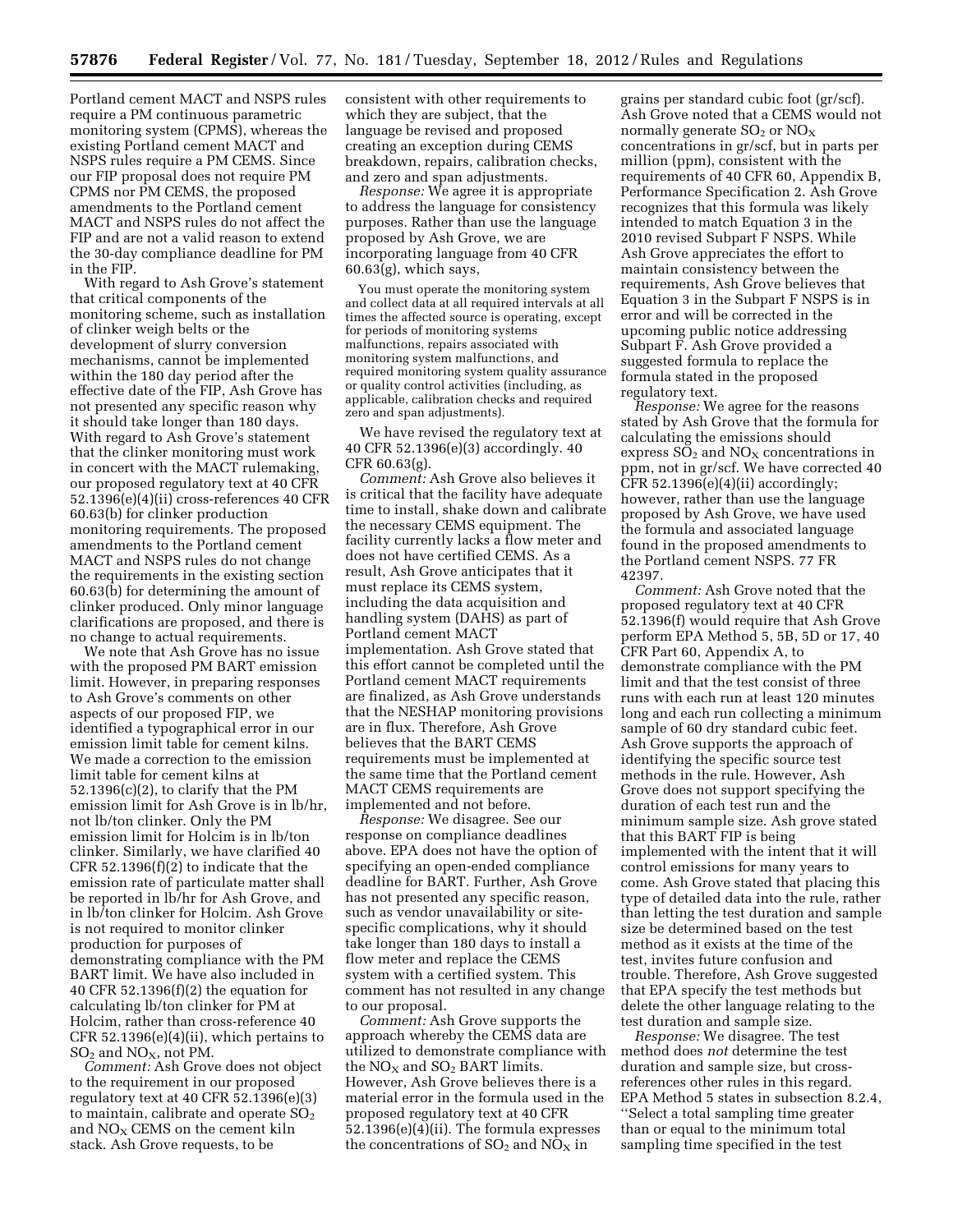Portland cement MACT and NSPS rules require a PM continuous parametric monitoring system (CPMS), whereas the existing Portland cement MACT and NSPS rules require a PM CEMS. Since our FIP proposal does not require PM CPMS nor PM CEMS, the proposed amendments to the Portland cement MACT and NSPS rules do not affect the FIP and are not a valid reason to extend the 30-day compliance deadline for PM in the FIP.

With regard to Ash Grove's statement that critical components of the monitoring scheme, such as installation of clinker weigh belts or the development of slurry conversion mechanisms, cannot be implemented within the 180 day period after the effective date of the FIP, Ash Grove has not presented any specific reason why it should take longer than 180 days. With regard to Ash Grove's statement that the clinker monitoring must work in concert with the MACT rulemaking, our proposed regulatory text at 40 CFR 52.1396(e)(4)(ii) cross-references 40 CFR 60.63(b) for clinker production monitoring requirements. The proposed amendments to the Portland cement MACT and NSPS rules do not change the requirements in the existing section 60.63(b) for determining the amount of clinker produced. Only minor language clarifications are proposed, and there is no change to actual requirements.

We note that Ash Grove has no issue with the proposed PM BART emission limit. However, in preparing responses to Ash Grove's comments on other aspects of our proposed FIP, we identified a typographical error in our emission limit table for cement kilns. We made a correction to the emission limit table for cement kilns at  $52.1396(c)(2)$ , to clarify that the PM emission limit for Ash Grove is in lb/hr, not lb/ton clinker. Only the PM emission limit for Holcim is in lb/ton clinker. Similarly, we have clarified 40 CFR 52.1396 $(f)(2)$  to indicate that the emission rate of particulate matter shall be reported in lb/hr for Ash Grove, and in lb/ton clinker for Holcim. Ash Grove is not required to monitor clinker production for purposes of demonstrating compliance with the PM BART limit. We have also included in 40 CFR 52.1396(f)(2) the equation for calculating lb/ton clinker for PM at Holcim, rather than cross-reference 40 CFR 52.1396(e)(4)(ii), which pertains to  $\rm SO_2$  and  $\rm NO_X$  not PM.

*Comment:* Ash Grove does not object to the requirement in our proposed regulatory text at 40 CFR 52.1396(e)(3) to maintain, calibrate and operate  $SO<sub>2</sub>$ and  $NO<sub>x</sub>$  CEMS on the cement kiln stack. Ash Grove requests, to be

consistent with other requirements to which they are subject, that the language be revised and proposed creating an exception during CEMS breakdown, repairs, calibration checks, and zero and span adjustments.

*Response:* We agree it is appropriate to address the language for consistency purposes. Rather than use the language proposed by Ash Grove, we are incorporating language from 40 CFR 60.63(g), which says,

You must operate the monitoring system and collect data at all required intervals at all times the affected source is operating, except for periods of monitoring systems malfunctions, repairs associated with monitoring system malfunctions, and required monitoring system quality assurance or quality control activities (including, as applicable, calibration checks and required zero and span adjustments).

We have revised the regulatory text at 40 CFR 52.1396(e)(3) accordingly. 40 CFR 60.63(g).

*Comment:* Ash Grove also believes it is critical that the facility have adequate time to install, shake down and calibrate the necessary CEMS equipment. The facility currently lacks a flow meter and does not have certified CEMS. As a result, Ash Grove anticipates that it must replace its CEMS system, including the data acquisition and handling system (DAHS) as part of Portland cement MACT implementation. Ash Grove stated that this effort cannot be completed until the Portland cement MACT requirements are finalized, as Ash Grove understands that the NESHAP monitoring provisions are in flux. Therefore, Ash Grove believes that the BART CEMS requirements must be implemented at the same time that the Portland cement MACT CEMS requirements are implemented and not before.

*Response:* We disagree. See our response on compliance deadlines above. EPA does not have the option of specifying an open-ended compliance deadline for BART. Further, Ash Grove has not presented any specific reason, such as vendor unavailability or sitespecific complications, why it should take longer than 180 days to install a flow meter and replace the CEMS system with a certified system. This comment has not resulted in any change to our proposal.

*Comment:* Ash Grove supports the approach whereby the CEMS data are utilized to demonstrate compliance with the  $NO<sub>X</sub>$  and  $SO<sub>2</sub>$  BART limits. However, Ash Grove believes there is a material error in the formula used in the proposed regulatory text at 40 CFR 52.1396(e)(4)(ii). The formula expresses the concentrations of  $SO_2$  and  $NO_X$  in

grains per standard cubic foot (gr/scf). Ash Grove noted that a CEMS would not normally generate  $SO_2$  or  $NO_X$ concentrations in gr/scf, but in parts per million (ppm), consistent with the requirements of 40 CFR 60, Appendix B, Performance Specification 2. Ash Grove recognizes that this formula was likely intended to match Equation 3 in the 2010 revised Subpart F NSPS. While Ash Grove appreciates the effort to maintain consistency between the requirements, Ash Grove believes that Equation 3 in the Subpart F NSPS is in error and will be corrected in the upcoming public notice addressing Subpart F. Ash Grove provided a suggested formula to replace the formula stated in the proposed regulatory text.

*Response:* We agree for the reasons stated by Ash Grove that the formula for calculating the emissions should express  $SO_2$  and  $NO_X$  concentrations in ppm, not in gr/scf. We have corrected 40 CFR  $52.1396(e)(4)(ii)$  accordingly; however, rather than use the language proposed by Ash Grove, we have used the formula and associated language found in the proposed amendments to the Portland cement NSPS. 77 FR 42397.

*Comment:* Ash Grove noted that the proposed regulatory text at 40 CFR 52.1396(f) would require that Ash Grove perform EPA Method 5, 5B, 5D or 17, 40 CFR Part 60, Appendix A, to demonstrate compliance with the PM limit and that the test consist of three runs with each run at least 120 minutes long and each run collecting a minimum sample of 60 dry standard cubic feet. Ash Grove supports the approach of identifying the specific source test methods in the rule. However, Ash Grove does not support specifying the duration of each test run and the minimum sample size. Ash grove stated that this BART FIP is being implemented with the intent that it will control emissions for many years to come. Ash Grove stated that placing this type of detailed data into the rule, rather than letting the test duration and sample size be determined based on the test method as it exists at the time of the test, invites future confusion and trouble. Therefore, Ash Grove suggested that EPA specify the test methods but delete the other language relating to the test duration and sample size.

*Response:* We disagree. The test method does *not* determine the test duration and sample size, but crossreferences other rules in this regard. EPA Method 5 states in subsection 8.2.4, ''Select a total sampling time greater than or equal to the minimum total sampling time specified in the test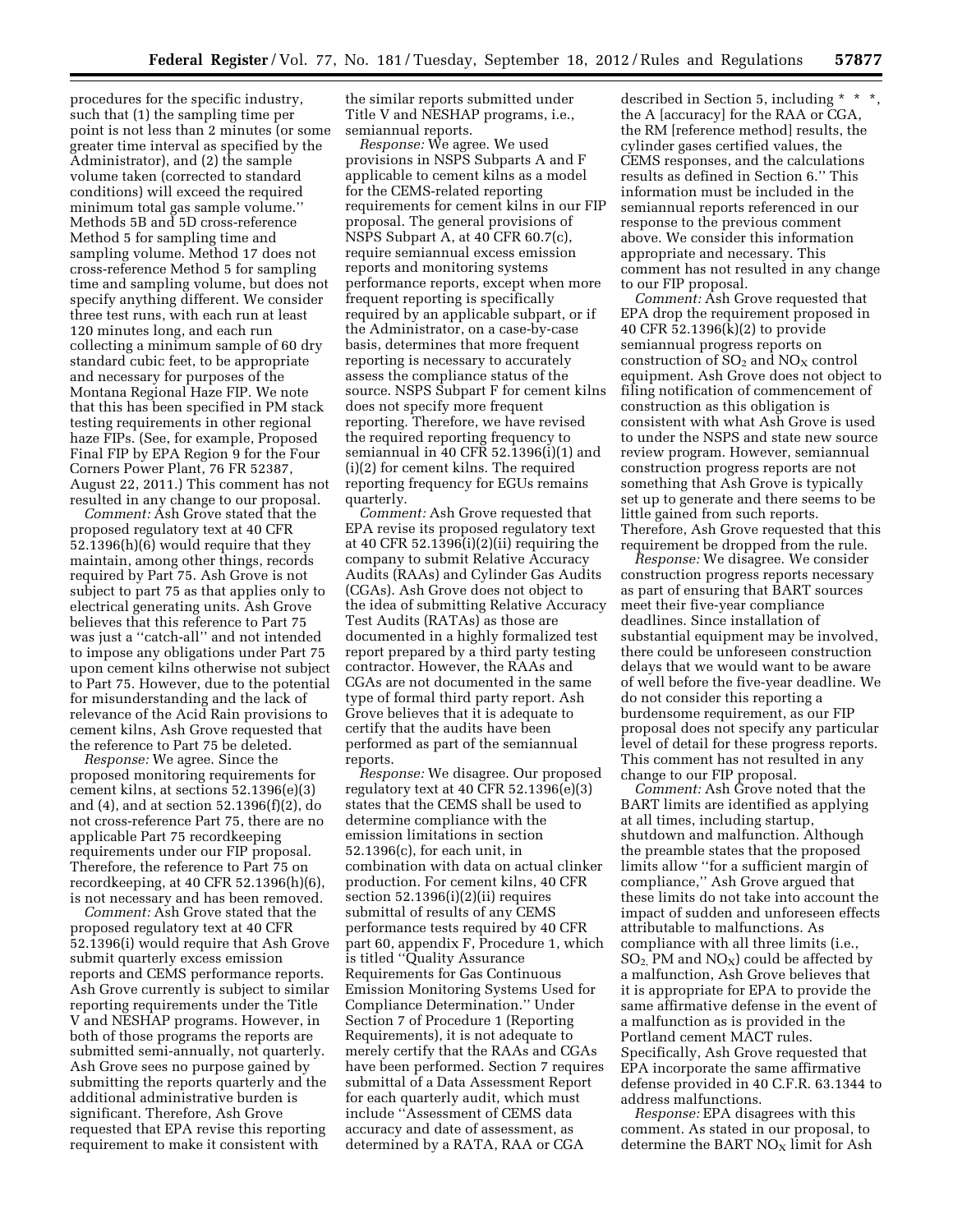procedures for the specific industry, such that (1) the sampling time per point is not less than 2 minutes (or some greater time interval as specified by the Administrator), and (2) the sample volume taken (corrected to standard conditions) will exceed the required minimum total gas sample volume.'' Methods 5B and 5D cross-reference Method 5 for sampling time and sampling volume. Method 17 does not cross-reference Method 5 for sampling time and sampling volume, but does not specify anything different. We consider three test runs, with each run at least 120 minutes long, and each run collecting a minimum sample of 60 dry standard cubic feet, to be appropriate and necessary for purposes of the Montana Regional Haze FIP. We note that this has been specified in PM stack testing requirements in other regional haze FIPs. (See, for example, Proposed Final FIP by EPA Region 9 for the Four Corners Power Plant, 76 FR 52387, August 22, 2011.) This comment has not resulted in any change to our proposal.

*Comment:* Ash Grove stated that the proposed regulatory text at 40 CFR 52.1396(h)(6) would require that they maintain, among other things, records required by Part 75. Ash Grove is not subject to part 75 as that applies only to electrical generating units. Ash Grove believes that this reference to Part 75 was just a ''catch-all'' and not intended to impose any obligations under Part 75 upon cement kilns otherwise not subject to Part 75. However, due to the potential for misunderstanding and the lack of relevance of the Acid Rain provisions to cement kilns, Ash Grove requested that the reference to Part 75 be deleted.

*Response:* We agree. Since the proposed monitoring requirements for cement kilns, at sections 52.1396(e)(3) and (4), and at section 52.1396(f)(2), do not cross-reference Part 75, there are no applicable Part 75 recordkeeping requirements under our FIP proposal. Therefore, the reference to Part 75 on recordkeeping, at 40 CFR 52.1396(h)(6), is not necessary and has been removed.

*Comment:* Ash Grove stated that the proposed regulatory text at 40 CFR 52.1396(i) would require that Ash Grove submit quarterly excess emission reports and CEMS performance reports. Ash Grove currently is subject to similar reporting requirements under the Title V and NESHAP programs. However, in both of those programs the reports are submitted semi-annually, not quarterly. Ash Grove sees no purpose gained by submitting the reports quarterly and the additional administrative burden is significant. Therefore, Ash Grove requested that EPA revise this reporting requirement to make it consistent with

the similar reports submitted under Title V and NESHAP programs, i.e., semiannual reports.

*Response:* We agree. We used provisions in NSPS Subparts A and F applicable to cement kilns as a model for the CEMS-related reporting requirements for cement kilns in our FIP proposal. The general provisions of NSPS Subpart A, at 40 CFR 60.7(c), require semiannual excess emission reports and monitoring systems performance reports, except when more frequent reporting is specifically required by an applicable subpart, or if the Administrator, on a case-by-case basis, determines that more frequent reporting is necessary to accurately assess the compliance status of the source. NSPS Subpart F for cement kilns does not specify more frequent reporting. Therefore, we have revised the required reporting frequency to semiannual in 40 CFR 52.1396(i)(1) and (i)(2) for cement kilns. The required reporting frequency for EGUs remains quarterly.

*Comment:* Ash Grove requested that EPA revise its proposed regulatory text at 40 CFR 52.1396(i)(2)(ii) requiring the company to submit Relative Accuracy Audits (RAAs) and Cylinder Gas Audits (CGAs). Ash Grove does not object to the idea of submitting Relative Accuracy Test Audits (RATAs) as those are documented in a highly formalized test report prepared by a third party testing contractor. However, the RAAs and CGAs are not documented in the same type of formal third party report. Ash Grove believes that it is adequate to certify that the audits have been performed as part of the semiannual reports.

*Response:* We disagree. Our proposed regulatory text at 40 CFR 52.1396(e)(3) states that the CEMS shall be used to determine compliance with the emission limitations in section 52.1396(c), for each unit, in combination with data on actual clinker production. For cement kilns, 40 CFR section 52.1396(i)(2)(ii) requires submittal of results of any CEMS performance tests required by 40 CFR part 60, appendix F, Procedure 1, which is titled ''Quality Assurance Requirements for Gas Continuous Emission Monitoring Systems Used for Compliance Determination.'' Under Section 7 of Procedure 1 (Reporting Requirements), it is not adequate to merely certify that the RAAs and CGAs have been performed. Section 7 requires submittal of a Data Assessment Report for each quarterly audit, which must include ''Assessment of CEMS data accuracy and date of assessment, as determined by a RATA, RAA or CGA

described in Section 5, including \* \* \*, the A [accuracy] for the RAA or CGA, the RM [reference method] results, the cylinder gases certified values, the CEMS responses, and the calculations results as defined in Section 6.'' This information must be included in the semiannual reports referenced in our response to the previous comment above. We consider this information appropriate and necessary. This comment has not resulted in any change to our FIP proposal.

*Comment:* Ash Grove requested that EPA drop the requirement proposed in 40 CFR 52.1396(k)(2) to provide semiannual progress reports on construction of  $SO_2$  and  $NO_X$  control equipment. Ash Grove does not object to filing notification of commencement of construction as this obligation is consistent with what Ash Grove is used to under the NSPS and state new source review program. However, semiannual construction progress reports are not something that Ash Grove is typically set up to generate and there seems to be little gained from such reports. Therefore, Ash Grove requested that this requirement be dropped from the rule.

*Response:* We disagree. We consider construction progress reports necessary as part of ensuring that BART sources meet their five-year compliance deadlines. Since installation of substantial equipment may be involved, there could be unforeseen construction delays that we would want to be aware of well before the five-year deadline. We do not consider this reporting a burdensome requirement, as our FIP proposal does not specify any particular level of detail for these progress reports. This comment has not resulted in any change to our FIP proposal.

*Comment:* Ash Grove noted that the BART limits are identified as applying at all times, including startup, shutdown and malfunction. Although the preamble states that the proposed limits allow ''for a sufficient margin of compliance,'' Ash Grove argued that these limits do not take into account the impact of sudden and unforeseen effects attributable to malfunctions. As compliance with all three limits (i.e.,  $SO_2$ , PM and  $NO_X$ ) could be affected by a malfunction, Ash Grove believes that it is appropriate for EPA to provide the same affirmative defense in the event of a malfunction as is provided in the Portland cement MACT rules. Specifically, Ash Grove requested that EPA incorporate the same affirmative defense provided in 40 C.F.R. 63.1344 to address malfunctions.

*Response:* EPA disagrees with this comment. As stated in our proposal, to determine the BART NO<sub>X</sub> limit for Ash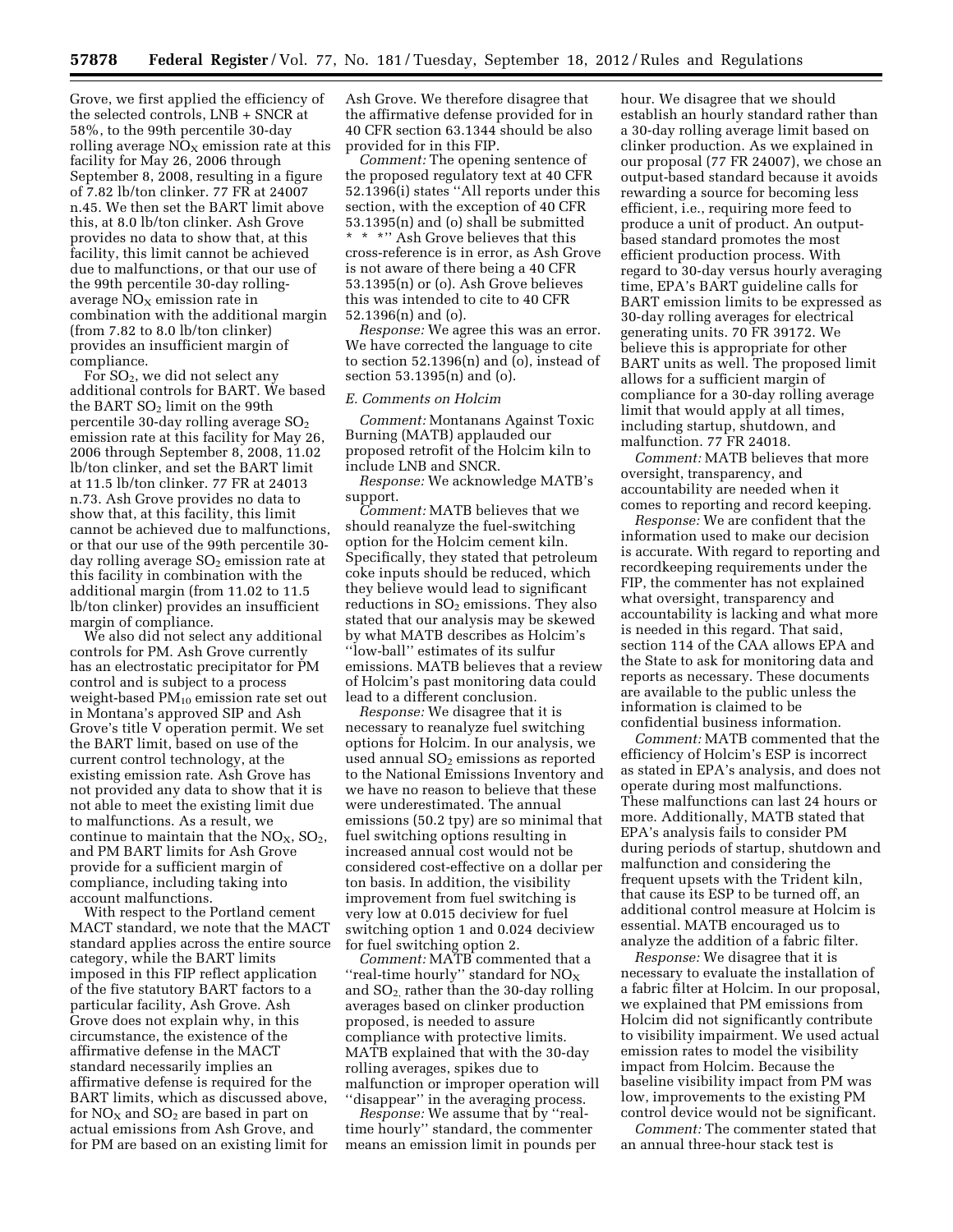Grove, we first applied the efficiency of the selected controls, LNB + SNCR at 58%, to the 99th percentile 30-day rolling average  $NO<sub>x</sub>$  emission rate at this facility for May 26, 2006 through September 8, 2008, resulting in a figure of 7.82 lb/ton clinker. 77 FR at 24007 n.45. We then set the BART limit above this, at 8.0 lb/ton clinker. Ash Grove provides no data to show that, at this facility, this limit cannot be achieved due to malfunctions, or that our use of the 99th percentile 30-day rollingaverage  $NO<sub>x</sub>$  emission rate in combination with the additional margin (from 7.82 to 8.0 lb/ton clinker) provides an insufficient margin of compliance.

For SO2, we did not select any additional controls for BART. We based the BART  $SO<sub>2</sub>$  limit on the 99th percentile 30-day rolling average  $SO<sub>2</sub>$ emission rate at this facility for May 26, 2006 through September 8, 2008, 11.02 lb/ton clinker, and set the BART limit at 11.5 lb/ton clinker. 77 FR at 24013 n.73. Ash Grove provides no data to show that, at this facility, this limit cannot be achieved due to malfunctions, or that our use of the 99th percentile 30 day rolling average  $SO<sub>2</sub>$  emission rate at this facility in combination with the additional margin (from 11.02 to 11.5 lb/ton clinker) provides an insufficient margin of compliance.

We also did not select any additional controls for PM. Ash Grove currently has an electrostatic precipitator for PM control and is subject to a process weight-based PM10 emission rate set out in Montana's approved SIP and Ash Grove's title V operation permit. We set the BART limit, based on use of the current control technology, at the existing emission rate. Ash Grove has not provided any data to show that it is not able to meet the existing limit due to malfunctions. As a result, we continue to maintain that the  $NO<sub>x</sub>$ ,  $SO<sub>2</sub>$ , and PM BART limits for Ash Grove provide for a sufficient margin of compliance, including taking into account malfunctions.

With respect to the Portland cement MACT standard, we note that the MACT standard applies across the entire source category, while the BART limits imposed in this FIP reflect application of the five statutory BART factors to a particular facility, Ash Grove. Ash Grove does not explain why, in this circumstance, the existence of the affirmative defense in the MACT standard necessarily implies an affirmative defense is required for the BART limits, which as discussed above, for  $NO<sub>X</sub>$  and  $SO<sub>2</sub>$  are based in part on actual emissions from Ash Grove, and for PM are based on an existing limit for

Ash Grove. We therefore disagree that the affirmative defense provided for in 40 CFR section 63.1344 should be also provided for in this FIP.

*Comment:* The opening sentence of the proposed regulatory text at 40 CFR 52.1396(i) states ''All reports under this section, with the exception of 40 CFR 53.1395(n) and (o) shall be submitted \* \* \*'' Ash Grove believes that this cross-reference is in error, as Ash Grove is not aware of there being a 40 CFR 53.1395(n) or (o). Ash Grove believes this was intended to cite to 40 CFR 52.1396(n) and (o).

*Response:* We agree this was an error. We have corrected the language to cite to section 52.1396(n) and (o), instead of section 53.1395(n) and (o).

#### *E. Comments on Holcim*

*Comment:* Montanans Against Toxic Burning (MATB) applauded our proposed retrofit of the Holcim kiln to include LNB and SNCR.

*Response:* We acknowledge MATB's support.

*Comment:* MATB believes that we should reanalyze the fuel-switching option for the Holcim cement kiln. Specifically, they stated that petroleum coke inputs should be reduced, which they believe would lead to significant reductions in  $SO<sub>2</sub>$  emissions. They also stated that our analysis may be skewed by what MATB describes as Holcim's ''low-ball'' estimates of its sulfur emissions. MATB believes that a review of Holcim's past monitoring data could lead to a different conclusion.

*Response:* We disagree that it is necessary to reanalyze fuel switching options for Holcim. In our analysis, we used annual  $SO<sub>2</sub>$  emissions as reported to the National Emissions Inventory and we have no reason to believe that these were underestimated. The annual emissions (50.2 tpy) are so minimal that fuel switching options resulting in increased annual cost would not be considered cost-effective on a dollar per ton basis. In addition, the visibility improvement from fuel switching is very low at 0.015 deciview for fuel switching option 1 and 0.024 deciview for fuel switching option 2.

*Comment:* MATB commented that a "real-time hourly" standard for  $NO<sub>X</sub>$ and  $SO<sub>2</sub>$  rather than the 30-day rolling averages based on clinker production proposed, is needed to assure compliance with protective limits. MATB explained that with the 30-day rolling averages, spikes due to malfunction or improper operation will ''disappear'' in the averaging process.

*Response:* We assume that by ''realtime hourly'' standard, the commenter means an emission limit in pounds per hour. We disagree that we should establish an hourly standard rather than a 30-day rolling average limit based on clinker production. As we explained in our proposal (77 FR 24007), we chose an output-based standard because it avoids rewarding a source for becoming less efficient, i.e., requiring more feed to produce a unit of product. An outputbased standard promotes the most efficient production process. With regard to 30-day versus hourly averaging time, EPA's BART guideline calls for BART emission limits to be expressed as 30-day rolling averages for electrical generating units. 70 FR 39172. We believe this is appropriate for other BART units as well. The proposed limit allows for a sufficient margin of compliance for a 30-day rolling average limit that would apply at all times, including startup, shutdown, and malfunction. 77 FR 24018.

*Comment:* MATB believes that more oversight, transparency, and accountability are needed when it comes to reporting and record keeping.

*Response:* We are confident that the information used to make our decision is accurate. With regard to reporting and recordkeeping requirements under the FIP, the commenter has not explained what oversight, transparency and accountability is lacking and what more is needed in this regard. That said, section 114 of the CAA allows EPA and the State to ask for monitoring data and reports as necessary. These documents are available to the public unless the information is claimed to be confidential business information.

*Comment:* MATB commented that the efficiency of Holcim's ESP is incorrect as stated in EPA's analysis, and does not operate during most malfunctions. These malfunctions can last 24 hours or more. Additionally, MATB stated that EPA's analysis fails to consider PM during periods of startup, shutdown and malfunction and considering the frequent upsets with the Trident kiln, that cause its ESP to be turned off, an additional control measure at Holcim is essential. MATB encouraged us to analyze the addition of a fabric filter.

*Response:* We disagree that it is necessary to evaluate the installation of a fabric filter at Holcim. In our proposal, we explained that PM emissions from Holcim did not significantly contribute to visibility impairment. We used actual emission rates to model the visibility impact from Holcim. Because the baseline visibility impact from PM was low, improvements to the existing PM control device would not be significant.

*Comment:* The commenter stated that an annual three-hour stack test is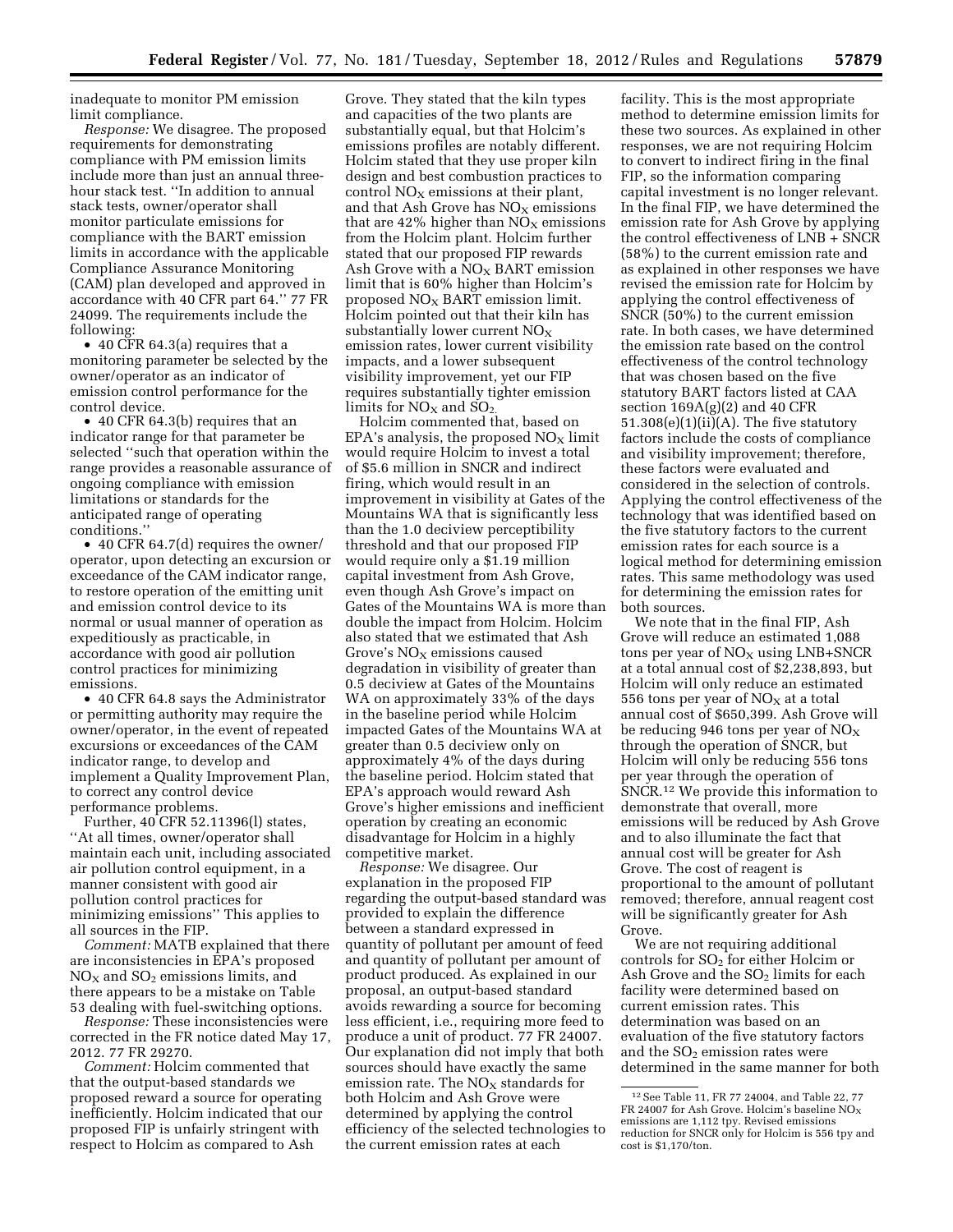inadequate to monitor PM emission limit compliance.

*Response:* We disagree. The proposed requirements for demonstrating compliance with PM emission limits include more than just an annual threehour stack test. ''In addition to annual stack tests, owner/operator shall monitor particulate emissions for compliance with the BART emission limits in accordance with the applicable Compliance Assurance Monitoring (CAM) plan developed and approved in accordance with 40 CFR part 64.'' 77 FR 24099. The requirements include the following:

• 40 CFR 64.3(a) requires that a monitoring parameter be selected by the owner/operator as an indicator of emission control performance for the control device.

• 40 CFR 64.3(b) requires that an indicator range for that parameter be selected ''such that operation within the range provides a reasonable assurance of ongoing compliance with emission limitations or standards for the anticipated range of operating conditions.''

• 40 CFR 64.7(d) requires the owner/ operator, upon detecting an excursion or exceedance of the CAM indicator range, to restore operation of the emitting unit and emission control device to its normal or usual manner of operation as expeditiously as practicable, in accordance with good air pollution control practices for minimizing emissions.

• 40 CFR 64.8 says the Administrator or permitting authority may require the owner/operator, in the event of repeated excursions or exceedances of the CAM indicator range, to develop and implement a Quality Improvement Plan, to correct any control device performance problems.

Further, 40 CFR 52.11396(l) states, ''At all times, owner/operator shall maintain each unit, including associated air pollution control equipment, in a manner consistent with good air pollution control practices for minimizing emissions'' This applies to all sources in the FIP.

*Comment:* MATB explained that there are inconsistencies in EPA's proposed  $NO<sub>X</sub>$  and  $SO<sub>2</sub>$  emissions limits, and there appears to be a mistake on Table 53 dealing with fuel-switching options.

*Response:* These inconsistencies were corrected in the FR notice dated May 17, 2012. 77 FR 29270.

*Comment:* Holcim commented that that the output-based standards we proposed reward a source for operating inefficiently. Holcim indicated that our proposed FIP is unfairly stringent with respect to Holcim as compared to Ash

Grove. They stated that the kiln types and capacities of the two plants are substantially equal, but that Holcim's emissions profiles are notably different. Holcim stated that they use proper kiln design and best combustion practices to control  $NO<sub>x</sub>$  emissions at their plant, and that Ash Grove has  $NO<sub>X</sub>$  emissions that are  $42\%$  higher than NO<sub>X</sub> emissions from the Holcim plant. Holcim further stated that our proposed FIP rewards Ash Grove with a  $NO<sub>X</sub>$  BART emission limit that is 60% higher than Holcim's proposed  $NO<sub>x</sub>$  BART emission limit. Holcim pointed out that their kiln has substantially lower current  $NO<sub>x</sub>$ emission rates, lower current visibility impacts, and a lower subsequent visibility improvement, yet our FIP requires substantially tighter emission limits for  $NO<sub>X</sub>$  and  $SO<sub>2</sub>$ .

Holcim commented that, based on EPA's analysis, the proposed  $NO<sub>X</sub>$  limit would require Holcim to invest a total of \$5.6 million in SNCR and indirect firing, which would result in an improvement in visibility at Gates of the Mountains WA that is significantly less than the 1.0 deciview perceptibility threshold and that our proposed FIP would require only a \$1.19 million capital investment from Ash Grove, even though Ash Grove's impact on Gates of the Mountains WA is more than double the impact from Holcim. Holcim also stated that we estimated that Ash Grove's  $NO<sub>x</sub>$  emissions caused degradation in visibility of greater than 0.5 deciview at Gates of the Mountains WA on approximately 33% of the days in the baseline period while Holcim impacted Gates of the Mountains WA at greater than 0.5 deciview only on approximately 4% of the days during the baseline period. Holcim stated that EPA's approach would reward Ash Grove's higher emissions and inefficient operation by creating an economic disadvantage for Holcim in a highly competitive market.

*Response:* We disagree. Our explanation in the proposed FIP regarding the output-based standard was provided to explain the difference between a standard expressed in quantity of pollutant per amount of feed and quantity of pollutant per amount of product produced. As explained in our proposal, an output-based standard avoids rewarding a source for becoming less efficient, i.e., requiring more feed to produce a unit of product. 77 FR 24007. Our explanation did not imply that both sources should have exactly the same emission rate. The  $NO<sub>x</sub>$  standards for both Holcim and Ash Grove were determined by applying the control efficiency of the selected technologies to the current emission rates at each

facility. This is the most appropriate method to determine emission limits for these two sources. As explained in other responses, we are not requiring Holcim to convert to indirect firing in the final FIP, so the information comparing capital investment is no longer relevant. In the final FIP, we have determined the emission rate for Ash Grove by applying the control effectiveness of  $LNB + SNCR$ (58%) to the current emission rate and as explained in other responses we have revised the emission rate for Holcim by applying the control effectiveness of SNCR (50%) to the current emission rate. In both cases, we have determined the emission rate based on the control effectiveness of the control technology that was chosen based on the five statutory BART factors listed at CAA section 169A(g)(2) and 40 CFR  $51.308(e)(1)(ii)(A)$ . The five statutory factors include the costs of compliance and visibility improvement; therefore, these factors were evaluated and considered in the selection of controls. Applying the control effectiveness of the technology that was identified based on the five statutory factors to the current emission rates for each source is a logical method for determining emission rates. This same methodology was used for determining the emission rates for both sources.

We note that in the final FIP, Ash Grove will reduce an estimated 1,088 tons per year of  $NO<sub>X</sub>$  using  $LNB+SNCR$ at a total annual cost of \$2,238,893, but Holcim will only reduce an estimated 556 tons per year of  $NO<sub>x</sub>$  at a total annual cost of \$650,399. Ash Grove will be reducing 946 tons per year of  $NO<sub>x</sub>$ through the operation of SNCR, but Holcim will only be reducing 556 tons per year through the operation of SNCR.12 We provide this information to demonstrate that overall, more emissions will be reduced by Ash Grove and to also illuminate the fact that annual cost will be greater for Ash Grove. The cost of reagent is proportional to the amount of pollutant removed; therefore, annual reagent cost will be significantly greater for Ash Grove.

We are not requiring additional controls for  $SO<sub>2</sub>$  for either Holcim or Ash Grove and the  $SO<sub>2</sub>$  limits for each facility were determined based on current emission rates. This determination was based on an evaluation of the five statutory factors and the  $SO<sub>2</sub>$  emission rates were determined in the same manner for both

<sup>12</sup>See Table 11, FR 77 24004, and Table 22, 77 FR 24007 for Ash Grove. Holcim's baseline  $NO<sub>x</sub>$ emissions are 1,112 tpy. Revised emissions reduction for SNCR only for Holcim is 556 tpy and cost is \$1,170/ton.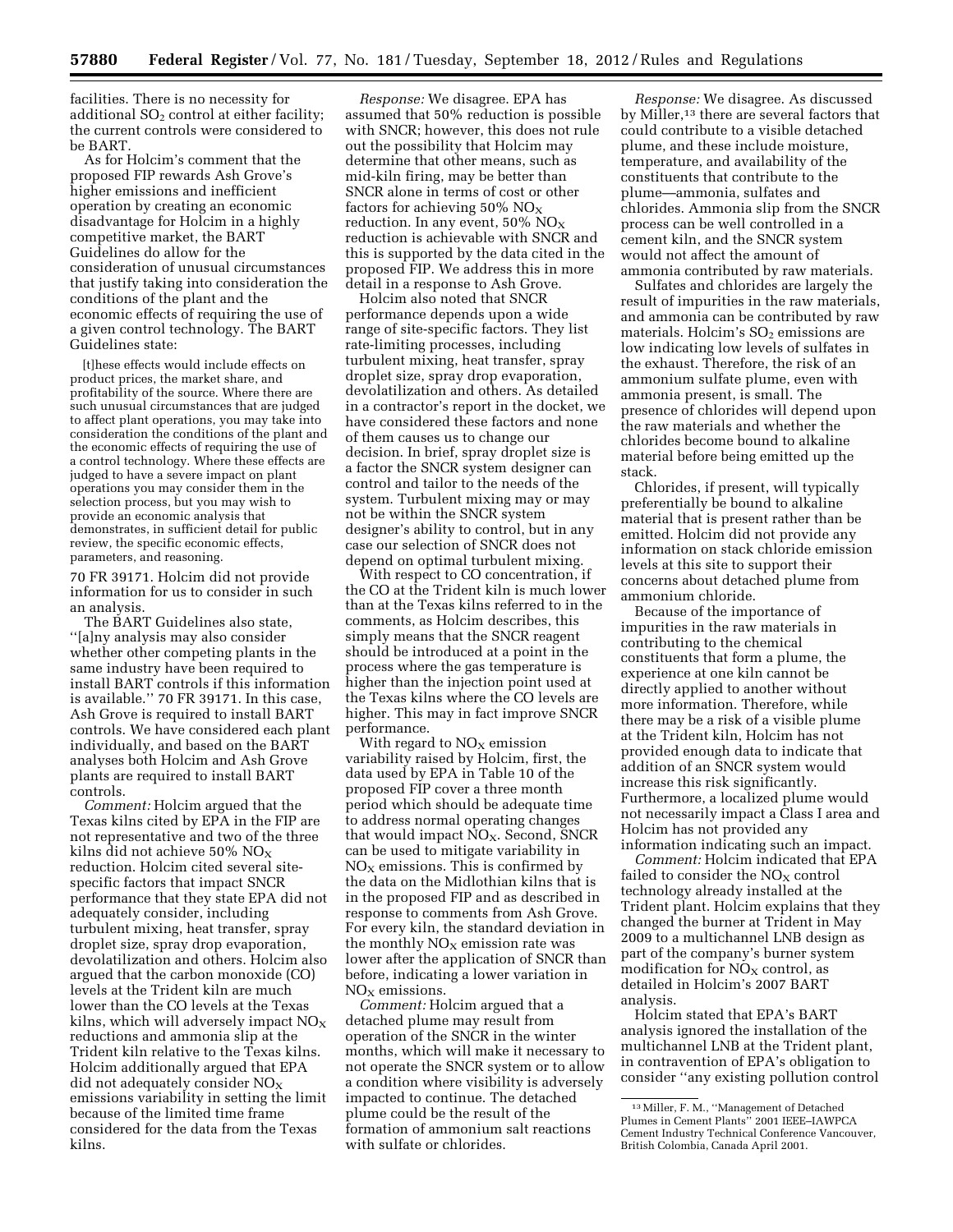facilities. There is no necessity for additional  $SO<sub>2</sub>$  control at either facility; the current controls were considered to be BART.

As for Holcim's comment that the proposed FIP rewards Ash Grove's higher emissions and inefficient operation by creating an economic disadvantage for Holcim in a highly competitive market, the BART Guidelines do allow for the consideration of unusual circumstances that justify taking into consideration the conditions of the plant and the economic effects of requiring the use of a given control technology. The BART Guidelines state:

[t]hese effects would include effects on product prices, the market share, and profitability of the source. Where there are such unusual circumstances that are judged to affect plant operations, you may take into consideration the conditions of the plant and the economic effects of requiring the use of a control technology. Where these effects are judged to have a severe impact on plant operations you may consider them in the selection process, but you may wish to provide an economic analysis that demonstrates, in sufficient detail for public review, the specific economic effects, parameters, and reasoning.

70 FR 39171. Holcim did not provide information for us to consider in such an analysis.

The BART Guidelines also state, ''[a]ny analysis may also consider whether other competing plants in the same industry have been required to install BART controls if this information is available.'' 70 FR 39171. In this case, Ash Grove is required to install BART controls. We have considered each plant individually, and based on the BART analyses both Holcim and Ash Grove plants are required to install BART controls.

*Comment:* Holcim argued that the Texas kilns cited by EPA in the FIP are not representative and two of the three kilns did not achieve 50%  $NO<sub>X</sub>$ reduction. Holcim cited several sitespecific factors that impact SNCR performance that they state EPA did not adequately consider, including turbulent mixing, heat transfer, spray droplet size, spray drop evaporation, devolatilization and others. Holcim also argued that the carbon monoxide (CO) levels at the Trident kiln are much lower than the CO levels at the Texas kilns, which will adversely impact  $NO<sub>x</sub>$ reductions and ammonia slip at the Trident kiln relative to the Texas kilns. Holcim additionally argued that EPA did not adequately consider  $NO<sub>X</sub>$ emissions variability in setting the limit because of the limited time frame considered for the data from the Texas kilns.

*Response:* We disagree. EPA has assumed that 50% reduction is possible with SNCR; however, this does not rule out the possibility that Holcim may determine that other means, such as mid-kiln firing, may be better than SNCR alone in terms of cost or other factors for achieving 50%  $NO<sub>x</sub>$ reduction. In any event,  $50\%$  NO<sub>X</sub> reduction is achievable with SNCR and this is supported by the data cited in the proposed FIP. We address this in more detail in a response to Ash Grove.

Holcim also noted that SNCR performance depends upon a wide range of site-specific factors. They list rate-limiting processes, including turbulent mixing, heat transfer, spray droplet size, spray drop evaporation, devolatilization and others. As detailed in a contractor's report in the docket, we have considered these factors and none of them causes us to change our decision. In brief, spray droplet size is a factor the SNCR system designer can control and tailor to the needs of the system. Turbulent mixing may or may not be within the SNCR system designer's ability to control, but in any case our selection of SNCR does not depend on optimal turbulent mixing.

With respect to CO concentration, if the CO at the Trident kiln is much lower than at the Texas kilns referred to in the comments, as Holcim describes, this simply means that the SNCR reagent should be introduced at a point in the process where the gas temperature is higher than the injection point used at the Texas kilns where the CO levels are higher. This may in fact improve SNCR performance.

With regard to  $NO<sub>x</sub>$  emission variability raised by Holcim, first, the data used by EPA in Table 10 of the proposed FIP cover a three month period which should be adequate time to address normal operating changes that would impact  $NO<sub>X</sub>$ . Second, SNCR can be used to mitigate variability in  $NO<sub>X</sub>$  emissions. This is confirmed by the data on the Midlothian kilns that is in the proposed FIP and as described in response to comments from Ash Grove. For every kiln, the standard deviation in the monthly  $NO<sub>x</sub>$  emission rate was lower after the application of SNCR than before, indicating a lower variation in  $NO<sub>x</sub>$  emissions.

*Comment:* Holcim argued that a detached plume may result from operation of the SNCR in the winter months, which will make it necessary to not operate the SNCR system or to allow a condition where visibility is adversely impacted to continue. The detached plume could be the result of the formation of ammonium salt reactions with sulfate or chlorides.

*Response:* We disagree. As discussed by Miller,13 there are several factors that could contribute to a visible detached plume, and these include moisture, temperature, and availability of the constituents that contribute to the plume—ammonia, sulfates and chlorides. Ammonia slip from the SNCR process can be well controlled in a cement kiln, and the SNCR system would not affect the amount of ammonia contributed by raw materials.

Sulfates and chlorides are largely the result of impurities in the raw materials, and ammonia can be contributed by raw materials. Holcim's  $SO<sub>2</sub>$  emissions are low indicating low levels of sulfates in the exhaust. Therefore, the risk of an ammonium sulfate plume, even with ammonia present, is small. The presence of chlorides will depend upon the raw materials and whether the chlorides become bound to alkaline material before being emitted up the stack.

Chlorides, if present, will typically preferentially be bound to alkaline material that is present rather than be emitted. Holcim did not provide any information on stack chloride emission levels at this site to support their concerns about detached plume from ammonium chloride.

Because of the importance of impurities in the raw materials in contributing to the chemical constituents that form a plume, the experience at one kiln cannot be directly applied to another without more information. Therefore, while there may be a risk of a visible plume at the Trident kiln, Holcim has not provided enough data to indicate that addition of an SNCR system would increase this risk significantly. Furthermore, a localized plume would not necessarily impact a Class I area and Holcim has not provided any information indicating such an impact.

*Comment:* Holcim indicated that EPA failed to consider the  $NO<sub>x</sub>$  control technology already installed at the Trident plant. Holcim explains that they changed the burner at Trident in May 2009 to a multichannel LNB design as part of the company's burner system modification for  $NO<sub>X</sub>$  control, as detailed in Holcim's 2007 BART analysis.

Holcim stated that EPA's BART analysis ignored the installation of the multichannel LNB at the Trident plant, in contravention of EPA's obligation to consider ''any existing pollution control

<sup>13</sup>Miller, F. M., ''Management of Detached Plumes in Cement Plants'' 2001 IEEE–IAWPCA Cement Industry Technical Conference Vancouver, British Colombia, Canada April 2001.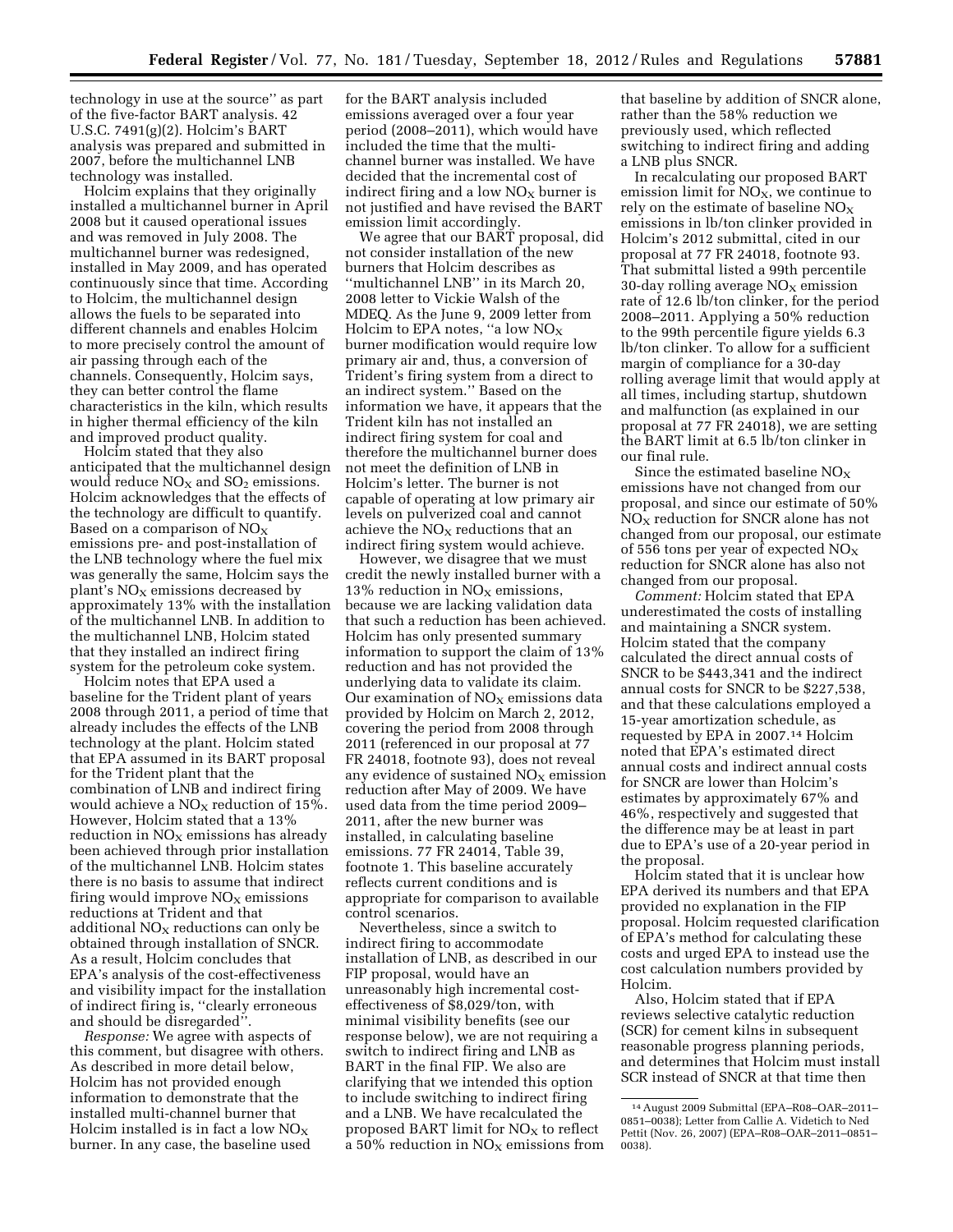technology in use at the source'' as part of the five-factor BART analysis. 42 U.S.C. 7491(g)(2). Holcim's BART analysis was prepared and submitted in 2007, before the multichannel LNB technology was installed.

Holcim explains that they originally installed a multichannel burner in April 2008 but it caused operational issues and was removed in July 2008. The multichannel burner was redesigned, installed in May 2009, and has operated continuously since that time. According to Holcim, the multichannel design allows the fuels to be separated into different channels and enables Holcim to more precisely control the amount of air passing through each of the channels. Consequently, Holcim says, they can better control the flame characteristics in the kiln, which results in higher thermal efficiency of the kiln and improved product quality.

Holcim stated that they also anticipated that the multichannel design would reduce  $NO<sub>X</sub>$  and  $SO<sub>2</sub>$  emissions. Holcim acknowledges that the effects of the technology are difficult to quantify. Based on a comparison of  $NO<sub>X</sub>$ emissions pre- and post-installation of the LNB technology where the fuel mix was generally the same, Holcim says the plant's  $NO<sub>x</sub>$  emissions decreased by approximately 13% with the installation of the multichannel LNB. In addition to the multichannel LNB, Holcim stated that they installed an indirect firing system for the petroleum coke system.

Holcim notes that EPA used a baseline for the Trident plant of years 2008 through 2011, a period of time that already includes the effects of the LNB technology at the plant. Holcim stated that EPA assumed in its BART proposal for the Trident plant that the combination of LNB and indirect firing would achieve a  $NO<sub>X</sub>$  reduction of 15%. However, Holcim stated that a 13% reduction in  $NO<sub>X</sub>$  emissions has already been achieved through prior installation of the multichannel LNB. Holcim states there is no basis to assume that indirect firing would improve  $NO<sub>x</sub>$  emissions reductions at Trident and that additional  $NO<sub>X</sub>$  reductions can only be obtained through installation of SNCR. As a result, Holcim concludes that EPA's analysis of the cost-effectiveness and visibility impact for the installation of indirect firing is, ''clearly erroneous and should be disregarded''.

*Response:* We agree with aspects of this comment, but disagree with others. As described in more detail below, Holcim has not provided enough information to demonstrate that the installed multi-channel burner that Holcim installed is in fact a low  $NO<sub>x</sub>$ burner. In any case, the baseline used

for the BART analysis included emissions averaged over a four year period (2008–2011), which would have included the time that the multichannel burner was installed. We have decided that the incremental cost of indirect firing and a low  $NO<sub>x</sub>$  burner is not justified and have revised the BART emission limit accordingly.

We agree that our BART proposal, did not consider installation of the new burners that Holcim describes as ''multichannel LNB'' in its March 20, 2008 letter to Vickie Walsh of the MDEQ. As the June 9, 2009 letter from Holcim to EPA notes, "a low  $NO<sub>X</sub>$ burner modification would require low primary air and, thus, a conversion of Trident's firing system from a direct to an indirect system.'' Based on the information we have, it appears that the Trident kiln has not installed an indirect firing system for coal and therefore the multichannel burner does not meet the definition of LNB in Holcim's letter. The burner is not capable of operating at low primary air levels on pulverized coal and cannot achieve the  $NO<sub>x</sub>$  reductions that an indirect firing system would achieve.

However, we disagree that we must credit the newly installed burner with a 13% reduction in  $NO<sub>x</sub>$  emissions, because we are lacking validation data that such a reduction has been achieved. Holcim has only presented summary information to support the claim of 13% reduction and has not provided the underlying data to validate its claim. Our examination of  $NO<sub>x</sub>$  emissions data provided by Holcim on March 2, 2012, covering the period from 2008 through 2011 (referenced in our proposal at 77 FR 24018, footnote 93), does not reveal any evidence of sustained  $NO<sub>x</sub>$  emission reduction after May of 2009. We have used data from the time period 2009– 2011, after the new burner was installed, in calculating baseline emissions. 77 FR 24014, Table 39, footnote 1. This baseline accurately reflects current conditions and is appropriate for comparison to available control scenarios.

Nevertheless, since a switch to indirect firing to accommodate installation of LNB, as described in our FIP proposal, would have an unreasonably high incremental costeffectiveness of \$8,029/ton, with minimal visibility benefits (see our response below), we are not requiring a switch to indirect firing and LNB as BART in the final FIP. We also are clarifying that we intended this option to include switching to indirect firing and a LNB. We have recalculated the proposed BART limit for  $NO<sub>X</sub>$  to reflect a 50% reduction in  $NO<sub>x</sub>$  emissions from

that baseline by addition of SNCR alone, rather than the 58% reduction we previously used, which reflected switching to indirect firing and adding a LNB plus SNCR.

In recalculating our proposed BART emission limit for  $NO<sub>x</sub>$ , we continue to rely on the estimate of baseline  $NO<sub>x</sub>$ emissions in lb/ton clinker provided in Holcim's 2012 submittal, cited in our proposal at 77 FR 24018, footnote 93. That submittal listed a 99th percentile 30-day rolling average  $NO<sub>x</sub>$  emission rate of 12.6 lb/ton clinker, for the period 2008–2011. Applying a 50% reduction to the 99th percentile figure yields 6.3 lb/ton clinker. To allow for a sufficient margin of compliance for a 30-day rolling average limit that would apply at all times, including startup, shutdown and malfunction (as explained in our proposal at 77 FR 24018), we are setting the BART limit at 6.5 lb/ton clinker in our final rule.

Since the estimated baseline  $NO<sub>x</sub>$ emissions have not changed from our proposal, and since our estimate of 50%  $\rm NO_{X}$  reduction for SNCR alone has not changed from our proposal, our estimate of 556 tons per year of expected  $NO<sub>x</sub>$ reduction for SNCR alone has also not changed from our proposal.

*Comment:* Holcim stated that EPA underestimated the costs of installing and maintaining a SNCR system. Holcim stated that the company calculated the direct annual costs of SNCR to be \$443,341 and the indirect annual costs for SNCR to be \$227,538, and that these calculations employed a 15-year amortization schedule, as requested by EPA in 2007.14 Holcim noted that EPA's estimated direct annual costs and indirect annual costs for SNCR are lower than Holcim's estimates by approximately 67% and 46%, respectively and suggested that the difference may be at least in part due to EPA's use of a 20-year period in the proposal.

Holcim stated that it is unclear how EPA derived its numbers and that EPA provided no explanation in the FIP proposal. Holcim requested clarification of EPA's method for calculating these costs and urged EPA to instead use the cost calculation numbers provided by Holcim.

Also, Holcim stated that if EPA reviews selective catalytic reduction (SCR) for cement kilns in subsequent reasonable progress planning periods, and determines that Holcim must install SCR instead of SNCR at that time then

<sup>14</sup>August 2009 Submittal (EPA–R08–OAR–2011– 0851–0038); Letter from Callie A. Videtich to Ned Pettit (Nov. 26, 2007) (EPA–R08–OAR–2011–0851– 0038).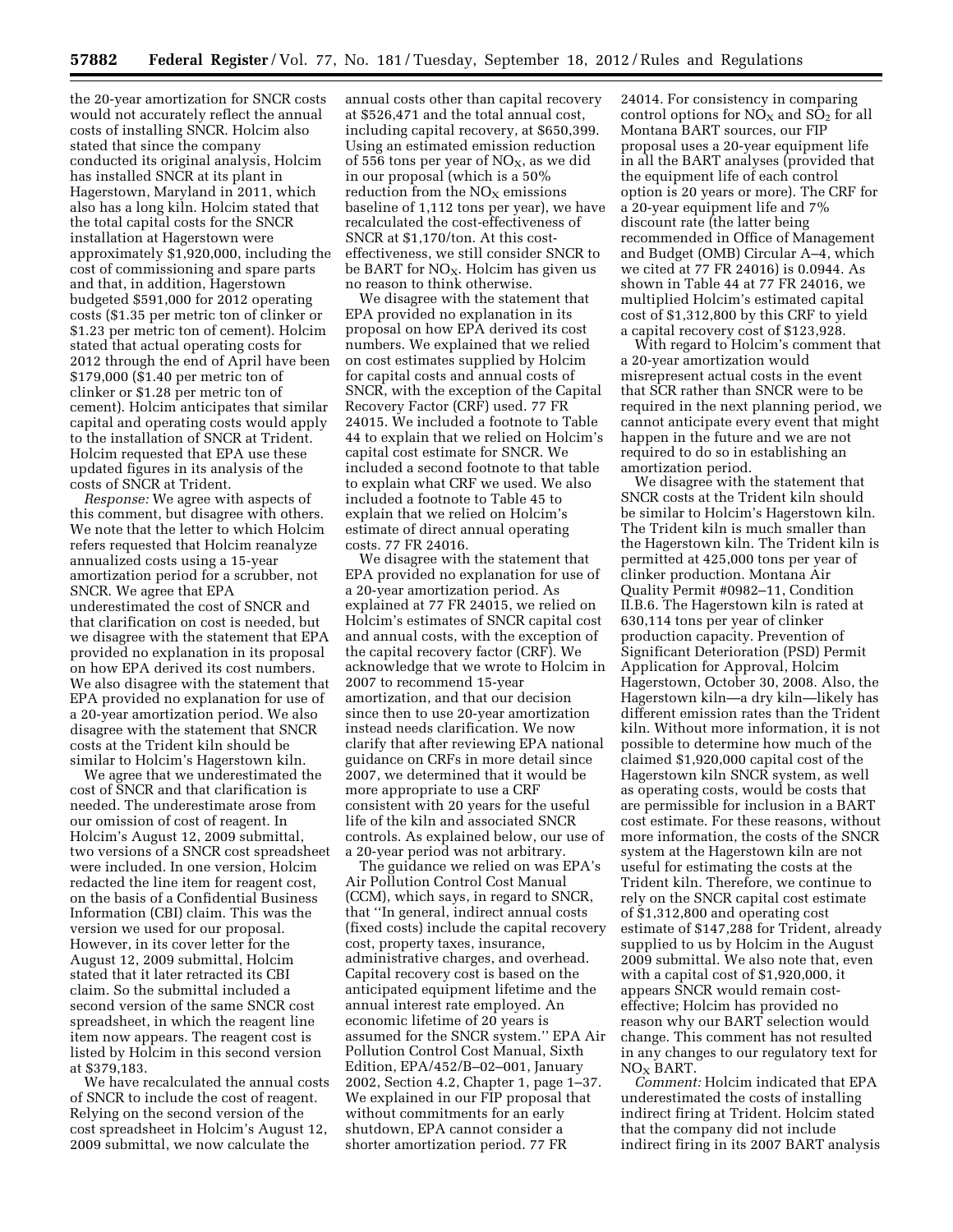the 20-year amortization for SNCR costs would not accurately reflect the annual costs of installing SNCR. Holcim also stated that since the company conducted its original analysis, Holcim has installed SNCR at its plant in Hagerstown, Maryland in 2011, which also has a long kiln. Holcim stated that the total capital costs for the SNCR installation at Hagerstown were approximately \$1,920,000, including the cost of commissioning and spare parts and that, in addition, Hagerstown budgeted \$591,000 for 2012 operating costs (\$1.35 per metric ton of clinker or \$1.23 per metric ton of cement). Holcim stated that actual operating costs for 2012 through the end of April have been \$179,000 (\$1.40 per metric ton of clinker or \$1.28 per metric ton of cement). Holcim anticipates that similar capital and operating costs would apply to the installation of SNCR at Trident. Holcim requested that EPA use these updated figures in its analysis of the costs of SNCR at Trident.

*Response:* We agree with aspects of this comment, but disagree with others. We note that the letter to which Holcim refers requested that Holcim reanalyze annualized costs using a 15-year amortization period for a scrubber, not SNCR. We agree that EPA underestimated the cost of SNCR and that clarification on cost is needed, but we disagree with the statement that EPA provided no explanation in its proposal on how EPA derived its cost numbers. We also disagree with the statement that EPA provided no explanation for use of a 20-year amortization period. We also disagree with the statement that SNCR costs at the Trident kiln should be similar to Holcim's Hagerstown kiln.

We agree that we underestimated the cost of SNCR and that clarification is needed. The underestimate arose from our omission of cost of reagent. In Holcim's August 12, 2009 submittal, two versions of a SNCR cost spreadsheet were included. In one version, Holcim redacted the line item for reagent cost, on the basis of a Confidential Business Information (CBI) claim. This was the version we used for our proposal. However, in its cover letter for the August 12, 2009 submittal, Holcim stated that it later retracted its CBI claim. So the submittal included a second version of the same SNCR cost spreadsheet, in which the reagent line item now appears. The reagent cost is listed by Holcim in this second version at \$379,183.

We have recalculated the annual costs of SNCR to include the cost of reagent. Relying on the second version of the cost spreadsheet in Holcim's August 12, 2009 submittal, we now calculate the

annual costs other than capital recovery at \$526,471 and the total annual cost, including capital recovery, at \$650,399. Using an estimated emission reduction of 556 tons per year of  $NO<sub>X</sub>$ , as we did in our proposal (which is a 50% reduction from the  $NO<sub>X</sub>$  emissions baseline of 1,112 tons per year), we have recalculated the cost-effectiveness of SNCR at \$1,170/ton. At this costeffectiveness, we still consider SNCR to be BART for  $NO<sub>X</sub>$ . Holcim has given us no reason to think otherwise.

We disagree with the statement that EPA provided no explanation in its proposal on how EPA derived its cost numbers. We explained that we relied on cost estimates supplied by Holcim for capital costs and annual costs of SNCR, with the exception of the Capital Recovery Factor (CRF) used. 77 FR 24015. We included a footnote to Table 44 to explain that we relied on Holcim's capital cost estimate for SNCR. We included a second footnote to that table to explain what CRF we used. We also included a footnote to Table 45 to explain that we relied on Holcim's estimate of direct annual operating costs. 77 FR 24016.

We disagree with the statement that EPA provided no explanation for use of a 20-year amortization period. As explained at 77 FR 24015, we relied on Holcim's estimates of SNCR capital cost and annual costs, with the exception of the capital recovery factor (CRF). We acknowledge that we wrote to Holcim in 2007 to recommend 15-year amortization, and that our decision since then to use 20-year amortization instead needs clarification. We now clarify that after reviewing EPA national guidance on CRFs in more detail since 2007, we determined that it would be more appropriate to use a CRF consistent with 20 years for the useful life of the kiln and associated SNCR controls. As explained below, our use of a 20-year period was not arbitrary.

The guidance we relied on was EPA's Air Pollution Control Cost Manual (CCM), which says, in regard to SNCR, that ''In general, indirect annual costs (fixed costs) include the capital recovery cost, property taxes, insurance, administrative charges, and overhead. Capital recovery cost is based on the anticipated equipment lifetime and the annual interest rate employed. An economic lifetime of 20 years is assumed for the SNCR system.'' EPA Air Pollution Control Cost Manual, Sixth Edition, EPA/452/B–02–001, January 2002, Section 4.2, Chapter 1, page 1–37. We explained in our FIP proposal that without commitments for an early shutdown, EPA cannot consider a shorter amortization period. 77 FR

24014. For consistency in comparing control options for  $NO<sub>X</sub>$  and  $SO<sub>2</sub>$  for all Montana BART sources, our FIP proposal uses a 20-year equipment life in all the BART analyses (provided that the equipment life of each control option is 20 years or more). The CRF for a 20-year equipment life and 7% discount rate (the latter being recommended in Office of Management and Budget (OMB) Circular A–4, which we cited at 77 FR 24016) is 0.0944. As shown in Table 44 at 77 FR 24016, we multiplied Holcim's estimated capital cost of \$1,312,800 by this CRF to yield a capital recovery cost of \$123,928.

With regard to Holcim's comment that a 20-year amortization would misrepresent actual costs in the event that SCR rather than SNCR were to be required in the next planning period, we cannot anticipate every event that might happen in the future and we are not required to do so in establishing an amortization period.

We disagree with the statement that SNCR costs at the Trident kiln should be similar to Holcim's Hagerstown kiln. The Trident kiln is much smaller than the Hagerstown kiln. The Trident kiln is permitted at 425,000 tons per year of clinker production. Montana Air Quality Permit #0982–11, Condition II.B.6. The Hagerstown kiln is rated at 630,114 tons per year of clinker production capacity. Prevention of Significant Deterioration (PSD) Permit Application for Approval, Holcim Hagerstown, October 30, 2008. Also, the Hagerstown kiln—a dry kiln—likely has different emission rates than the Trident kiln. Without more information, it is not possible to determine how much of the claimed \$1,920,000 capital cost of the Hagerstown kiln SNCR system, as well as operating costs, would be costs that are permissible for inclusion in a BART cost estimate. For these reasons, without more information, the costs of the SNCR system at the Hagerstown kiln are not useful for estimating the costs at the Trident kiln. Therefore, we continue to rely on the SNCR capital cost estimate of \$1,312,800 and operating cost estimate of \$147,288 for Trident, already supplied to us by Holcim in the August 2009 submittal. We also note that, even with a capital cost of \$1,920,000, it appears SNCR would remain costeffective; Holcim has provided no reason why our BART selection would change. This comment has not resulted in any changes to our regulatory text for  $NO<sub>x</sub> BART$ .

*Comment:* Holcim indicated that EPA underestimated the costs of installing indirect firing at Trident. Holcim stated that the company did not include indirect firing in its 2007 BART analysis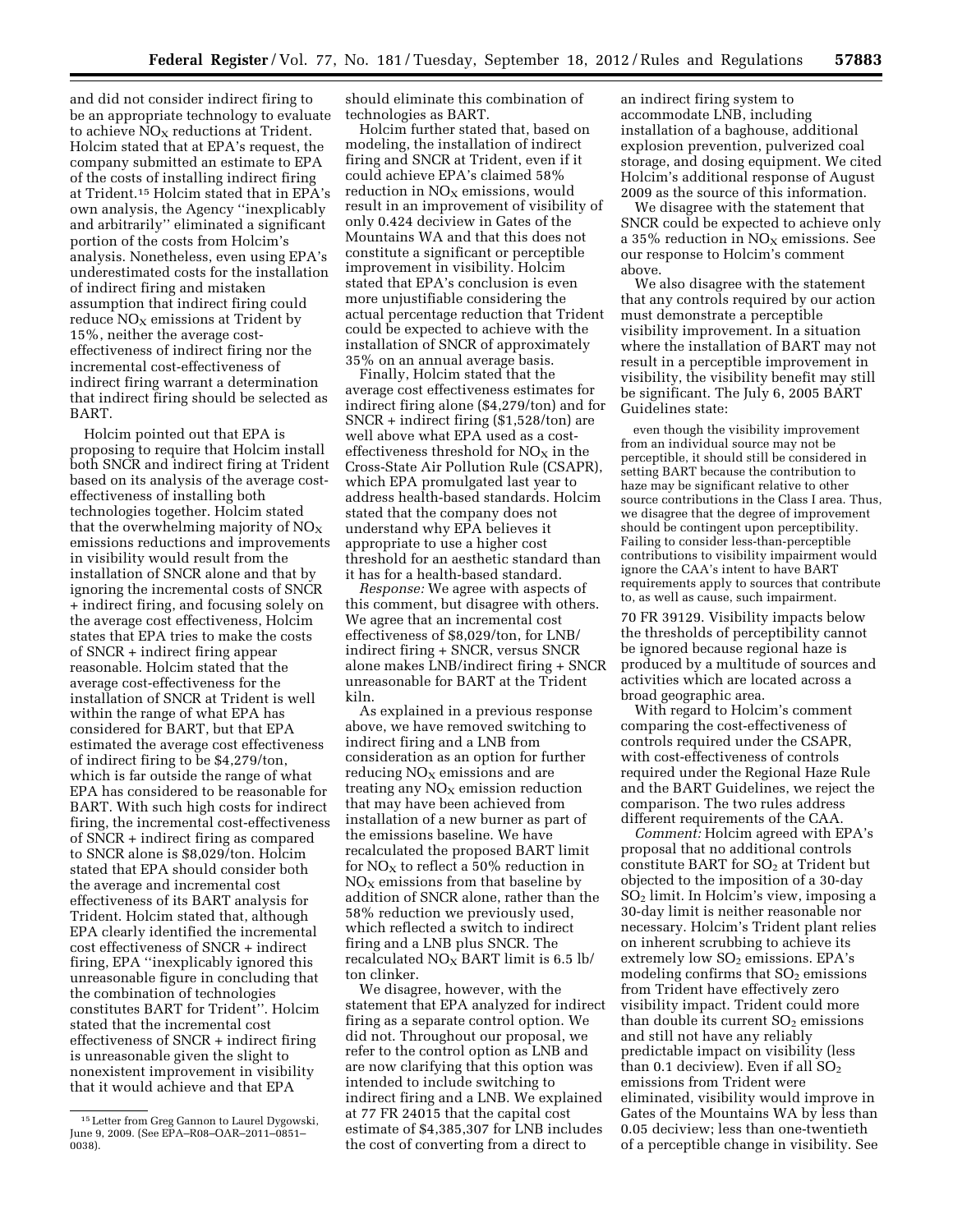and did not consider indirect firing to be an appropriate technology to evaluate to achieve  $NO<sub>x</sub>$  reductions at Trident. Holcim stated that at EPA's request, the company submitted an estimate to EPA of the costs of installing indirect firing at Trident.15 Holcim stated that in EPA's own analysis, the Agency ''inexplicably and arbitrarily'' eliminated a significant portion of the costs from Holcim's analysis. Nonetheless, even using EPA's underestimated costs for the installation of indirect firing and mistaken assumption that indirect firing could reduce  $NO<sub>x</sub>$  emissions at Trident by 15%, neither the average costeffectiveness of indirect firing nor the incremental cost-effectiveness of indirect firing warrant a determination that indirect firing should be selected as BART.

Holcim pointed out that EPA is proposing to require that Holcim install both SNCR and indirect firing at Trident based on its analysis of the average costeffectiveness of installing both technologies together. Holcim stated that the overwhelming majority of  $NO<sub>x</sub>$ emissions reductions and improvements in visibility would result from the installation of SNCR alone and that by ignoring the incremental costs of SNCR + indirect firing, and focusing solely on the average cost effectiveness, Holcim states that EPA tries to make the costs of SNCR + indirect firing appear reasonable. Holcim stated that the average cost-effectiveness for the installation of SNCR at Trident is well within the range of what EPA has considered for BART, but that EPA estimated the average cost effectiveness of indirect firing to be \$4,279/ton, which is far outside the range of what EPA has considered to be reasonable for BART. With such high costs for indirect firing, the incremental cost-effectiveness of SNCR + indirect firing as compared to SNCR alone is \$8,029/ton. Holcim stated that EPA should consider both the average and incremental cost effectiveness of its BART analysis for Trident. Holcim stated that, although EPA clearly identified the incremental cost effectiveness of SNCR + indirect firing, EPA ''inexplicably ignored this unreasonable figure in concluding that the combination of technologies constitutes BART for Trident''. Holcim stated that the incremental cost effectiveness of SNCR + indirect firing is unreasonable given the slight to nonexistent improvement in visibility that it would achieve and that EPA

should eliminate this combination of technologies as BART.

Holcim further stated that, based on modeling, the installation of indirect firing and SNCR at Trident, even if it could achieve EPA's claimed 58% reduction in  $NO<sub>x</sub>$  emissions, would result in an improvement of visibility of only 0.424 deciview in Gates of the Mountains WA and that this does not constitute a significant or perceptible improvement in visibility. Holcim stated that EPA's conclusion is even more unjustifiable considering the actual percentage reduction that Trident could be expected to achieve with the installation of SNCR of approximately 35% on an annual average basis.

Finally, Holcim stated that the average cost effectiveness estimates for indirect firing alone (\$4,279/ton) and for SNCR + indirect firing (\$1,528/ton) are well above what EPA used as a costeffectiveness threshold for  $NO<sub>x</sub>$  in the Cross-State Air Pollution Rule (CSAPR), which EPA promulgated last year to address health-based standards. Holcim stated that the company does not understand why EPA believes it appropriate to use a higher cost threshold for an aesthetic standard than it has for a health-based standard.

*Response:* We agree with aspects of this comment, but disagree with others. We agree that an incremental cost effectiveness of \$8,029/ton, for LNB/ indirect firing + SNCR, versus SNCR alone makes LNB/indirect firing + SNCR unreasonable for BART at the Trident kiln.

As explained in a previous response above, we have removed switching to indirect firing and a LNB from consideration as an option for further reducing  $NO<sub>X</sub>$  emissions and are treating any  $NO<sub>x</sub>$  emission reduction that may have been achieved from installation of a new burner as part of the emissions baseline. We have recalculated the proposed BART limit for  $NO<sub>X</sub>$  to reflect a 50% reduction in  $NO<sub>x</sub>$  emissions from that baseline by addition of SNCR alone, rather than the 58% reduction we previously used, which reflected a switch to indirect firing and a LNB plus SNCR. The recalculated  $NO<sub>X</sub>$  BART limit is 6.5 lb/ ton clinker.

We disagree, however, with the statement that EPA analyzed for indirect firing as a separate control option. We did not. Throughout our proposal, we refer to the control option as LNB and are now clarifying that this option was intended to include switching to indirect firing and a LNB. We explained at 77 FR 24015 that the capital cost estimate of \$4,385,307 for LNB includes the cost of converting from a direct to

an indirect firing system to accommodate LNB, including installation of a baghouse, additional explosion prevention, pulverized coal storage, and dosing equipment. We cited Holcim's additional response of August 2009 as the source of this information.

We disagree with the statement that SNCR could be expected to achieve only a 35% reduction in  $NO<sub>X</sub>$  emissions. See our response to Holcim's comment above.

We also disagree with the statement that any controls required by our action must demonstrate a perceptible visibility improvement. In a situation where the installation of BART may not result in a perceptible improvement in visibility, the visibility benefit may still be significant. The July 6, 2005 BART Guidelines state:

even though the visibility improvement from an individual source may not be perceptible, it should still be considered in setting BART because the contribution to haze may be significant relative to other source contributions in the Class I area. Thus, we disagree that the degree of improvement should be contingent upon perceptibility. Failing to consider less-than-perceptible contributions to visibility impairment would ignore the CAA's intent to have BART requirements apply to sources that contribute to, as well as cause, such impairment.

70 FR 39129. Visibility impacts below the thresholds of perceptibility cannot be ignored because regional haze is produced by a multitude of sources and activities which are located across a broad geographic area.

With regard to Holcim's comment comparing the cost-effectiveness of controls required under the CSAPR, with cost-effectiveness of controls required under the Regional Haze Rule and the BART Guidelines, we reject the comparison. The two rules address different requirements of the CAA.

*Comment:* Holcim agreed with EPA's proposal that no additional controls constitute BART for  $SO<sub>2</sub>$  at Trident but objected to the imposition of a 30-day SO2 limit. In Holcim's view, imposing a 30-day limit is neither reasonable nor necessary. Holcim's Trident plant relies on inherent scrubbing to achieve its extremely low SO<sub>2</sub> emissions. EPA's modeling confirms that  $SO<sub>2</sub>$  emissions from Trident have effectively zero visibility impact. Trident could more than double its current  $SO<sub>2</sub>$  emissions and still not have any reliably predictable impact on visibility (less than 0.1 deciview). Even if all  $SO<sub>2</sub>$ emissions from Trident were eliminated, visibility would improve in Gates of the Mountains WA by less than 0.05 deciview; less than one-twentieth of a perceptible change in visibility. See

<sup>15</sup>Letter from Greg Gannon to Laurel Dygowski, June 9, 2009. (See EPA–R08–OAR–2011–0851– 0038).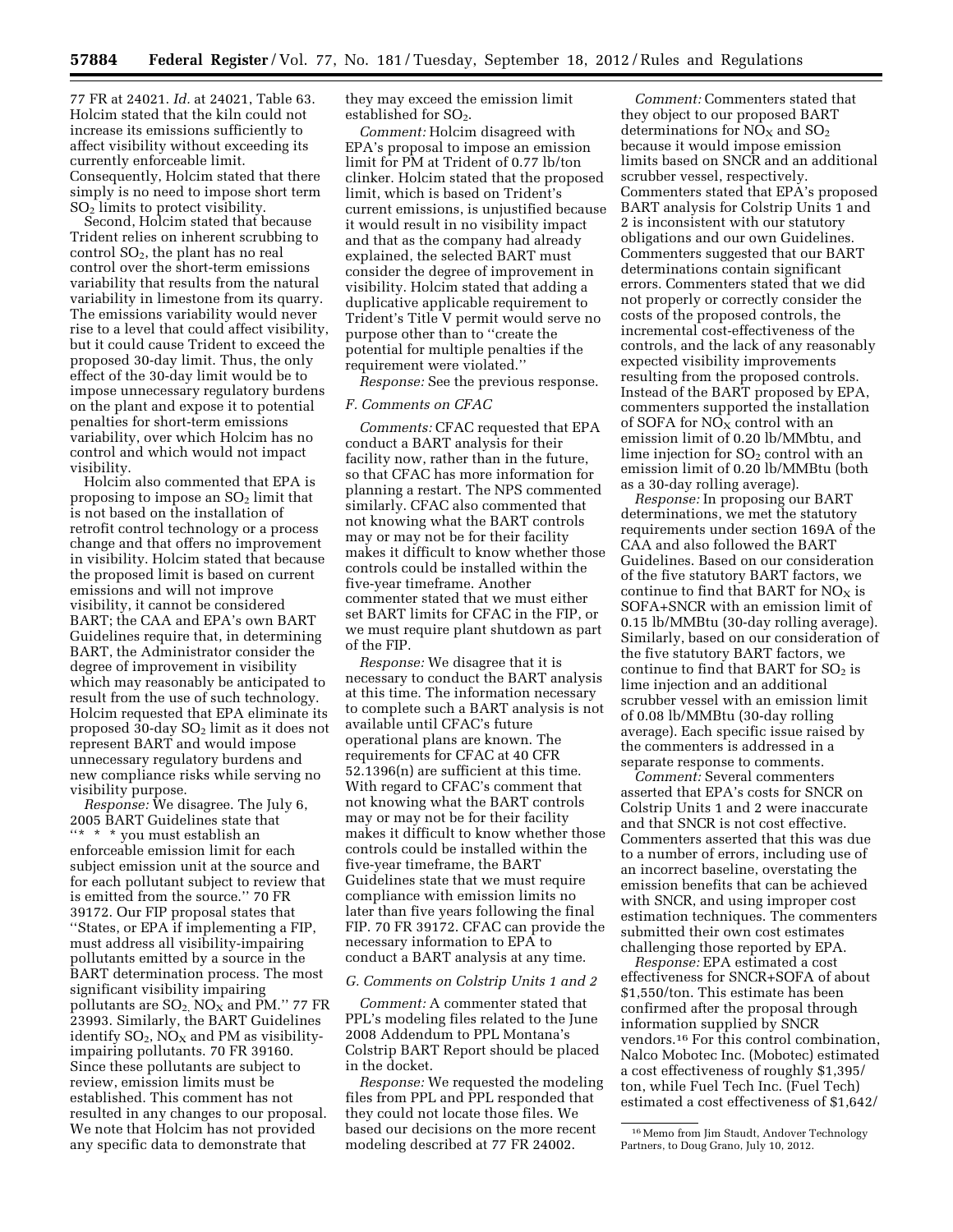77 FR at 24021. *Id.* at 24021, Table 63. Holcim stated that the kiln could not increase its emissions sufficiently to affect visibility without exceeding its currently enforceable limit. Consequently, Holcim stated that there simply is no need to impose short term SO2 limits to protect visibility.

Second, Holcim stated that because Trident relies on inherent scrubbing to control  $SO<sub>2</sub>$ , the plant has no real control over the short-term emissions variability that results from the natural variability in limestone from its quarry. The emissions variability would never rise to a level that could affect visibility, but it could cause Trident to exceed the proposed 30-day limit. Thus, the only effect of the 30-day limit would be to impose unnecessary regulatory burdens on the plant and expose it to potential penalties for short-term emissions variability, over which Holcim has no control and which would not impact visibility.

Holcim also commented that EPA is proposing to impose an  $SO<sub>2</sub>$  limit that is not based on the installation of retrofit control technology or a process change and that offers no improvement in visibility. Holcim stated that because the proposed limit is based on current emissions and will not improve visibility, it cannot be considered BART; the CAA and EPA's own BART Guidelines require that, in determining BART, the Administrator consider the degree of improvement in visibility which may reasonably be anticipated to result from the use of such technology. Holcim requested that EPA eliminate its proposed 30-day SO2 limit as it does not represent BART and would impose unnecessary regulatory burdens and new compliance risks while serving no visibility purpose.

*Response:* We disagree. The July 6, 2005 BART Guidelines state that  $\lq{**}$   $\ast$  you must establish an enforceable emission limit for each subject emission unit at the source and for each pollutant subject to review that is emitted from the source.'' 70 FR 39172. Our FIP proposal states that ''States, or EPA if implementing a FIP, must address all visibility-impairing pollutants emitted by a source in the BART determination process. The most significant visibility impairing pollutants are  $SO_2$ ,  $NO_X$  and  $PM$ ." 77 FR 23993. Similarly, the BART Guidelines identify  $SO_2$ ,  $NO_X$  and PM as visibilityimpairing pollutants. 70 FR 39160. Since these pollutants are subject to review, emission limits must be established. This comment has not resulted in any changes to our proposal. We note that Holcim has not provided any specific data to demonstrate that

they may exceed the emission limit established for  $SO<sub>2</sub>$ .

*Comment:* Holcim disagreed with EPA's proposal to impose an emission limit for PM at Trident of 0.77 lb/ton clinker. Holcim stated that the proposed limit, which is based on Trident's current emissions, is unjustified because it would result in no visibility impact and that as the company had already explained, the selected BART must consider the degree of improvement in visibility. Holcim stated that adding a duplicative applicable requirement to Trident's Title V permit would serve no purpose other than to ''create the potential for multiple penalties if the requirement were violated.''

*Response:* See the previous response.

#### *F. Comments on CFAC*

*Comments:* CFAC requested that EPA conduct a BART analysis for their facility now, rather than in the future, so that CFAC has more information for planning a restart. The NPS commented similarly. CFAC also commented that not knowing what the BART controls may or may not be for their facility makes it difficult to know whether those controls could be installed within the five-year timeframe. Another commenter stated that we must either set BART limits for CFAC in the FIP, or we must require plant shutdown as part of the FIP.

*Response:* We disagree that it is necessary to conduct the BART analysis at this time. The information necessary to complete such a BART analysis is not available until CFAC's future operational plans are known. The requirements for CFAC at 40 CFR 52.1396(n) are sufficient at this time. With regard to CFAC's comment that not knowing what the BART controls may or may not be for their facility makes it difficult to know whether those controls could be installed within the five-year timeframe, the BART Guidelines state that we must require compliance with emission limits no later than five years following the final FIP. 70 FR 39172. CFAC can provide the necessary information to EPA to conduct a BART analysis at any time.

#### *G. Comments on Colstrip Units 1 and 2*

*Comment:* A commenter stated that PPL's modeling files related to the June 2008 Addendum to PPL Montana's Colstrip BART Report should be placed in the docket.

*Response:* We requested the modeling files from PPL and PPL responded that they could not locate those files. We based our decisions on the more recent modeling described at 77 FR 24002.

*Comment:* Commenters stated that they object to our proposed BART determinations for  $NO<sub>X</sub>$  and  $SO<sub>2</sub>$ because it would impose emission limits based on SNCR and an additional scrubber vessel, respectively. Commenters stated that EPA's proposed BART analysis for Colstrip Units 1 and 2 is inconsistent with our statutory obligations and our own Guidelines. Commenters suggested that our BART determinations contain significant errors. Commenters stated that we did not properly or correctly consider the costs of the proposed controls, the incremental cost-effectiveness of the controls, and the lack of any reasonably expected visibility improvements resulting from the proposed controls. Instead of the BART proposed by EPA, commenters supported the installation of SOFA for  $\overline{NO_x}$  control with an emission limit of 0.20 lb/MMbtu, and lime injection for  $SO<sub>2</sub>$  control with an emission limit of 0.20 lb/MMBtu (both as a 30-day rolling average).

*Response:* In proposing our BART determinations, we met the statutory requirements under section 169A of the CAA and also followed the BART Guidelines. Based on our consideration of the five statutory BART factors, we continue to find that BART for  $NO<sub>X</sub>$  is SOFA+SNCR with an emission limit of 0.15 lb/MMBtu (30-day rolling average). Similarly, based on our consideration of the five statutory BART factors, we continue to find that BART for  $SO<sub>2</sub>$  is lime injection and an additional scrubber vessel with an emission limit of 0.08 lb/MMBtu (30-day rolling average). Each specific issue raised by the commenters is addressed in a separate response to comments.

*Comment:* Several commenters asserted that EPA's costs for SNCR on Colstrip Units 1 and 2 were inaccurate and that SNCR is not cost effective. Commenters asserted that this was due to a number of errors, including use of an incorrect baseline, overstating the emission benefits that can be achieved with SNCR, and using improper cost estimation techniques. The commenters submitted their own cost estimates challenging those reported by EPA.

*Response:* EPA estimated a cost effectiveness for SNCR+SOFA of about \$1,550/ton. This estimate has been confirmed after the proposal through information supplied by SNCR vendors.16 For this control combination, Nalco Mobotec Inc. (Mobotec) estimated a cost effectiveness of roughly \$1,395/ ton, while Fuel Tech Inc. (Fuel Tech) estimated a cost effectiveness of \$1,642/

<sup>16</sup> Memo from Jim Staudt, Andover Technology Partners, to Doug Grano, July 10, 2012.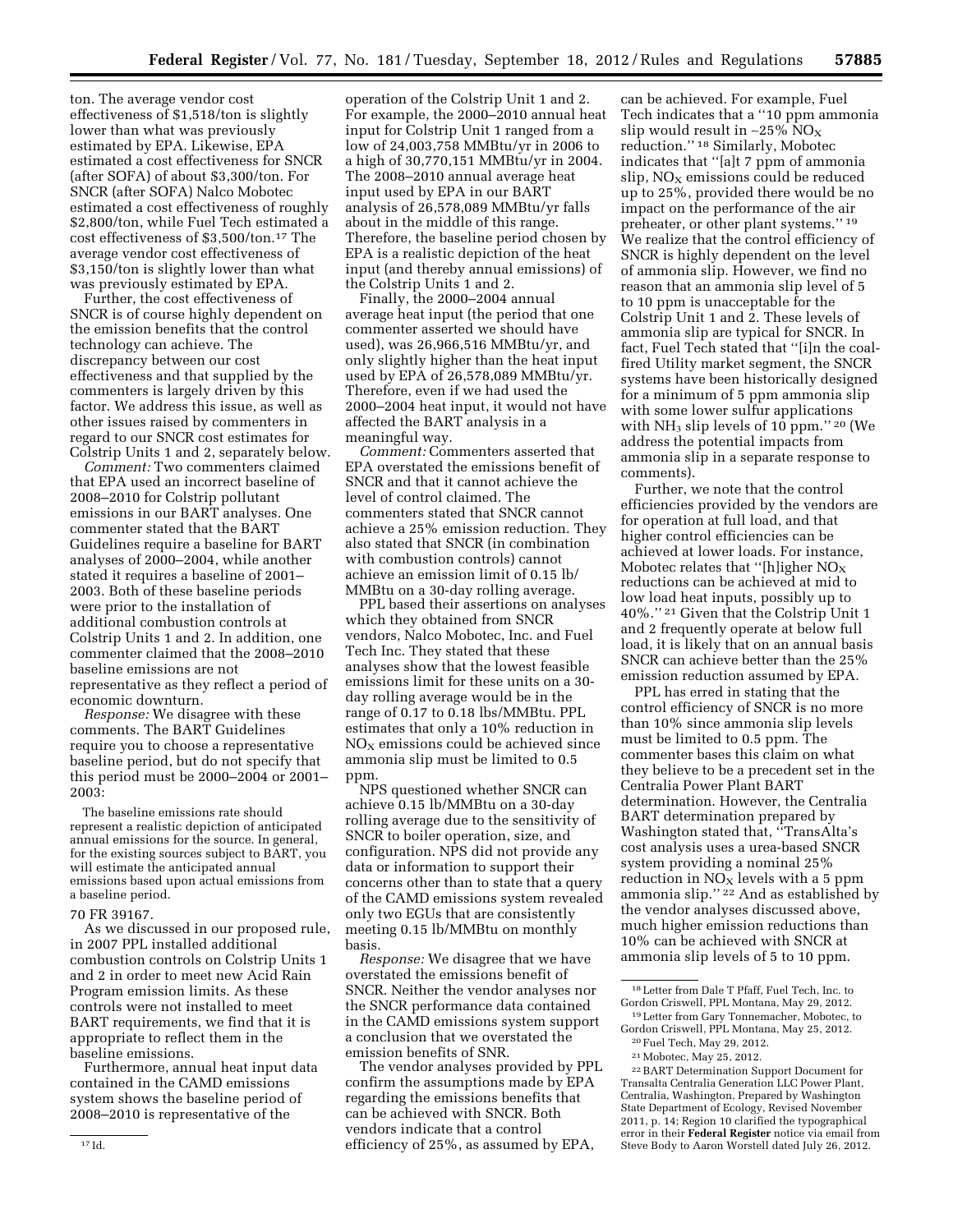ton. The average vendor cost effectiveness of \$1,518/ton is slightly lower than what was previously estimated by EPA. Likewise, EPA estimated a cost effectiveness for SNCR (after SOFA) of about \$3,300/ton. For SNCR (after SOFA) Nalco Mobotec estimated a cost effectiveness of roughly \$2,800/ton, while Fuel Tech estimated a cost effectiveness of \$3,500/ton.17 The average vendor cost effectiveness of \$3,150/ton is slightly lower than what was previously estimated by EPA.

Further, the cost effectiveness of SNCR is of course highly dependent on the emission benefits that the control technology can achieve. The discrepancy between our cost effectiveness and that supplied by the commenters is largely driven by this factor. We address this issue, as well as other issues raised by commenters in regard to our SNCR cost estimates for Colstrip Units 1 and 2, separately below.

*Comment:* Two commenters claimed that EPA used an incorrect baseline of 2008–2010 for Colstrip pollutant emissions in our BART analyses. One commenter stated that the BART Guidelines require a baseline for BART analyses of 2000–2004, while another stated it requires a baseline of 2001– 2003. Both of these baseline periods were prior to the installation of additional combustion controls at Colstrip Units 1 and 2. In addition, one commenter claimed that the 2008–2010 baseline emissions are not representative as they reflect a period of economic downturn.

*Response:* We disagree with these comments. The BART Guidelines require you to choose a representative baseline period, but do not specify that this period must be 2000–2004 or 2001– 2003:

The baseline emissions rate should represent a realistic depiction of anticipated annual emissions for the source. In general, for the existing sources subject to BART, you will estimate the anticipated annual emissions based upon actual emissions from a baseline period.

#### 70 FR 39167.

As we discussed in our proposed rule, in 2007 PPL installed additional combustion controls on Colstrip Units 1 and 2 in order to meet new Acid Rain Program emission limits. As these controls were not installed to meet BART requirements, we find that it is appropriate to reflect them in the baseline emissions.

Furthermore, annual heat input data contained in the CAMD emissions system shows the baseline period of 2008–2010 is representative of the

operation of the Colstrip Unit 1 and 2. For example, the 2000–2010 annual heat input for Colstrip Unit 1 ranged from a low of 24,003,758 MMBtu/yr in 2006 to a high of 30,770,151 MMBtu/yr in 2004. The 2008–2010 annual average heat input used by EPA in our BART analysis of 26,578,089 MMBtu/yr falls about in the middle of this range. Therefore, the baseline period chosen by EPA is a realistic depiction of the heat input (and thereby annual emissions) of the Colstrip Units 1 and 2.

Finally, the 2000–2004 annual average heat input (the period that one commenter asserted we should have used), was 26,966,516 MMBtu/yr, and only slightly higher than the heat input used by EPA of 26,578,089 MMBtu/yr. Therefore, even if we had used the 2000–2004 heat input, it would not have affected the BART analysis in a meaningful way.

*Comment:* Commenters asserted that EPA overstated the emissions benefit of SNCR and that it cannot achieve the level of control claimed. The commenters stated that SNCR cannot achieve a 25% emission reduction. They also stated that SNCR (in combination with combustion controls) cannot achieve an emission limit of 0.15 lb/ MMBtu on a 30-day rolling average.

PPL based their assertions on analyses which they obtained from SNCR vendors, Nalco Mobotec, Inc. and Fuel Tech Inc. They stated that these analyses show that the lowest feasible emissions limit for these units on a 30 day rolling average would be in the range of 0.17 to 0.18 lbs/MMBtu. PPL estimates that only a 10% reduction in  $NO<sub>x</sub>$  emissions could be achieved since ammonia slip must be limited to 0.5 ppm.

NPS questioned whether SNCR can achieve 0.15 lb/MMBtu on a 30-day rolling average due to the sensitivity of SNCR to boiler operation, size, and configuration. NPS did not provide any data or information to support their concerns other than to state that a query of the CAMD emissions system revealed only two EGUs that are consistently meeting 0.15 lb/MMBtu on monthly basis.

*Response:* We disagree that we have overstated the emissions benefit of SNCR. Neither the vendor analyses nor the SNCR performance data contained in the CAMD emissions system support a conclusion that we overstated the emission benefits of SNR.

The vendor analyses provided by PPL confirm the assumptions made by EPA regarding the emissions benefits that can be achieved with SNCR. Both vendors indicate that a control efficiency of 25%, as assumed by EPA,

can be achieved. For example, Fuel Tech indicates that a ''10 ppm ammonia slip would result in ~25% NO<sub>X</sub> reduction.'' 18 Similarly, Mobotec indicates that ''[a]t 7 ppm of ammonia  $slip$ , NO<sub>X</sub> emissions could be reduced up to 25%, provided there would be no impact on the performance of the air preheater, or other plant systems.'' 19 We realize that the control efficiency of SNCR is highly dependent on the level of ammonia slip. However, we find no reason that an ammonia slip level of 5 to 10 ppm is unacceptable for the Colstrip Unit 1 and 2. These levels of ammonia slip are typical for SNCR. In fact, Fuel Tech stated that ''[i]n the coalfired Utility market segment, the SNCR systems have been historically designed for a minimum of 5 ppm ammonia slip with some lower sulfur applications with NH<sub>3</sub> slip levels of 10 ppm."<sup>20</sup> (We address the potential impacts from ammonia slip in a separate response to comments).

Further, we note that the control efficiencies provided by the vendors are for operation at full load, and that higher control efficiencies can be achieved at lower loads. For instance, Mobotec relates that "[h]igher  $NO<sub>x</sub>$ reductions can be achieved at mid to low load heat inputs, possibly up to 40%.'' 21 Given that the Colstrip Unit 1 and 2 frequently operate at below full load, it is likely that on an annual basis SNCR can achieve better than the 25% emission reduction assumed by EPA.

PPL has erred in stating that the control efficiency of SNCR is no more than 10% since ammonia slip levels must be limited to 0.5 ppm. The commenter bases this claim on what they believe to be a precedent set in the Centralia Power Plant BART determination. However, the Centralia BART determination prepared by Washington stated that, ''TransAlta's cost analysis uses a urea-based SNCR system providing a nominal 25% reduction in  $NO<sub>x</sub>$  levels with a 5 ppm ammonia slip.'' 22 And as established by the vendor analyses discussed above, much higher emission reductions than 10% can be achieved with SNCR at ammonia slip levels of 5 to 10 ppm.

20Fuel Tech, May 29, 2012. 21Mobotec, May 25, 2012.

22BART Determination Support Document for Transalta Centralia Generation LLC Power Plant, Centralia, Washington, Prepared by Washington State Department of Ecology, Revised November 2011, p. 14; Region 10 clarified the typographical error in their **Federal Register** notice via email from Steve Body to Aaron Worstell dated July 26, 2012.

<sup>18</sup>Letter from Dale T Pfaff, Fuel Tech, Inc. to Gordon Criswell, PPL Montana, May 29, 2012.

<sup>19</sup>Letter from Gary Tonnemacher, Mobotec, to Gordon Criswell, PPL Montana, May 25, 2012.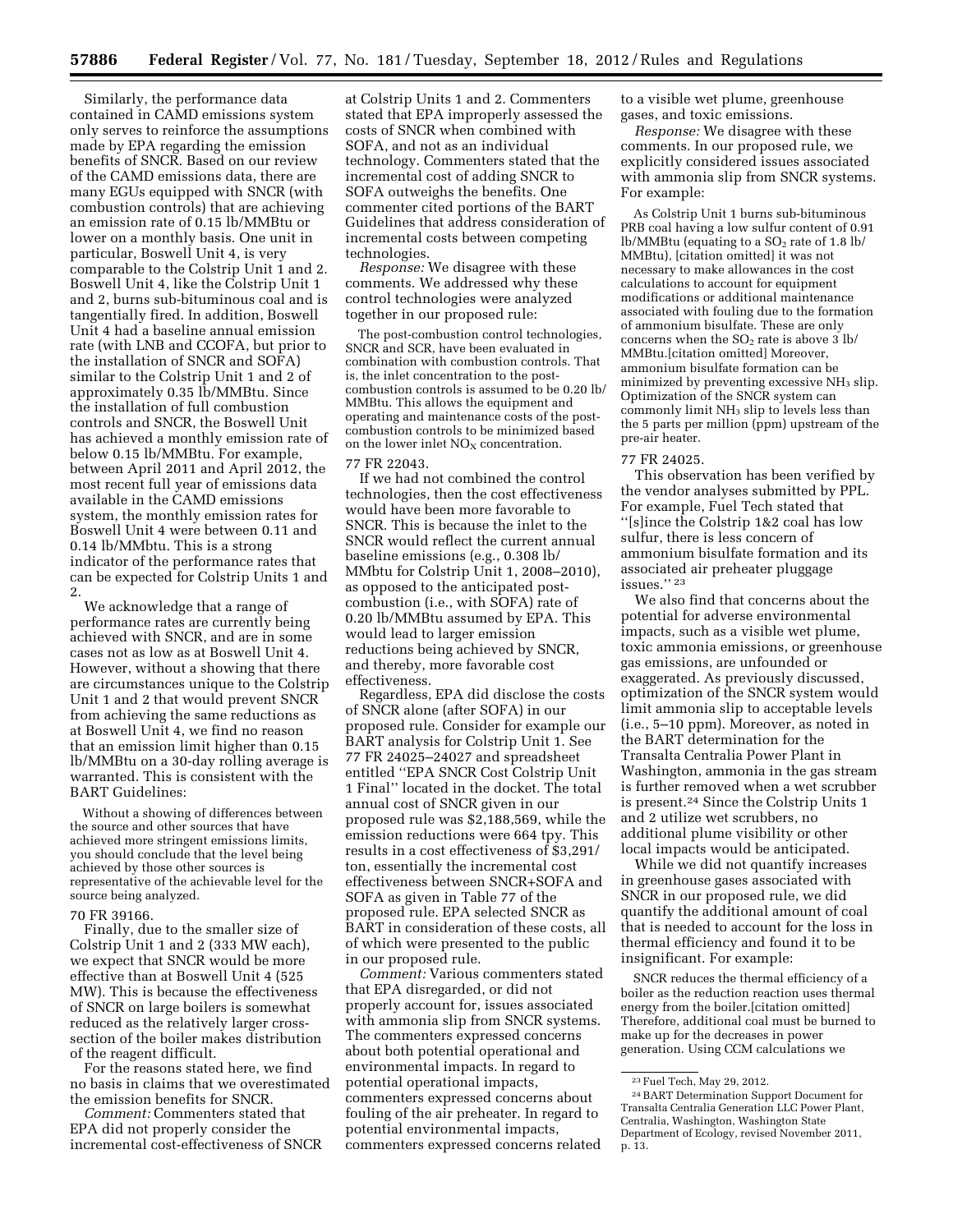Similarly, the performance data contained in CAMD emissions system only serves to reinforce the assumptions made by EPA regarding the emission benefits of SNCR. Based on our review of the CAMD emissions data, there are many EGUs equipped with SNCR (with combustion controls) that are achieving an emission rate of 0.15 lb/MMBtu or lower on a monthly basis. One unit in particular, Boswell Unit 4, is very comparable to the Colstrip Unit 1 and 2. Boswell Unit 4, like the Colstrip Unit 1 and 2, burns sub-bituminous coal and is tangentially fired. In addition, Boswell Unit 4 had a baseline annual emission rate (with LNB and CCOFA, but prior to the installation of SNCR and SOFA) similar to the Colstrip Unit 1 and 2 of approximately 0.35 lb/MMBtu. Since the installation of full combustion controls and SNCR, the Boswell Unit has achieved a monthly emission rate of below 0.15 lb/MMBtu. For example, between April 2011 and April 2012, the most recent full year of emissions data available in the CAMD emissions system, the monthly emission rates for Boswell Unit 4 were between 0.11 and 0.14 lb/MMbtu. This is a strong indicator of the performance rates that can be expected for Colstrip Units 1 and 2.

We acknowledge that a range of performance rates are currently being achieved with SNCR, and are in some cases not as low as at Boswell Unit 4. However, without a showing that there are circumstances unique to the Colstrip Unit 1 and 2 that would prevent SNCR from achieving the same reductions as at Boswell Unit 4, we find no reason that an emission limit higher than 0.15 lb/MMBtu on a 30-day rolling average is warranted. This is consistent with the BART Guidelines:

Without a showing of differences between the source and other sources that have achieved more stringent emissions limits, you should conclude that the level being achieved by those other sources is representative of the achievable level for the source being analyzed.

#### 70 FR 39166.

Finally, due to the smaller size of Colstrip Unit 1 and 2 (333 MW each), we expect that SNCR would be more effective than at Boswell Unit 4 (525 MW). This is because the effectiveness of SNCR on large boilers is somewhat reduced as the relatively larger crosssection of the boiler makes distribution of the reagent difficult.

For the reasons stated here, we find no basis in claims that we overestimated the emission benefits for SNCR.

*Comment:* Commenters stated that EPA did not properly consider the incremental cost-effectiveness of SNCR

at Colstrip Units 1 and 2. Commenters stated that EPA improperly assessed the costs of SNCR when combined with SOFA, and not as an individual technology. Commenters stated that the incremental cost of adding SNCR to SOFA outweighs the benefits. One commenter cited portions of the BART Guidelines that address consideration of incremental costs between competing technologies.

*Response:* We disagree with these comments. We addressed why these control technologies were analyzed together in our proposed rule:

The post-combustion control technologies, SNCR and SCR, have been evaluated in combination with combustion controls. That is, the inlet concentration to the postcombustion controls is assumed to be 0.20 lb/ MMBtu. This allows the equipment and operating and maintenance costs of the postcombustion controls to be minimized based on the lower inlet  $NO<sub>X</sub>$  concentration.

#### 77 FR 22043.

If we had not combined the control technologies, then the cost effectiveness would have been more favorable to SNCR. This is because the inlet to the SNCR would reflect the current annual baseline emissions (e.g., 0.308 lb/ MMbtu for Colstrip Unit 1, 2008–2010), as opposed to the anticipated postcombustion (i.e., with SOFA) rate of 0.20 lb/MMBtu assumed by EPA. This would lead to larger emission reductions being achieved by SNCR, and thereby, more favorable cost effectiveness.

Regardless, EPA did disclose the costs of SNCR alone (after SOFA) in our proposed rule. Consider for example our BART analysis for Colstrip Unit 1. See 77 FR 24025–24027 and spreadsheet entitled ''EPA SNCR Cost Colstrip Unit 1 Final'' located in the docket. The total annual cost of SNCR given in our proposed rule was \$2,188,569, while the emission reductions were 664 tpy. This results in a cost effectiveness of \$3,291/ ton, essentially the incremental cost effectiveness between SNCR+SOFA and SOFA as given in Table 77 of the proposed rule. EPA selected SNCR as BART in consideration of these costs, all of which were presented to the public in our proposed rule.

*Comment:* Various commenters stated that EPA disregarded, or did not properly account for, issues associated with ammonia slip from SNCR systems. The commenters expressed concerns about both potential operational and environmental impacts. In regard to potential operational impacts, commenters expressed concerns about fouling of the air preheater. In regard to potential environmental impacts, commenters expressed concerns related

to a visible wet plume, greenhouse gases, and toxic emissions.

*Response:* We disagree with these comments. In our proposed rule, we explicitly considered issues associated with ammonia slip from SNCR systems. For example:

As Colstrip Unit 1 burns sub-bituminous PRB coal having a low sulfur content of 0.91 lb/MMBtu (equating to a  $SO<sub>2</sub>$  rate of 1.8 lb/ MMBtu), [citation omitted] it was not necessary to make allowances in the cost calculations to account for equipment modifications or additional maintenance associated with fouling due to the formation of ammonium bisulfate. These are only concerns when the  $SO<sub>2</sub>$  rate is above 3 lb/ MMBtu.[citation omitted] Moreover, ammonium bisulfate formation can be minimized by preventing excessive NH3 slip. Optimization of the SNCR system can commonly limit NH3 slip to levels less than the 5 parts per million (ppm) upstream of the pre-air heater.

#### 77 FR 24025.

This observation has been verified by the vendor analyses submitted by PPL. For example, Fuel Tech stated that ''[s]ince the Colstrip 1&2 coal has low sulfur, there is less concern of ammonium bisulfate formation and its associated air preheater pluggage issues.'' 23

We also find that concerns about the potential for adverse environmental impacts, such as a visible wet plume, toxic ammonia emissions, or greenhouse gas emissions, are unfounded or exaggerated. As previously discussed, optimization of the SNCR system would limit ammonia slip to acceptable levels (i.e., 5–10 ppm). Moreover, as noted in the BART determination for the Transalta Centralia Power Plant in Washington, ammonia in the gas stream is further removed when a wet scrubber is present.24 Since the Colstrip Units 1 and 2 utilize wet scrubbers, no additional plume visibility or other local impacts would be anticipated.

While we did not quantify increases in greenhouse gases associated with SNCR in our proposed rule, we did quantify the additional amount of coal that is needed to account for the loss in thermal efficiency and found it to be insignificant. For example:

SNCR reduces the thermal efficiency of a boiler as the reduction reaction uses thermal energy from the boiler.[citation omitted] Therefore, additional coal must be burned to make up for the decreases in power generation. Using CCM calculations we

<sup>23</sup>Fuel Tech, May 29, 2012.

<sup>24</sup>BART Determination Support Document for Transalta Centralia Generation LLC Power Plant, Centralia, Washington, Washington State Department of Ecology, revised November 2011, p. 13.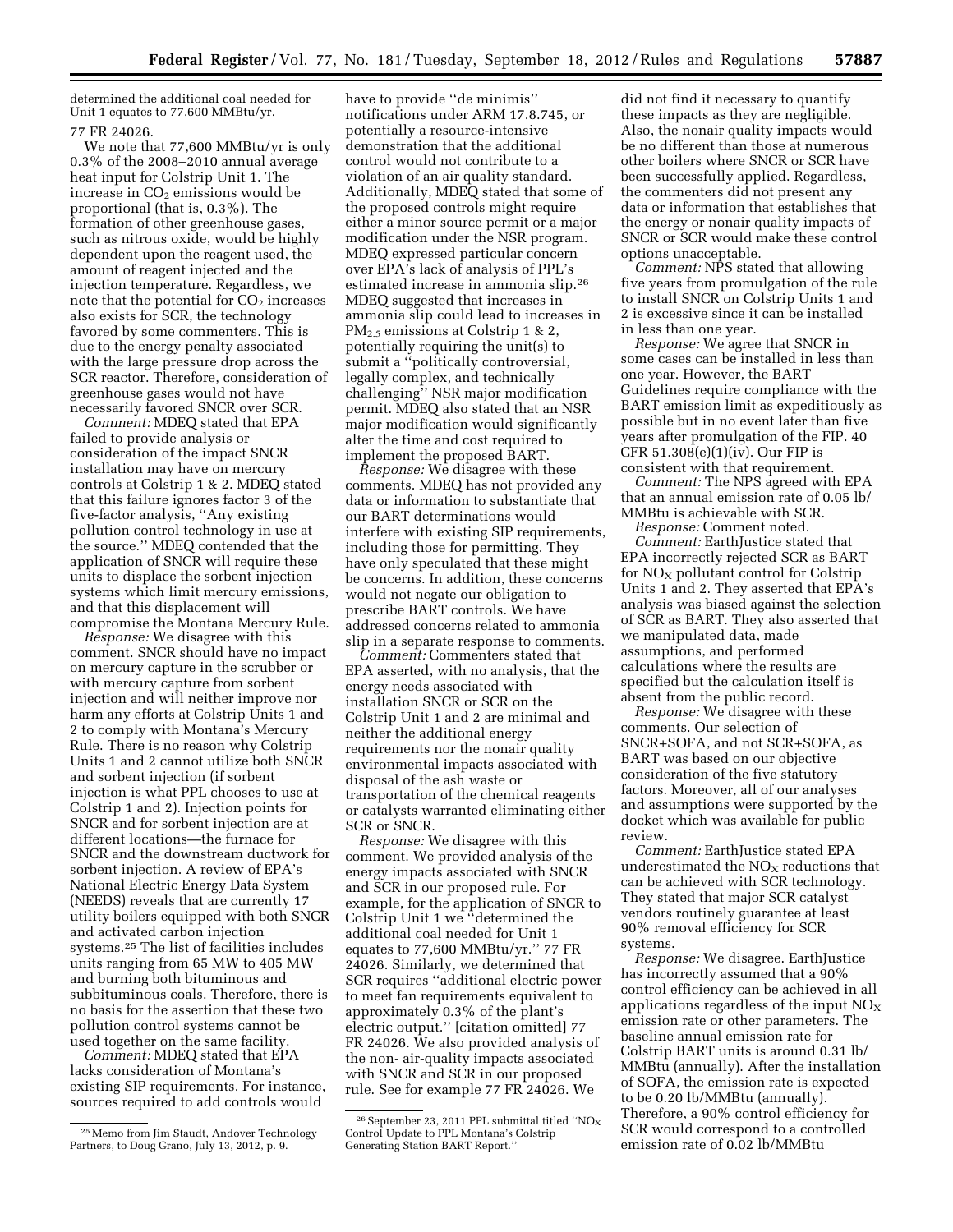determined the additional coal needed for Unit 1 equates to 77,600 MMBtu/yr. 77 FR 24026.

We note that 77,600 MMBtu/yr is only 0.3% of the 2008–2010 annual average heat input for Colstrip Unit 1. The increase in  $CO<sub>2</sub>$  emissions would be proportional (that is, 0.3%). The formation of other greenhouse gases, such as nitrous oxide, would be highly dependent upon the reagent used, the amount of reagent injected and the injection temperature. Regardless, we note that the potential for  $CO<sub>2</sub>$  increases also exists for SCR, the technology favored by some commenters. This is due to the energy penalty associated with the large pressure drop across the SCR reactor. Therefore, consideration of greenhouse gases would not have necessarily favored SNCR over SCR.

*Comment:* MDEQ stated that EPA failed to provide analysis or consideration of the impact SNCR installation may have on mercury controls at Colstrip 1 & 2. MDEQ stated that this failure ignores factor 3 of the five-factor analysis, ''Any existing pollution control technology in use at the source.'' MDEQ contended that the application of SNCR will require these units to displace the sorbent injection systems which limit mercury emissions, and that this displacement will compromise the Montana Mercury Rule.

*Response:* We disagree with this comment. SNCR should have no impact on mercury capture in the scrubber or with mercury capture from sorbent injection and will neither improve nor harm any efforts at Colstrip Units 1 and 2 to comply with Montana's Mercury Rule. There is no reason why Colstrip Units 1 and 2 cannot utilize both SNCR and sorbent injection (if sorbent injection is what PPL chooses to use at Colstrip 1 and 2). Injection points for SNCR and for sorbent injection are at different locations—the furnace for SNCR and the downstream ductwork for sorbent injection. A review of EPA's National Electric Energy Data System (NEEDS) reveals that are currently 17 utility boilers equipped with both SNCR and activated carbon injection systems.25 The list of facilities includes units ranging from 65 MW to 405 MW and burning both bituminous and subbituminous coals. Therefore, there is no basis for the assertion that these two pollution control systems cannot be used together on the same facility.

*Comment:* MDEQ stated that EPA lacks consideration of Montana's existing SIP requirements. For instance, sources required to add controls would

have to provide ''de minimis'' notifications under ARM 17.8.745, or potentially a resource-intensive demonstration that the additional control would not contribute to a violation of an air quality standard. Additionally, MDEQ stated that some of the proposed controls might require either a minor source permit or a major modification under the NSR program. MDEQ expressed particular concern over EPA's lack of analysis of PPL's estimated increase in ammonia slip.26 MDEQ suggested that increases in ammonia slip could lead to increases in PM<sub>2.5</sub> emissions at Colstrip 1 & 2, potentially requiring the unit(s) to submit a ''politically controversial, legally complex, and technically challenging'' NSR major modification permit. MDEQ also stated that an NSR major modification would significantly alter the time and cost required to implement the proposed BART.

*Response:* We disagree with these comments. MDEQ has not provided any data or information to substantiate that our BART determinations would interfere with existing SIP requirements, including those for permitting. They have only speculated that these might be concerns. In addition, these concerns would not negate our obligation to prescribe BART controls. We have addressed concerns related to ammonia slip in a separate response to comments.

*Comment:* Commenters stated that EPA asserted, with no analysis, that the energy needs associated with installation SNCR or SCR on the Colstrip Unit 1 and 2 are minimal and neither the additional energy requirements nor the nonair quality environmental impacts associated with disposal of the ash waste or transportation of the chemical reagents or catalysts warranted eliminating either SCR or SNCR.

*Response:* We disagree with this comment. We provided analysis of the energy impacts associated with SNCR and SCR in our proposed rule. For example, for the application of SNCR to Colstrip Unit 1 we ''determined the additional coal needed for Unit 1 equates to 77,600 MMBtu/yr.'' 77 FR 24026. Similarly, we determined that SCR requires ''additional electric power to meet fan requirements equivalent to approximately 0.3% of the plant's electric output.'' [citation omitted] 77 FR 24026. We also provided analysis of the non- air-quality impacts associated with SNCR and SCR in our proposed rule. See for example 77 FR 24026. We

did not find it necessary to quantify these impacts as they are negligible. Also, the nonair quality impacts would be no different than those at numerous other boilers where SNCR or SCR have been successfully applied. Regardless, the commenters did not present any data or information that establishes that the energy or nonair quality impacts of SNCR or SCR would make these control options unacceptable.

*Comment:* NPS stated that allowing five years from promulgation of the rule to install SNCR on Colstrip Units 1 and 2 is excessive since it can be installed in less than one year.

*Response:* We agree that SNCR in some cases can be installed in less than one year. However, the BART Guidelines require compliance with the BART emission limit as expeditiously as possible but in no event later than five years after promulgation of the FIP. 40 CFR  $51.308(e)(1)(iv)$ . Our FIP is consistent with that requirement.

*Comment:* The NPS agreed with EPA that an annual emission rate of 0.05 lb/ MMBtu is achievable with SCR.

*Response:* Comment noted. *Comment:* EarthJustice stated that EPA incorrectly rejected SCR as BART for  $NO<sub>x</sub>$  pollutant control for Colstrip Units 1 and 2. They asserted that EPA's analysis was biased against the selection of SCR as BART. They also asserted that we manipulated data, made assumptions, and performed calculations where the results are specified but the calculation itself is absent from the public record.

*Response:* We disagree with these comments. Our selection of SNCR+SOFA, and not SCR+SOFA, as BART was based on our objective consideration of the five statutory factors. Moreover, all of our analyses and assumptions were supported by the docket which was available for public review.

*Comment:* EarthJustice stated EPA underestimated the  $NO<sub>X</sub>$  reductions that can be achieved with SCR technology. They stated that major SCR catalyst vendors routinely guarantee at least 90% removal efficiency for SCR systems.

*Response:* We disagree. EarthJustice has incorrectly assumed that a 90% control efficiency can be achieved in all applications regardless of the input  $NO<sub>x</sub>$ emission rate or other parameters. The baseline annual emission rate for Colstrip BART units is around 0.31 lb/ MMBtu (annually). After the installation of SOFA, the emission rate is expected to be 0.20 lb/MMBtu (annually). Therefore, a 90% control efficiency for SCR would correspond to a controlled emission rate of 0.02 lb/MMBtu

<sup>25</sup>Memo from Jim Staudt, Andover Technology Partners, to Doug Grano, July 13, 2012, p. 9.

 $^{26}$  September 23, 2011 PPL submittal titled ''NO<sub>X</sub> Control Update to PPL Montana's Colstrip Generating Station BART Report.''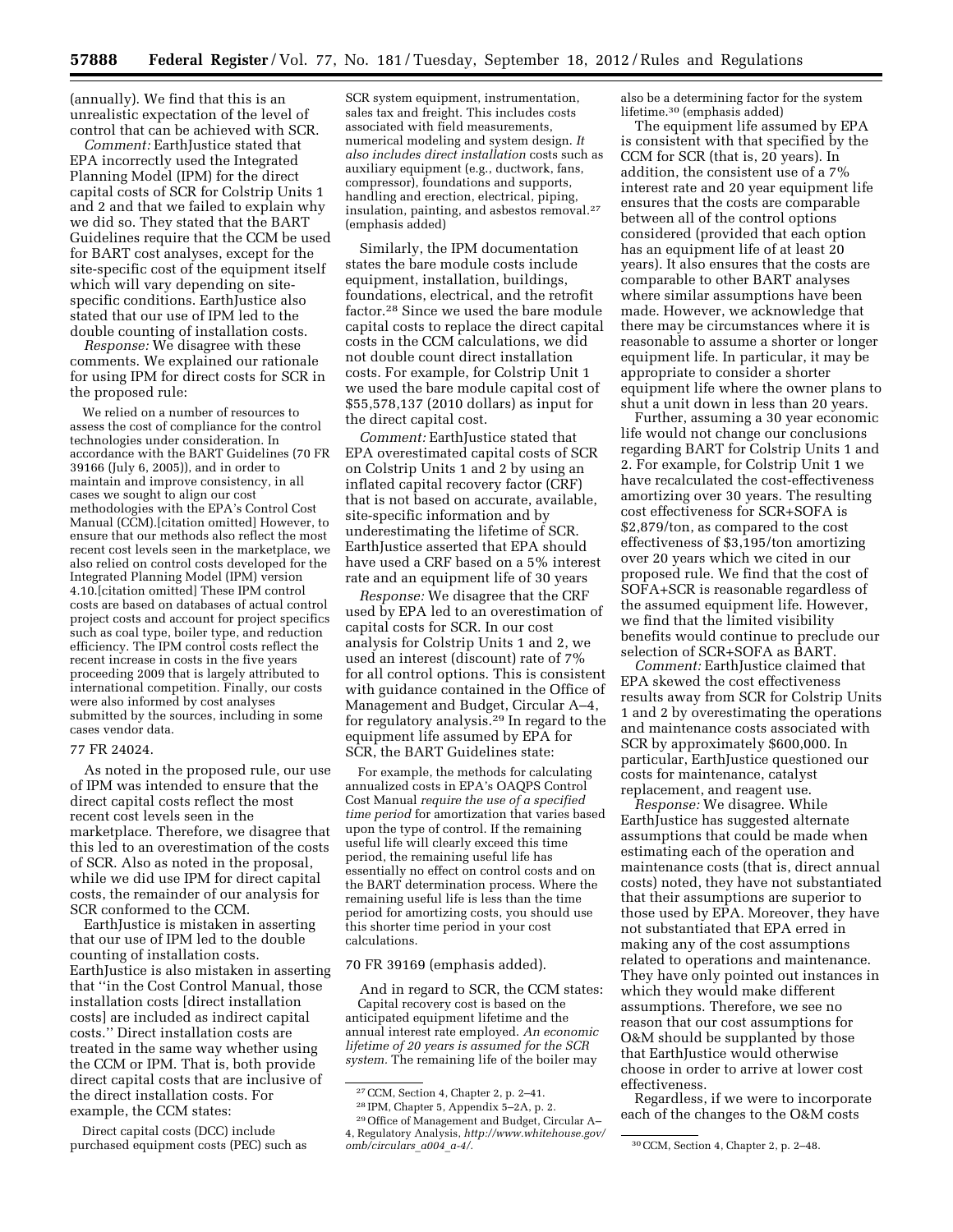(annually). We find that this is an unrealistic expectation of the level of control that can be achieved with SCR.

*Comment:* EarthJustice stated that EPA incorrectly used the Integrated Planning Model (IPM) for the direct capital costs of SCR for Colstrip Units 1 and 2 and that we failed to explain why we did so. They stated that the BART Guidelines require that the CCM be used for BART cost analyses, except for the site-specific cost of the equipment itself which will vary depending on sitespecific conditions. EarthJustice also stated that our use of IPM led to the double counting of installation costs.

*Response:* We disagree with these comments. We explained our rationale for using IPM for direct costs for SCR in the proposed rule:

We relied on a number of resources to assess the cost of compliance for the control technologies under consideration. In accordance with the BART Guidelines (70 FR 39166 (July 6, 2005)), and in order to maintain and improve consistency, in all cases we sought to align our cost methodologies with the EPA's Control Cost Manual (CCM).[citation omitted] However, to ensure that our methods also reflect the most recent cost levels seen in the marketplace, we also relied on control costs developed for the Integrated Planning Model (IPM) version 4.10.[citation omitted] These IPM control costs are based on databases of actual control project costs and account for project specifics such as coal type, boiler type, and reduction efficiency. The IPM control costs reflect the recent increase in costs in the five years proceeding 2009 that is largely attributed to international competition. Finally, our costs were also informed by cost analyses submitted by the sources, including in some cases vendor data.

#### 77 FR 24024.

As noted in the proposed rule, our use of IPM was intended to ensure that the direct capital costs reflect the most recent cost levels seen in the marketplace. Therefore, we disagree that this led to an overestimation of the costs of SCR. Also as noted in the proposal, while we did use IPM for direct capital costs, the remainder of our analysis for SCR conformed to the CCM.

EarthJustice is mistaken in asserting that our use of IPM led to the double counting of installation costs. EarthJustice is also mistaken in asserting that ''in the Cost Control Manual, those installation costs [direct installation costs] are included as indirect capital costs.'' Direct installation costs are treated in the same way whether using the CCM or IPM. That is, both provide direct capital costs that are inclusive of the direct installation costs. For example, the CCM states:

Direct capital costs (DCC) include purchased equipment costs (PEC) such as

SCR system equipment, instrumentation, sales tax and freight. This includes costs associated with field measurements, numerical modeling and system design. *It also includes direct installation* costs such as auxiliary equipment (e.g., ductwork, fans, compressor), foundations and supports, handling and erection, electrical, piping, insulation, painting, and asbestos removal.27 (emphasis added)

Similarly, the IPM documentation states the bare module costs include equipment, installation, buildings, foundations, electrical, and the retrofit factor.28 Since we used the bare module capital costs to replace the direct capital costs in the CCM calculations, we did not double count direct installation costs. For example, for Colstrip Unit 1 we used the bare module capital cost of \$55,578,137 (2010 dollars) as input for the direct capital cost.

*Comment:* EarthJustice stated that EPA overestimated capital costs of SCR on Colstrip Units 1 and 2 by using an inflated capital recovery factor (CRF) that is not based on accurate, available, site-specific information and by underestimating the lifetime of SCR. EarthJustice asserted that EPA should have used a CRF based on a 5% interest rate and an equipment life of 30 years

*Response:* We disagree that the CRF used by EPA led to an overestimation of capital costs for SCR. In our cost analysis for Colstrip Units 1 and 2, we used an interest (discount) rate of 7% for all control options. This is consistent with guidance contained in the Office of Management and Budget, Circular A–4, for regulatory analysis.29 In regard to the equipment life assumed by EPA for SCR, the BART Guidelines state:

For example, the methods for calculating annualized costs in EPA's OAQPS Control Cost Manual *require the use of a specified time period* for amortization that varies based upon the type of control. If the remaining useful life will clearly exceed this time period, the remaining useful life has essentially no effect on control costs and on the BART determination process. Where the remaining useful life is less than the time period for amortizing costs, you should use this shorter time period in your cost calculations.

#### 70 FR 39169 (emphasis added).

And in regard to SCR, the CCM states: Capital recovery cost is based on the anticipated equipment lifetime and the annual interest rate employed. *An economic lifetime of 20 years is assumed for the SCR system.* The remaining life of the boiler may

also be a determining factor for the system lifetime.30 (emphasis added)

The equipment life assumed by EPA is consistent with that specified by the CCM for SCR (that is, 20 years). In addition, the consistent use of a 7% interest rate and 20 year equipment life ensures that the costs are comparable between all of the control options considered (provided that each option has an equipment life of at least 20 years). It also ensures that the costs are comparable to other BART analyses where similar assumptions have been made. However, we acknowledge that there may be circumstances where it is reasonable to assume a shorter or longer equipment life. In particular, it may be appropriate to consider a shorter equipment life where the owner plans to shut a unit down in less than 20 years.

Further, assuming a 30 year economic life would not change our conclusions regarding BART for Colstrip Units 1 and 2. For example, for Colstrip Unit 1 we have recalculated the cost-effectiveness amortizing over 30 years. The resulting cost effectiveness for SCR+SOFA is \$2,879/ton, as compared to the cost effectiveness of \$3,195/ton amortizing over 20 years which we cited in our proposed rule. We find that the cost of SOFA+SCR is reasonable regardless of the assumed equipment life. However, we find that the limited visibility benefits would continue to preclude our selection of SCR+SOFA as BART.

*Comment:* EarthJustice claimed that EPA skewed the cost effectiveness results away from SCR for Colstrip Units 1 and 2 by overestimating the operations and maintenance costs associated with SCR by approximately \$600,000. In particular, EarthJustice questioned our costs for maintenance, catalyst replacement, and reagent use.

*Response:* We disagree. While EarthJustice has suggested alternate assumptions that could be made when estimating each of the operation and maintenance costs (that is, direct annual costs) noted, they have not substantiated that their assumptions are superior to those used by EPA. Moreover, they have not substantiated that EPA erred in making any of the cost assumptions related to operations and maintenance. They have only pointed out instances in which they would make different assumptions. Therefore, we see no reason that our cost assumptions for O&M should be supplanted by those that EarthJustice would otherwise choose in order to arrive at lower cost effectiveness.

Regardless, if we were to incorporate each of the changes to the O&M costs

<sup>27</sup>CCM, Section 4, Chapter 2, p. 2–41.

<sup>28</sup> IPM, Chapter 5, Appendix 5–2A, p. 2.

<sup>29</sup>Office of Management and Budget, Circular A– 4, Regulatory Analysis, *[http://www.whitehouse.gov/](http://www.whitehouse.gov/omb/circulars_a004_a-4/)* 

*[omb/circulars](http://www.whitehouse.gov/omb/circulars_a004_a-4/)*\_*a004*\_*a-4/.* 30CCM, Section 4, Chapter 2, p. 2–48.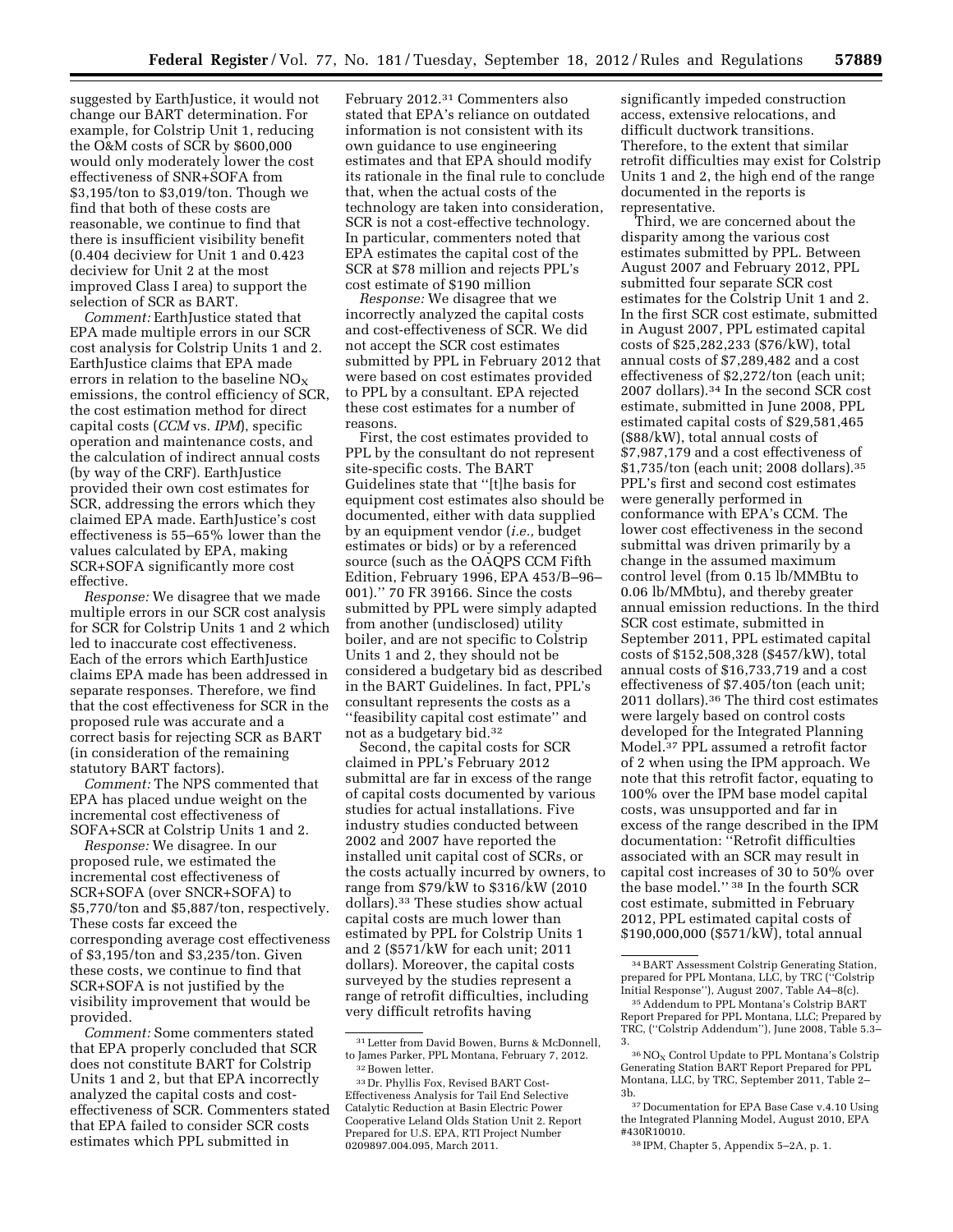suggested by EarthJustice, it would not change our BART determination. For example, for Colstrip Unit 1, reducing the O&M costs of SCR by \$600,000 would only moderately lower the cost effectiveness of SNR+SOFA from \$3,195/ton to \$3,019/ton. Though we find that both of these costs are reasonable, we continue to find that there is insufficient visibility benefit (0.404 deciview for Unit 1 and 0.423 deciview for Unit 2 at the most improved Class I area) to support the selection of SCR as BART.

*Comment:* EarthJustice stated that EPA made multiple errors in our SCR cost analysis for Colstrip Units 1 and 2. EarthJustice claims that EPA made errors in relation to the baseline  $NO<sub>X</sub>$ emissions, the control efficiency of SCR, the cost estimation method for direct capital costs (*CCM* vs. *IPM*), specific operation and maintenance costs, and the calculation of indirect annual costs (by way of the CRF). EarthJustice provided their own cost estimates for SCR, addressing the errors which they claimed EPA made. EarthJustice's cost effectiveness is 55–65% lower than the values calculated by EPA, making SCR+SOFA significantly more cost effective.

*Response:* We disagree that we made multiple errors in our SCR cost analysis for SCR for Colstrip Units 1 and 2 which led to inaccurate cost effectiveness. Each of the errors which EarthJustice claims EPA made has been addressed in separate responses. Therefore, we find that the cost effectiveness for SCR in the proposed rule was accurate and a correct basis for rejecting SCR as BART (in consideration of the remaining statutory BART factors).

*Comment:* The NPS commented that EPA has placed undue weight on the incremental cost effectiveness of SOFA+SCR at Colstrip Units 1 and 2.

*Response:* We disagree. In our proposed rule, we estimated the incremental cost effectiveness of SCR+SOFA (over SNCR+SOFA) to \$5,770/ton and \$5,887/ton, respectively. These costs far exceed the corresponding average cost effectiveness of \$3,195/ton and \$3,235/ton. Given these costs, we continue to find that SCR+SOFA is not justified by the visibility improvement that would be provided.

*Comment:* Some commenters stated that EPA properly concluded that SCR does not constitute BART for Colstrip Units 1 and 2, but that EPA incorrectly analyzed the capital costs and costeffectiveness of SCR. Commenters stated that EPA failed to consider SCR costs estimates which PPL submitted in

February 2012.31 Commenters also stated that EPA's reliance on outdated information is not consistent with its own guidance to use engineering estimates and that EPA should modify its rationale in the final rule to conclude that, when the actual costs of the technology are taken into consideration, SCR is not a cost-effective technology. In particular, commenters noted that EPA estimates the capital cost of the SCR at \$78 million and rejects PPL's cost estimate of \$190 million

*Response:* We disagree that we incorrectly analyzed the capital costs and cost-effectiveness of SCR. We did not accept the SCR cost estimates submitted by PPL in February 2012 that were based on cost estimates provided to PPL by a consultant. EPA rejected these cost estimates for a number of reasons.

First, the cost estimates provided to PPL by the consultant do not represent site-specific costs. The BART Guidelines state that ''[t]he basis for equipment cost estimates also should be documented, either with data supplied by an equipment vendor (*i.e.,* budget estimates or bids) or by a referenced source (such as the OAQPS CCM Fifth Edition, February 1996, EPA 453/B–96– 001).'' 70 FR 39166. Since the costs submitted by PPL were simply adapted from another (undisclosed) utility boiler, and are not specific to Colstrip Units 1 and 2, they should not be considered a budgetary bid as described in the BART Guidelines. In fact, PPL's consultant represents the costs as a ''feasibility capital cost estimate'' and not as a budgetary bid.32

Second, the capital costs for SCR claimed in PPL's February 2012 submittal are far in excess of the range of capital costs documented by various studies for actual installations. Five industry studies conducted between 2002 and 2007 have reported the installed unit capital cost of SCRs, or the costs actually incurred by owners, to range from \$79/kW to \$316/kW (2010 dollars).33 These studies show actual capital costs are much lower than estimated by PPL for Colstrip Units 1 and 2 (\$571/kW for each unit; 2011 dollars). Moreover, the capital costs surveyed by the studies represent a range of retrofit difficulties, including very difficult retrofits having

significantly impeded construction access, extensive relocations, and difficult ductwork transitions. Therefore, to the extent that similar retrofit difficulties may exist for Colstrip Units 1 and 2, the high end of the range documented in the reports is representative.

Third, we are concerned about the disparity among the various cost estimates submitted by PPL. Between August 2007 and February 2012, PPL submitted four separate SCR cost estimates for the Colstrip Unit 1 and 2. In the first SCR cost estimate, submitted in August 2007, PPL estimated capital costs of \$25,282,233 (\$76/kW), total annual costs of \$7,289,482 and a cost effectiveness of \$2,272/ton (each unit; 2007 dollars).34 In the second SCR cost estimate, submitted in June 2008, PPL estimated capital costs of \$29,581,465 (\$88/kW), total annual costs of \$7,987,179 and a cost effectiveness of \$1,735/ton (each unit; 2008 dollars).35 PPL's first and second cost estimates were generally performed in conformance with EPA's CCM. The lower cost effectiveness in the second submittal was driven primarily by a change in the assumed maximum control level (from 0.15 lb/MMBtu to 0.06 lb/MMbtu), and thereby greater annual emission reductions. In the third SCR cost estimate, submitted in September 2011, PPL estimated capital costs of \$152,508,328 (\$457/kW), total annual costs of \$16,733,719 and a cost effectiveness of \$7.405/ton (each unit; 2011 dollars).36 The third cost estimates were largely based on control costs developed for the Integrated Planning Model.37 PPL assumed a retrofit factor of 2 when using the IPM approach. We note that this retrofit factor, equating to 100% over the IPM base model capital costs, was unsupported and far in excess of the range described in the IPM documentation: ''Retrofit difficulties associated with an SCR may result in capital cost increases of 30 to 50% over the base model.'' 38 In the fourth SCR cost estimate, submitted in February 2012, PPL estimated capital costs of \$190,000,000 (\$571/kW), total annual

<sup>31</sup>Letter from David Bowen, Burns & McDonnell, to James Parker, PPL Montana, February 7, 2012. 32Bowen letter.

<sup>33</sup> Dr. Phyllis Fox, Revised BART Cost-Effectiveness Analysis for Tail End Selective Catalytic Reduction at Basin Electric Power Cooperative Leland Olds Station Unit 2. Report Prepared for U.S. EPA, RTI Project Number 0209897.004.095, March 2011.

<sup>34</sup>BART Assessment Colstrip Generating Station, prepared for PPL Montana, LLC, by TRC ("Colstrip Initial Response''), August 2007, Table A4–8(c).

<sup>35</sup>Addendum to PPL Montana's Colstrip BART Report Prepared for PPL Montana, LLC; Prepared by TRC, (''Colstrip Addendum''), June 2008, Table 5.3– 3.

<sup>36</sup>NO<sup>X</sup> Control Update to PPL Montana's Colstrip Generating Station BART Report Prepared for PPL Montana, LLC, by TRC, September 2011, Table 2– 3b.

<sup>37</sup> Documentation for EPA Base Case v.4.10 Using the Integrated Planning Model, August 2010, EPA #430R10010.

<sup>38</sup> IPM, Chapter 5, Appendix 5–2A, p. 1.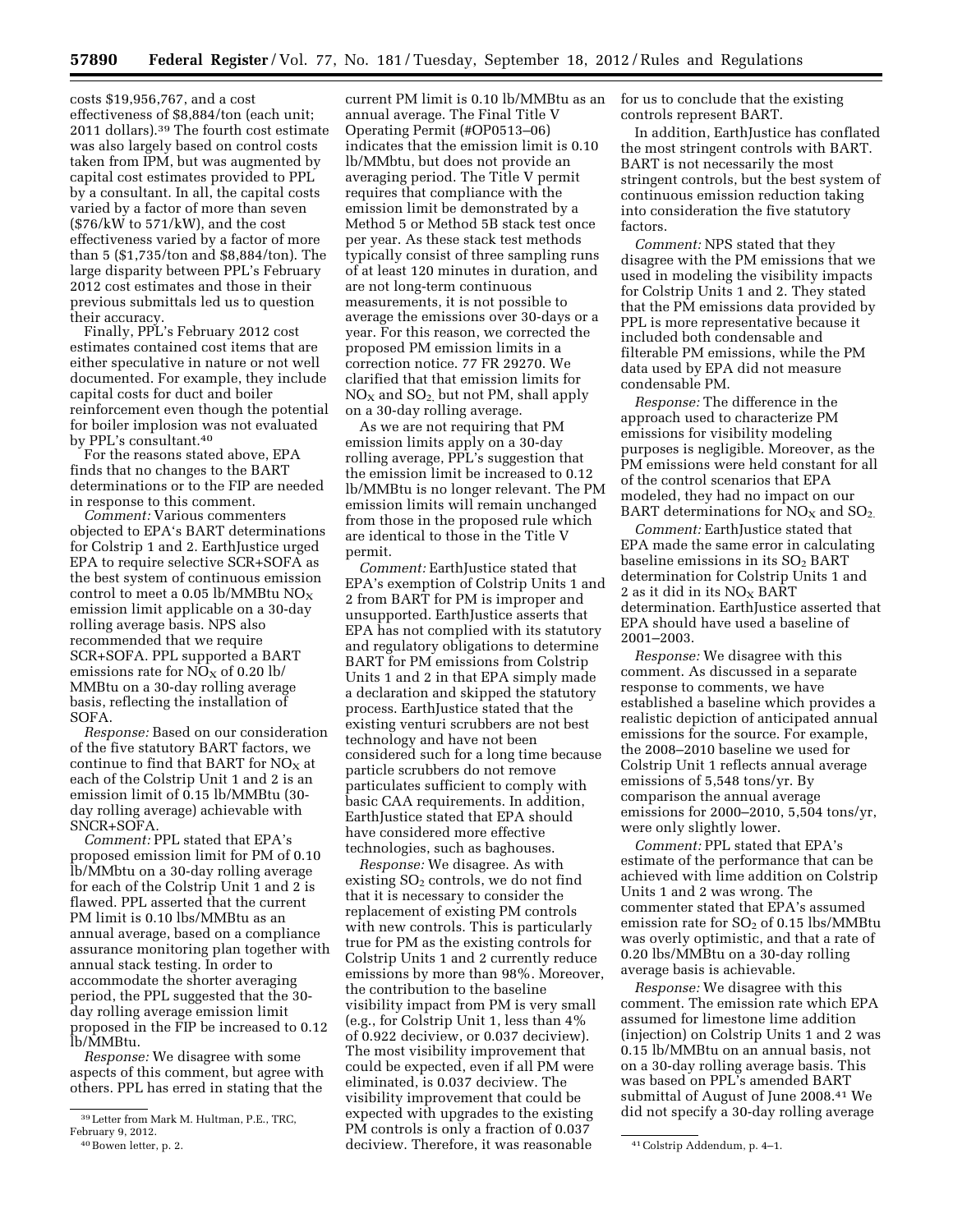costs \$19,956,767, and a cost effectiveness of \$8,884/ton (each unit; 2011 dollars).39 The fourth cost estimate was also largely based on control costs taken from IPM, but was augmented by capital cost estimates provided to PPL by a consultant. In all, the capital costs varied by a factor of more than seven (\$76/kW to 571/kW), and the cost effectiveness varied by a factor of more than 5 (\$1,735/ton and \$8,884/ton). The large disparity between PPL's February 2012 cost estimates and those in their previous submittals led us to question their accuracy.

Finally, PPL's February 2012 cost estimates contained cost items that are either speculative in nature or not well documented. For example, they include capital costs for duct and boiler reinforcement even though the potential for boiler implosion was not evaluated by PPL's consultant.40

For the reasons stated above, EPA finds that no changes to the BART determinations or to the FIP are needed in response to this comment.

*Comment:* Various commenters objected to EPA's BART determinations for Colstrip 1 and 2. EarthJustice urged EPA to require selective SCR+SOFA as the best system of continuous emission control to meet a 0.05 lb/MMBtu  $NO<sub>X</sub>$ emission limit applicable on a 30-day rolling average basis. NPS also recommended that we require SCR+SOFA. PPL supported a BART emissions rate for  $NO<sub>x</sub>$  of 0.20 lb/ MMBtu on a 30-day rolling average basis, reflecting the installation of SOFA.

*Response:* Based on our consideration of the five statutory BART factors, we continue to find that BART for  $NO<sub>X</sub>$  at each of the Colstrip Unit 1 and 2 is an emission limit of 0.15 lb/MMBtu (30 day rolling average) achievable with SNCR+SOFA.

*Comment:* PPL stated that EPA's proposed emission limit for PM of 0.10 lb/MMbtu on a 30-day rolling average for each of the Colstrip Unit 1 and 2 is flawed. PPL asserted that the current PM limit is 0.10 lbs/MMBtu as an annual average, based on a compliance assurance monitoring plan together with annual stack testing. In order to accommodate the shorter averaging period, the PPL suggested that the 30 day rolling average emission limit proposed in the FIP be increased to 0.12 lb/MMBtu.

*Response:* We disagree with some aspects of this comment, but agree with others. PPL has erred in stating that the

current PM limit is 0.10 lb/MMBtu as an annual average. The Final Title V Operating Permit (#OP0513–06) indicates that the emission limit is 0.10 lb/MMbtu, but does not provide an averaging period. The Title V permit requires that compliance with the emission limit be demonstrated by a Method 5 or Method 5B stack test once per year. As these stack test methods typically consist of three sampling runs of at least 120 minutes in duration, and are not long-term continuous measurements, it is not possible to average the emissions over 30-days or a year. For this reason, we corrected the proposed PM emission limits in a correction notice. 77 FR 29270. We clarified that that emission limits for  $NO<sub>X</sub>$  and  $SO<sub>2</sub>$ , but not PM, shall apply on a 30-day rolling average.

As we are not requiring that PM emission limits apply on a 30-day rolling average, PPL's suggestion that the emission limit be increased to 0.12 lb/MMBtu is no longer relevant. The PM emission limits will remain unchanged from those in the proposed rule which are identical to those in the Title V permit.

*Comment:* EarthJustice stated that EPA's exemption of Colstrip Units 1 and 2 from BART for PM is improper and unsupported. EarthJustice asserts that EPA has not complied with its statutory and regulatory obligations to determine BART for PM emissions from Colstrip Units 1 and 2 in that EPA simply made a declaration and skipped the statutory process. EarthJustice stated that the existing venturi scrubbers are not best technology and have not been considered such for a long time because particle scrubbers do not remove particulates sufficient to comply with basic CAA requirements. In addition, EarthJustice stated that EPA should have considered more effective technologies, such as baghouses.

<sup>40</sup>Bowen letter, p. 2. **41**Colstrip Addendum, p. 4–1. *Response:* We disagree. As with existing  $SO<sub>2</sub>$  controls, we do not find that it is necessary to consider the replacement of existing PM controls with new controls. This is particularly true for PM as the existing controls for Colstrip Units 1 and 2 currently reduce emissions by more than 98%. Moreover, the contribution to the baseline visibility impact from PM is very small (e.g., for Colstrip Unit 1, less than 4% of 0.922 deciview, or 0.037 deciview). The most visibility improvement that could be expected, even if all PM were eliminated, is 0.037 deciview. The visibility improvement that could be expected with upgrades to the existing PM controls is only a fraction of 0.037

for us to conclude that the existing controls represent BART.

In addition, EarthJustice has conflated the most stringent controls with BART. BART is not necessarily the most stringent controls, but the best system of continuous emission reduction taking into consideration the five statutory factors.

*Comment:* NPS stated that they disagree with the PM emissions that we used in modeling the visibility impacts for Colstrip Units 1 and 2. They stated that the PM emissions data provided by PPL is more representative because it included both condensable and filterable PM emissions, while the PM data used by EPA did not measure condensable PM.

*Response:* The difference in the approach used to characterize PM emissions for visibility modeling purposes is negligible. Moreover, as the PM emissions were held constant for all of the control scenarios that EPA modeled, they had no impact on our BART determinations for  $NO<sub>X</sub>$  and  $SO<sub>2</sub>$ .

*Comment:* EarthJustice stated that EPA made the same error in calculating baseline emissions in its  $SO<sub>2</sub> BART$ determination for Colstrip Units 1 and 2 as it did in its  $NO<sub>X</sub>$  BART determination. EarthJustice asserted that EPA should have used a baseline of 2001–2003.

*Response:* We disagree with this comment. As discussed in a separate response to comments, we have established a baseline which provides a realistic depiction of anticipated annual emissions for the source. For example, the 2008–2010 baseline we used for Colstrip Unit 1 reflects annual average emissions of 5,548 tons/yr. By comparison the annual average emissions for 2000–2010, 5,504 tons/yr, were only slightly lower.

*Comment:* PPL stated that EPA's estimate of the performance that can be achieved with lime addition on Colstrip Units 1 and 2 was wrong. The commenter stated that EPA's assumed emission rate for  $SO<sub>2</sub>$  of 0.15 lbs/MMBtu was overly optimistic, and that a rate of 0.20 lbs/MMBtu on a 30-day rolling average basis is achievable.

*Response:* We disagree with this comment. The emission rate which EPA assumed for limestone lime addition (injection) on Colstrip Units 1 and 2 was 0.15 lb/MMBtu on an annual basis, not on a 30-day rolling average basis. This was based on PPL's amended BART submittal of August of June 2008.41 We did not specify a 30-day rolling average

<sup>39</sup>Letter from Mark M. Hultman, P.E., TRC, February 9, 2012.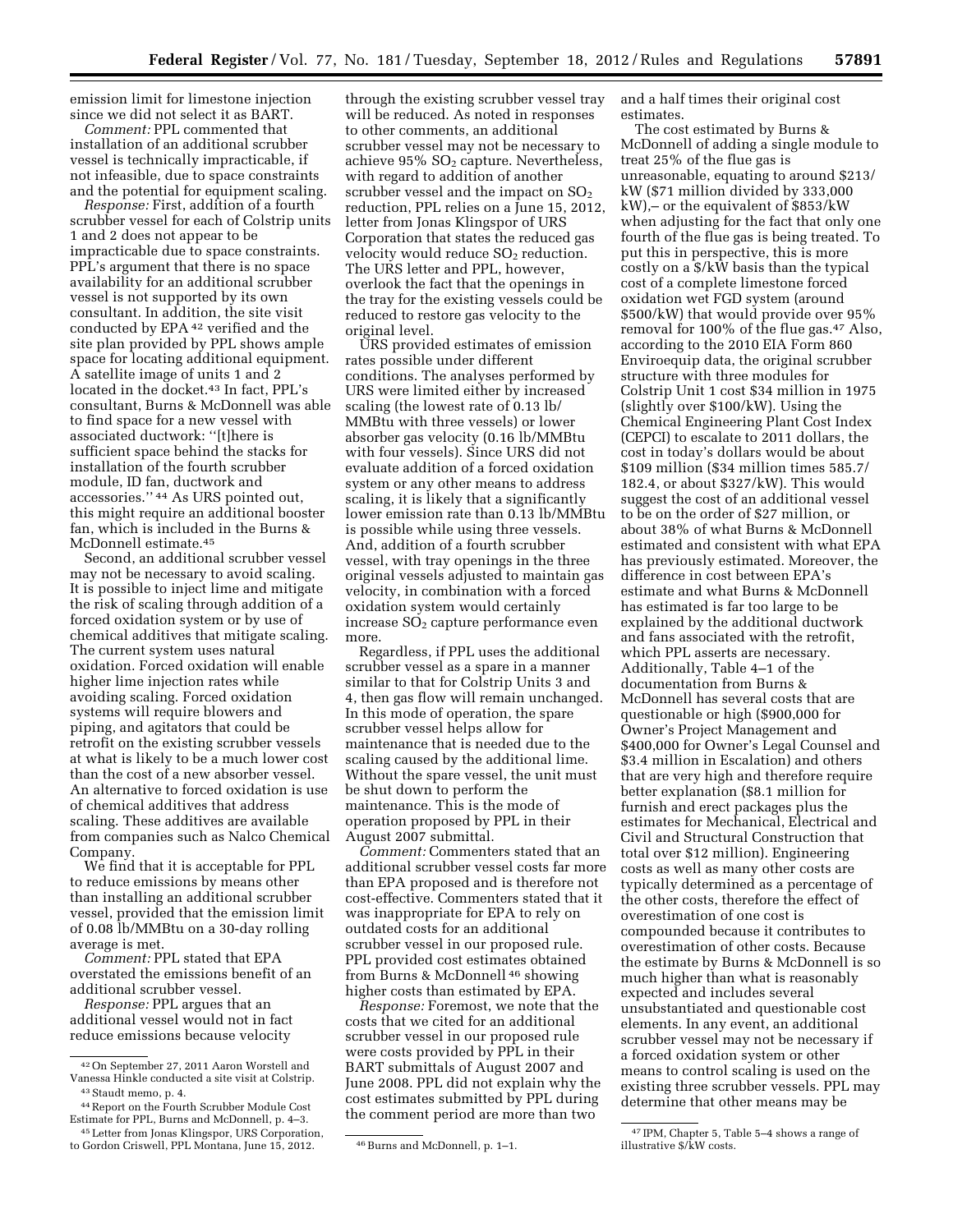emission limit for limestone injection since we did not select it as BART.

*Comment:* PPL commented that installation of an additional scrubber vessel is technically impracticable, if not infeasible, due to space constraints and the potential for equipment scaling.

*Response:* First, addition of a fourth scrubber vessel for each of Colstrip units 1 and 2 does not appear to be impracticable due to space constraints. PPL's argument that there is no space availability for an additional scrubber vessel is not supported by its own consultant. In addition, the site visit conducted by EPA 42 verified and the site plan provided by PPL shows ample space for locating additional equipment. A satellite image of units 1 and 2 located in the docket.<sup>43</sup> In fact, PPL's consultant, Burns & McDonnell was able to find space for a new vessel with associated ductwork: ''[t]here is sufficient space behind the stacks for installation of the fourth scrubber module, ID fan, ductwork and accessories.'' 44 As URS pointed out, this might require an additional booster fan, which is included in the Burns & McDonnell estimate.45

Second, an additional scrubber vessel may not be necessary to avoid scaling. It is possible to inject lime and mitigate the risk of scaling through addition of a forced oxidation system or by use of chemical additives that mitigate scaling. The current system uses natural oxidation. Forced oxidation will enable higher lime injection rates while avoiding scaling. Forced oxidation systems will require blowers and piping, and agitators that could be retrofit on the existing scrubber vessels at what is likely to be a much lower cost than the cost of a new absorber vessel. An alternative to forced oxidation is use of chemical additives that address scaling. These additives are available from companies such as Nalco Chemical Company.

We find that it is acceptable for PPL to reduce emissions by means other than installing an additional scrubber vessel, provided that the emission limit of 0.08 lb/MMBtu on a 30-day rolling average is met.

*Comment:* PPL stated that EPA overstated the emissions benefit of an additional scrubber vessel.

*Response:* PPL argues that an additional vessel would not in fact reduce emissions because velocity

through the existing scrubber vessel tray will be reduced. As noted in responses to other comments, an additional scrubber vessel may not be necessary to achieve  $95\%$  SO<sub>2</sub> capture. Nevertheless, with regard to addition of another scrubber vessel and the impact on  $SO<sub>2</sub>$ reduction, PPL relies on a June 15, 2012, letter from Jonas Klingspor of URS Corporation that states the reduced gas velocity would reduce  $SO<sub>2</sub>$  reduction. The URS letter and PPL, however, overlook the fact that the openings in the tray for the existing vessels could be reduced to restore gas velocity to the original level.

URS provided estimates of emission rates possible under different conditions. The analyses performed by URS were limited either by increased scaling (the lowest rate of 0.13 lb/ MMBtu with three vessels) or lower absorber gas velocity (0.16 lb/MMBtu with four vessels). Since URS did not evaluate addition of a forced oxidation system or any other means to address scaling, it is likely that a significantly lower emission rate than 0.13 lb/MMBtu is possible while using three vessels. And, addition of a fourth scrubber vessel, with tray openings in the three original vessels adjusted to maintain gas velocity, in combination with a forced oxidation system would certainly increase SO<sub>2</sub> capture performance even more.

Regardless, if PPL uses the additional scrubber vessel as a spare in a manner similar to that for Colstrip Units 3 and 4, then gas flow will remain unchanged. In this mode of operation, the spare scrubber vessel helps allow for maintenance that is needed due to the scaling caused by the additional lime. Without the spare vessel, the unit must be shut down to perform the maintenance. This is the mode of operation proposed by PPL in their August 2007 submittal.

*Comment:* Commenters stated that an additional scrubber vessel costs far more than EPA proposed and is therefore not cost-effective. Commenters stated that it was inappropriate for EPA to rely on outdated costs for an additional scrubber vessel in our proposed rule. PPL provided cost estimates obtained from Burns & McDonnell 46 showing higher costs than estimated by EPA.

*Response:* Foremost, we note that the costs that we cited for an additional scrubber vessel in our proposed rule were costs provided by PPL in their BART submittals of August 2007 and June 2008. PPL did not explain why the cost estimates submitted by PPL during the comment period are more than two

and a half times their original cost estimates.

The cost estimated by Burns & McDonnell of adding a single module to treat 25% of the flue gas is unreasonable, equating to around \$213/ kW (\$71 million divided by 333,000 kW),– or the equivalent of \$853/kW when adjusting for the fact that only one fourth of the flue gas is being treated. To put this in perspective, this is more costly on a \$/kW basis than the typical cost of a complete limestone forced oxidation wet FGD system (around \$500/kW) that would provide over 95% removal for 100% of the flue gas.47 Also, according to the 2010 EIA Form 860 Enviroequip data, the original scrubber structure with three modules for Colstrip Unit 1 cost \$34 million in 1975 (slightly over \$100/kW). Using the Chemical Engineering Plant Cost Index (CEPCI) to escalate to 2011 dollars, the cost in today's dollars would be about \$109 million (\$34 million times 585.7/ 182.4, or about \$327/kW). This would suggest the cost of an additional vessel to be on the order of \$27 million, or about 38% of what Burns & McDonnell estimated and consistent with what EPA has previously estimated. Moreover, the difference in cost between EPA's estimate and what Burns & McDonnell has estimated is far too large to be explained by the additional ductwork and fans associated with the retrofit, which PPL asserts are necessary. Additionally, Table 4–1 of the documentation from Burns & McDonnell has several costs that are questionable or high (\$900,000 for Owner's Project Management and \$400,000 for Owner's Legal Counsel and \$3.4 million in Escalation) and others that are very high and therefore require better explanation (\$8.1 million for furnish and erect packages plus the estimates for Mechanical, Electrical and Civil and Structural Construction that total over \$12 million). Engineering costs as well as many other costs are typically determined as a percentage of the other costs, therefore the effect of overestimation of one cost is compounded because it contributes to overestimation of other costs. Because the estimate by Burns & McDonnell is so much higher than what is reasonably expected and includes several unsubstantiated and questionable cost elements. In any event, an additional scrubber vessel may not be necessary if a forced oxidation system or other means to control scaling is used on the existing three scrubber vessels. PPL may determine that other means may be

<sup>42</sup>On September 27, 2011 Aaron Worstell and Vanessa Hinkle conducted a site visit at Colstrip. 43 Staudt memo, p. 4.

<sup>44</sup>Report on the Fourth Scrubber Module Cost Estimate for PPL, Burns and McDonnell, p. 4–3. 45Letter from Jonas Klingspor, URS Corporation,

to Gordon Criswell, PPL Montana, June 15, 2012. 46 Burns and McDonnell, p. 1–1.

<sup>47</sup> IPM, Chapter 5, Table 5–4 shows a range of illustrative \$/kW costs.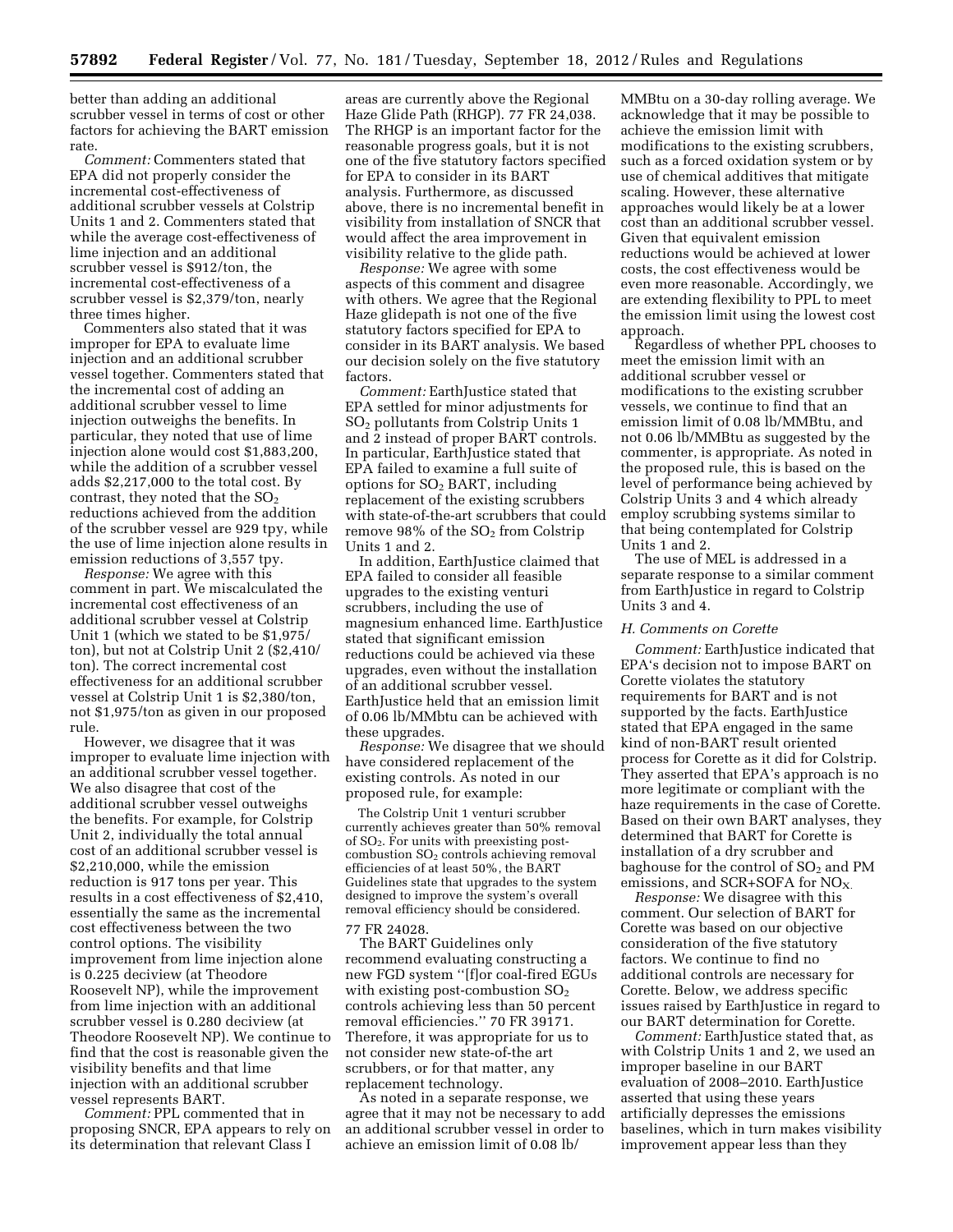better than adding an additional scrubber vessel in terms of cost or other factors for achieving the BART emission rate.

*Comment:* Commenters stated that EPA did not properly consider the incremental cost-effectiveness of additional scrubber vessels at Colstrip Units 1 and 2. Commenters stated that while the average cost-effectiveness of lime injection and an additional scrubber vessel is \$912/ton, the incremental cost-effectiveness of a scrubber vessel is \$2,379/ton, nearly three times higher.

Commenters also stated that it was improper for EPA to evaluate lime injection and an additional scrubber vessel together. Commenters stated that the incremental cost of adding an additional scrubber vessel to lime injection outweighs the benefits. In particular, they noted that use of lime injection alone would cost \$1,883,200, while the addition of a scrubber vessel adds \$2,217,000 to the total cost. By contrast, they noted that the  $SO<sub>2</sub>$ reductions achieved from the addition of the scrubber vessel are 929 tpy, while the use of lime injection alone results in emission reductions of 3,557 tpy.

*Response:* We agree with this comment in part. We miscalculated the incremental cost effectiveness of an additional scrubber vessel at Colstrip Unit 1 (which we stated to be \$1,975/ ton), but not at Colstrip Unit 2 (\$2,410/ ton). The correct incremental cost effectiveness for an additional scrubber vessel at Colstrip Unit 1 is \$2,380/ton, not \$1,975/ton as given in our proposed rule.

However, we disagree that it was improper to evaluate lime injection with an additional scrubber vessel together. We also disagree that cost of the additional scrubber vessel outweighs the benefits. For example, for Colstrip Unit 2, individually the total annual cost of an additional scrubber vessel is \$2,210,000, while the emission reduction is 917 tons per year. This results in a cost effectiveness of \$2,410, essentially the same as the incremental cost effectiveness between the two control options. The visibility improvement from lime injection alone is 0.225 deciview (at Theodore Roosevelt NP), while the improvement from lime injection with an additional scrubber vessel is 0.280 deciview (at Theodore Roosevelt NP). We continue to find that the cost is reasonable given the visibility benefits and that lime injection with an additional scrubber vessel represents BART.

*Comment:* PPL commented that in proposing SNCR, EPA appears to rely on its determination that relevant Class I

areas are currently above the Regional Haze Glide Path (RHGP). 77 FR 24,038. The RHGP is an important factor for the reasonable progress goals, but it is not one of the five statutory factors specified for EPA to consider in its BART analysis. Furthermore, as discussed above, there is no incremental benefit in visibility from installation of SNCR that would affect the area improvement in visibility relative to the glide path.

*Response:* We agree with some aspects of this comment and disagree with others. We agree that the Regional Haze glidepath is not one of the five statutory factors specified for EPA to consider in its BART analysis. We based our decision solely on the five statutory factors.

*Comment:* EarthJustice stated that EPA settled for minor adjustments for SO2 pollutants from Colstrip Units 1 and 2 instead of proper BART controls. In particular, EarthJustice stated that EPA failed to examine a full suite of options for  $SO<sub>2</sub> BART$ , including replacement of the existing scrubbers with state-of-the-art scrubbers that could remove 98% of the SO<sub>2</sub> from Colstrip Units 1 and 2.

In addition, EarthJustice claimed that EPA failed to consider all feasible upgrades to the existing venturi scrubbers, including the use of magnesium enhanced lime. EarthJustice stated that significant emission reductions could be achieved via these upgrades, even without the installation of an additional scrubber vessel. EarthJustice held that an emission limit of 0.06 lb/MMbtu can be achieved with these upgrades.

*Response:* We disagree that we should have considered replacement of the existing controls. As noted in our proposed rule, for example:

The Colstrip Unit 1 venturi scrubber currently achieves greater than 50% removal of  $SO<sub>2</sub>$ . For units with preexisting postcombustion  $SO<sub>2</sub>$  controls achieving removal efficiencies of at least 50%, the BART Guidelines state that upgrades to the system designed to improve the system's overall removal efficiency should be considered.

77 FR 24028.

The BART Guidelines only recommend evaluating constructing a new FGD system ''[f]or coal-fired EGUs with existing post-combustion  $SO<sub>2</sub>$ controls achieving less than 50 percent removal efficiencies.'' 70 FR 39171. Therefore, it was appropriate for us to not consider new state-of-the art scrubbers, or for that matter, any replacement technology.

As noted in a separate response, we agree that it may not be necessary to add an additional scrubber vessel in order to achieve an emission limit of 0.08 lb/

MMBtu on a 30-day rolling average. We acknowledge that it may be possible to achieve the emission limit with modifications to the existing scrubbers, such as a forced oxidation system or by use of chemical additives that mitigate scaling. However, these alternative approaches would likely be at a lower cost than an additional scrubber vessel. Given that equivalent emission reductions would be achieved at lower costs, the cost effectiveness would be even more reasonable. Accordingly, we are extending flexibility to PPL to meet the emission limit using the lowest cost approach.

Regardless of whether PPL chooses to meet the emission limit with an additional scrubber vessel or modifications to the existing scrubber vessels, we continue to find that an emission limit of 0.08 lb/MMBtu, and not 0.06 lb/MMBtu as suggested by the commenter, is appropriate. As noted in the proposed rule, this is based on the level of performance being achieved by Colstrip Units 3 and 4 which already employ scrubbing systems similar to that being contemplated for Colstrip Units 1 and 2.

The use of MEL is addressed in a separate response to a similar comment from EarthJustice in regard to Colstrip Units 3 and 4.

#### *H. Comments on Corette*

*Comment:* EarthJustice indicated that EPA's decision not to impose BART on Corette violates the statutory requirements for BART and is not supported by the facts. EarthJustice stated that EPA engaged in the same kind of non-BART result oriented process for Corette as it did for Colstrip. They asserted that EPA's approach is no more legitimate or compliant with the haze requirements in the case of Corette. Based on their own BART analyses, they determined that BART for Corette is installation of a dry scrubber and baghouse for the control of  $SO<sub>2</sub>$  and PM emissions, and SCR+SOFA for  $NO<sub>X</sub>$ .

*Response:* We disagree with this comment. Our selection of BART for Corette was based on our objective consideration of the five statutory factors. We continue to find no additional controls are necessary for Corette. Below, we address specific issues raised by EarthJustice in regard to our BART determination for Corette.

*Comment:* EarthJustice stated that, as with Colstrip Units 1 and 2, we used an improper baseline in our BART evaluation of 2008–2010. EarthJustice asserted that using these years artificially depresses the emissions baselines, which in turn makes visibility improvement appear less than they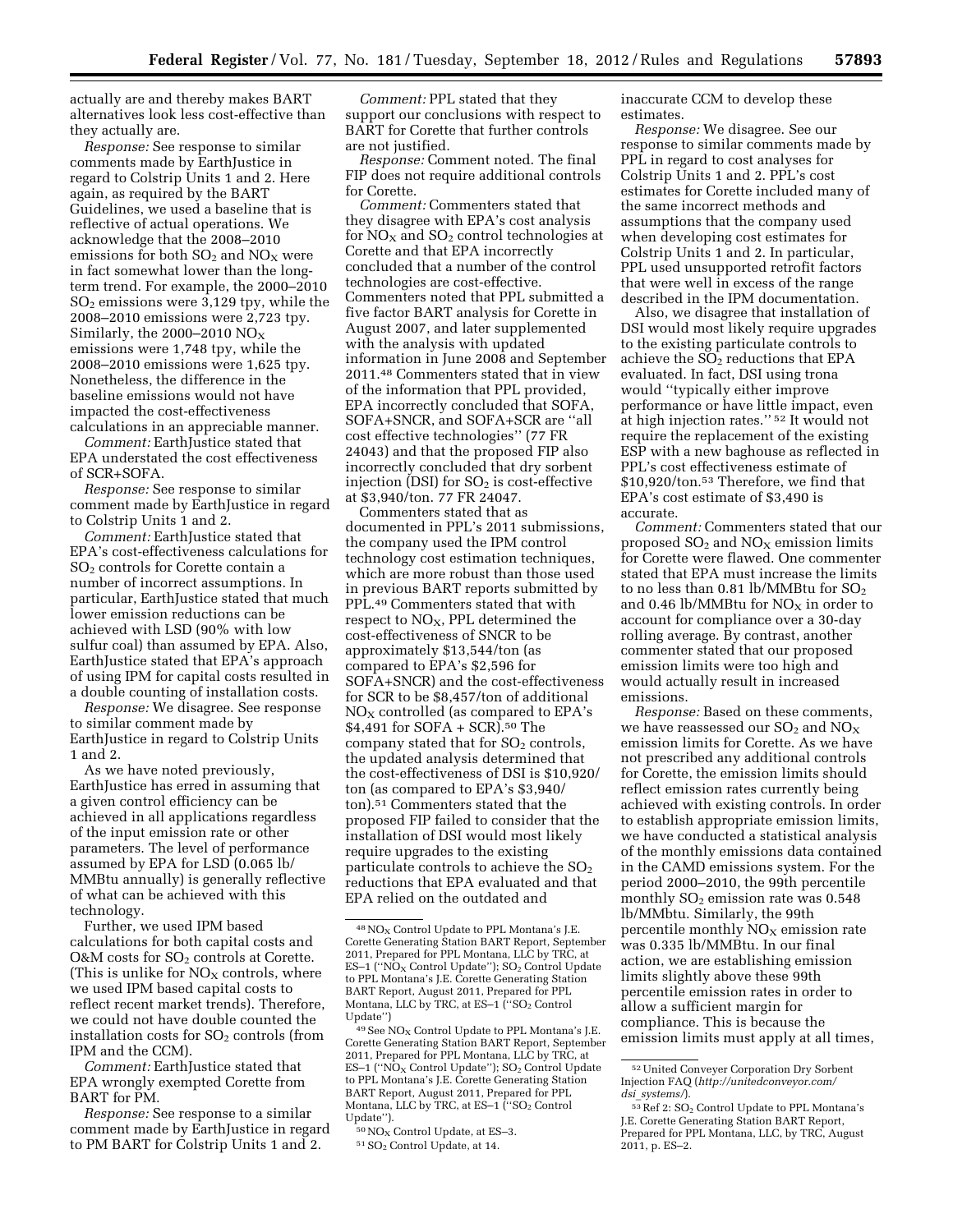actually are and thereby makes BART alternatives look less cost-effective than they actually are.

*Response:* See response to similar comments made by EarthJustice in regard to Colstrip Units 1 and 2. Here again, as required by the BART Guidelines, we used a baseline that is reflective of actual operations. We acknowledge that the 2008–2010 emissions for both  $SO_2$  and  $NO_X$  were in fact somewhat lower than the longterm trend. For example, the 2000–2010  $SO<sub>2</sub>$  emissions were 3,129 tpy, while the 2008–2010 emissions were 2,723 tpy. Similarly, the 2000–2010  $NO<sub>X</sub>$ emissions were 1,748 tpy, while the 2008–2010 emissions were 1,625 tpy. Nonetheless, the difference in the baseline emissions would not have impacted the cost-effectiveness calculations in an appreciable manner.

*Comment:* EarthJustice stated that EPA understated the cost effectiveness of SCR+SOFA.

*Response:* See response to similar comment made by EarthJustice in regard to Colstrip Units 1 and 2.

*Comment:* EarthJustice stated that EPA's cost-effectiveness calculations for  $SO<sub>2</sub>$  controls for Corette contain a number of incorrect assumptions. In particular, EarthJustice stated that much lower emission reductions can be achieved with LSD (90% with low sulfur coal) than assumed by EPA. Also, EarthJustice stated that EPA's approach of using IPM for capital costs resulted in a double counting of installation costs.

*Response:* We disagree. See response to similar comment made by EarthJustice in regard to Colstrip Units 1 and 2.

As we have noted previously, EarthJustice has erred in assuming that a given control efficiency can be achieved in all applications regardless of the input emission rate or other parameters. The level of performance assumed by EPA for LSD (0.065 lb/ MMBtu annually) is generally reflective of what can be achieved with this technology.

Further, we used IPM based calculations for both capital costs and O&M costs for SO<sub>2</sub> controls at Corette. (This is unlike for  $NO<sub>x</sub>$  controls, where we used IPM based capital costs to reflect recent market trends). Therefore, we could not have double counted the installation costs for  $SO<sub>2</sub>$  controls (from IPM and the CCM).

*Comment:* EarthJustice stated that EPA wrongly exempted Corette from BART for PM.

*Response:* See response to a similar comment made by EarthJustice in regard to PM BART for Colstrip Units 1 and 2.

*Comment:* PPL stated that they support our conclusions with respect to BART for Corette that further controls are not justified.

*Response:* Comment noted. The final FIP does not require additional controls for Corette.

*Comment:* Commenters stated that they disagree with EPA's cost analysis for  $NO<sub>X</sub>$  and  $SO<sub>2</sub>$  control technologies at Corette and that EPA incorrectly concluded that a number of the control technologies are cost-effective. Commenters noted that PPL submitted a five factor BART analysis for Corette in August 2007, and later supplemented with the analysis with updated information in June 2008 and September 2011.48 Commenters stated that in view of the information that PPL provided, EPA incorrectly concluded that SOFA, SOFA+SNCR, and SOFA+SCR are ''all cost effective technologies'' (77 FR 24043) and that the proposed FIP also incorrectly concluded that dry sorbent injection (DSI) for  $SO<sub>2</sub>$  is cost-effective at \$3,940/ton. 77 FR 24047.

Commenters stated that as documented in PPL's 2011 submissions, the company used the IPM control technology cost estimation techniques, which are more robust than those used in previous BART reports submitted by PPL.49 Commenters stated that with respect to  $NO<sub>x</sub>$ , PPL determined the cost-effectiveness of SNCR to be approximately \$13,544/ton (as compared to EPA's \$2,596 for SOFA+SNCR) and the cost-effectiveness for SCR to be \$8,457/ton of additional  $NO<sub>X</sub>$  controlled (as compared to EPA's \$4,491 for SOFA + SCR).50 The company stated that for  $SO<sub>2</sub>$  controls, the updated analysis determined that the cost-effectiveness of DSI is \$10,920/ ton (as compared to EPA's \$3,940/ ton).51 Commenters stated that the proposed FIP failed to consider that the installation of DSI would most likely require upgrades to the existing particulate controls to achieve the  $SO<sub>2</sub>$ reductions that EPA evaluated and that EPA relied on the outdated and

inaccurate CCM to develop these estimates.

*Response:* We disagree. See our response to similar comments made by PPL in regard to cost analyses for Colstrip Units 1 and 2. PPL's cost estimates for Corette included many of the same incorrect methods and assumptions that the company used when developing cost estimates for Colstrip Units 1 and 2. In particular, PPL used unsupported retrofit factors that were well in excess of the range described in the IPM documentation.

Also, we disagree that installation of DSI would most likely require upgrades to the existing particulate controls to achieve the  $SO<sub>2</sub>$  reductions that EPA evaluated. In fact, DSI using trona would ''typically either improve performance or have little impact, even at high injection rates.'' 52 It would not require the replacement of the existing ESP with a new baghouse as reflected in PPL's cost effectiveness estimate of \$10,920/ton.53 Therefore, we find that EPA's cost estimate of \$3,490 is accurate.

*Comment:* Commenters stated that our proposed  $SO<sub>2</sub>$  and  $NO<sub>X</sub>$  emission limits for Corette were flawed. One commenter stated that EPA must increase the limits to no less than 0.81 lb/MMBtu for  $SO_2$ and 0.46 lb/MMB<br>tu for  $\rm{NO_{X}}$  in order to account for compliance over a 30-day rolling average. By contrast, another commenter stated that our proposed emission limits were too high and would actually result in increased emissions.

*Response:* Based on these comments, we have reassessed our  $SO_2$  and  $NO_X$ emission limits for Corette. As we have not prescribed any additional controls for Corette, the emission limits should reflect emission rates currently being achieved with existing controls. In order to establish appropriate emission limits, we have conducted a statistical analysis of the monthly emissions data contained in the CAMD emissions system. For the period 2000–2010, the 99th percentile monthly  $SO<sub>2</sub>$  emission rate was 0.548 lb/MMbtu. Similarly, the 99th percentile monthly  $NO<sub>x</sub>$  emission rate was 0.335 lb/MMBtu. In our final action, we are establishing emission limits slightly above these 99th percentile emission rates in order to allow a sufficient margin for compliance. This is because the emission limits must apply at all times,

 $48$  NO<sub>X</sub> Control Update to PPL Montana's J.E. Corette Generating Station BART Report, September 2011, Prepared for PPL Montana, LLC by TRC, at ES-1 (" $NO<sub>X</sub>$  Control Update");  $SO<sub>2</sub>$  Control Update to PPL Montana's J.E. Corette Generating Station BART Report, August 2011, Prepared for PPL Montana, LLC by TRC, at ES-1 ("SO<sub>2</sub> Control Update'')

 $49$  See NO<sub>X</sub> Control Update to PPL Montana's J.E. Corette Generating Station BART Report, September 2011, Prepared for PPL Montana, LLC by TRC, at ES-1 (" $NO<sub>X</sub>$  Control Update"); SO<sub>2</sub> Control Update to PPL Montana's J.E. Corette Generating Station BART Report, August 2011, Prepared for PPL Montana, LLC by TRC, at ES-1 ("SO<sub>2</sub> Control Update'').

 $50NO<sub>X</sub>$  Control Update, at ES-3.

<sup>51</sup>SO<sup>2</sup> Control Update, at 14.

<sup>52</sup>United Conveyer Corporation Dry Sorbent Injection FAQ (*[http://unitedconveyor.com/](http://unitedconveyor.com/dsi_systems/)  dsi*\_*[systems/](http://unitedconveyor.com/dsi_systems/)*).

<sup>53</sup> Ref 2: SO<sub>2</sub> Control Update to PPL Montana's J.E. Corette Generating Station BART Report, Prepared for PPL Montana, LLC, by TRC, August 2011, p. ES–2.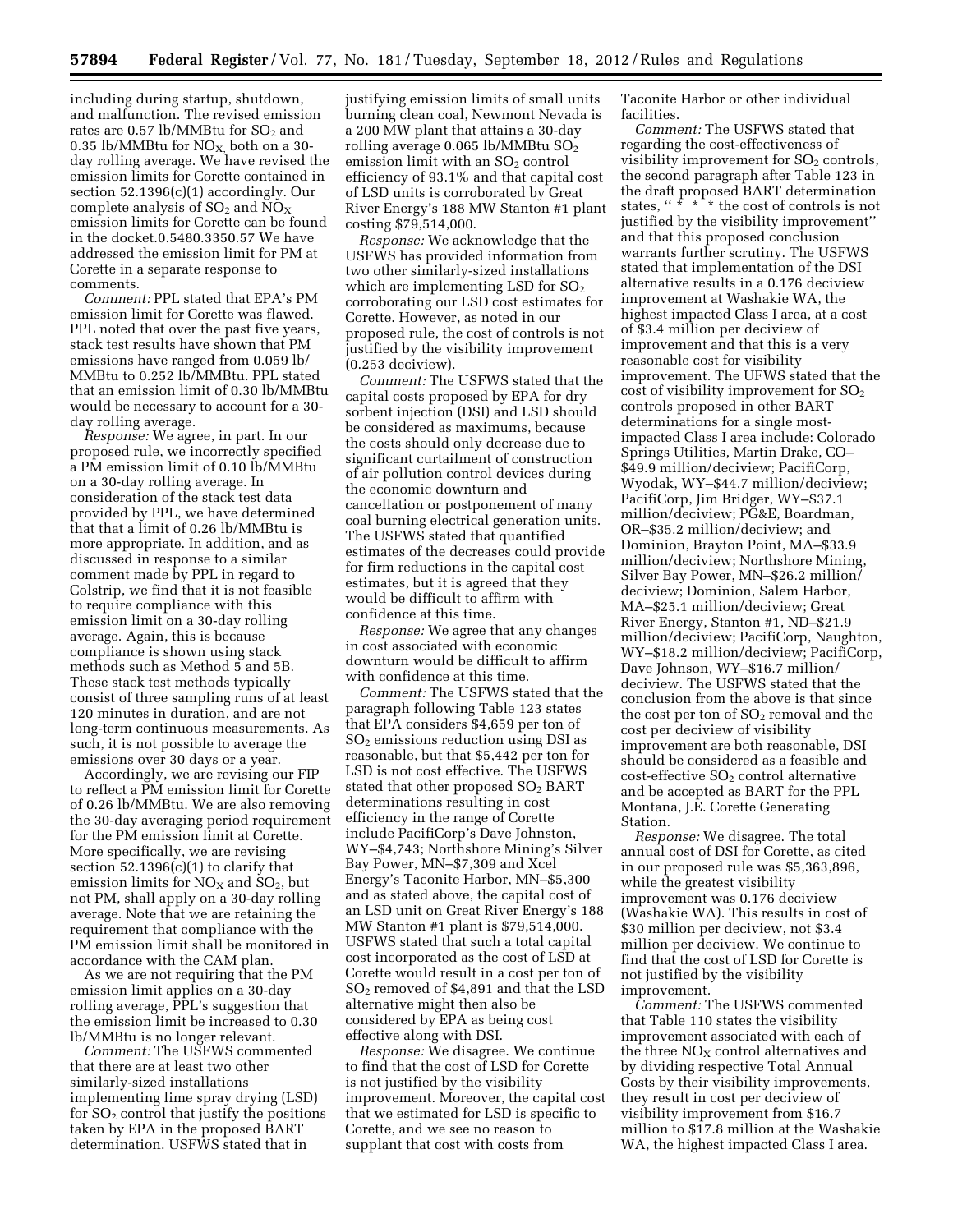including during startup, shutdown, and malfunction. The revised emission rates are  $0.57 \text{ lb} / \text{MMB}$ tu for  $\text{SO}_2$  and 0.35 lb/MMBtu for  $NO<sub>X</sub>$ , both on a 30day rolling average. We have revised the emission limits for Corette contained in section 52.1396(c)(1) accordingly. Our complete analysis of  $SO_2$  and  $NO_X$ emission limits for Corette can be found in the docket.0.5480.3350.57 We have addressed the emission limit for PM at Corette in a separate response to comments.

*Comment:* PPL stated that EPA's PM emission limit for Corette was flawed. PPL noted that over the past five years, stack test results have shown that PM emissions have ranged from 0.059 lb/ MMBtu to 0.252 lb/MMBtu. PPL stated that an emission limit of 0.30 lb/MMBtu would be necessary to account for a 30 day rolling average.

*Response:* We agree, in part. In our proposed rule, we incorrectly specified a PM emission limit of 0.10 lb/MMBtu on a 30-day rolling average. In consideration of the stack test data provided by PPL, we have determined that that a limit of 0.26 lb/MMBtu is more appropriate. In addition, and as discussed in response to a similar comment made by PPL in regard to Colstrip, we find that it is not feasible to require compliance with this emission limit on a 30-day rolling average. Again, this is because compliance is shown using stack methods such as Method 5 and 5B. These stack test methods typically consist of three sampling runs of at least 120 minutes in duration, and are not long-term continuous measurements. As such, it is not possible to average the emissions over 30 days or a year.

Accordingly, we are revising our FIP to reflect a PM emission limit for Corette of 0.26 lb/MMBtu. We are also removing the 30-day averaging period requirement for the PM emission limit at Corette. More specifically, we are revising section  $52.1396(c)(1)$  to clarify that emission limits for  $NO<sub>X</sub>$  and  $SO<sub>2</sub>$ , but not PM, shall apply on a 30-day rolling average. Note that we are retaining the requirement that compliance with the PM emission limit shall be monitored in accordance with the CAM plan.

As we are not requiring that the PM emission limit applies on a 30-day rolling average, PPL's suggestion that the emission limit be increased to 0.30 lb/MMBtu is no longer relevant.

*Comment:* The USFWS commented that there are at least two other similarly-sized installations implementing lime spray drying (LSD) for  $SO<sub>2</sub>$  control that justify the positions taken by EPA in the proposed BART determination. USFWS stated that in

justifying emission limits of small units burning clean coal, Newmont Nevada is a 200 MW plant that attains a 30-day rolling average 0.065 lb/MMBtu SO2 emission limit with an  $SO<sub>2</sub>$  control efficiency of 93.1% and that capital cost of LSD units is corroborated by Great River Energy's 188 MW Stanton #1 plant costing \$79,514,000.

*Response:* We acknowledge that the USFWS has provided information from two other similarly-sized installations which are implementing LSD for  $SO<sub>2</sub>$ corroborating our LSD cost estimates for Corette. However, as noted in our proposed rule, the cost of controls is not justified by the visibility improvement (0.253 deciview).

*Comment:* The USFWS stated that the capital costs proposed by EPA for dry sorbent injection (DSI) and LSD should be considered as maximums, because the costs should only decrease due to significant curtailment of construction of air pollution control devices during the economic downturn and cancellation or postponement of many coal burning electrical generation units. The USFWS stated that quantified estimates of the decreases could provide for firm reductions in the capital cost estimates, but it is agreed that they would be difficult to affirm with confidence at this time.

*Response:* We agree that any changes in cost associated with economic downturn would be difficult to affirm with confidence at this time.

*Comment:* The USFWS stated that the paragraph following Table 123 states that EPA considers \$4,659 per ton of  $SO<sub>2</sub>$  emissions reduction using DSI as reasonable, but that \$5,442 per ton for LSD is not cost effective. The USFWS stated that other proposed  $SO<sub>2</sub>$  BART determinations resulting in cost efficiency in the range of Corette include PacifiCorp's Dave Johnston, WY–\$4,743; Northshore Mining's Silver Bay Power, MN–\$7,309 and Xcel Energy's Taconite Harbor, MN–\$5,300 and as stated above, the capital cost of an LSD unit on Great River Energy's 188 MW Stanton #1 plant is \$79,514,000. USFWS stated that such a total capital cost incorporated as the cost of LSD at Corette would result in a cost per ton of SO2 removed of \$4,891 and that the LSD alternative might then also be considered by EPA as being cost effective along with DSI.

*Response:* We disagree. We continue to find that the cost of LSD for Corette is not justified by the visibility improvement. Moreover, the capital cost that we estimated for LSD is specific to Corette, and we see no reason to supplant that cost with costs from

Taconite Harbor or other individual facilities.

*Comment:* The USFWS stated that regarding the cost-effectiveness of visibility improvement for  $SO<sub>2</sub>$  controls, the second paragraph after Table 123 in the draft proposed BART determination states, " $\overline{\cdot}$ "  $\overline{\cdot}$ " the cost of controls is not justified by the visibility improvement'' and that this proposed conclusion warrants further scrutiny. The USFWS stated that implementation of the DSI alternative results in a 0.176 deciview improvement at Washakie WA, the highest impacted Class I area, at a cost of \$3.4 million per deciview of improvement and that this is a very reasonable cost for visibility improvement. The UFWS stated that the cost of visibility improvement for  $SO<sub>2</sub>$ controls proposed in other BART determinations for a single mostimpacted Class I area include: Colorado Springs Utilities, Martin Drake, CO– \$49.9 million/deciview; PacifiCorp, Wyodak, WY–\$44.7 million/deciview; PacifiCorp, Jim Bridger, WY–\$37.1 million/deciview; PG&E, Boardman, OR–\$35.2 million/deciview; and Dominion, Brayton Point, MA–\$33.9 million/deciview; Northshore Mining, Silver Bay Power, MN–\$26.2 million/ deciview; Dominion, Salem Harbor, MA–\$25.1 million/deciview; Great River Energy, Stanton #1, ND–\$21.9 million/deciview; PacifiCorp, Naughton, WY–\$18.2 million/deciview; PacifiCorp, Dave Johnson, WY–\$16.7 million/ deciview. The USFWS stated that the conclusion from the above is that since the cost per ton of  $SO<sub>2</sub>$  removal and the cost per deciview of visibility improvement are both reasonable, DSI should be considered as a feasible and  $cost\text{-}effective SO<sub>2</sub> control alternative$ and be accepted as BART for the PPL Montana, J.E. Corette Generating Station.

*Response:* We disagree. The total annual cost of DSI for Corette, as cited in our proposed rule was \$5,363,896, while the greatest visibility improvement was 0.176 deciview (Washakie WA). This results in cost of \$30 million per deciview, not \$3.4 million per deciview. We continue to find that the cost of LSD for Corette is not justified by the visibility improvement.

*Comment:* The USFWS commented that Table 110 states the visibility improvement associated with each of the three  $NO<sub>X</sub>$  control alternatives and by dividing respective Total Annual Costs by their visibility improvements, they result in cost per deciview of visibility improvement from \$16.7 million to \$17.8 million at the Washakie WA, the highest impacted Class I area.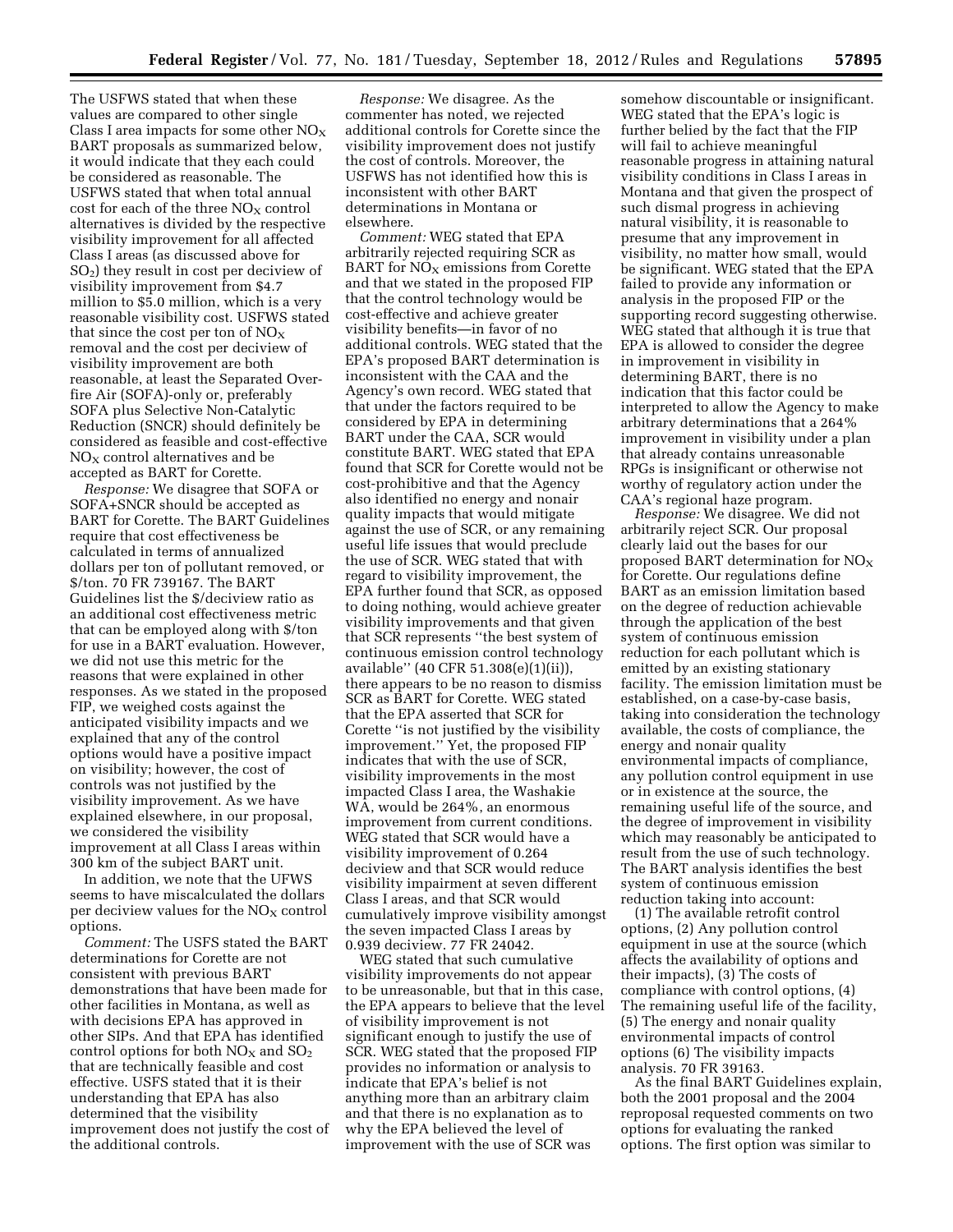The USFWS stated that when these values are compared to other single Class I area impacts for some other  $NO<sub>x</sub>$ BART proposals as summarized below, it would indicate that they each could be considered as reasonable. The USFWS stated that when total annual cost for each of the three  $NO<sub>x</sub>$  control alternatives is divided by the respective visibility improvement for all affected Class I areas (as discussed above for SO2) they result in cost per deciview of visibility improvement from \$4.7 million to \$5.0 million, which is a very reasonable visibility cost. USFWS stated that since the cost per ton of  $NO<sub>x</sub>$ removal and the cost per deciview of visibility improvement are both reasonable, at least the Separated Overfire Air (SOFA)-only or, preferably SOFA plus Selective Non-Catalytic Reduction (SNCR) should definitely be considered as feasible and cost-effective  $NO<sub>X</sub>$  control alternatives and be accepted as BART for Corette.

*Response:* We disagree that SOFA or SOFA+SNCR should be accepted as BART for Corette. The BART Guidelines require that cost effectiveness be calculated in terms of annualized dollars per ton of pollutant removed, or \$/ton. 70 FR 739167. The BART Guidelines list the \$/deciview ratio as an additional cost effectiveness metric that can be employed along with \$/ton for use in a BART evaluation. However, we did not use this metric for the reasons that were explained in other responses. As we stated in the proposed FIP, we weighed costs against the anticipated visibility impacts and we explained that any of the control options would have a positive impact on visibility; however, the cost of controls was not justified by the visibility improvement. As we have explained elsewhere, in our proposal, we considered the visibility improvement at all Class I areas within 300 km of the subject BART unit.

In addition, we note that the UFWS seems to have miscalculated the dollars per deciview values for the  $NO<sub>x</sub>$  control options.

*Comment:* The USFS stated the BART determinations for Corette are not consistent with previous BART demonstrations that have been made for other facilities in Montana, as well as with decisions EPA has approved in other SIPs. And that EPA has identified control options for both  $NO<sub>X</sub>$  and  $SO<sub>2</sub>$ that are technically feasible and cost effective. USFS stated that it is their understanding that EPA has also determined that the visibility improvement does not justify the cost of the additional controls.

*Response:* We disagree. As the commenter has noted, we rejected additional controls for Corette since the visibility improvement does not justify the cost of controls. Moreover, the USFWS has not identified how this is inconsistent with other BART determinations in Montana or elsewhere.

*Comment:* WEG stated that EPA arbitrarily rejected requiring SCR as BART for  $NO<sub>X</sub>$  emissions from Corette and that we stated in the proposed FIP that the control technology would be cost-effective and achieve greater visibility benefits—in favor of no additional controls. WEG stated that the EPA's proposed BART determination is inconsistent with the CAA and the Agency's own record. WEG stated that that under the factors required to be considered by EPA in determining BART under the CAA, SCR would constitute BART. WEG stated that EPA found that SCR for Corette would not be cost-prohibitive and that the Agency also identified no energy and nonair quality impacts that would mitigate against the use of SCR, or any remaining useful life issues that would preclude the use of SCR. WEG stated that with regard to visibility improvement, the EPA further found that SCR, as opposed to doing nothing, would achieve greater visibility improvements and that given that SCR represents ''the best system of continuous emission control technology available'' (40 CFR 51.308(e)(1)(ii)), there appears to be no reason to dismiss SCR as BART for Corette. WEG stated that the EPA asserted that SCR for Corette ''is not justified by the visibility improvement.'' Yet, the proposed FIP indicates that with the use of SCR, visibility improvements in the most impacted Class I area, the Washakie WA, would be 264%, an enormous improvement from current conditions. WEG stated that SCR would have a visibility improvement of 0.264 deciview and that SCR would reduce visibility impairment at seven different Class I areas, and that SCR would cumulatively improve visibility amongst the seven impacted Class I areas by 0.939 deciview. 77 FR 24042.

WEG stated that such cumulative visibility improvements do not appear to be unreasonable, but that in this case, the EPA appears to believe that the level of visibility improvement is not significant enough to justify the use of SCR. WEG stated that the proposed FIP provides no information or analysis to indicate that EPA's belief is not anything more than an arbitrary claim and that there is no explanation as to why the EPA believed the level of improvement with the use of SCR was

somehow discountable or insignificant. WEG stated that the EPA's logic is further belied by the fact that the FIP will fail to achieve meaningful reasonable progress in attaining natural visibility conditions in Class I areas in Montana and that given the prospect of such dismal progress in achieving natural visibility, it is reasonable to presume that any improvement in visibility, no matter how small, would be significant. WEG stated that the EPA failed to provide any information or analysis in the proposed FIP or the supporting record suggesting otherwise. WEG stated that although it is true that EPA is allowed to consider the degree in improvement in visibility in determining BART, there is no indication that this factor could be interpreted to allow the Agency to make arbitrary determinations that a 264% improvement in visibility under a plan that already contains unreasonable RPGs is insignificant or otherwise not worthy of regulatory action under the CAA's regional haze program.

*Response:* We disagree. We did not arbitrarily reject SCR. Our proposal clearly laid out the bases for our proposed BART determination for  $NO<sub>X</sub>$ for Corette. Our regulations define BART as an emission limitation based on the degree of reduction achievable through the application of the best system of continuous emission reduction for each pollutant which is emitted by an existing stationary facility. The emission limitation must be established, on a case-by-case basis, taking into consideration the technology available, the costs of compliance, the energy and nonair quality environmental impacts of compliance, any pollution control equipment in use or in existence at the source, the remaining useful life of the source, and the degree of improvement in visibility which may reasonably be anticipated to result from the use of such technology. The BART analysis identifies the best system of continuous emission reduction taking into account:

(1) The available retrofit control options, (2) Any pollution control equipment in use at the source (which affects the availability of options and their impacts), (3) The costs of compliance with control options, (4) The remaining useful life of the facility, (5) The energy and nonair quality environmental impacts of control options (6) The visibility impacts analysis. 70 FR 39163.

As the final BART Guidelines explain, both the 2001 proposal and the 2004 reproposal requested comments on two options for evaluating the ranked options. The first option was similar to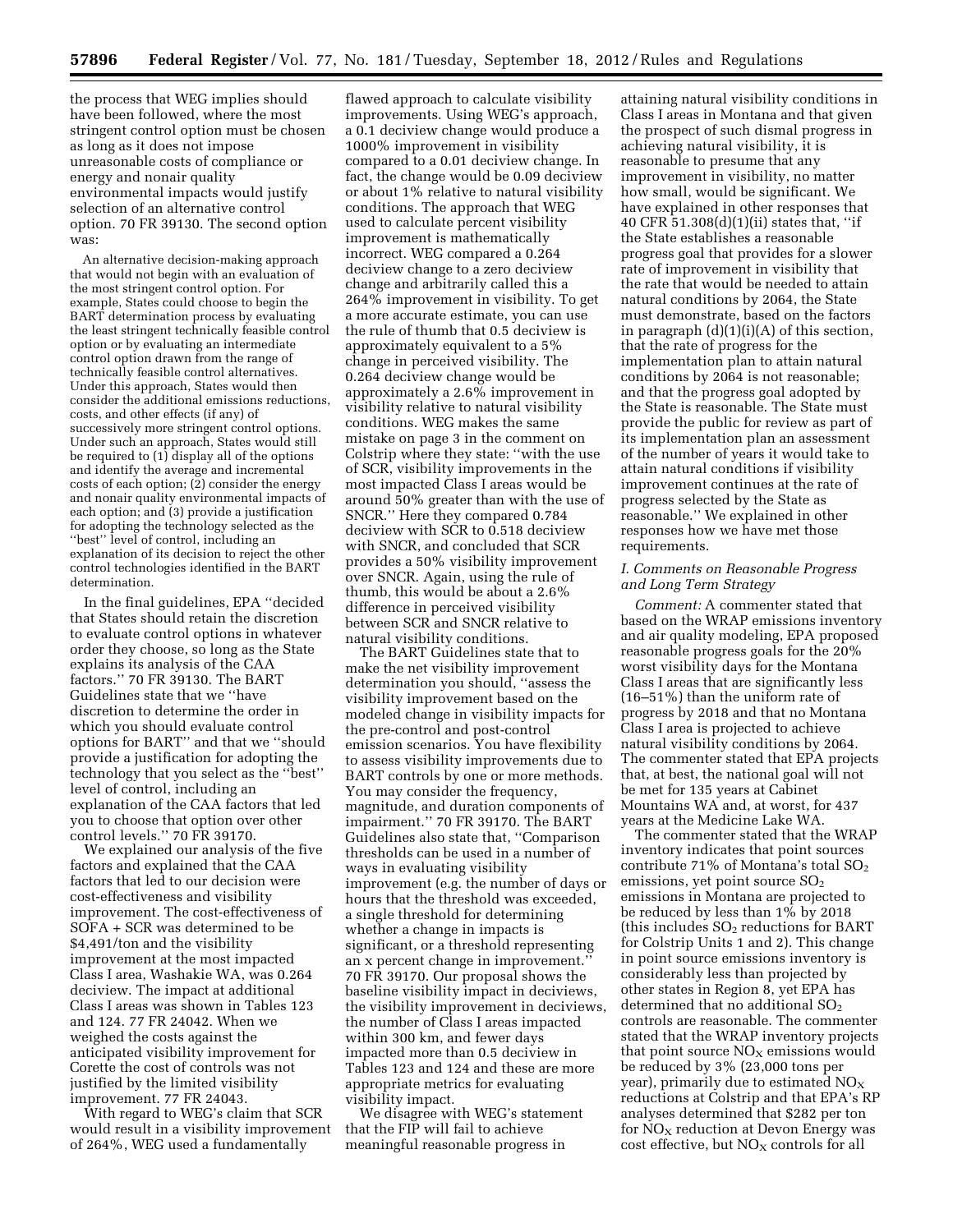the process that WEG implies should have been followed, where the most stringent control option must be chosen as long as it does not impose unreasonable costs of compliance or energy and nonair quality environmental impacts would justify selection of an alternative control option. 70 FR 39130. The second option was:

An alternative decision-making approach that would not begin with an evaluation of the most stringent control option. For example, States could choose to begin the BART determination process by evaluating the least stringent technically feasible control option or by evaluating an intermediate control option drawn from the range of technically feasible control alternatives. Under this approach, States would then consider the additional emissions reductions, costs, and other effects (if any) of successively more stringent control options. Under such an approach, States would still be required to (1) display all of the options and identify the average and incremental costs of each option; (2) consider the energy and nonair quality environmental impacts of each option; and (3) provide a justification for adopting the technology selected as the ''best'' level of control, including an explanation of its decision to reject the other control technologies identified in the BART determination.

In the final guidelines, EPA ''decided that States should retain the discretion to evaluate control options in whatever order they choose, so long as the State explains its analysis of the CAA factors.'' 70 FR 39130. The BART Guidelines state that we ''have discretion to determine the order in which you should evaluate control options for BART'' and that we ''should provide a justification for adopting the technology that you select as the ''best'' level of control, including an explanation of the CAA factors that led you to choose that option over other control levels.'' 70 FR 39170.

We explained our analysis of the five factors and explained that the CAA factors that led to our decision were cost-effectiveness and visibility improvement. The cost-effectiveness of SOFA + SCR was determined to be \$4,491/ton and the visibility improvement at the most impacted Class I area, Washakie WA, was 0.264 deciview. The impact at additional Class I areas was shown in Tables 123 and 124. 77 FR 24042. When we weighed the costs against the anticipated visibility improvement for Corette the cost of controls was not justified by the limited visibility improvement. 77 FR 24043.

With regard to WEG's claim that SCR would result in a visibility improvement of 264%, WEG used a fundamentally

flawed approach to calculate visibility improvements. Using WEG's approach, a 0.1 deciview change would produce a 1000% improvement in visibility compared to a 0.01 deciview change. In fact, the change would be 0.09 deciview or about 1% relative to natural visibility conditions. The approach that WEG used to calculate percent visibility improvement is mathematically incorrect. WEG compared a 0.264 deciview change to a zero deciview change and arbitrarily called this a 264% improvement in visibility. To get a more accurate estimate, you can use the rule of thumb that 0.5 deciview is approximately equivalent to a 5% change in perceived visibility. The 0.264 deciview change would be approximately a 2.6% improvement in visibility relative to natural visibility conditions. WEG makes the same mistake on page 3 in the comment on Colstrip where they state: ''with the use of SCR, visibility improvements in the most impacted Class I areas would be around 50% greater than with the use of SNCR.'' Here they compared 0.784 deciview with SCR to 0.518 deciview with SNCR, and concluded that SCR provides a 50% visibility improvement over SNCR. Again, using the rule of thumb, this would be about a 2.6% difference in perceived visibility between SCR and SNCR relative to natural visibility conditions.

The BART Guidelines state that to make the net visibility improvement determination you should, ''assess the visibility improvement based on the modeled change in visibility impacts for the pre-control and post-control emission scenarios. You have flexibility to assess visibility improvements due to BART controls by one or more methods. You may consider the frequency, magnitude, and duration components of impairment.'' 70 FR 39170. The BART Guidelines also state that, ''Comparison thresholds can be used in a number of ways in evaluating visibility improvement (e.g. the number of days or hours that the threshold was exceeded, a single threshold for determining whether a change in impacts is significant, or a threshold representing an x percent change in improvement.'' 70 FR 39170. Our proposal shows the baseline visibility impact in deciviews, the visibility improvement in deciviews, the number of Class I areas impacted within 300 km, and fewer days impacted more than 0.5 deciview in Tables 123 and 124 and these are more appropriate metrics for evaluating visibility impact.

We disagree with WEG's statement that the FIP will fail to achieve meaningful reasonable progress in

attaining natural visibility conditions in Class I areas in Montana and that given the prospect of such dismal progress in achieving natural visibility, it is reasonable to presume that any improvement in visibility, no matter how small, would be significant. We have explained in other responses that 40 CFR 51.308(d)(1)(ii) states that, ''if the State establishes a reasonable progress goal that provides for a slower rate of improvement in visibility that the rate that would be needed to attain natural conditions by 2064, the State must demonstrate, based on the factors in paragraph  $(d)(1)(i)(A)$  of this section, that the rate of progress for the implementation plan to attain natural conditions by 2064 is not reasonable; and that the progress goal adopted by the State is reasonable. The State must provide the public for review as part of its implementation plan an assessment of the number of years it would take to attain natural conditions if visibility improvement continues at the rate of progress selected by the State as reasonable.'' We explained in other responses how we have met those requirements.

#### *I. Comments on Reasonable Progress and Long Term Strategy*

*Comment:* A commenter stated that based on the WRAP emissions inventory and air quality modeling, EPA proposed reasonable progress goals for the 20% worst visibility days for the Montana Class I areas that are significantly less (16–51%) than the uniform rate of progress by 2018 and that no Montana Class I area is projected to achieve natural visibility conditions by 2064. The commenter stated that EPA projects that, at best, the national goal will not be met for 135 years at Cabinet Mountains WA and, at worst, for 437 years at the Medicine Lake WA.

The commenter stated that the WRAP inventory indicates that point sources contribute 71% of Montana's total  $SO<sub>2</sub>$ emissions, yet point source  $SO<sub>2</sub>$ emissions in Montana are projected to be reduced by less than 1% by 2018 (this includes  $SO<sub>2</sub>$  reductions for BART for Colstrip Units 1 and 2). This change in point source emissions inventory is considerably less than projected by other states in Region 8, yet EPA has determined that no additional SO<sub>2</sub> controls are reasonable. The commenter stated that the WRAP inventory projects that point source  $NO<sub>X</sub>$  emissions would be reduced by 3% (23,000 tons per year), primarily due to estimated  $NO<sub>x</sub>$ reductions at Colstrip and that EPA's RP analyses determined that \$282 per ton for  $NO<sub>x</sub>$  reduction at Devon Energy was cost effective, but  $NO<sub>X</sub>$  controls for all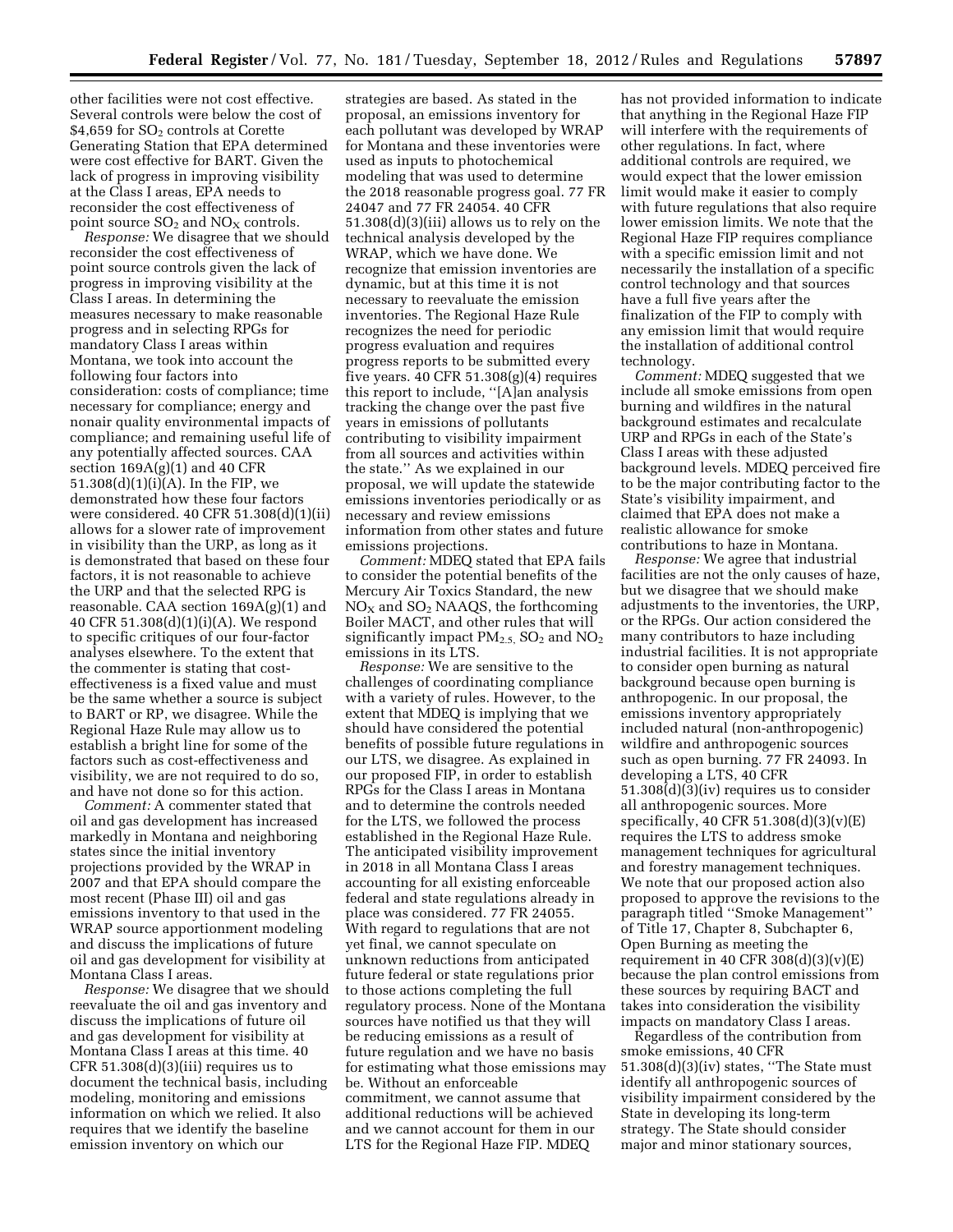other facilities were not cost effective. Several controls were below the cost of \$4,659 for  $SO<sub>2</sub>$  controls at Corette Generating Station that EPA determined were cost effective for BART. Given the lack of progress in improving visibility at the Class I areas, EPA needs to reconsider the cost effectiveness of point source  $SO_2$  and  $NO_X$  controls.

*Response:* We disagree that we should reconsider the cost effectiveness of point source controls given the lack of progress in improving visibility at the Class I areas. In determining the measures necessary to make reasonable progress and in selecting RPGs for mandatory Class I areas within Montana, we took into account the following four factors into consideration: costs of compliance; time necessary for compliance; energy and nonair quality environmental impacts of compliance; and remaining useful life of any potentially affected sources. CAA section  $169A(g)(1)$  and  $40$  CFR 51.308(d)(1)(i)(A). In the FIP, we demonstrated how these four factors were considered. 40 CFR 51.308(d)(1)(ii) allows for a slower rate of improvement in visibility than the URP, as long as it is demonstrated that based on these four factors, it is not reasonable to achieve the URP and that the selected RPG is reasonable. CAA section 169A(g)(1) and 40 CFR 51.308(d)(1)(i)(A). We respond to specific critiques of our four-factor analyses elsewhere. To the extent that the commenter is stating that costeffectiveness is a fixed value and must be the same whether a source is subject to BART or RP, we disagree. While the Regional Haze Rule may allow us to establish a bright line for some of the factors such as cost-effectiveness and visibility, we are not required to do so, and have not done so for this action.

*Comment:* A commenter stated that oil and gas development has increased markedly in Montana and neighboring states since the initial inventory projections provided by the WRAP in 2007 and that EPA should compare the most recent (Phase III) oil and gas emissions inventory to that used in the WRAP source apportionment modeling and discuss the implications of future oil and gas development for visibility at Montana Class I areas.

*Response:* We disagree that we should reevaluate the oil and gas inventory and discuss the implications of future oil and gas development for visibility at Montana Class I areas at this time. 40 CFR  $51.308(d)(3)(iii)$  requires us to document the technical basis, including modeling, monitoring and emissions information on which we relied. It also requires that we identify the baseline emission inventory on which our

strategies are based. As stated in the proposal, an emissions inventory for each pollutant was developed by WRAP for Montana and these inventories were used as inputs to photochemical modeling that was used to determine the 2018 reasonable progress goal. 77 FR 24047 and 77 FR 24054. 40 CFR 51.308(d)(3)(iii) allows us to rely on the technical analysis developed by the WRAP, which we have done. We recognize that emission inventories are dynamic, but at this time it is not necessary to reevaluate the emission inventories. The Regional Haze Rule recognizes the need for periodic progress evaluation and requires progress reports to be submitted every five years.  $40$  CFR  $51.308(g)(4)$  requires this report to include, ''[A]an analysis tracking the change over the past five years in emissions of pollutants contributing to visibility impairment from all sources and activities within the state.'' As we explained in our proposal, we will update the statewide emissions inventories periodically or as necessary and review emissions information from other states and future emissions projections.

*Comment:* MDEQ stated that EPA fails to consider the potential benefits of the Mercury Air Toxics Standard, the new  $NO<sub>X</sub>$  and  $SO<sub>2</sub>$  NAAQS, the forthcoming Boiler MACT, and other rules that will significantly impact  $PM_{2.5}$ ,  $SO_2$  and  $NO_2$ emissions in its LTS.

*Response:* We are sensitive to the challenges of coordinating compliance with a variety of rules. However, to the extent that MDEQ is implying that we should have considered the potential benefits of possible future regulations in our LTS, we disagree. As explained in our proposed FIP, in order to establish RPGs for the Class I areas in Montana and to determine the controls needed for the LTS, we followed the process established in the Regional Haze Rule. The anticipated visibility improvement in 2018 in all Montana Class I areas accounting for all existing enforceable federal and state regulations already in place was considered. 77 FR 24055. With regard to regulations that are not yet final, we cannot speculate on unknown reductions from anticipated future federal or state regulations prior to those actions completing the full regulatory process. None of the Montana sources have notified us that they will be reducing emissions as a result of future regulation and we have no basis for estimating what those emissions may be. Without an enforceable commitment, we cannot assume that additional reductions will be achieved and we cannot account for them in our LTS for the Regional Haze FIP. MDEQ

has not provided information to indicate that anything in the Regional Haze FIP will interfere with the requirements of other regulations. In fact, where additional controls are required, we would expect that the lower emission limit would make it easier to comply with future regulations that also require lower emission limits. We note that the Regional Haze FIP requires compliance with a specific emission limit and not necessarily the installation of a specific control technology and that sources have a full five years after the finalization of the FIP to comply with any emission limit that would require the installation of additional control technology.

*Comment:* MDEQ suggested that we include all smoke emissions from open burning and wildfires in the natural background estimates and recalculate URP and RPGs in each of the State's Class I areas with these adjusted background levels. MDEQ perceived fire to be the major contributing factor to the State's visibility impairment, and claimed that EPA does not make a realistic allowance for smoke contributions to haze in Montana.

*Response:* We agree that industrial facilities are not the only causes of haze, but we disagree that we should make adjustments to the inventories, the URP, or the RPGs. Our action considered the many contributors to haze including industrial facilities. It is not appropriate to consider open burning as natural background because open burning is anthropogenic. In our proposal, the emissions inventory appropriately included natural (non-anthropogenic) wildfire and anthropogenic sources such as open burning. 77 FR 24093. In developing a LTS, 40 CFR 51.308(d)(3)(iv) requires us to consider all anthropogenic sources. More specifically, 40 CFR 51.308(d)(3)(v)(E) requires the LTS to address smoke management techniques for agricultural and forestry management techniques. We note that our proposed action also proposed to approve the revisions to the paragraph titled ''Smoke Management'' of Title 17, Chapter 8, Subchapter 6, Open Burning as meeting the requirement in 40 CFR  $308(d)(3)(v)(E)$ because the plan control emissions from these sources by requiring BACT and takes into consideration the visibility impacts on mandatory Class I areas.

Regardless of the contribution from smoke emissions, 40 CFR 51.308(d)(3)(iv) states, ''The State must identify all anthropogenic sources of visibility impairment considered by the State in developing its long-term strategy. The State should consider major and minor stationary sources,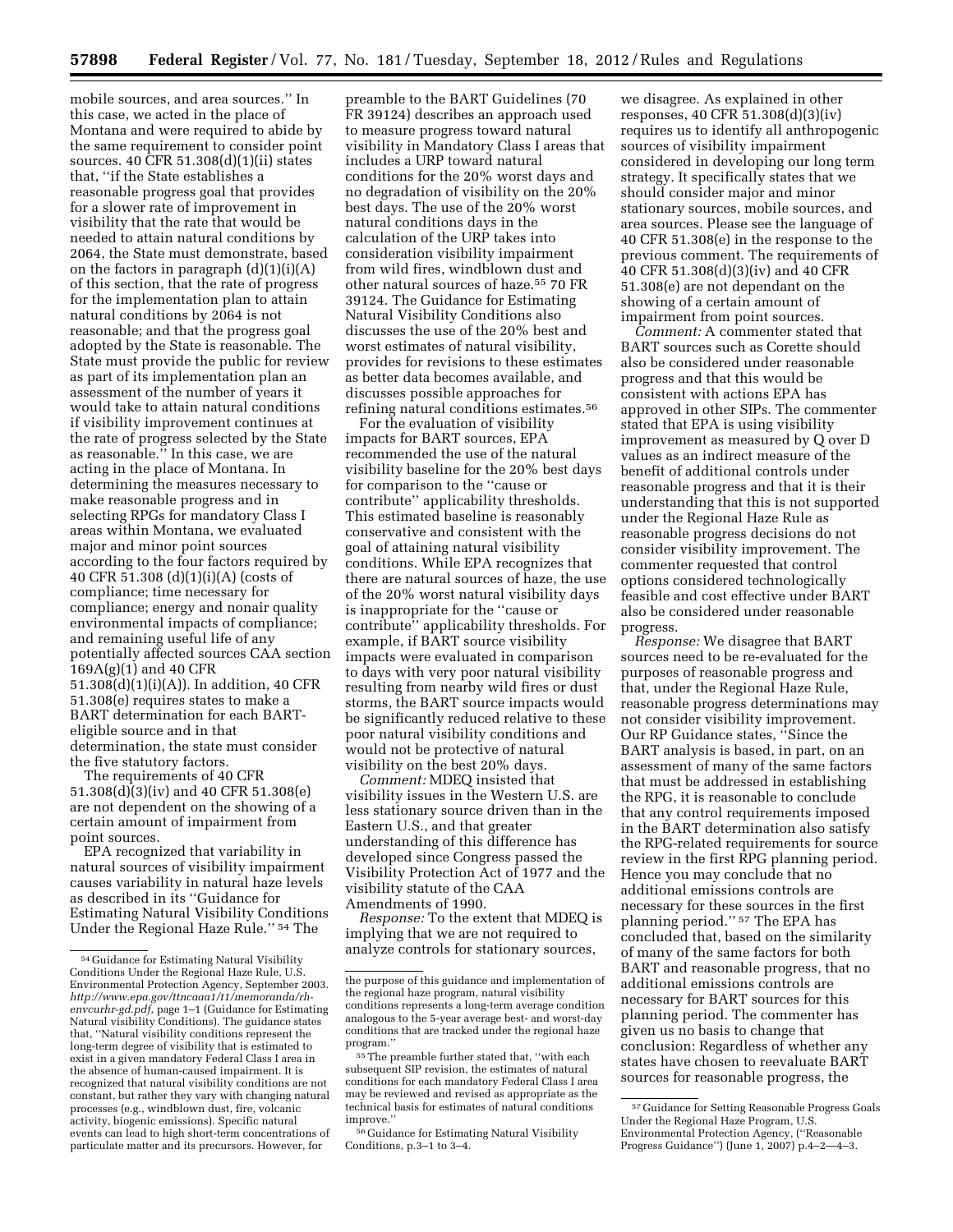mobile sources, and area sources.'' In this case, we acted in the place of Montana and were required to abide by the same requirement to consider point sources. 40 CFR 51.308(d)(1)(ii) states that, ''if the State establishes a reasonable progress goal that provides for a slower rate of improvement in visibility that the rate that would be needed to attain natural conditions by 2064, the State must demonstrate, based on the factors in paragraph (d)(1)(i)(A) of this section, that the rate of progress for the implementation plan to attain natural conditions by 2064 is not reasonable; and that the progress goal adopted by the State is reasonable. The State must provide the public for review as part of its implementation plan an assessment of the number of years it would take to attain natural conditions if visibility improvement continues at the rate of progress selected by the State as reasonable.'' In this case, we are acting in the place of Montana. In determining the measures necessary to make reasonable progress and in selecting RPGs for mandatory Class I areas within Montana, we evaluated major and minor point sources according to the four factors required by 40 CFR 51.308 (d)(1)(i)(A) (costs of compliance; time necessary for compliance; energy and nonair quality environmental impacts of compliance; and remaining useful life of any potentially affected sources CAA section 169A(g)(1) and 40 CFR 51.308(d)(1)(i)(A)). In addition, 40 CFR 51.308(e) requires states to make a BART determination for each BARTeligible source and in that determination, the state must consider the five statutory factors.

The requirements of 40 CFR 51.308(d)(3)(iv) and 40 CFR 51.308(e) are not dependent on the showing of a certain amount of impairment from point sources.

EPA recognized that variability in natural sources of visibility impairment causes variability in natural haze levels as described in its ''Guidance for Estimating Natural Visibility Conditions Under the Regional Haze Rule.'' 54 The

preamble to the BART Guidelines (70 FR 39124) describes an approach used to measure progress toward natural visibility in Mandatory Class I areas that includes a URP toward natural conditions for the 20% worst days and no degradation of visibility on the 20% best days. The use of the 20% worst natural conditions days in the calculation of the URP takes into consideration visibility impairment from wild fires, windblown dust and other natural sources of haze.55 70 FR 39124. The Guidance for Estimating Natural Visibility Conditions also discusses the use of the 20% best and worst estimates of natural visibility, provides for revisions to these estimates as better data becomes available, and discusses possible approaches for refining natural conditions estimates.56

For the evaluation of visibility impacts for BART sources, EPA recommended the use of the natural visibility baseline for the 20% best days for comparison to the ''cause or contribute'' applicability thresholds. This estimated baseline is reasonably conservative and consistent with the goal of attaining natural visibility conditions. While EPA recognizes that there are natural sources of haze, the use of the 20% worst natural visibility days is inappropriate for the ''cause or contribute'' applicability thresholds. For example, if BART source visibility impacts were evaluated in comparison to days with very poor natural visibility resulting from nearby wild fires or dust storms, the BART source impacts would be significantly reduced relative to these poor natural visibility conditions and would not be protective of natural visibility on the best 20% days.

*Comment:* MDEQ insisted that visibility issues in the Western U.S. are less stationary source driven than in the Eastern U.S., and that greater understanding of this difference has developed since Congress passed the Visibility Protection Act of 1977 and the visibility statute of the CAA Amendments of 1990.

*Response:* To the extent that MDEQ is implying that we are not required to analyze controls for stationary sources,

we disagree. As explained in other responses, 40 CFR 51.308(d)(3)(iv) requires us to identify all anthropogenic sources of visibility impairment considered in developing our long term strategy. It specifically states that we should consider major and minor stationary sources, mobile sources, and area sources. Please see the language of 40 CFR 51.308(e) in the response to the previous comment. The requirements of 40 CFR 51.308(d)(3)(iv) and 40 CFR 51.308(e) are not dependant on the showing of a certain amount of impairment from point sources.

*Comment:* A commenter stated that BART sources such as Corette should also be considered under reasonable progress and that this would be consistent with actions EPA has approved in other SIPs. The commenter stated that EPA is using visibility improvement as measured by Q over D values as an indirect measure of the benefit of additional controls under reasonable progress and that it is their understanding that this is not supported under the Regional Haze Rule as reasonable progress decisions do not consider visibility improvement. The commenter requested that control options considered technologically feasible and cost effective under BART also be considered under reasonable progress.

*Response:* We disagree that BART sources need to be re-evaluated for the purposes of reasonable progress and that, under the Regional Haze Rule, reasonable progress determinations may not consider visibility improvement. Our RP Guidance states, ''Since the BART analysis is based, in part, on an assessment of many of the same factors that must be addressed in establishing the RPG, it is reasonable to conclude that any control requirements imposed in the BART determination also satisfy the RPG-related requirements for source review in the first RPG planning period. Hence you may conclude that no additional emissions controls are necessary for these sources in the first planning period.'' 57 The EPA has concluded that, based on the similarity of many of the same factors for both BART and reasonable progress, that no additional emissions controls are necessary for BART sources for this planning period. The commenter has given us no basis to change that conclusion: Regardless of whether any states have chosen to reevaluate BART sources for reasonable progress, the

<sup>54</sup> Guidance for Estimating Natural Visibility Conditions Under the Regional Haze Rule, U.S. Environmental Protection Agency, September 2003. *[http://www.epa.gov/ttncaaa1/t1/memoranda/rh](http://www.epa.gov/ttncaaa1/t1/memoranda/rh-envcurhr-gd.pdf)[envcurhr-gd.pdf,](http://www.epa.gov/ttncaaa1/t1/memoranda/rh-envcurhr-gd.pdf)* page 1–1 (Guidance for Estimating Natural visibility Conditions). The guidance states that, ''Natural visibility conditions represent the long-term degree of visibility that is estimated to exist in a given mandatory Federal Class I area in the absence of human-caused impairment. It is recognized that natural visibility conditions are not constant, but rather they vary with changing natural processes (e.g., windblown dust, fire, volcanic activity, biogenic emissions). Specific natural events can lead to high short-term concentrations of particulate matter and its precursors. However, for

the purpose of this guidance and implementation of the regional haze program, natural visibility conditions represents a long-term average condition analogous to the 5-year average best- and worst-day conditions that are tracked under the regional haze program.''

<sup>55</sup>The preamble further stated that, ''with each subsequent SIP revision, the estimates of natural conditions for each mandatory Federal Class I area may be reviewed and revised as appropriate as the technical basis for estimates of natural conditions improve.''

<sup>56</sup> Guidance for Estimating Natural Visibility Conditions, p.3–1 to 3–4.

<sup>57</sup> Guidance for Setting Reasonable Progress Goals Under the Regional Haze Program, U.S. Environmental Protection Agency, (''Reasonable Progress Guidance'') (June 1, 2007) p.4–2—4–3.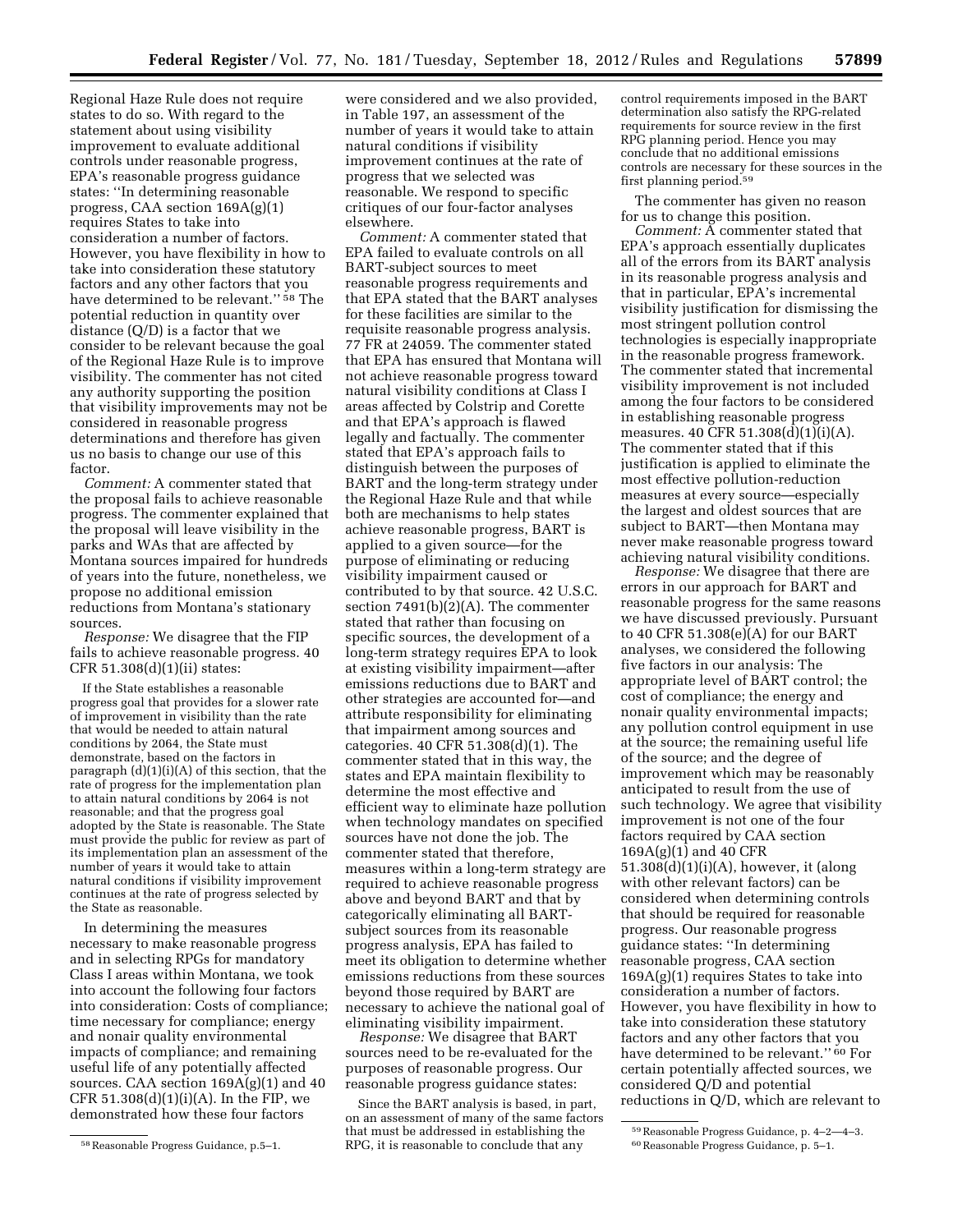Regional Haze Rule does not require states to do so. With regard to the statement about using visibility improvement to evaluate additional controls under reasonable progress, EPA's reasonable progress guidance states: ''In determining reasonable progress, CAA section 169A(g)(1) requires States to take into consideration a number of factors. However, you have flexibility in how to take into consideration these statutory factors and any other factors that you have determined to be relevant.'' 58 The potential reduction in quantity over distance (Q/D) is a factor that we consider to be relevant because the goal of the Regional Haze Rule is to improve visibility. The commenter has not cited any authority supporting the position that visibility improvements may not be considered in reasonable progress determinations and therefore has given us no basis to change our use of this factor.

*Comment:* A commenter stated that the proposal fails to achieve reasonable progress. The commenter explained that the proposal will leave visibility in the parks and WAs that are affected by Montana sources impaired for hundreds of years into the future, nonetheless, we propose no additional emission reductions from Montana's stationary sources.

*Response:* We disagree that the FIP fails to achieve reasonable progress. 40 CFR 51.308(d)(1)(ii) states:

If the State establishes a reasonable progress goal that provides for a slower rate of improvement in visibility than the rate that would be needed to attain natural conditions by 2064, the State must demonstrate, based on the factors in paragraph (d)(1)(i)(A) of this section, that the rate of progress for the implementation plan to attain natural conditions by 2064 is not reasonable; and that the progress goal adopted by the State is reasonable. The State must provide the public for review as part of its implementation plan an assessment of the number of years it would take to attain natural conditions if visibility improvement continues at the rate of progress selected by the State as reasonable.

In determining the measures necessary to make reasonable progress and in selecting RPGs for mandatory Class I areas within Montana, we took into account the following four factors into consideration: Costs of compliance; time necessary for compliance; energy and nonair quality environmental impacts of compliance; and remaining useful life of any potentially affected sources. CAA section  $169A(g)(1)$  and  $40$ CFR  $51.308(d)(1)(i)(A)$ . In the FIP, we demonstrated how these four factors

were considered and we also provided, in Table 197, an assessment of the number of years it would take to attain natural conditions if visibility improvement continues at the rate of progress that we selected was reasonable. We respond to specific critiques of our four-factor analyses elsewhere.

*Comment:* A commenter stated that EPA failed to evaluate controls on all BART-subject sources to meet reasonable progress requirements and that EPA stated that the BART analyses for these facilities are similar to the requisite reasonable progress analysis. 77 FR at 24059. The commenter stated that EPA has ensured that Montana will not achieve reasonable progress toward natural visibility conditions at Class I areas affected by Colstrip and Corette and that EPA's approach is flawed legally and factually. The commenter stated that EPA's approach fails to distinguish between the purposes of BART and the long-term strategy under the Regional Haze Rule and that while both are mechanisms to help states achieve reasonable progress, BART is applied to a given source—for the purpose of eliminating or reducing visibility impairment caused or contributed to by that source. 42 U.S.C. section 7491(b)(2)(A). The commenter stated that rather than focusing on specific sources, the development of a long-term strategy requires EPA to look at existing visibility impairment—after emissions reductions due to BART and other strategies are accounted for—and attribute responsibility for eliminating that impairment among sources and categories. 40 CFR 51.308(d)(1). The commenter stated that in this way, the states and EPA maintain flexibility to determine the most effective and efficient way to eliminate haze pollution when technology mandates on specified sources have not done the job. The commenter stated that therefore, measures within a long-term strategy are required to achieve reasonable progress above and beyond BART and that by categorically eliminating all BARTsubject sources from its reasonable progress analysis, EPA has failed to meet its obligation to determine whether emissions reductions from these sources beyond those required by BART are necessary to achieve the national goal of eliminating visibility impairment.

*Response:* We disagree that BART sources need to be re-evaluated for the purposes of reasonable progress. Our reasonable progress guidance states:

Since the BART analysis is based, in part, on an assessment of many of the same factors that must be addressed in establishing the RPG, it is reasonable to conclude that any

control requirements imposed in the BART determination also satisfy the RPG-related requirements for source review in the first RPG planning period. Hence you may conclude that no additional emissions controls are necessary for these sources in the first planning period.59

The commenter has given no reason for us to change this position.

*Comment:* A commenter stated that EPA's approach essentially duplicates all of the errors from its BART analysis in its reasonable progress analysis and that in particular, EPA's incremental visibility justification for dismissing the most stringent pollution control technologies is especially inappropriate in the reasonable progress framework. The commenter stated that incremental visibility improvement is not included among the four factors to be considered in establishing reasonable progress measures. 40 CFR 51.308(d)(1)(i)(A). The commenter stated that if this justification is applied to eliminate the most effective pollution-reduction measures at every source—especially the largest and oldest sources that are subject to BART—then Montana may never make reasonable progress toward achieving natural visibility conditions.

*Response:* We disagree that there are errors in our approach for BART and reasonable progress for the same reasons we have discussed previously. Pursuant to 40 CFR 51.308(e)(A) for our BART analyses, we considered the following five factors in our analysis: The appropriate level of BART control; the cost of compliance; the energy and nonair quality environmental impacts; any pollution control equipment in use at the source; the remaining useful life of the source; and the degree of improvement which may be reasonably anticipated to result from the use of such technology. We agree that visibility improvement is not one of the four factors required by CAA section 169A(g)(1) and 40 CFR 51.308(d)(1)(i)(A), however, it (along with other relevant factors) can be considered when determining controls that should be required for reasonable progress. Our reasonable progress guidance states: ''In determining reasonable progress, CAA section 169A(g)(1) requires States to take into consideration a number of factors. However, you have flexibility in how to take into consideration these statutory factors and any other factors that you have determined to be relevant.'' 60 For certain potentially affected sources, we considered Q/D and potential reductions in Q/D, which are relevant to

<sup>58</sup>Reasonable Progress Guidance, p.5–1.

<sup>59</sup>Reasonable Progress Guidance, p. 4–2—4–3. 60Reasonable Progress Guidance, p. 5–1.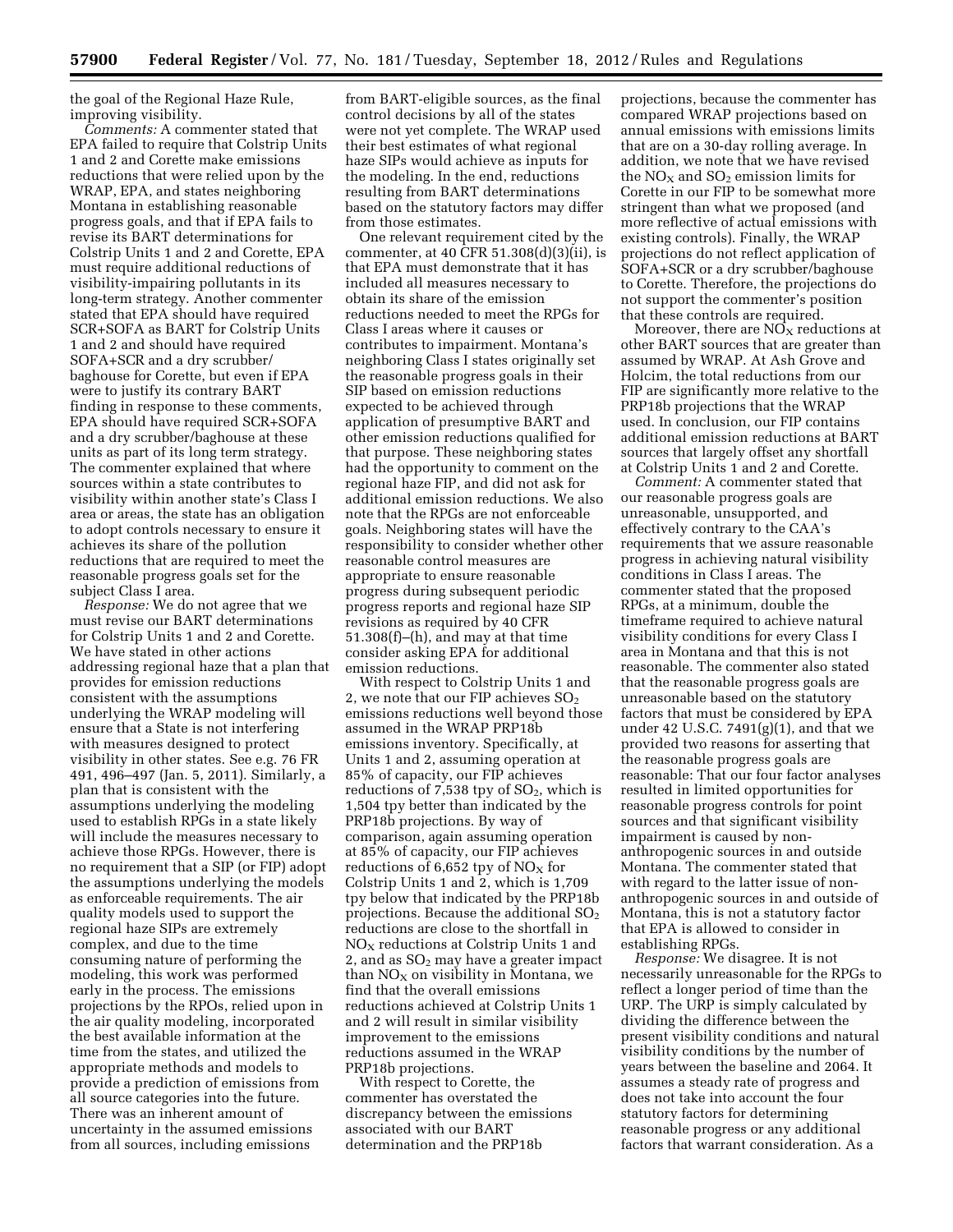the goal of the Regional Haze Rule, improving visibility.

*Comments:* A commenter stated that EPA failed to require that Colstrip Units 1 and 2 and Corette make emissions reductions that were relied upon by the WRAP, EPA, and states neighboring Montana in establishing reasonable progress goals, and that if EPA fails to revise its BART determinations for Colstrip Units 1 and 2 and Corette, EPA must require additional reductions of visibility-impairing pollutants in its long-term strategy. Another commenter stated that EPA should have required SCR+SOFA as BART for Colstrip Units 1 and 2 and should have required SOFA+SCR and a dry scrubber/ baghouse for Corette, but even if EPA were to justify its contrary BART finding in response to these comments, EPA should have required SCR+SOFA and a dry scrubber/baghouse at these units as part of its long term strategy. The commenter explained that where sources within a state contributes to visibility within another state's Class I area or areas, the state has an obligation to adopt controls necessary to ensure it achieves its share of the pollution reductions that are required to meet the reasonable progress goals set for the subject Class I area.

*Response:* We do not agree that we must revise our BART determinations for Colstrip Units 1 and 2 and Corette. We have stated in other actions addressing regional haze that a plan that provides for emission reductions consistent with the assumptions underlying the WRAP modeling will ensure that a State is not interfering with measures designed to protect visibility in other states. See e.g. 76 FR 491, 496–497 (Jan. 5, 2011). Similarly, a plan that is consistent with the assumptions underlying the modeling used to establish RPGs in a state likely will include the measures necessary to achieve those RPGs. However, there is no requirement that a SIP (or FIP) adopt the assumptions underlying the models as enforceable requirements. The air quality models used to support the regional haze SIPs are extremely complex, and due to the time consuming nature of performing the modeling, this work was performed early in the process. The emissions projections by the RPOs, relied upon in the air quality modeling, incorporated the best available information at the time from the states, and utilized the appropriate methods and models to provide a prediction of emissions from all source categories into the future. There was an inherent amount of uncertainty in the assumed emissions from all sources, including emissions

from BART-eligible sources, as the final control decisions by all of the states were not yet complete. The WRAP used their best estimates of what regional haze SIPs would achieve as inputs for the modeling. In the end, reductions resulting from BART determinations based on the statutory factors may differ from those estimates.

One relevant requirement cited by the commenter, at 40 CFR 51.308(d)(3)(ii), is that EPA must demonstrate that it has included all measures necessary to obtain its share of the emission reductions needed to meet the RPGs for Class I areas where it causes or contributes to impairment. Montana's neighboring Class I states originally set the reasonable progress goals in their SIP based on emission reductions expected to be achieved through application of presumptive BART and other emission reductions qualified for that purpose. These neighboring states had the opportunity to comment on the regional haze FIP, and did not ask for additional emission reductions. We also note that the RPGs are not enforceable goals. Neighboring states will have the responsibility to consider whether other reasonable control measures are appropriate to ensure reasonable progress during subsequent periodic progress reports and regional haze SIP revisions as required by 40 CFR 51.308(f)–(h), and may at that time consider asking EPA for additional emission reductions.

With respect to Colstrip Units 1 and 2, we note that our FIP achieves  $SO<sub>2</sub>$ emissions reductions well beyond those assumed in the WRAP PRP18b emissions inventory. Specifically, at Units 1 and 2, assuming operation at 85% of capacity, our FIP achieves reductions of 7,538 tpy of  $SO<sub>2</sub>$ , which is 1,504 tpy better than indicated by the PRP18b projections. By way of comparison, again assuming operation at 85% of capacity, our FIP achieves reductions of 6,652 tpy of  $NO<sub>x</sub>$  for Colstrip Units 1 and 2, which is 1,709 tpy below that indicated by the PRP18b projections. Because the additional  $SO<sub>2</sub>$ reductions are close to the shortfall in  $NO<sub>x</sub>$  reductions at Colstrip Units 1 and 2, and as  $SO<sub>2</sub>$  may have a greater impact than  $NO<sub>x</sub>$  on visibility in Montana, we find that the overall emissions reductions achieved at Colstrip Units 1 and 2 will result in similar visibility improvement to the emissions reductions assumed in the WRAP PRP18b projections.

With respect to Corette, the commenter has overstated the discrepancy between the emissions associated with our BART determination and the PRP18b

projections, because the commenter has compared WRAP projections based on annual emissions with emissions limits that are on a 30-day rolling average. In addition, we note that we have revised the  $NO<sub>x</sub>$  and  $SO<sub>2</sub>$  emission limits for Corette in our FIP to be somewhat more stringent than what we proposed (and more reflective of actual emissions with existing controls). Finally, the WRAP projections do not reflect application of SOFA+SCR or a dry scrubber/baghouse to Corette. Therefore, the projections do not support the commenter's position that these controls are required.

Moreover, there are  $\mathrm{N}\mathrm{O}_X$  reductions at other BART sources that are greater than assumed by WRAP. At Ash Grove and Holcim, the total reductions from our FIP are significantly more relative to the PRP18b projections that the WRAP used. In conclusion, our FIP contains additional emission reductions at BART sources that largely offset any shortfall at Colstrip Units 1 and 2 and Corette.

*Comment:* A commenter stated that our reasonable progress goals are unreasonable, unsupported, and effectively contrary to the CAA's requirements that we assure reasonable progress in achieving natural visibility conditions in Class I areas. The commenter stated that the proposed RPGs, at a minimum, double the timeframe required to achieve natural visibility conditions for every Class I area in Montana and that this is not reasonable. The commenter also stated that the reasonable progress goals are unreasonable based on the statutory factors that must be considered by EPA under 42 U.S.C.  $7491(g)(1)$ , and that we provided two reasons for asserting that the reasonable progress goals are reasonable: That our four factor analyses resulted in limited opportunities for reasonable progress controls for point sources and that significant visibility impairment is caused by nonanthropogenic sources in and outside Montana. The commenter stated that with regard to the latter issue of nonanthropogenic sources in and outside of Montana, this is not a statutory factor that EPA is allowed to consider in establishing RPGs.

*Response:* We disagree. It is not necessarily unreasonable for the RPGs to reflect a longer period of time than the URP. The URP is simply calculated by dividing the difference between the present visibility conditions and natural visibility conditions by the number of years between the baseline and 2064. It assumes a steady rate of progress and does not take into account the four statutory factors for determining reasonable progress or any additional factors that warrant consideration. As a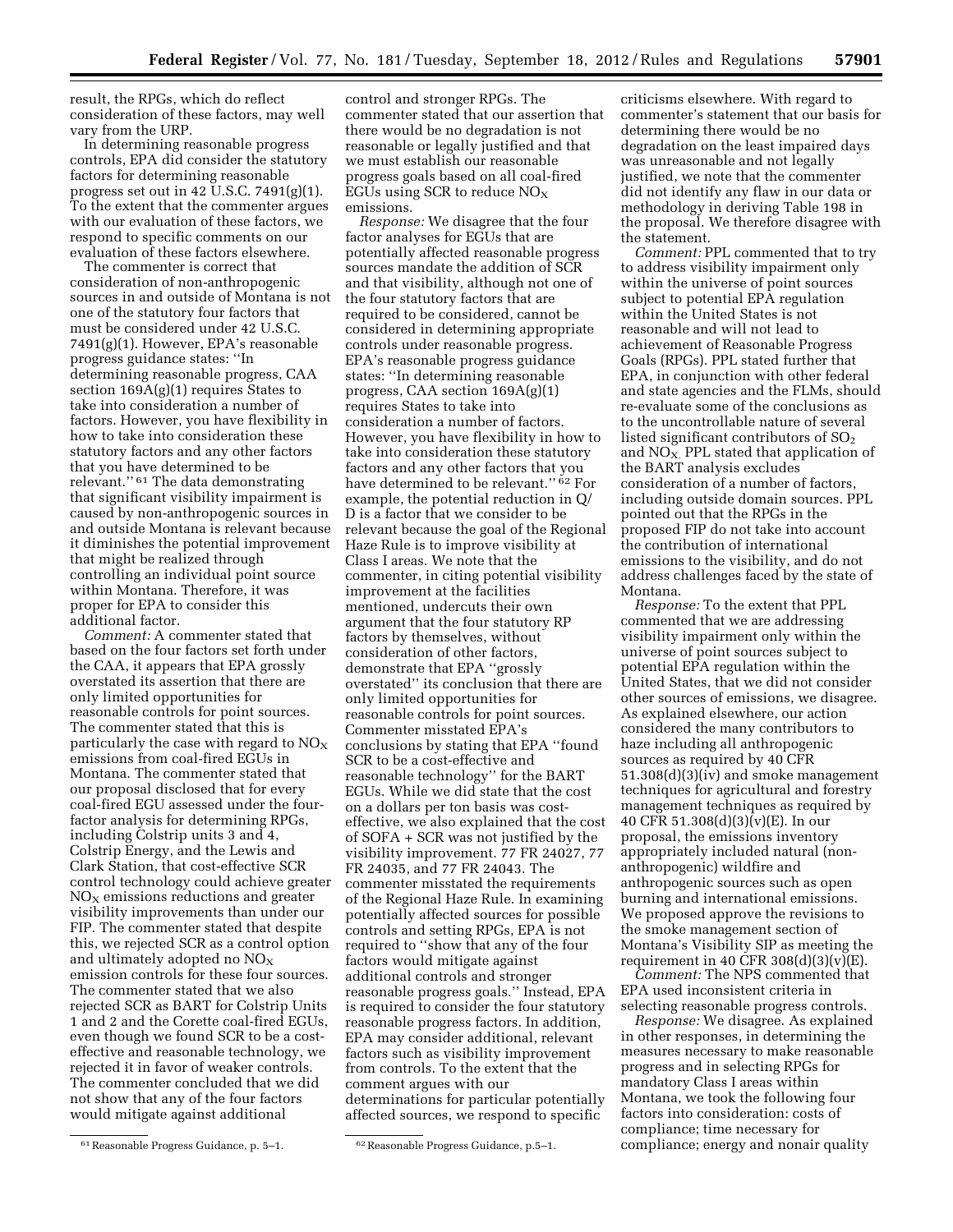result, the RPGs, which do reflect consideration of these factors, may well vary from the URP.

In determining reasonable progress controls, EPA did consider the statutory factors for determining reasonable progress set out in 42 U.S.C. 7491(g)(1). To the extent that the commenter argues with our evaluation of these factors, we respond to specific comments on our evaluation of these factors elsewhere.

The commenter is correct that consideration of non-anthropogenic sources in and outside of Montana is not one of the statutory four factors that must be considered under 42 U.S.C. 7491(g)(1). However, EPA's reasonable progress guidance states: ''In determining reasonable progress, CAA section  $169A(g)(1)$  requires States to take into consideration a number of factors. However, you have flexibility in how to take into consideration these statutory factors and any other factors that you have determined to be relevant.'' 61 The data demonstrating that significant visibility impairment is caused by non-anthropogenic sources in and outside Montana is relevant because it diminishes the potential improvement that might be realized through controlling an individual point source within Montana. Therefore, it was proper for EPA to consider this additional factor.

*Comment:* A commenter stated that based on the four factors set forth under the CAA, it appears that EPA grossly overstated its assertion that there are only limited opportunities for reasonable controls for point sources. The commenter stated that this is particularly the case with regard to  $NO<sub>x</sub>$ emissions from coal-fired EGUs in Montana. The commenter stated that our proposal disclosed that for every coal-fired EGU assessed under the fourfactor analysis for determining RPGs, including Colstrip units 3 and 4, Colstrip Energy, and the Lewis and Clark Station, that cost-effective SCR control technology could achieve greater  $NO<sub>x</sub>$  emissions reductions and greater visibility improvements than under our FIP. The commenter stated that despite this, we rejected SCR as a control option and ultimately adopted no  $NO_X$ emission controls for these four sources. The commenter stated that we also rejected SCR as BART for Colstrip Units 1 and 2 and the Corette coal-fired EGUs, even though we found SCR to be a costeffective and reasonable technology, we rejected it in favor of weaker controls. The commenter concluded that we did not show that any of the four factors would mitigate against additional

61Reasonable Progress Guidance, p. 5–1. 62Reasonable Progress Guidance, p.5–1.

control and stronger RPGs. The commenter stated that our assertion that there would be no degradation is not reasonable or legally justified and that we must establish our reasonable progress goals based on all coal-fired EGUs using SCR to reduce  $NO<sub>X</sub>$ emissions.

*Response:* We disagree that the four factor analyses for EGUs that are potentially affected reasonable progress sources mandate the addition of SCR and that visibility, although not one of the four statutory factors that are required to be considered, cannot be considered in determining appropriate controls under reasonable progress. EPA's reasonable progress guidance states: ''In determining reasonable progress, CAA section 169A(g)(1) requires States to take into consideration a number of factors. However, you have flexibility in how to take into consideration these statutory factors and any other factors that you have determined to be relevant.'' 62 For example, the potential reduction in Q/ D is a factor that we consider to be relevant because the goal of the Regional Haze Rule is to improve visibility at Class I areas. We note that the commenter, in citing potential visibility improvement at the facilities mentioned, undercuts their own argument that the four statutory RP factors by themselves, without consideration of other factors, demonstrate that EPA ''grossly overstated'' its conclusion that there are only limited opportunities for reasonable controls for point sources. Commenter misstated EPA's conclusions by stating that EPA ''found SCR to be a cost-effective and reasonable technology'' for the BART EGUs. While we did state that the cost on a dollars per ton basis was costeffective, we also explained that the cost of SOFA + SCR was not justified by the visibility improvement. 77 FR 24027, 77 FR 24035, and 77 FR 24043. The commenter misstated the requirements of the Regional Haze Rule. In examining potentially affected sources for possible controls and setting RPGs, EPA is not required to ''show that any of the four factors would mitigate against additional controls and stronger reasonable progress goals.'' Instead, EPA is required to consider the four statutory reasonable progress factors. In addition, EPA may consider additional, relevant factors such as visibility improvement from controls. To the extent that the comment argues with our determinations for particular potentially affected sources, we respond to specific

criticisms elsewhere. With regard to commenter's statement that our basis for determining there would be no degradation on the least impaired days was unreasonable and not legally justified, we note that the commenter did not identify any flaw in our data or methodology in deriving Table 198 in the proposal. We therefore disagree with the statement.

*Comment:* PPL commented that to try to address visibility impairment only within the universe of point sources subject to potential EPA regulation within the United States is not reasonable and will not lead to achievement of Reasonable Progress Goals (RPGs). PPL stated further that EPA, in conjunction with other federal and state agencies and the FLMs, should re-evaluate some of the conclusions as to the uncontrollable nature of several listed significant contributors of  $SO<sub>2</sub>$ and  $NO<sub>X</sub>$ . PPL stated that application of the BART analysis excludes consideration of a number of factors, including outside domain sources. PPL pointed out that the RPGs in the proposed FIP do not take into account the contribution of international emissions to the visibility, and do not address challenges faced by the state of Montana.

*Response:* To the extent that PPL commented that we are addressing visibility impairment only within the universe of point sources subject to potential EPA regulation within the United States, that we did not consider other sources of emissions, we disagree. As explained elsewhere, our action considered the many contributors to haze including all anthropogenic sources as required by 40 CFR 51.308(d)(3)(iv) and smoke management techniques for agricultural and forestry management techniques as required by 40 CFR 51.308(d)(3)(v)(E). In our proposal, the emissions inventory appropriately included natural (nonanthropogenic) wildfire and anthropogenic sources such as open burning and international emissions. We proposed approve the revisions to the smoke management section of Montana's Visibility SIP as meeting the requirement in 40 CFR  $308(d)(3)(v)(E)$ .

*Comment:* The NPS commented that EPA used inconsistent criteria in selecting reasonable progress controls.

*Response:* We disagree. As explained in other responses, in determining the measures necessary to make reasonable progress and in selecting RPGs for mandatory Class I areas within Montana, we took the following four factors into consideration: costs of compliance; time necessary for compliance; energy and nonair quality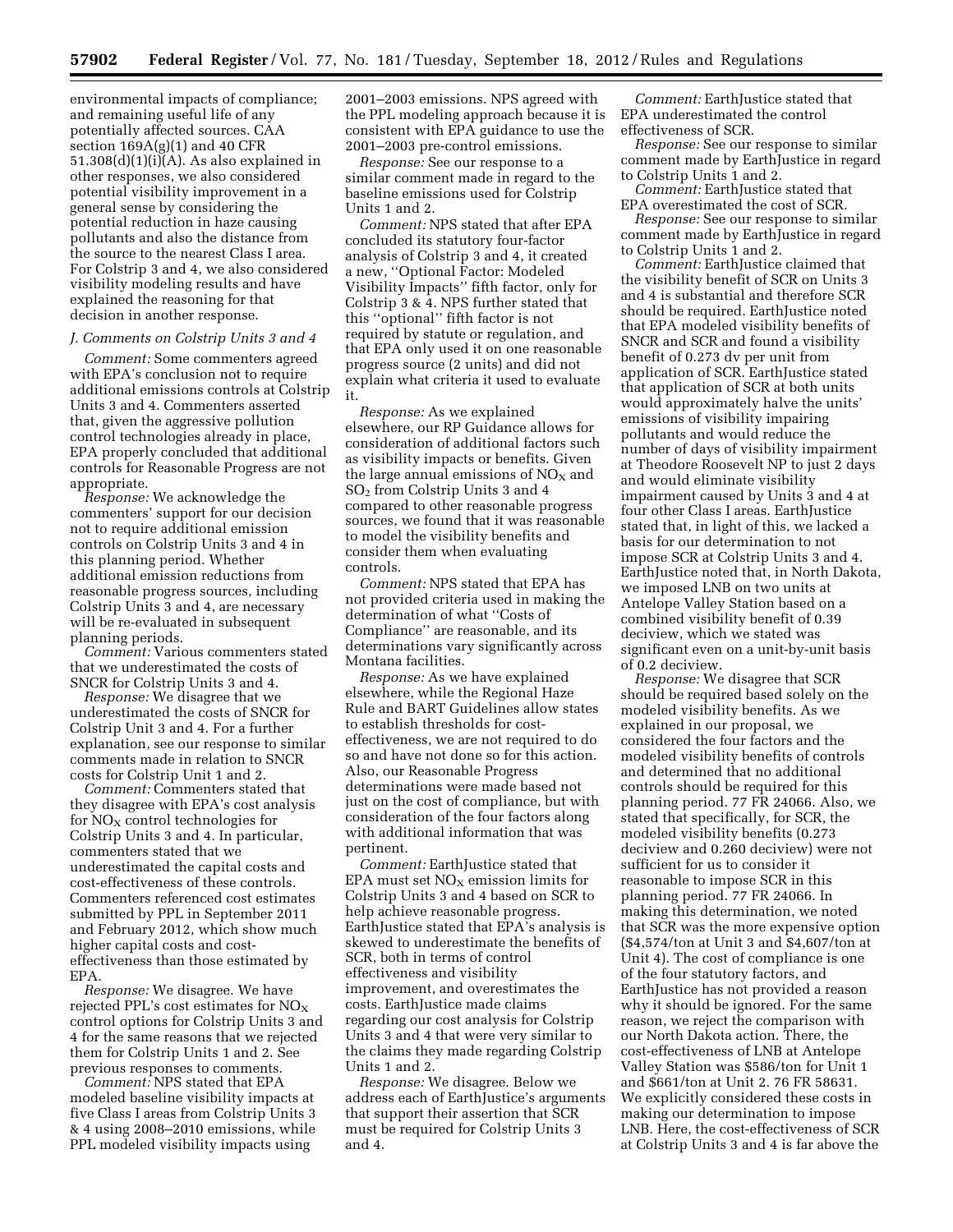environmental impacts of compliance; and remaining useful life of any potentially affected sources. CAA section  $169A(g)(1)$  and  $40$  CFR 51.308(d)(1)(i)(A). As also explained in other responses, we also considered potential visibility improvement in a general sense by considering the potential reduction in haze causing pollutants and also the distance from the source to the nearest Class I area. For Colstrip 3 and 4, we also considered visibility modeling results and have explained the reasoning for that decision in another response.

#### *J. Comments on Colstrip Units 3 and 4*

*Comment:* Some commenters agreed with EPA's conclusion not to require additional emissions controls at Colstrip Units 3 and 4. Commenters asserted that, given the aggressive pollution control technologies already in place, EPA properly concluded that additional controls for Reasonable Progress are not appropriate.

*Response:* We acknowledge the commenters' support for our decision not to require additional emission controls on Colstrip Units 3 and 4 in this planning period. Whether additional emission reductions from reasonable progress sources, including Colstrip Units 3 and 4, are necessary will be re-evaluated in subsequent planning periods.

*Comment:* Various commenters stated that we underestimated the costs of SNCR for Colstrip Units 3 and 4.

*Response:* We disagree that we underestimated the costs of SNCR for Colstrip Unit 3 and 4. For a further explanation, see our response to similar comments made in relation to SNCR costs for Colstrip Unit 1 and 2.

*Comment:* Commenters stated that they disagree with EPA's cost analysis for  $NO<sub>X</sub>$  control technologies for Colstrip Units 3 and 4. In particular, commenters stated that we underestimated the capital costs and cost-effectiveness of these controls. Commenters referenced cost estimates submitted by PPL in September 2011 and February 2012, which show much higher capital costs and costeffectiveness than those estimated by EPA.

*Response:* We disagree. We have rejected PPL's cost estimates for  $NO<sub>x</sub>$ control options for Colstrip Units 3 and 4 for the same reasons that we rejected them for Colstrip Units 1 and 2. See previous responses to comments.

*Comment:* NPS stated that EPA modeled baseline visibility impacts at five Class I areas from Colstrip Units 3 & 4 using 2008–2010 emissions, while PPL modeled visibility impacts using

2001–2003 emissions. NPS agreed with the PPL modeling approach because it is consistent with EPA guidance to use the 2001–2003 pre-control emissions.

*Response:* See our response to a similar comment made in regard to the baseline emissions used for Colstrip Units 1 and 2.

*Comment:* NPS stated that after EPA concluded its statutory four-factor analysis of Colstrip 3 and 4, it created a new, ''Optional Factor: Modeled Visibility Impacts'' fifth factor, only for Colstrip 3 & 4. NPS further stated that this ''optional'' fifth factor is not required by statute or regulation, and that EPA only used it on one reasonable progress source (2 units) and did not explain what criteria it used to evaluate it.

*Response:* As we explained elsewhere, our RP Guidance allows for consideration of additional factors such as visibility impacts or benefits. Given the large annual emissions of  $NO<sub>X</sub>$  and SO2 from Colstrip Units 3 and 4 compared to other reasonable progress sources, we found that it was reasonable to model the visibility benefits and consider them when evaluating controls.

*Comment:* NPS stated that EPA has not provided criteria used in making the determination of what ''Costs of Compliance'' are reasonable, and its determinations vary significantly across Montana facilities.

*Response:* As we have explained elsewhere, while the Regional Haze Rule and BART Guidelines allow states to establish thresholds for costeffectiveness, we are not required to do so and have not done so for this action. Also, our Reasonable Progress determinations were made based not just on the cost of compliance, but with consideration of the four factors along with additional information that was pertinent.

*Comment:* EarthJustice stated that EPA must set  $NO<sub>X</sub>$  emission limits for Colstrip Units 3 and 4 based on SCR to help achieve reasonable progress. EarthJustice stated that EPA's analysis is skewed to underestimate the benefits of SCR, both in terms of control effectiveness and visibility improvement, and overestimates the costs. EarthJustice made claims regarding our cost analysis for Colstrip Units 3 and 4 that were very similar to the claims they made regarding Colstrip Units 1 and 2.

*Response:* We disagree. Below we address each of EarthJustice's arguments that support their assertion that SCR must be required for Colstrip Units 3 and 4.

*Comment:* EarthJustice stated that EPA underestimated the control effectiveness of SCR.

*Response:* See our response to similar comment made by EarthJustice in regard to Colstrip Units 1 and 2.

*Comment:* EarthJustice stated that EPA overestimated the cost of SCR.

*Response:* See our response to similar comment made by EarthJustice in regard to Colstrip Units 1 and 2.

*Comment:* EarthJustice claimed that the visibility benefit of SCR on Units 3 and 4 is substantial and therefore SCR should be required. EarthJustice noted that EPA modeled visibility benefits of SNCR and SCR and found a visibility benefit of 0.273 dv per unit from application of SCR. EarthJustice stated that application of SCR at both units would approximately halve the units' emissions of visibility impairing pollutants and would reduce the number of days of visibility impairment at Theodore Roosevelt NP to just 2 days and would eliminate visibility impairment caused by Units 3 and 4 at four other Class I areas. EarthJustice stated that, in light of this, we lacked a basis for our determination to not impose SCR at Colstrip Units 3 and 4. EarthJustice noted that, in North Dakota, we imposed LNB on two units at Antelope Valley Station based on a combined visibility benefit of 0.39 deciview, which we stated was significant even on a unit-by-unit basis of 0.2 deciview.

*Response:* We disagree that SCR should be required based solely on the modeled visibility benefits. As we explained in our proposal, we considered the four factors and the modeled visibility benefits of controls and determined that no additional controls should be required for this planning period. 77 FR 24066. Also, we stated that specifically, for SCR, the modeled visibility benefits (0.273 deciview and 0.260 deciview) were not sufficient for us to consider it reasonable to impose SCR in this planning period. 77 FR 24066. In making this determination, we noted that SCR was the more expensive option (\$4,574/ton at Unit 3 and \$4,607/ton at Unit 4). The cost of compliance is one of the four statutory factors, and EarthJustice has not provided a reason why it should be ignored. For the same reason, we reject the comparison with our North Dakota action. There, the cost-effectiveness of LNB at Antelope Valley Station was \$586/ton for Unit 1 and \$661/ton at Unit 2. 76 FR 58631. We explicitly considered these costs in making our determination to impose LNB. Here, the cost-effectiveness of SCR at Colstrip Units 3 and 4 is far above the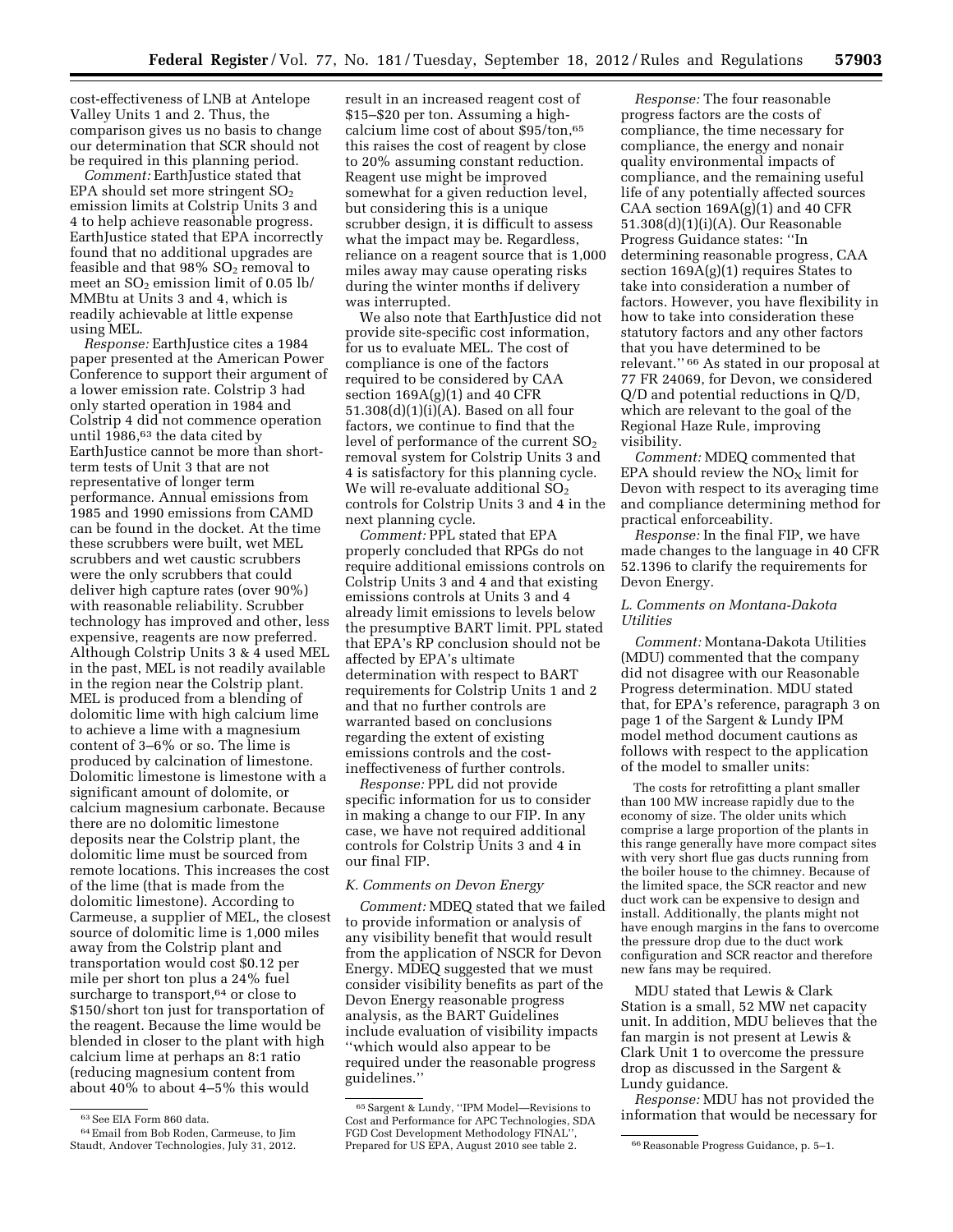cost-effectiveness of LNB at Antelope Valley Units 1 and 2. Thus, the comparison gives us no basis to change our determination that SCR should not be required in this planning period.

*Comment:* EarthJustice stated that EPA should set more stringent  $SO<sub>2</sub>$ emission limits at Colstrip Units 3 and 4 to help achieve reasonable progress. EarthJustice stated that EPA incorrectly found that no additional upgrades are feasible and that  $98\%$  SO<sub>2</sub> removal to meet an  $SO<sub>2</sub>$  emission limit of 0.05 lb/ MMBtu at Units 3 and 4, which is readily achievable at little expense using MEL.

*Response:* EarthJustice cites a 1984 paper presented at the American Power Conference to support their argument of a lower emission rate. Colstrip 3 had only started operation in 1984 and Colstrip 4 did not commence operation until 1986,<sup>63</sup> the data cited by EarthJustice cannot be more than shortterm tests of Unit 3 that are not representative of longer term performance. Annual emissions from 1985 and 1990 emissions from CAMD can be found in the docket. At the time these scrubbers were built, wet MEL scrubbers and wet caustic scrubbers were the only scrubbers that could deliver high capture rates (over 90%) with reasonable reliability. Scrubber technology has improved and other, less expensive, reagents are now preferred. Although Colstrip Units 3 & 4 used MEL in the past, MEL is not readily available in the region near the Colstrip plant. MEL is produced from a blending of dolomitic lime with high calcium lime to achieve a lime with a magnesium content of 3–6% or so. The lime is produced by calcination of limestone. Dolomitic limestone is limestone with a significant amount of dolomite, or calcium magnesium carbonate. Because there are no dolomitic limestone deposits near the Colstrip plant, the dolomitic lime must be sourced from remote locations. This increases the cost of the lime (that is made from the dolomitic limestone). According to Carmeuse, a supplier of MEL, the closest source of dolomitic lime is 1,000 miles away from the Colstrip plant and transportation would cost \$0.12 per mile per short ton plus a 24% fuel surcharge to transport,  $\!^{64}$  or close to \$150/short ton just for transportation of the reagent. Because the lime would be blended in closer to the plant with high calcium lime at perhaps an 8:1 ratio (reducing magnesium content from about 40% to about 4–5% this would

result in an increased reagent cost of \$15–\$20 per ton. Assuming a highcalcium lime cost of about \$95/ton,65 this raises the cost of reagent by close to 20% assuming constant reduction. Reagent use might be improved somewhat for a given reduction level, but considering this is a unique scrubber design, it is difficult to assess what the impact may be. Regardless, reliance on a reagent source that is 1,000 miles away may cause operating risks during the winter months if delivery was interrupted.

We also note that EarthJustice did not provide site-specific cost information, for us to evaluate MEL. The cost of compliance is one of the factors required to be considered by CAA section  $169A(g)(1)$  and  $40$  CFR 51.308(d)(1)(i)(A). Based on all four factors, we continue to find that the level of performance of the current  $SO<sub>2</sub>$ removal system for Colstrip Units 3 and 4 is satisfactory for this planning cycle. We will re-evaluate additional  $SO<sub>2</sub>$ controls for Colstrip Units 3 and 4 in the next planning cycle.

*Comment:* PPL stated that EPA properly concluded that RPGs do not require additional emissions controls on Colstrip Units 3 and 4 and that existing emissions controls at Units 3 and 4 already limit emissions to levels below the presumptive BART limit. PPL stated that EPA's RP conclusion should not be affected by EPA's ultimate determination with respect to BART requirements for Colstrip Units 1 and 2 and that no further controls are warranted based on conclusions regarding the extent of existing emissions controls and the costineffectiveness of further controls.

*Response:* PPL did not provide specific information for us to consider in making a change to our FIP. In any case, we have not required additional controls for Colstrip Units 3 and 4 in our final FIP.

#### *K. Comments on Devon Energy*

*Comment:* MDEQ stated that we failed to provide information or analysis of any visibility benefit that would result from the application of NSCR for Devon Energy. MDEQ suggested that we must consider visibility benefits as part of the Devon Energy reasonable progress analysis, as the BART Guidelines include evaluation of visibility impacts ''which would also appear to be required under the reasonable progress guidelines.''

*Response:* The four reasonable progress factors are the costs of compliance, the time necessary for compliance, the energy and nonair quality environmental impacts of compliance, and the remaining useful life of any potentially affected sources CAA section  $169A(g)(1)$  and 40 CFR 51.308(d)(1)(i)(A). Our Reasonable Progress Guidance states: ''In determining reasonable progress, CAA section  $169A(g)(1)$  requires States to take into consideration a number of factors. However, you have flexibility in how to take into consideration these statutory factors and any other factors that you have determined to be relevant.'' 66 As stated in our proposal at 77 FR 24069, for Devon, we considered Q/D and potential reductions in Q/D, which are relevant to the goal of the Regional Haze Rule, improving visibility.

*Comment:* MDEQ commented that EPA should review the  $NO<sub>x</sub>$  limit for Devon with respect to its averaging time and compliance determining method for practical enforceability.

*Response:* In the final FIP, we have made changes to the language in 40 CFR 52.1396 to clarify the requirements for Devon Energy.

#### *L. Comments on Montana-Dakota Utilities*

*Comment:* Montana-Dakota Utilities (MDU) commented that the company did not disagree with our Reasonable Progress determination. MDU stated that, for EPA's reference, paragraph 3 on page 1 of the Sargent & Lundy IPM model method document cautions as follows with respect to the application of the model to smaller units:

The costs for retrofitting a plant smaller than 100 MW increase rapidly due to the economy of size. The older units which comprise a large proportion of the plants in this range generally have more compact sites with very short flue gas ducts running from the boiler house to the chimney. Because of the limited space, the SCR reactor and new duct work can be expensive to design and install. Additionally, the plants might not have enough margins in the fans to overcome the pressure drop due to the duct work configuration and SCR reactor and therefore new fans may be required.

MDU stated that Lewis & Clark Station is a small, 52 MW net capacity unit. In addition, MDU believes that the fan margin is not present at Lewis & Clark Unit 1 to overcome the pressure drop as discussed in the Sargent & Lundy guidance.

*Response:* MDU has not provided the information that would be necessary for

<sup>63</sup>See EIA Form 860 data.

<sup>64</sup>Email from Bob Roden, Carmeuse, to Jim Staudt, Andover Technologies, July 31, 2012.

<sup>65</sup>Sargent & Lundy, ''IPM Model—Revisions to Cost and Performance for APC Technologies, SDA FGD Cost Development Methodology FINAL" Prepared for US EPA, August 2010 see table 2. 66 Reasonable Progress Guidance, p. 5–1.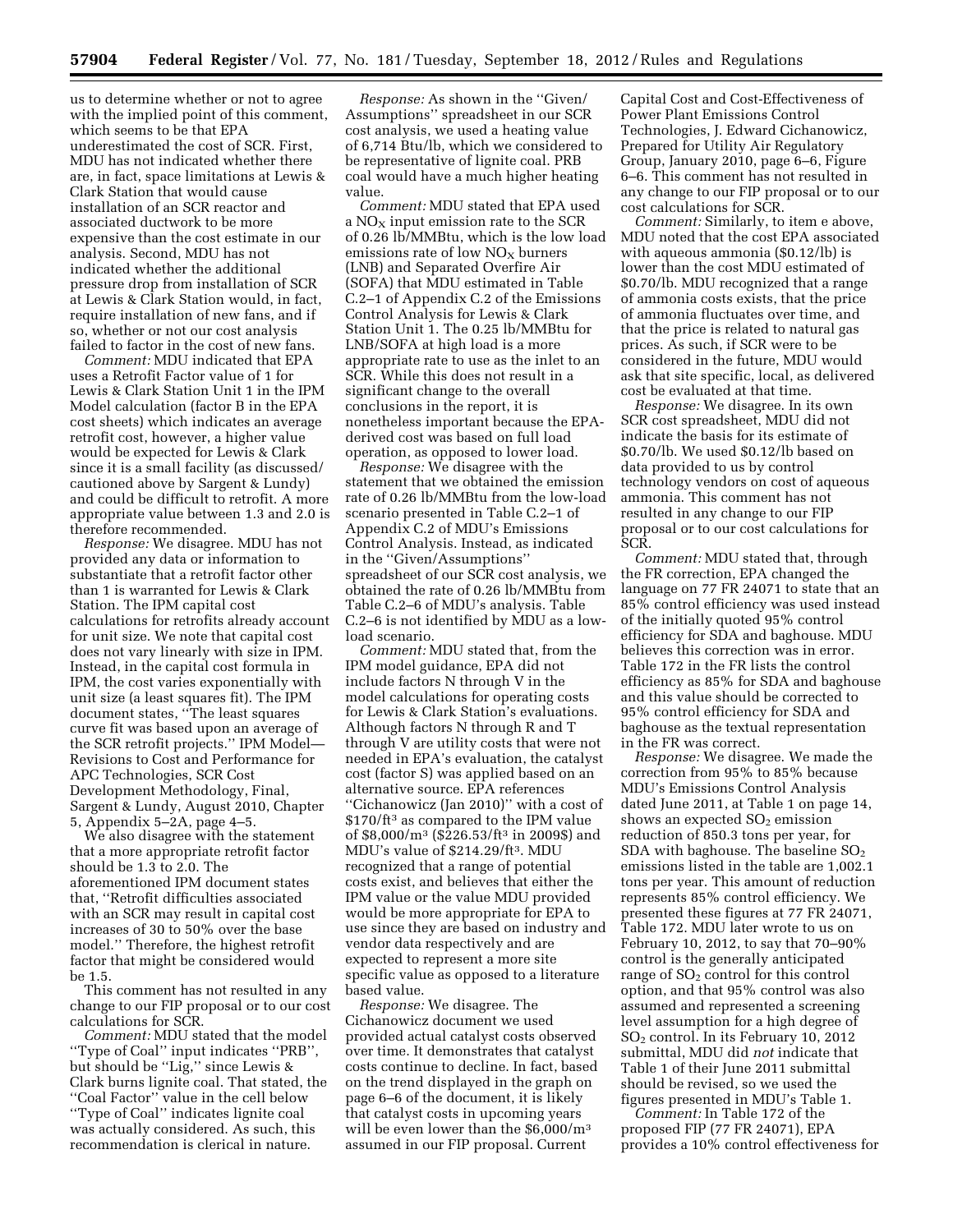us to determine whether or not to agree with the implied point of this comment, which seems to be that EPA underestimated the cost of SCR. First, MDU has not indicated whether there are, in fact, space limitations at Lewis & Clark Station that would cause installation of an SCR reactor and associated ductwork to be more expensive than the cost estimate in our analysis. Second, MDU has not indicated whether the additional pressure drop from installation of SCR at Lewis & Clark Station would, in fact, require installation of new fans, and if so, whether or not our cost analysis failed to factor in the cost of new fans.

*Comment:* MDU indicated that EPA uses a Retrofit Factor value of 1 for Lewis & Clark Station Unit 1 in the IPM Model calculation (factor B in the EPA cost sheets) which indicates an average retrofit cost, however, a higher value would be expected for Lewis & Clark since it is a small facility (as discussed/ cautioned above by Sargent & Lundy) and could be difficult to retrofit. A more appropriate value between 1.3 and 2.0 is therefore recommended.

*Response:* We disagree. MDU has not provided any data or information to substantiate that a retrofit factor other than 1 is warranted for Lewis & Clark Station. The IPM capital cost calculations for retrofits already account for unit size. We note that capital cost does not vary linearly with size in IPM. Instead, in the capital cost formula in IPM, the cost varies exponentially with unit size (a least squares fit). The IPM document states, ''The least squares curve fit was based upon an average of the SCR retrofit projects.'' IPM Model— Revisions to Cost and Performance for APC Technologies, SCR Cost Development Methodology, Final, Sargent & Lundy, August 2010, Chapter 5, Appendix 5–2A, page 4–5.

We also disagree with the statement that a more appropriate retrofit factor should be 1.3 to 2.0. The aforementioned IPM document states that, ''Retrofit difficulties associated with an SCR may result in capital cost increases of 30 to 50% over the base model.'' Therefore, the highest retrofit factor that might be considered would be 1.5.

This comment has not resulted in any change to our FIP proposal or to our cost calculations for SCR.

*Comment:* MDU stated that the model ''Type of Coal'' input indicates ''PRB'', but should be ''Lig,'' since Lewis & Clark burns lignite coal. That stated, the ''Coal Factor'' value in the cell below ''Type of Coal'' indicates lignite coal was actually considered. As such, this recommendation is clerical in nature.

*Response:* As shown in the ''Given/ Assumptions'' spreadsheet in our SCR cost analysis, we used a heating value of 6,714 Btu/lb, which we considered to be representative of lignite coal. PRB coal would have a much higher heating value.

*Comment:* MDU stated that EPA used a  $NO<sub>x</sub>$  input emission rate to the SCR of 0.26 lb/MMBtu, which is the low load emissions rate of low  $NO<sub>x</sub>$  burners (LNB) and Separated Overfire Air (SOFA) that MDU estimated in Table C.2–1 of Appendix C.2 of the Emissions Control Analysis for Lewis & Clark Station Unit 1. The 0.25 lb/MMBtu for LNB/SOFA at high load is a more appropriate rate to use as the inlet to an SCR. While this does not result in a significant change to the overall conclusions in the report, it is nonetheless important because the EPAderived cost was based on full load operation, as opposed to lower load.

*Response:* We disagree with the statement that we obtained the emission rate of 0.26 lb/MMBtu from the low-load scenario presented in Table C.2–1 of Appendix C.2 of MDU's Emissions Control Analysis. Instead, as indicated in the ''Given/Assumptions'' spreadsheet of our SCR cost analysis, we obtained the rate of 0.26 lb/MMBtu from Table C.2–6 of MDU's analysis. Table C.2–6 is not identified by MDU as a lowload scenario.

*Comment:* MDU stated that, from the IPM model guidance, EPA did not include factors N through V in the model calculations for operating costs for Lewis & Clark Station's evaluations. Although factors N through R and T through V are utility costs that were not needed in EPA's evaluation, the catalyst cost (factor S) was applied based on an alternative source. EPA references ''Cichanowicz (Jan 2010)'' with a cost of \$170/ft3 as compared to the IPM value of \$8,000/m3 (\$226.53/ft3 in 2009\$) and MDU's value of \$214.29/ft3. MDU recognized that a range of potential costs exist, and believes that either the IPM value or the value MDU provided would be more appropriate for EPA to use since they are based on industry and vendor data respectively and are expected to represent a more site specific value as opposed to a literature based value.

*Response:* We disagree. The Cichanowicz document we used provided actual catalyst costs observed over time. It demonstrates that catalyst costs continue to decline. In fact, based on the trend displayed in the graph on page 6–6 of the document, it is likely that catalyst costs in upcoming years will be even lower than the \$6,000/m<sup>3</sup> assumed in our FIP proposal. Current

Capital Cost and Cost-Effectiveness of Power Plant Emissions Control Technologies, J. Edward Cichanowicz, Prepared for Utility Air Regulatory Group, January 2010, page 6–6, Figure 6–6. This comment has not resulted in any change to our FIP proposal or to our cost calculations for SCR.

*Comment:* Similarly, to item e above, MDU noted that the cost EPA associated with aqueous ammonia (\$0.12/lb) is lower than the cost MDU estimated of \$0.70/lb. MDU recognized that a range of ammonia costs exists, that the price of ammonia fluctuates over time, and that the price is related to natural gas prices. As such, if SCR were to be considered in the future, MDU would ask that site specific, local, as delivered cost be evaluated at that time.

*Response:* We disagree. In its own SCR cost spreadsheet, MDU did not indicate the basis for its estimate of \$0.70/lb. We used \$0.12/lb based on data provided to us by control technology vendors on cost of aqueous ammonia. This comment has not resulted in any change to our FIP proposal or to our cost calculations for SCR.

*Comment:* MDU stated that, through the FR correction, EPA changed the language on 77 FR 24071 to state that an 85% control efficiency was used instead of the initially quoted 95% control efficiency for SDA and baghouse. MDU believes this correction was in error. Table 172 in the FR lists the control efficiency as 85% for SDA and baghouse and this value should be corrected to 95% control efficiency for SDA and baghouse as the textual representation in the FR was correct.

*Response:* We disagree. We made the correction from 95% to 85% because MDU's Emissions Control Analysis dated June 2011, at Table 1 on page 14, shows an expected  $SO<sub>2</sub>$  emission reduction of 850.3 tons per year, for SDA with baghouse. The baseline  $SO<sub>2</sub>$ emissions listed in the table are 1,002.1 tons per year. This amount of reduction represents 85% control efficiency. We presented these figures at 77 FR 24071, Table 172. MDU later wrote to us on February 10, 2012, to say that 70–90% control is the generally anticipated range of  $SO<sub>2</sub>$  control for this control option, and that 95% control was also assumed and represented a screening level assumption for a high degree of SO2 control. In its February 10, 2012 submittal, MDU did *not* indicate that Table 1 of their June 2011 submittal should be revised, so we used the figures presented in MDU's Table 1.

*Comment:* In Table 172 of the proposed FIP (77 FR 24071), EPA provides a 10% control effectiveness for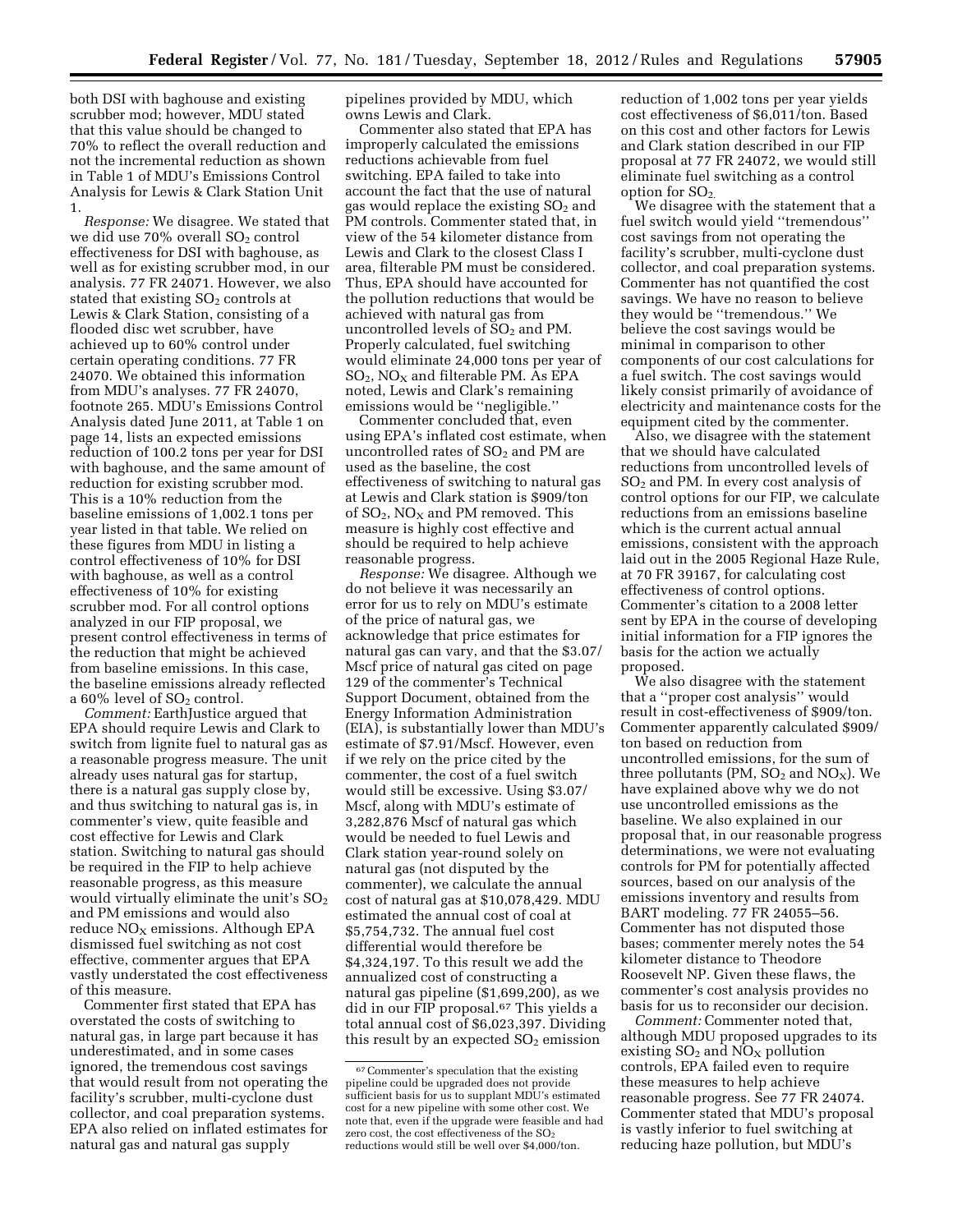both DSI with baghouse and existing scrubber mod; however, MDU stated that this value should be changed to 70% to reflect the overall reduction and not the incremental reduction as shown in Table 1 of MDU's Emissions Control Analysis for Lewis & Clark Station Unit 1.

*Response:* We disagree. We stated that we did use  $70\%$  overall  $SO<sub>2</sub>$  control effectiveness for DSI with baghouse, as well as for existing scrubber mod, in our analysis. 77 FR 24071. However, we also stated that existing  $SO<sub>2</sub>$  controls at Lewis & Clark Station, consisting of a flooded disc wet scrubber, have achieved up to 60% control under certain operating conditions. 77 FR 24070. We obtained this information from MDU's analyses. 77 FR 24070, footnote 265. MDU's Emissions Control Analysis dated June 2011, at Table 1 on page 14, lists an expected emissions reduction of 100.2 tons per year for DSI with baghouse, and the same amount of reduction for existing scrubber mod. This is a 10% reduction from the baseline emissions of 1,002.1 tons per year listed in that table. We relied on these figures from MDU in listing a control effectiveness of 10% for DSI with baghouse, as well as a control effectiveness of 10% for existing scrubber mod. For all control options analyzed in our FIP proposal, we present control effectiveness in terms of the reduction that might be achieved from baseline emissions. In this case, the baseline emissions already reflected a  $60\%$  level of  $SO<sub>2</sub>$  control.

*Comment:* EarthJustice argued that EPA should require Lewis and Clark to switch from lignite fuel to natural gas as a reasonable progress measure. The unit already uses natural gas for startup, there is a natural gas supply close by, and thus switching to natural gas is, in commenter's view, quite feasible and cost effective for Lewis and Clark station. Switching to natural gas should be required in the FIP to help achieve reasonable progress, as this measure would virtually eliminate the unit's  $SO<sub>2</sub>$ and PM emissions and would also  $reduce NO<sub>X</sub> emissions. Although EPA$ dismissed fuel switching as not cost effective, commenter argues that EPA vastly understated the cost effectiveness of this measure.

Commenter first stated that EPA has overstated the costs of switching to natural gas, in large part because it has underestimated, and in some cases ignored, the tremendous cost savings that would result from not operating the facility's scrubber, multi-cyclone dust collector, and coal preparation systems. EPA also relied on inflated estimates for natural gas and natural gas supply

pipelines provided by MDU, which owns Lewis and Clark.

Commenter also stated that EPA has improperly calculated the emissions reductions achievable from fuel switching. EPA failed to take into account the fact that the use of natural gas would replace the existing SO<sub>2</sub> and PM controls. Commenter stated that, in view of the 54 kilometer distance from Lewis and Clark to the closest Class I area, filterable PM must be considered. Thus, EPA should have accounted for the pollution reductions that would be achieved with natural gas from uncontrolled levels of  $SO<sub>2</sub>$  and PM. Properly calculated, fuel switching would eliminate 24,000 tons per year of  $SO_2$ , NO<sub>X</sub> and filterable PM. As EPA noted, Lewis and Clark's remaining emissions would be ''negligible.''

Commenter concluded that, even using EPA's inflated cost estimate, when uncontrolled rates of  $SO<sub>2</sub>$  and PM are used as the baseline, the cost effectiveness of switching to natural gas at Lewis and Clark station is \$909/ton of  $SO_2$ ,  $NO<sub>x</sub>$  and PM removed. This measure is highly cost effective and should be required to help achieve reasonable progress.

*Response:* We disagree. Although we do not believe it was necessarily an error for us to rely on MDU's estimate of the price of natural gas, we acknowledge that price estimates for natural gas can vary, and that the \$3.07/ Mscf price of natural gas cited on page 129 of the commenter's Technical Support Document, obtained from the Energy Information Administration (EIA), is substantially lower than MDU's estimate of \$7.91/Mscf. However, even if we rely on the price cited by the commenter, the cost of a fuel switch would still be excessive. Using \$3.07/ Mscf, along with MDU's estimate of 3,282,876 Mscf of natural gas which would be needed to fuel Lewis and Clark station year-round solely on natural gas (not disputed by the commenter), we calculate the annual cost of natural gas at \$10,078,429. MDU estimated the annual cost of coal at \$5,754,732. The annual fuel cost differential would therefore be \$4,324,197. To this result we add the annualized cost of constructing a natural gas pipeline (\$1,699,200), as we did in our FIP proposal.67 This yields a total annual cost of \$6,023,397. Dividing this result by an expected  $SO<sub>2</sub>$  emission

reduction of 1,002 tons per year yields cost effectiveness of \$6,011/ton. Based on this cost and other factors for Lewis and Clark station described in our FIP proposal at 77 FR 24072, we would still eliminate fuel switching as a control option for SO<sub>2.</sub>

We disagree with the statement that a fuel switch would yield ''tremendous'' cost savings from not operating the facility's scrubber, multi-cyclone dust collector, and coal preparation systems. Commenter has not quantified the cost savings. We have no reason to believe they would be ''tremendous.'' We believe the cost savings would be minimal in comparison to other components of our cost calculations for a fuel switch. The cost savings would likely consist primarily of avoidance of electricity and maintenance costs for the equipment cited by the commenter.

Also, we disagree with the statement that we should have calculated reductions from uncontrolled levels of  $SO<sub>2</sub>$  and PM. In every cost analysis of control options for our FIP, we calculate reductions from an emissions baseline which is the current actual annual emissions, consistent with the approach laid out in the 2005 Regional Haze Rule, at 70 FR 39167, for calculating cost effectiveness of control options. Commenter's citation to a 2008 letter sent by EPA in the course of developing initial information for a FIP ignores the basis for the action we actually proposed.

We also disagree with the statement that a ''proper cost analysis'' would result in cost-effectiveness of \$909/ton. Commenter apparently calculated \$909/ ton based on reduction from uncontrolled emissions, for the sum of three pollutants (PM,  $SO<sub>2</sub>$  and NO<sub>X</sub>). We have explained above why we do not use uncontrolled emissions as the baseline. We also explained in our proposal that, in our reasonable progress determinations, we were not evaluating controls for PM for potentially affected sources, based on our analysis of the emissions inventory and results from BART modeling. 77 FR 24055–56. Commenter has not disputed those bases; commenter merely notes the 54 kilometer distance to Theodore Roosevelt NP. Given these flaws, the commenter's cost analysis provides no basis for us to reconsider our decision.

*Comment:* Commenter noted that, although MDU proposed upgrades to its existing  $SO_2$  and  $NO_X$  pollution controls, EPA failed even to require these measures to help achieve reasonable progress. See 77 FR 24074. Commenter stated that MDU's proposal is vastly inferior to fuel switching at reducing haze pollution, but MDU's

<sup>67</sup>Commenter's speculation that the existing pipeline could be upgraded does not provide sufficient basis for us to supplant MDU's estimated cost for a new pipeline with some other cost. We note that, even if the upgrade were feasible and had zero cost, the cost effectiveness of the SO<sub>2</sub> reductions would still be well over \$4,000/ton.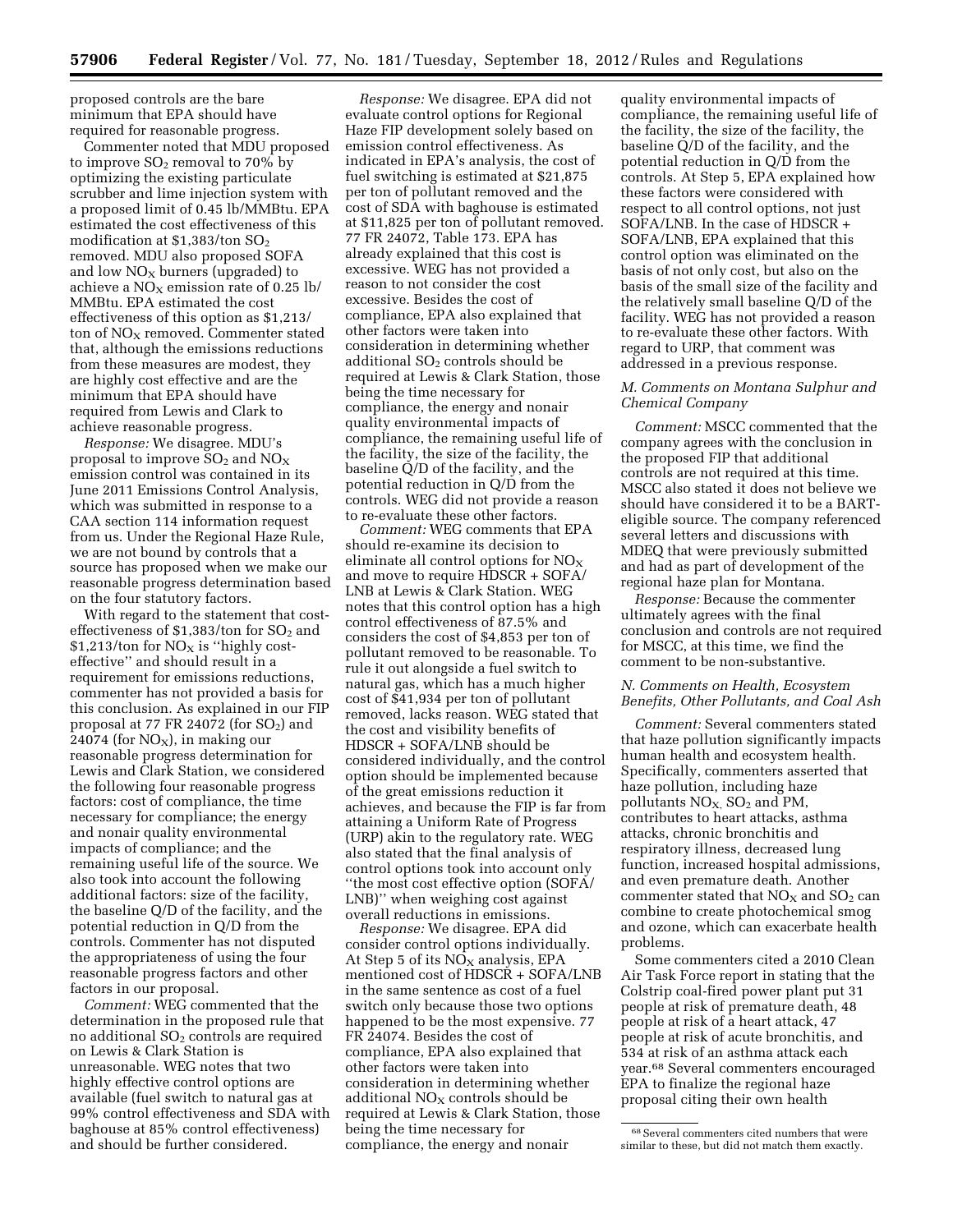proposed controls are the bare minimum that EPA should have required for reasonable progress.

Commenter noted that MDU proposed to improve  $SO_2$  removal to 70% by optimizing the existing particulate scrubber and lime injection system with a proposed limit of 0.45 lb/MMBtu. EPA estimated the cost effectiveness of this modification at  $$1,383/t$ on  $SO<sub>2</sub>$ removed. MDU also proposed SOFA and low  $NO<sub>X</sub>$  burners (upgraded) to achieve a  $NO<sub>x</sub>$  emission rate of 0.25 lb/ MMBtu. EPA estimated the cost effectiveness of this option as \$1,213/ ton of  $NO<sub>x</sub>$  removed. Commenter stated that, although the emissions reductions from these measures are modest, they are highly cost effective and are the minimum that EPA should have required from Lewis and Clark to achieve reasonable progress.

*Response:* We disagree. MDU's proposal to improve  $SO_2$  and  $NO_X$ emission control was contained in its June 2011 Emissions Control Analysis, which was submitted in response to a CAA section 114 information request from us. Under the Regional Haze Rule, we are not bound by controls that a source has proposed when we make our reasonable progress determination based on the four statutory factors.

With regard to the statement that costeffectiveness of \$1,383/ton for  $SO<sub>2</sub>$  and  $$1,213$ /ton for NO<sub>x</sub> is "highly costeffective'' and should result in a requirement for emissions reductions, commenter has not provided a basis for this conclusion. As explained in our FIP proposal at 77 FR 24072 (for  $SO<sub>2</sub>$ ) and 24074 (for  $NO<sub>x</sub>$ ), in making our reasonable progress determination for Lewis and Clark Station, we considered the following four reasonable progress factors: cost of compliance, the time necessary for compliance; the energy and nonair quality environmental impacts of compliance; and the remaining useful life of the source. We also took into account the following additional factors: size of the facility, the baseline Q/D of the facility, and the potential reduction in Q/D from the controls. Commenter has not disputed the appropriateness of using the four reasonable progress factors and other factors in our proposal.

*Comment:* WEG commented that the determination in the proposed rule that no additional  $SO<sub>2</sub>$  controls are required on Lewis & Clark Station is unreasonable. WEG notes that two highly effective control options are available (fuel switch to natural gas at 99% control effectiveness and SDA with baghouse at 85% control effectiveness) and should be further considered.

*Response:* We disagree. EPA did not evaluate control options for Regional Haze FIP development solely based on emission control effectiveness. As indicated in EPA's analysis, the cost of fuel switching is estimated at \$21,875 per ton of pollutant removed and the cost of SDA with baghouse is estimated at \$11,825 per ton of pollutant removed. 77 FR 24072, Table 173. EPA has already explained that this cost is excessive. WEG has not provided a reason to not consider the cost excessive. Besides the cost of compliance, EPA also explained that other factors were taken into consideration in determining whether additional  $SO<sub>2</sub>$  controls should be required at Lewis & Clark Station, those being the time necessary for compliance, the energy and nonair quality environmental impacts of compliance, the remaining useful life of the facility, the size of the facility, the baseline Q/D of the facility, and the potential reduction in Q/D from the controls. WEG did not provide a reason to re-evaluate these other factors.

*Comment:* WEG comments that EPA should re-examine its decision to eliminate all control options for  $NO<sub>X</sub>$ and move to require HDSCR + SOFA/ LNB at Lewis & Clark Station. WEG notes that this control option has a high control effectiveness of 87.5% and considers the cost of \$4,853 per ton of pollutant removed to be reasonable. To rule it out alongside a fuel switch to natural gas, which has a much higher cost of \$41,934 per ton of pollutant removed, lacks reason. WEG stated that the cost and visibility benefits of HDSCR + SOFA/LNB should be considered individually, and the control option should be implemented because of the great emissions reduction it achieves, and because the FIP is far from attaining a Uniform Rate of Progress (URP) akin to the regulatory rate. WEG also stated that the final analysis of control options took into account only ''the most cost effective option (SOFA/ LNB)'' when weighing cost against overall reductions in emissions.

*Response:* We disagree. EPA did consider control options individually. At Step 5 of its  $NO<sub>X</sub>$  analysis, EPA mentioned cost of HDSCR + SOFA/LNB in the same sentence as cost of a fuel switch only because those two options happened to be the most expensive. 77 FR 24074. Besides the cost of compliance, EPA also explained that other factors were taken into consideration in determining whether additional  $NO<sub>X</sub>$  controls should be required at Lewis & Clark Station, those being the time necessary for compliance, the energy and nonair

quality environmental impacts of compliance, the remaining useful life of the facility, the size of the facility, the baseline Q/D of the facility, and the potential reduction in Q/D from the controls. At Step 5, EPA explained how these factors were considered with respect to all control options, not just SOFA/LNB. In the case of HDSCR + SOFA/LNB, EPA explained that this control option was eliminated on the basis of not only cost, but also on the basis of the small size of the facility and the relatively small baseline Q/D of the facility. WEG has not provided a reason to re-evaluate these other factors. With regard to URP, that comment was addressed in a previous response.

#### *M. Comments on Montana Sulphur and Chemical Company*

*Comment:* MSCC commented that the company agrees with the conclusion in the proposed FIP that additional controls are not required at this time. MSCC also stated it does not believe we should have considered it to be a BARTeligible source. The company referenced several letters and discussions with MDEQ that were previously submitted and had as part of development of the regional haze plan for Montana.

*Response:* Because the commenter ultimately agrees with the final conclusion and controls are not required for MSCC, at this time, we find the comment to be non-substantive.

#### *N. Comments on Health, Ecosystem Benefits, Other Pollutants, and Coal Ash*

*Comment:* Several commenters stated that haze pollution significantly impacts human health and ecosystem health. Specifically, commenters asserted that haze pollution, including haze pollutants  $NO<sub>X</sub>$ ,  $SO<sub>2</sub>$  and PM, contributes to heart attacks, asthma attacks, chronic bronchitis and respiratory illness, decreased lung function, increased hospital admissions, and even premature death. Another commenter stated that  $NO<sub>X</sub>$  and  $SO<sub>2</sub>$  can combine to create photochemical smog and ozone, which can exacerbate health problems.

Some commenters cited a 2010 Clean Air Task Force report in stating that the Colstrip coal-fired power plant put 31 people at risk of premature death, 48 people at risk of a heart attack, 47 people at risk of acute bronchitis, and 534 at risk of an asthma attack each year.68 Several commenters encouraged EPA to finalize the regional haze proposal citing their own health

<sup>68</sup>Several commenters cited numbers that were similar to these, but did not match them exactly.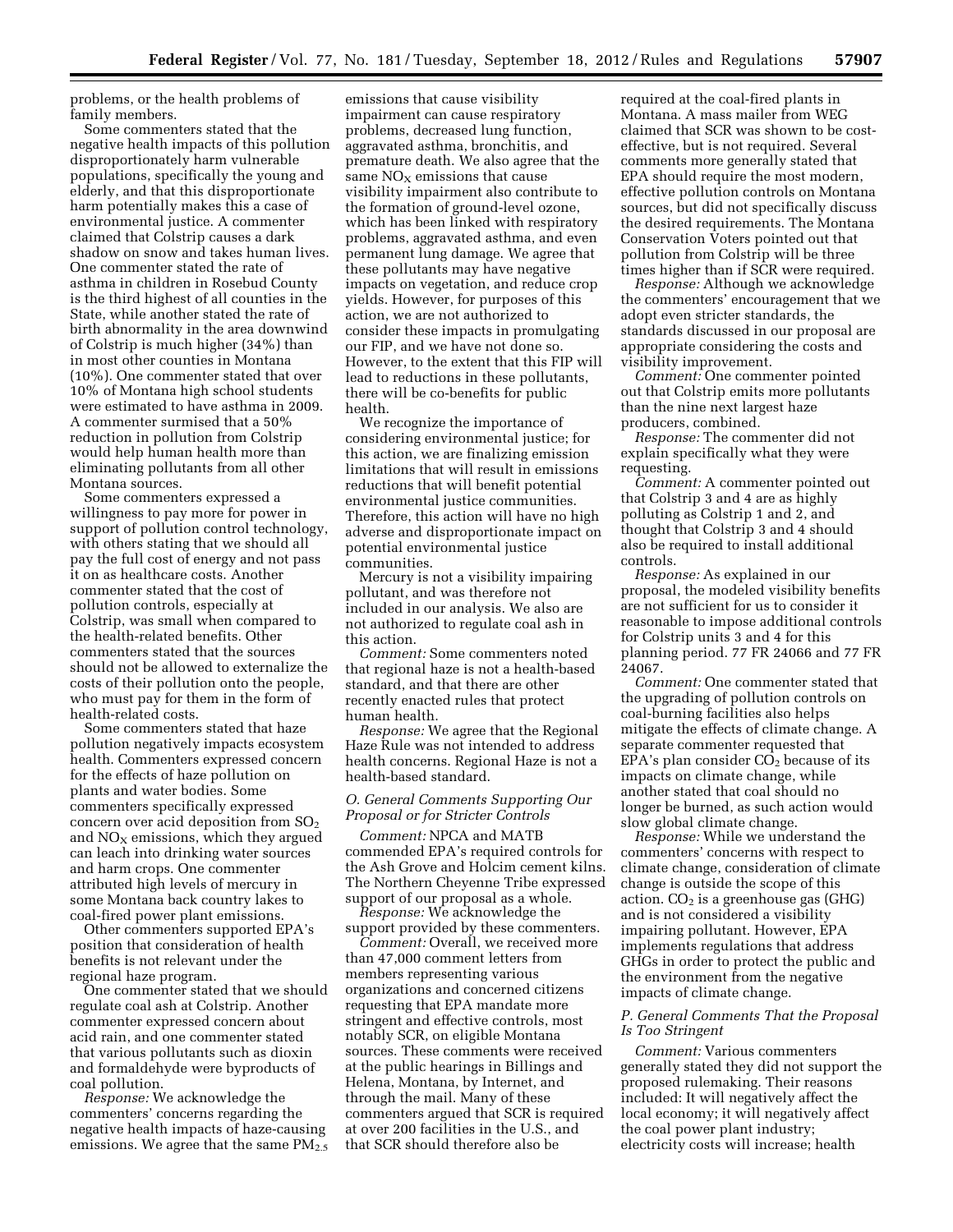problems, or the health problems of family members.

Some commenters stated that the negative health impacts of this pollution disproportionately harm vulnerable populations, specifically the young and elderly, and that this disproportionate harm potentially makes this a case of environmental justice. A commenter claimed that Colstrip causes a dark shadow on snow and takes human lives. One commenter stated the rate of asthma in children in Rosebud County is the third highest of all counties in the State, while another stated the rate of birth abnormality in the area downwind of Colstrip is much higher (34%) than in most other counties in Montana (10%). One commenter stated that over 10% of Montana high school students were estimated to have asthma in 2009. A commenter surmised that a 50% reduction in pollution from Colstrip would help human health more than eliminating pollutants from all other Montana sources.

Some commenters expressed a willingness to pay more for power in support of pollution control technology, with others stating that we should all pay the full cost of energy and not pass it on as healthcare costs. Another commenter stated that the cost of pollution controls, especially at Colstrip, was small when compared to the health-related benefits. Other commenters stated that the sources should not be allowed to externalize the costs of their pollution onto the people, who must pay for them in the form of health-related costs.

Some commenters stated that haze pollution negatively impacts ecosystem health. Commenters expressed concern for the effects of haze pollution on plants and water bodies. Some commenters specifically expressed concern over acid deposition from  $SO<sub>2</sub>$ and  $NO<sub>X</sub>$  emissions, which they argued can leach into drinking water sources and harm crops. One commenter attributed high levels of mercury in some Montana back country lakes to coal-fired power plant emissions.

Other commenters supported EPA's position that consideration of health benefits is not relevant under the regional haze program.

One commenter stated that we should regulate coal ash at Colstrip. Another commenter expressed concern about acid rain, and one commenter stated that various pollutants such as dioxin and formaldehyde were byproducts of coal pollution.

*Response:* We acknowledge the commenters' concerns regarding the negative health impacts of haze-causing emissions. We agree that the same  $PM_{2.5}$ 

emissions that cause visibility impairment can cause respiratory problems, decreased lung function, aggravated asthma, bronchitis, and premature death. We also agree that the same  $NO<sub>x</sub>$  emissions that cause visibility impairment also contribute to the formation of ground-level ozone, which has been linked with respiratory problems, aggravated asthma, and even permanent lung damage. We agree that these pollutants may have negative impacts on vegetation, and reduce crop yields. However, for purposes of this action, we are not authorized to consider these impacts in promulgating our FIP, and we have not done so. However, to the extent that this FIP will lead to reductions in these pollutants, there will be co-benefits for public health.

We recognize the importance of considering environmental justice; for this action, we are finalizing emission limitations that will result in emissions reductions that will benefit potential environmental justice communities. Therefore, this action will have no high adverse and disproportionate impact on potential environmental justice communities.

Mercury is not a visibility impairing pollutant, and was therefore not included in our analysis. We also are not authorized to regulate coal ash in this action.

*Comment:* Some commenters noted that regional haze is not a health-based standard, and that there are other recently enacted rules that protect human health.

*Response:* We agree that the Regional Haze Rule was not intended to address health concerns. Regional Haze is not a health-based standard.

#### *O. General Comments Supporting Our Proposal or for Stricter Controls*

*Comment:* NPCA and MATB commended EPA's required controls for the Ash Grove and Holcim cement kilns. The Northern Cheyenne Tribe expressed support of our proposal as a whole.

*Response:* We acknowledge the support provided by these commenters.

*Comment:* Overall, we received more than 47,000 comment letters from members representing various organizations and concerned citizens requesting that EPA mandate more stringent and effective controls, most notably SCR, on eligible Montana sources. These comments were received at the public hearings in Billings and Helena, Montana, by Internet, and through the mail. Many of these commenters argued that SCR is required at over 200 facilities in the U.S., and that SCR should therefore also be

required at the coal-fired plants in Montana. A mass mailer from WEG claimed that SCR was shown to be costeffective, but is not required. Several comments more generally stated that EPA should require the most modern, effective pollution controls on Montana sources, but did not specifically discuss the desired requirements. The Montana Conservation Voters pointed out that pollution from Colstrip will be three times higher than if SCR were required.

*Response:* Although we acknowledge the commenters' encouragement that we adopt even stricter standards, the standards discussed in our proposal are appropriate considering the costs and visibility improvement.

*Comment:* One commenter pointed out that Colstrip emits more pollutants than the nine next largest haze producers, combined.

*Response:* The commenter did not explain specifically what they were requesting.

*Comment:* A commenter pointed out that Colstrip 3 and 4 are as highly polluting as Colstrip 1 and 2, and thought that Colstrip 3 and 4 should also be required to install additional controls.

*Response:* As explained in our proposal, the modeled visibility benefits are not sufficient for us to consider it reasonable to impose additional controls for Colstrip units 3 and 4 for this planning period. 77 FR 24066 and 77 FR 24067.

*Comment:* One commenter stated that the upgrading of pollution controls on coal-burning facilities also helps mitigate the effects of climate change. A separate commenter requested that  $E\overline{P}A$ 's plan consider  $C\overline{O}_2$  because of its impacts on climate change, while another stated that coal should no longer be burned, as such action would slow global climate change.

*Response:* While we understand the commenters' concerns with respect to climate change, consideration of climate change is outside the scope of this action.  $CO<sub>2</sub>$  is a greenhouse gas (GHG) and is not considered a visibility impairing pollutant. However, EPA implements regulations that address GHGs in order to protect the public and the environment from the negative impacts of climate change.

#### *P. General Comments That the Proposal Is Too Stringent*

*Comment:* Various commenters generally stated they did not support the proposed rulemaking. Their reasons included: It will negatively affect the local economy; it will negatively affect the coal power plant industry; electricity costs will increase; health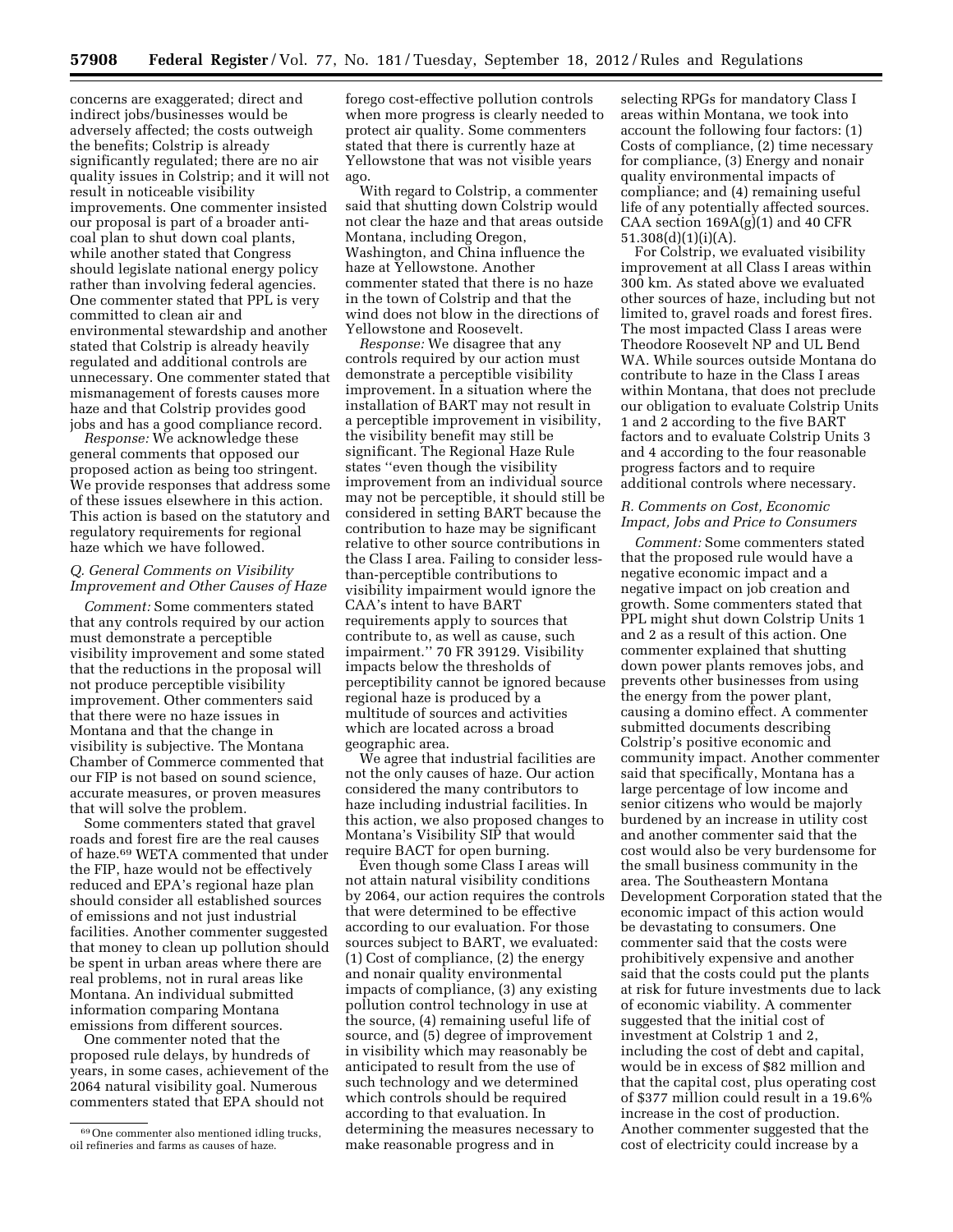concerns are exaggerated; direct and indirect jobs/businesses would be adversely affected; the costs outweigh the benefits; Colstrip is already significantly regulated; there are no air quality issues in Colstrip; and it will not result in noticeable visibility improvements. One commenter insisted our proposal is part of a broader anticoal plan to shut down coal plants, while another stated that Congress should legislate national energy policy rather than involving federal agencies. One commenter stated that PPL is very committed to clean air and environmental stewardship and another stated that Colstrip is already heavily regulated and additional controls are unnecessary. One commenter stated that mismanagement of forests causes more haze and that Colstrip provides good jobs and has a good compliance record.

*Response:* We acknowledge these general comments that opposed our proposed action as being too stringent. We provide responses that address some of these issues elsewhere in this action. This action is based on the statutory and regulatory requirements for regional haze which we have followed.

#### *Q. General Comments on Visibility Improvement and Other Causes of Haze*

*Comment:* Some commenters stated that any controls required by our action must demonstrate a perceptible visibility improvement and some stated that the reductions in the proposal will not produce perceptible visibility improvement. Other commenters said that there were no haze issues in Montana and that the change in visibility is subjective. The Montana Chamber of Commerce commented that our FIP is not based on sound science, accurate measures, or proven measures that will solve the problem.

Some commenters stated that gravel roads and forest fire are the real causes of haze.69 WETA commented that under the FIP, haze would not be effectively reduced and EPA's regional haze plan should consider all established sources of emissions and not just industrial facilities. Another commenter suggested that money to clean up pollution should be spent in urban areas where there are real problems, not in rural areas like Montana. An individual submitted information comparing Montana emissions from different sources.

One commenter noted that the proposed rule delays, by hundreds of years, in some cases, achievement of the 2064 natural visibility goal. Numerous commenters stated that EPA should not

forego cost-effective pollution controls when more progress is clearly needed to protect air quality. Some commenters stated that there is currently haze at Yellowstone that was not visible years ago.

With regard to Colstrip, a commenter said that shutting down Colstrip would not clear the haze and that areas outside Montana, including Oregon, Washington, and China influence the haze at Yellowstone. Another commenter stated that there is no haze in the town of Colstrip and that the wind does not blow in the directions of Yellowstone and Roosevelt.

*Response:* We disagree that any controls required by our action must demonstrate a perceptible visibility improvement. In a situation where the installation of BART may not result in a perceptible improvement in visibility, the visibility benefit may still be significant. The Regional Haze Rule states ''even though the visibility improvement from an individual source may not be perceptible, it should still be considered in setting BART because the contribution to haze may be significant relative to other source contributions in the Class I area. Failing to consider lessthan-perceptible contributions to visibility impairment would ignore the CAA's intent to have BART requirements apply to sources that contribute to, as well as cause, such impairment.'' 70 FR 39129. Visibility impacts below the thresholds of perceptibility cannot be ignored because regional haze is produced by a multitude of sources and activities which are located across a broad geographic area.

We agree that industrial facilities are not the only causes of haze. Our action considered the many contributors to haze including industrial facilities. In this action, we also proposed changes to Montana's Visibility SIP that would require BACT for open burning.

Even though some Class I areas will not attain natural visibility conditions by 2064, our action requires the controls that were determined to be effective according to our evaluation. For those sources subject to BART, we evaluated: (1) Cost of compliance, (2) the energy and nonair quality environmental impacts of compliance, (3) any existing pollution control technology in use at the source, (4) remaining useful life of source, and (5) degree of improvement in visibility which may reasonably be anticipated to result from the use of such technology and we determined which controls should be required according to that evaluation. In determining the measures necessary to make reasonable progress and in

selecting RPGs for mandatory Class I areas within Montana, we took into account the following four factors: (1) Costs of compliance, (2) time necessary for compliance, (3) Energy and nonair quality environmental impacts of compliance; and (4) remaining useful life of any potentially affected sources. CAA section 169A(g)(1) and 40 CFR 51.308(d)(1)(i)(A).

For Colstrip, we evaluated visibility improvement at all Class I areas within 300 km. As stated above we evaluated other sources of haze, including but not limited to, gravel roads and forest fires. The most impacted Class I areas were Theodore Roosevelt NP and UL Bend WA. While sources outside Montana do contribute to haze in the Class I areas within Montana, that does not preclude our obligation to evaluate Colstrip Units 1 and 2 according to the five BART factors and to evaluate Colstrip Units 3 and 4 according to the four reasonable progress factors and to require additional controls where necessary.

#### *R. Comments on Cost, Economic Impact, Jobs and Price to Consumers*

*Comment:* Some commenters stated that the proposed rule would have a negative economic impact and a negative impact on job creation and growth. Some commenters stated that PPL might shut down Colstrip Units 1 and 2 as a result of this action. One commenter explained that shutting down power plants removes jobs, and prevents other businesses from using the energy from the power plant, causing a domino effect. A commenter submitted documents describing Colstrip's positive economic and community impact. Another commenter said that specifically, Montana has a large percentage of low income and senior citizens who would be majorly burdened by an increase in utility cost and another commenter said that the cost would also be very burdensome for the small business community in the area. The Southeastern Montana Development Corporation stated that the economic impact of this action would be devastating to consumers. One commenter said that the costs were prohibitively expensive and another said that the costs could put the plants at risk for future investments due to lack of economic viability. A commenter suggested that the initial cost of investment at Colstrip 1 and 2, including the cost of debt and capital, would be in excess of \$82 million and that the capital cost, plus operating cost of \$377 million could result in a 19.6% increase in the cost of production. Another commenter suggested that the cost of electricity could increase by a

<sup>69</sup>One commenter also mentioned idling trucks, oil refineries and farms as causes of haze.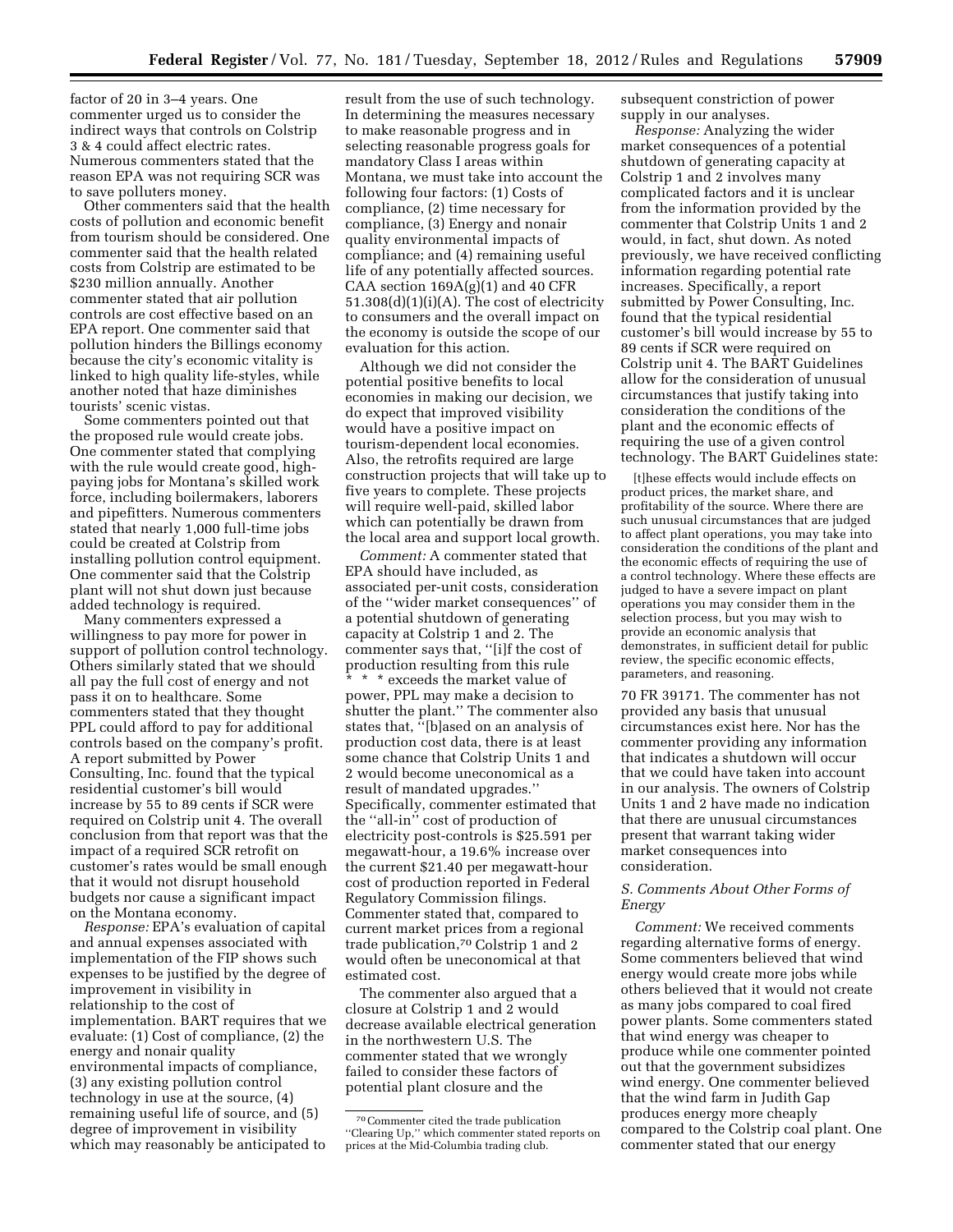factor of 20 in 3–4 years. One commenter urged us to consider the indirect ways that controls on Colstrip 3 & 4 could affect electric rates. Numerous commenters stated that the reason EPA was not requiring SCR was to save polluters money.

Other commenters said that the health costs of pollution and economic benefit from tourism should be considered. One commenter said that the health related costs from Colstrip are estimated to be \$230 million annually. Another commenter stated that air pollution controls are cost effective based on an EPA report. One commenter said that pollution hinders the Billings economy because the city's economic vitality is linked to high quality life-styles, while another noted that haze diminishes tourists' scenic vistas.

Some commenters pointed out that the proposed rule would create jobs. One commenter stated that complying with the rule would create good, highpaying jobs for Montana's skilled work force, including boilermakers, laborers and pipefitters. Numerous commenters stated that nearly 1,000 full-time jobs could be created at Colstrip from installing pollution control equipment. One commenter said that the Colstrip plant will not shut down just because added technology is required.

Many commenters expressed a willingness to pay more for power in support of pollution control technology. Others similarly stated that we should all pay the full cost of energy and not pass it on to healthcare. Some commenters stated that they thought PPL could afford to pay for additional controls based on the company's profit. A report submitted by Power Consulting, Inc. found that the typical residential customer's bill would increase by 55 to 89 cents if SCR were required on Colstrip unit 4. The overall conclusion from that report was that the impact of a required SCR retrofit on customer's rates would be small enough that it would not disrupt household budgets nor cause a significant impact on the Montana economy.

*Response:* EPA's evaluation of capital and annual expenses associated with implementation of the FIP shows such expenses to be justified by the degree of improvement in visibility in relationship to the cost of implementation. BART requires that we evaluate: (1) Cost of compliance, (2) the energy and nonair quality environmental impacts of compliance, (3) any existing pollution control technology in use at the source, (4) remaining useful life of source, and (5) degree of improvement in visibility which may reasonably be anticipated to

result from the use of such technology. In determining the measures necessary to make reasonable progress and in selecting reasonable progress goals for mandatory Class I areas within Montana, we must take into account the following four factors: (1) Costs of compliance, (2) time necessary for compliance, (3) Energy and nonair quality environmental impacts of compliance; and (4) remaining useful life of any potentially affected sources. CAA section  $169A(g)(1)$  and  $40$  CFR 51.308(d)(1)(i)(A). The cost of electricity to consumers and the overall impact on the economy is outside the scope of our evaluation for this action.

Although we did not consider the potential positive benefits to local economies in making our decision, we do expect that improved visibility would have a positive impact on tourism-dependent local economies. Also, the retrofits required are large construction projects that will take up to five years to complete. These projects will require well-paid, skilled labor which can potentially be drawn from the local area and support local growth.

*Comment:* A commenter stated that EPA should have included, as associated per-unit costs, consideration of the ''wider market consequences'' of a potential shutdown of generating capacity at Colstrip 1 and 2. The commenter says that, ''[i]f the cost of production resulting from this rule

\* \* \* exceeds the market value of power, PPL may make a decision to shutter the plant.'' The commenter also states that, ''[b]ased on an analysis of production cost data, there is at least some chance that Colstrip Units 1 and 2 would become uneconomical as a result of mandated upgrades.'' Specifically, commenter estimated that the ''all-in'' cost of production of electricity post-controls is \$25.591 per megawatt-hour, a 19.6% increase over the current \$21.40 per megawatt-hour cost of production reported in Federal Regulatory Commission filings. Commenter stated that, compared to current market prices from a regional trade publication,70 Colstrip 1 and 2 would often be uneconomical at that estimated cost.

The commenter also argued that a closure at Colstrip 1 and 2 would decrease available electrical generation in the northwestern U.S. The commenter stated that we wrongly failed to consider these factors of potential plant closure and the

subsequent constriction of power supply in our analyses.

*Response:* Analyzing the wider market consequences of a potential shutdown of generating capacity at Colstrip 1 and 2 involves many complicated factors and it is unclear from the information provided by the commenter that Colstrip Units 1 and 2 would, in fact, shut down. As noted previously, we have received conflicting information regarding potential rate increases. Specifically, a report submitted by Power Consulting, Inc. found that the typical residential customer's bill would increase by 55 to 89 cents if SCR were required on Colstrip unit 4. The BART Guidelines allow for the consideration of unusual circumstances that justify taking into consideration the conditions of the plant and the economic effects of requiring the use of a given control technology. The BART Guidelines state:

[t]hese effects would include effects on product prices, the market share, and profitability of the source. Where there are such unusual circumstances that are judged to affect plant operations, you may take into consideration the conditions of the plant and the economic effects of requiring the use of a control technology. Where these effects are judged to have a severe impact on plant operations you may consider them in the selection process, but you may wish to provide an economic analysis that demonstrates, in sufficient detail for public review, the specific economic effects, parameters, and reasoning.

70 FR 39171. The commenter has not provided any basis that unusual circumstances exist here. Nor has the commenter providing any information that indicates a shutdown will occur that we could have taken into account in our analysis. The owners of Colstrip Units 1 and 2 have made no indication that there are unusual circumstances present that warrant taking wider market consequences into consideration.

#### *S. Comments About Other Forms of Energy*

*Comment:* We received comments regarding alternative forms of energy. Some commenters believed that wind energy would create more jobs while others believed that it would not create as many jobs compared to coal fired power plants. Some commenters stated that wind energy was cheaper to produce while one commenter pointed out that the government subsidizes wind energy. One commenter believed that the wind farm in Judith Gap produces energy more cheaply compared to the Colstrip coal plant. One commenter stated that our energy

<sup>70</sup>Commenter cited the trade publication ''Clearing Up,'' which commenter stated reports on prices at the Mid-Columbia trading club.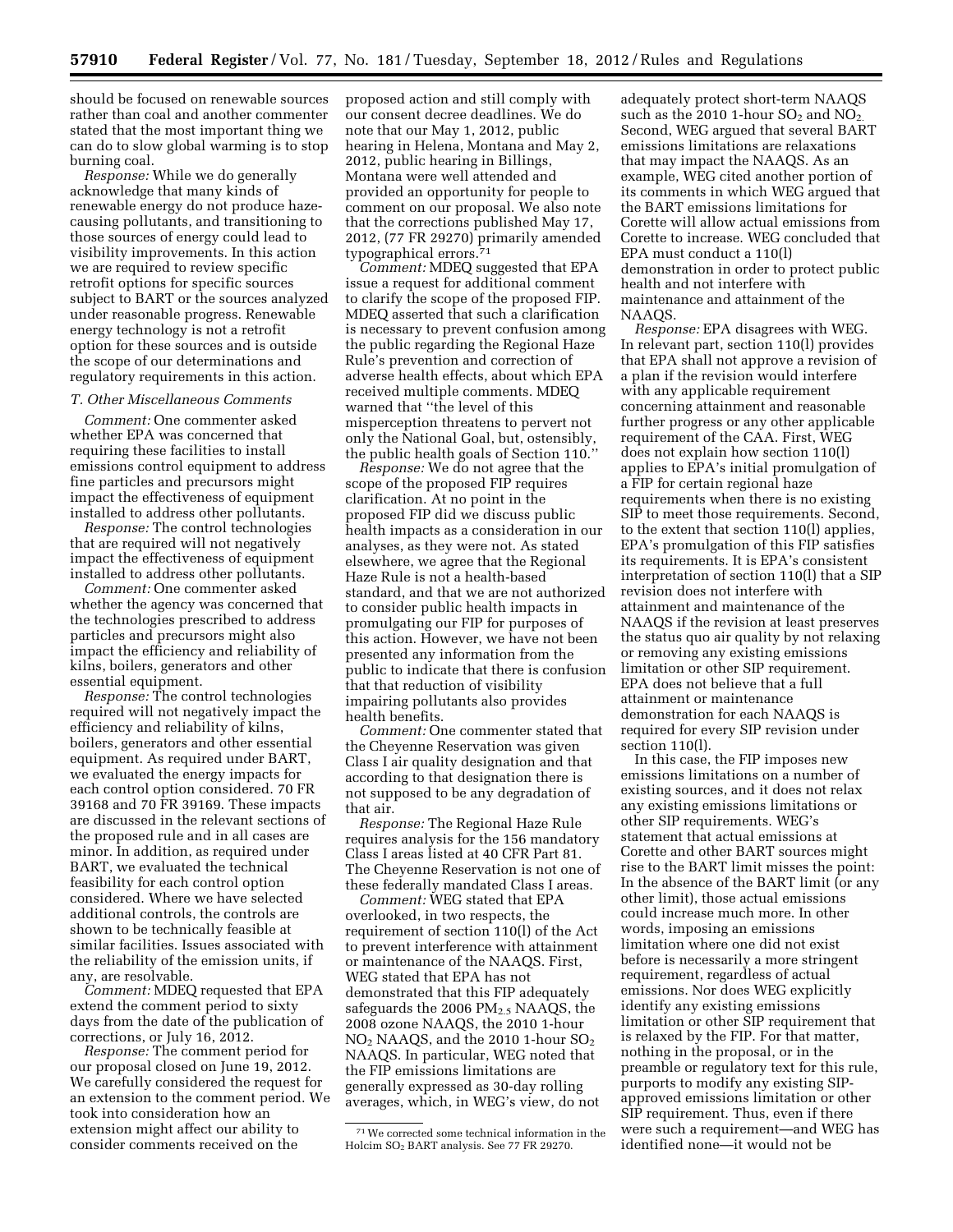should be focused on renewable sources rather than coal and another commenter stated that the most important thing we can do to slow global warming is to stop burning coal.

*Response:* While we do generally acknowledge that many kinds of renewable energy do not produce hazecausing pollutants, and transitioning to those sources of energy could lead to visibility improvements. In this action we are required to review specific retrofit options for specific sources subject to BART or the sources analyzed under reasonable progress. Renewable energy technology is not a retrofit option for these sources and is outside the scope of our determinations and regulatory requirements in this action.

#### *T. Other Miscellaneous Comments*

*Comment:* One commenter asked whether EPA was concerned that requiring these facilities to install emissions control equipment to address fine particles and precursors might impact the effectiveness of equipment installed to address other pollutants.

*Response:* The control technologies that are required will not negatively impact the effectiveness of equipment installed to address other pollutants.

*Comment:* One commenter asked whether the agency was concerned that the technologies prescribed to address particles and precursors might also impact the efficiency and reliability of kilns, boilers, generators and other essential equipment.

*Response:* The control technologies required will not negatively impact the efficiency and reliability of kilns, boilers, generators and other essential equipment. As required under BART, we evaluated the energy impacts for each control option considered. 70 FR 39168 and 70 FR 39169. These impacts are discussed in the relevant sections of the proposed rule and in all cases are minor. In addition, as required under BART, we evaluated the technical feasibility for each control option considered. Where we have selected additional controls, the controls are shown to be technically feasible at similar facilities. Issues associated with the reliability of the emission units, if any, are resolvable.

*Comment:* MDEQ requested that EPA extend the comment period to sixty days from the date of the publication of corrections, or July 16, 2012.

*Response:* The comment period for our proposal closed on June 19, 2012. We carefully considered the request for an extension to the comment period. We took into consideration how an extension might affect our ability to consider comments received on the

proposed action and still comply with our consent decree deadlines. We do note that our May 1, 2012, public hearing in Helena, Montana and May 2, 2012, public hearing in Billings, Montana were well attended and provided an opportunity for people to comment on our proposal. We also note that the corrections published May 17, 2012, (77 FR 29270) primarily amended typographical errors.71

*Comment:* MDEQ suggested that EPA issue a request for additional comment to clarify the scope of the proposed FIP. MDEQ asserted that such a clarification is necessary to prevent confusion among the public regarding the Regional Haze Rule's prevention and correction of adverse health effects, about which EPA received multiple comments. MDEQ warned that ''the level of this misperception threatens to pervert not only the National Goal, but, ostensibly, the public health goals of Section 110.''

*Response:* We do not agree that the scope of the proposed FIP requires clarification. At no point in the proposed FIP did we discuss public health impacts as a consideration in our analyses, as they were not. As stated elsewhere, we agree that the Regional Haze Rule is not a health-based standard, and that we are not authorized to consider public health impacts in promulgating our FIP for purposes of this action. However, we have not been presented any information from the public to indicate that there is confusion that that reduction of visibility impairing pollutants also provides health benefits.

*Comment:* One commenter stated that the Cheyenne Reservation was given Class I air quality designation and that according to that designation there is not supposed to be any degradation of that air.

*Response:* The Regional Haze Rule requires analysis for the 156 mandatory Class I areas listed at 40 CFR Part 81. The Cheyenne Reservation is not one of these federally mandated Class I areas.

*Comment:* WEG stated that EPA overlooked, in two respects, the requirement of section 110(l) of the Act to prevent interference with attainment or maintenance of the NAAQS. First, WEG stated that EPA has not demonstrated that this FIP adequately safeguards the 2006  $PM<sub>2.5</sub> NAAQS$ , the 2008 ozone NAAQS, the 2010 1-hour NO2 NAAQS, and the 2010 1-hour SO2 NAAQS. In particular, WEG noted that the FIP emissions limitations are generally expressed as 30-day rolling averages, which, in WEG's view, do not adequately protect short-term NAAQS such as the 2010 1-hour  $SO<sub>2</sub>$  and  $NO<sub>2</sub>$ . Second, WEG argued that several BART emissions limitations are relaxations that may impact the NAAQS. As an example, WEG cited another portion of its comments in which WEG argued that the BART emissions limitations for Corette will allow actual emissions from Corette to increase. WEG concluded that EPA must conduct a 110(l) demonstration in order to protect public health and not interfere with maintenance and attainment of the NAAQS.

*Response:* EPA disagrees with WEG. In relevant part, section 110(l) provides that EPA shall not approve a revision of a plan if the revision would interfere with any applicable requirement concerning attainment and reasonable further progress or any other applicable requirement of the CAA. First, WEG does not explain how section 110(l) applies to EPA's initial promulgation of a FIP for certain regional haze requirements when there is no existing SIP to meet those requirements. Second, to the extent that section 110(l) applies, EPA's promulgation of this FIP satisfies its requirements. It is EPA's consistent interpretation of section 110(l) that a SIP revision does not interfere with attainment and maintenance of the NAAQS if the revision at least preserves the status quo air quality by not relaxing or removing any existing emissions limitation or other SIP requirement. EPA does not believe that a full attainment or maintenance demonstration for each NAAQS is required for every SIP revision under section 110(l).

In this case, the FIP imposes new emissions limitations on a number of existing sources, and it does not relax any existing emissions limitations or other SIP requirements. WEG's statement that actual emissions at Corette and other BART sources might rise to the BART limit misses the point: In the absence of the BART limit (or any other limit), those actual emissions could increase much more. In other words, imposing an emissions limitation where one did not exist before is necessarily a more stringent requirement, regardless of actual emissions. Nor does WEG explicitly identify any existing emissions limitation or other SIP requirement that is relaxed by the FIP. For that matter, nothing in the proposal, or in the preamble or regulatory text for this rule, purports to modify any existing SIPapproved emissions limitation or other SIP requirement. Thus, even if there were such a requirement—and WEG has identified none—it would not be

<sup>71</sup>We corrected some technical information in the Holcim SO2 BART analysis. See 77 FR 29270.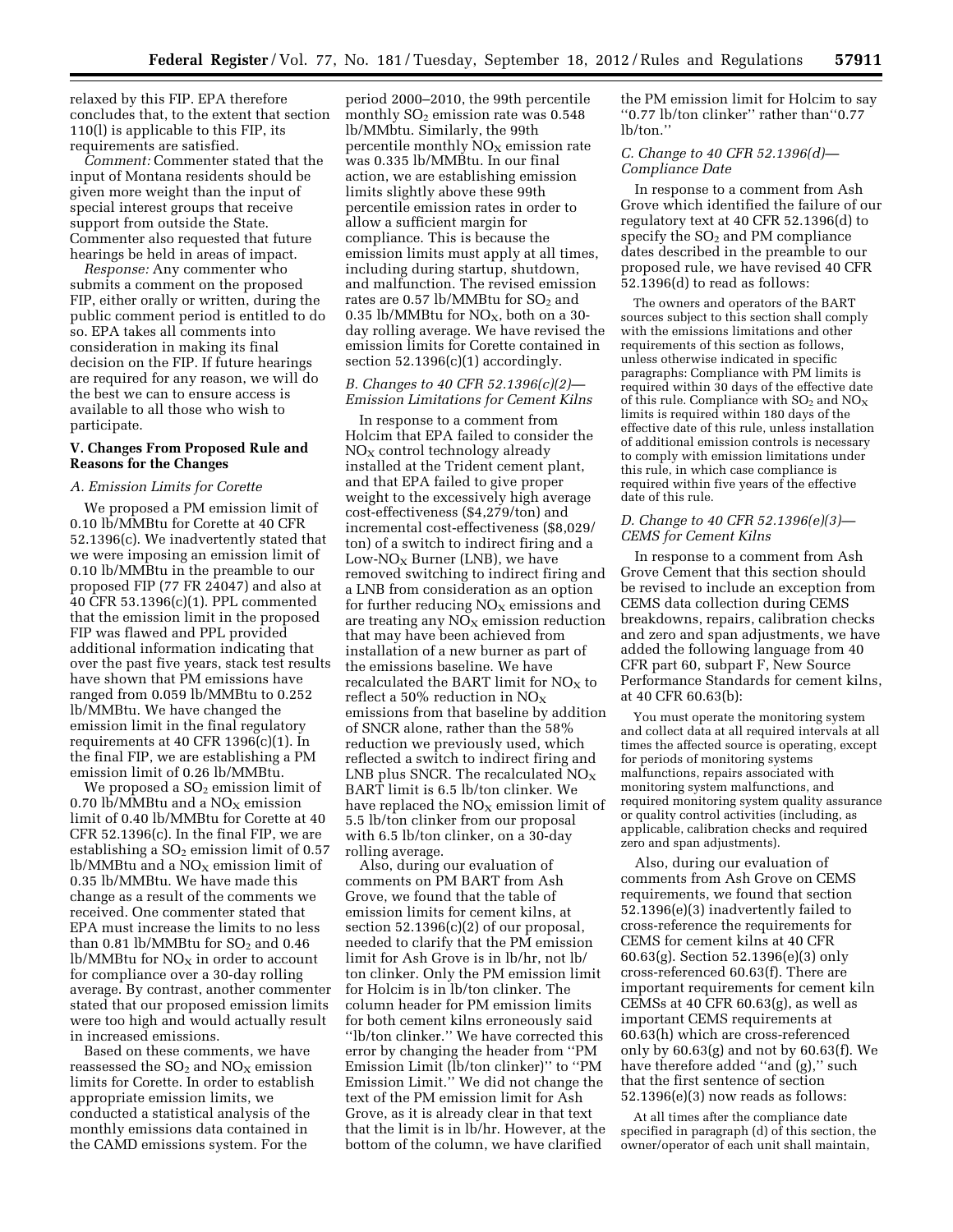relaxed by this FIP. EPA therefore concludes that, to the extent that section 110(l) is applicable to this FIP, its requirements are satisfied.

*Comment:* Commenter stated that the input of Montana residents should be given more weight than the input of special interest groups that receive support from outside the State. Commenter also requested that future hearings be held in areas of impact.

*Response:* Any commenter who submits a comment on the proposed FIP, either orally or written, during the public comment period is entitled to do so. EPA takes all comments into consideration in making its final decision on the FIP. If future hearings are required for any reason, we will do the best we can to ensure access is available to all those who wish to participate.

#### **V. Changes From Proposed Rule and Reasons for the Changes**

#### *A. Emission Limits for Corette*

We proposed a PM emission limit of 0.10 lb/MMBtu for Corette at 40 CFR 52.1396(c). We inadvertently stated that we were imposing an emission limit of 0.10 lb/MMBtu in the preamble to our proposed FIP (77 FR 24047) and also at 40 CFR 53.1396(c)(1). PPL commented that the emission limit in the proposed FIP was flawed and PPL provided additional information indicating that over the past five years, stack test results have shown that PM emissions have ranged from 0.059 lb/MMBtu to 0.252 lb/MMBtu. We have changed the emission limit in the final regulatory requirements at 40 CFR 1396(c)(1). In the final FIP, we are establishing a PM emission limit of 0.26 lb/MMBtu.

We proposed a  $SO<sub>2</sub>$  emission limit of 0.70 lb/MMBtu and a  $NO<sub>X</sub>$  emission limit of 0.40 lb/MMBtu for Corette at 40 CFR  $52.1396(c)$ . In the final FIP, we are establishing a  $SO<sub>2</sub>$  emission limit of 0.57 lb/MMBtu and a  $NO<sub>X</sub>$  emission limit of 0.35 lb/MMBtu. We have made this change as a result of the comments we received. One commenter stated that EPA must increase the limits to no less than 0.81 lb/MMBtu for  $SO<sub>2</sub>$  and 0.46  $lb/MM$ Btu for  $NO<sub>X</sub>$  in order to account for compliance over a 30-day rolling average. By contrast, another commenter stated that our proposed emission limits were too high and would actually result in increased emissions.

Based on these comments, we have reassessed the  $SO_2$  and  $NO_X$  emission limits for Corette. In order to establish appropriate emission limits, we conducted a statistical analysis of the monthly emissions data contained in the CAMD emissions system. For the

period 2000–2010, the 99th percentile monthly  $SO<sub>2</sub>$  emission rate was 0.548 lb/MMbtu. Similarly, the 99th percentile monthly  $NO<sub>x</sub>$  emission rate was 0.335 lb/MMBtu. In our final action, we are establishing emission limits slightly above these 99th percentile emission rates in order to allow a sufficient margin for compliance. This is because the emission limits must apply at all times, including during startup, shutdown, and malfunction. The revised emission rates are  $0.57 \text{ lb/MM}$ Btu for  $SO_2$  and 0.35 lb/MMBtu for  $NO<sub>X</sub>$ , both on a 30day rolling average. We have revised the emission limits for Corette contained in section  $52.1396(c)(1)$  accordingly.

#### *B. Changes to 40 CFR 52.1396(c)(2)— Emission Limitations for Cement Kilns*

In response to a comment from Holcim that EPA failed to consider the  $NO<sub>X</sub>$  control technology already installed at the Trident cement plant, and that EPA failed to give proper weight to the excessively high average cost-effectiveness (\$4,279/ton) and incremental cost-effectiveness (\$8,029/ ton) of a switch to indirect firing and a Low- $NO<sub>x</sub>$  Burner (LNB), we have removed switching to indirect firing and a LNB from consideration as an option for further reducing  $NO<sub>x</sub>$  emissions and are treating any  $N\overline{O}_X$  emission reduction that may have been achieved from installation of a new burner as part of the emissions baseline. We have recalculated the BART limit for  $NO<sub>X</sub>$  to reflect a 50% reduction in  $NO<sub>x</sub>$ emissions from that baseline by addition of SNCR alone, rather than the 58% reduction we previously used, which reflected a switch to indirect firing and LNB plus SNCR. The recalculated  $NO<sub>x</sub>$ BART limit is 6.5 lb/ton clinker. We have replaced the  $NO<sub>X</sub>$  emission limit of 5.5 lb/ton clinker from our proposal with 6.5 lb/ton clinker, on a 30-day rolling average.

Also, during our evaluation of comments on PM BART from Ash Grove, we found that the table of emission limits for cement kilns, at section  $52.1396(c)(2)$  of our proposal, needed to clarify that the PM emission limit for Ash Grove is in lb/hr, not lb/ ton clinker. Only the PM emission limit for Holcim is in lb/ton clinker. The column header for PM emission limits for both cement kilns erroneously said ''lb/ton clinker.'' We have corrected this error by changing the header from ''PM Emission Limit (lb/ton clinker)'' to ''PM Emission Limit.'' We did not change the text of the PM emission limit for Ash Grove, as it is already clear in that text that the limit is in lb/hr. However, at the bottom of the column, we have clarified

the PM emission limit for Holcim to say ''0.77 lb/ton clinker'' rather than''0.77 lb/ton.''

#### *C. Change to 40 CFR 52.1396(d)— Compliance Date*

In response to a comment from Ash Grove which identified the failure of our regulatory text at 40 CFR 52.1396(d) to specify the  $SO<sub>2</sub>$  and PM compliance dates described in the preamble to our proposed rule, we have revised 40 CFR 52.1396(d) to read as follows:

The owners and operators of the BART sources subject to this section shall comply with the emissions limitations and other requirements of this section as follows, unless otherwise indicated in specific paragraphs: Compliance with PM limits is required within 30 days of the effective date of this rule. Compliance with  $SO_2$  and  $NO_X$ limits is required within 180 days of the effective date of this rule, unless installation of additional emission controls is necessary to comply with emission limitations under this rule, in which case compliance is required within five years of the effective date of this rule.

#### *D. Change to 40 CFR 52.1396(e)(3)— CEMS for Cement Kilns*

In response to a comment from Ash Grove Cement that this section should be revised to include an exception from CEMS data collection during CEMS breakdowns, repairs, calibration checks and zero and span adjustments, we have added the following language from 40 CFR part 60, subpart F, New Source Performance Standards for cement kilns, at 40 CFR 60.63(b):

You must operate the monitoring system and collect data at all required intervals at all times the affected source is operating, except for periods of monitoring systems malfunctions, repairs associated with monitoring system malfunctions, and required monitoring system quality assurance or quality control activities (including, as applicable, calibration checks and required zero and span adjustments).

Also, during our evaluation of comments from Ash Grove on CEMS requirements, we found that section 52.1396(e)(3) inadvertently failed to cross-reference the requirements for CEMS for cement kilns at 40 CFR 60.63(g). Section 52.1396(e)(3) only cross-referenced 60.63(f). There are important requirements for cement kiln CEMSs at 40 CFR 60.63(g), as well as important CEMS requirements at 60.63(h) which are cross-referenced only by 60.63(g) and not by 60.63(f). We have therefore added "and (g)," such that the first sentence of section 52.1396(e)(3) now reads as follows:

At all times after the compliance date specified in paragraph (d) of this section, the owner/operator of each unit shall maintain,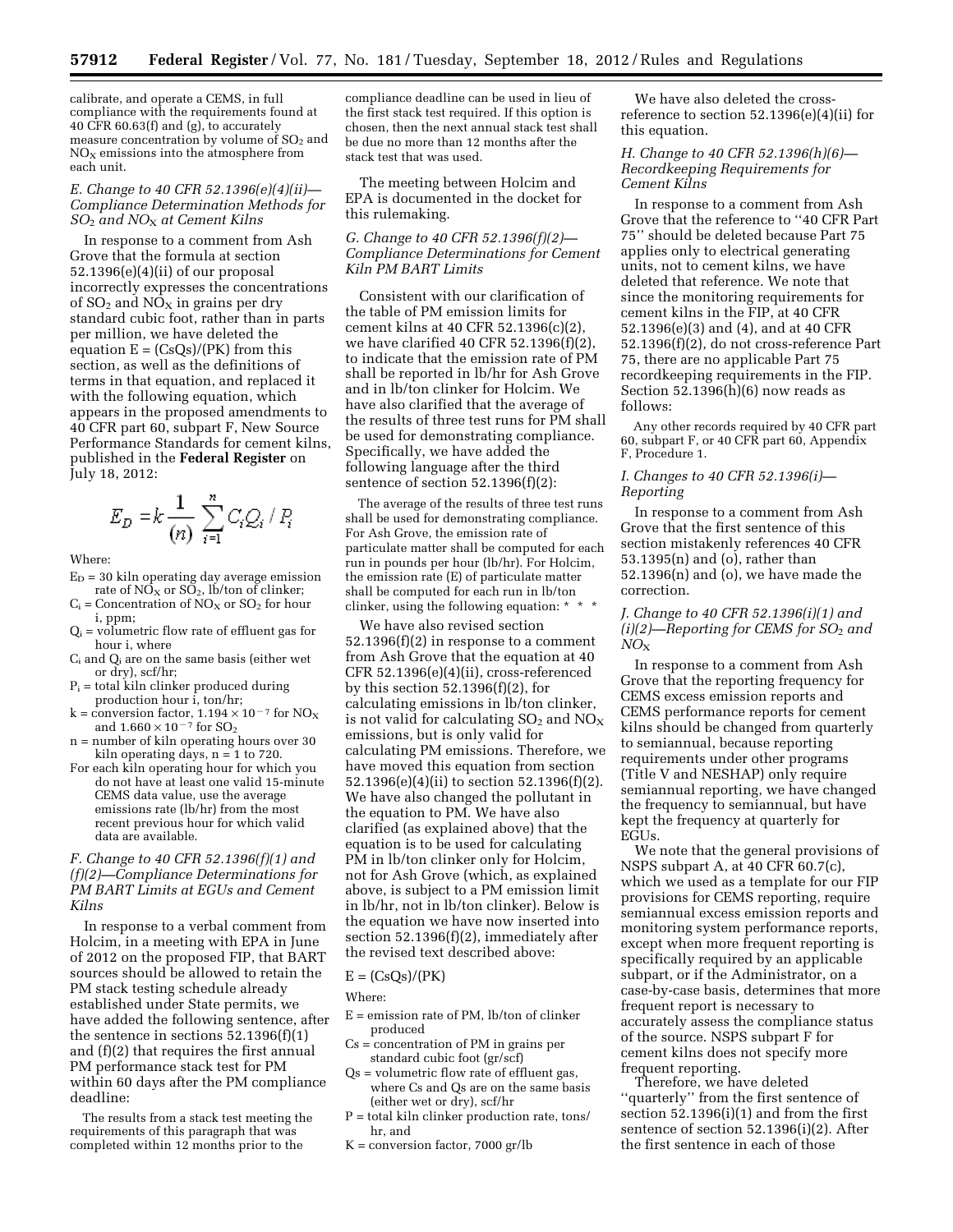calibrate, and operate a CEMS, in full compliance with the requirements found at 40 CFR 60.63(f) and (g), to accurately measure concentration by volume of  $SO<sub>2</sub>$  and  $NO<sub>X</sub>$  emissions into the atmosphere from each unit.

#### *E. Change to 40 CFR 52.1396(e)(4)(ii)— Compliance Determination Methods for SO*2 *and NO*X *at Cement Kilns*

In response to a comment from Ash Grove that the formula at section 52.1396(e)(4)(ii) of our proposal incorrectly expresses the concentrations of  $SO_2$  and  $NO_X$  in grains per dry standard cubic foot, rather than in parts per million, we have deleted the equation  $E = (CsQs)/(PK)$  from this section, as well as the definitions of terms in that equation, and replaced it with the following equation, which appears in the proposed amendments to 40 CFR part 60, subpart F, New Source Performance Standards for cement kilns, published in the **Federal Register** on July 18, 2012:

$$
E_D = k \frac{1}{(n)} \sum_{i=1}^n C_i Q_i / P_i
$$

Where:

- $\mathrm{E}_\mathrm{D} = 30$ kiln operating day average emission rate of  $N\overline{O}_X$  or  $S\overline{O}_2$ , lb/ton of clinker;
- = Concentration of  $NO<sub>x</sub>$  or  $SO<sub>2</sub>$  for hour i, ppm;
- $Q_i$  = volumetric flow rate of effluent gas for hour i, where
- Ci and Qi are on the same basis (either wet or dry), scf/hr;
- $P_i$  = total kiln clinker produced during production hour i, ton/hr;
- k = conversion factor,  $1.194 \times 10^{-7}$  for NO<sub>x</sub> and  $1.660 \times 10^{-7}$  for  $SO_2$
- n = number of kiln operating hours over 30 kiln operating days,  $n = 1$  to 720.
- For each kiln operating hour for which you do not have at least one valid 15-minute CEMS data value, use the average emissions rate (lb/hr) from the most recent previous hour for which valid data are available.

#### *F. Change to 40 CFR 52.1396(f)(1) and (f)(2)—Compliance Determinations for PM BART Limits at EGUs and Cement Kilns*

In response to a verbal comment from Holcim, in a meeting with EPA in June of 2012 on the proposed FIP, that BART sources should be allowed to retain the PM stack testing schedule already established under State permits, we have added the following sentence, after the sentence in sections  $52.1396(f)(1)$ and (f)(2) that requires the first annual PM performance stack test for PM within 60 days after the PM compliance deadline:

The results from a stack test meeting the requirements of this paragraph that was completed within 12 months prior to the

compliance deadline can be used in lieu of the first stack test required. If this option is chosen, then the next annual stack test shall be due no more than 12 months after the stack test that was used.

The meeting between Holcim and EPA is documented in the docket for this rulemaking.

#### *G. Change to 40 CFR 52.1396(f)(2)— Compliance Determinations for Cement Kiln PM BART Limits*

Consistent with our clarification of the table of PM emission limits for cement kilns at 40 CFR 52.1396(c)(2), we have clarified 40 CFR 52.1396(f)(2), to indicate that the emission rate of PM shall be reported in lb/hr for Ash Grove and in lb/ton clinker for Holcim. We have also clarified that the average of the results of three test runs for PM shall be used for demonstrating compliance. Specifically, we have added the following language after the third sentence of section 52.1396(f)(2):

The average of the results of three test runs shall be used for demonstrating compliance. For Ash Grove, the emission rate of particulate matter shall be computed for each run in pounds per hour (lb/hr). For Holcim, the emission rate (E) of particulate matter shall be computed for each run in lb/ton clinker, using the following equation: \*

We have also revised section 52.1396(f)(2) in response to a comment from Ash Grove that the equation at 40 CFR 52.1396(e)(4)(ii), cross-referenced by this section 52.1396(f)(2), for calculating emissions in lb/ton clinker, is not valid for calculating  $SO_2$  and  $NO_X$ emissions, but is only valid for calculating PM emissions. Therefore, we have moved this equation from section 52.1396(e)(4)(ii) to section 52.1396(f)(2). We have also changed the pollutant in the equation to PM. We have also clarified (as explained above) that the equation is to be used for calculating PM in lb/ton clinker only for Holcim, not for Ash Grove (which, as explained above, is subject to a PM emission limit in lb/hr, not in lb/ton clinker). Below is the equation we have now inserted into section 52.1396(f)(2), immediately after the revised text described above:

#### $E = (CsQs)/(PK)$

Where:

- E = emission rate of PM, lb/ton of clinker produced
- Cs = concentration of PM in grains per standard cubic foot (gr/scf)
- $Os = volume$  volumetric flow rate of effluent gas, where Cs and Qs are on the same basis (either wet or dry), scf/hr
- P = total kiln clinker production rate, tons/ hr, and
- $K =$  conversion factor, 7000 gr/lb

We have also deleted the crossreference to section 52.1396(e)(4)(ii) for this equation.

#### *H. Change to 40 CFR 52.1396(h)(6)— Recordkeeping Requirements for Cement Kilns*

In response to a comment from Ash Grove that the reference to ''40 CFR Part 75'' should be deleted because Part 75 applies only to electrical generating units, not to cement kilns, we have deleted that reference. We note that since the monitoring requirements for cement kilns in the FIP, at 40 CFR 52.1396(e)(3) and (4), and at 40 CFR 52.1396(f)(2), do not cross-reference Part 75, there are no applicable Part 75 recordkeeping requirements in the FIP. Section  $52.1396(h)(6)$  now reads as follows:

Any other records required by 40 CFR part 60, subpart F, or 40 CFR part 60, Appendix F, Procedure 1.

#### *I. Changes to 40 CFR 52.1396(i)— Reporting*

In response to a comment from Ash Grove that the first sentence of this section mistakenly references 40 CFR 53.1395(n) and (o), rather than 52.1396(n) and (o), we have made the correction.

#### *J. Change to 40 CFR 52.1396(i)(1) and (i)(2)—Reporting for CEMS for SO*2 *and NO*X

In response to a comment from Ash Grove that the reporting frequency for CEMS excess emission reports and CEMS performance reports for cement kilns should be changed from quarterly to semiannual, because reporting requirements under other programs (Title V and NESHAP) only require semiannual reporting, we have changed the frequency to semiannual, but have kept the frequency at quarterly for EGUs.

We note that the general provisions of NSPS subpart A, at 40 CFR 60.7(c), which we used as a template for our FIP provisions for CEMS reporting, require semiannual excess emission reports and monitoring system performance reports, except when more frequent reporting is specifically required by an applicable subpart, or if the Administrator, on a case-by-case basis, determines that more frequent report is necessary to accurately assess the compliance status of the source. NSPS subpart F for cement kilns does not specify more frequent reporting.

Therefore, we have deleted ''quarterly'' from the first sentence of section 52.1396(i)(1) and from the first sentence of section 52.1396(i)(2). After the first sentence in each of those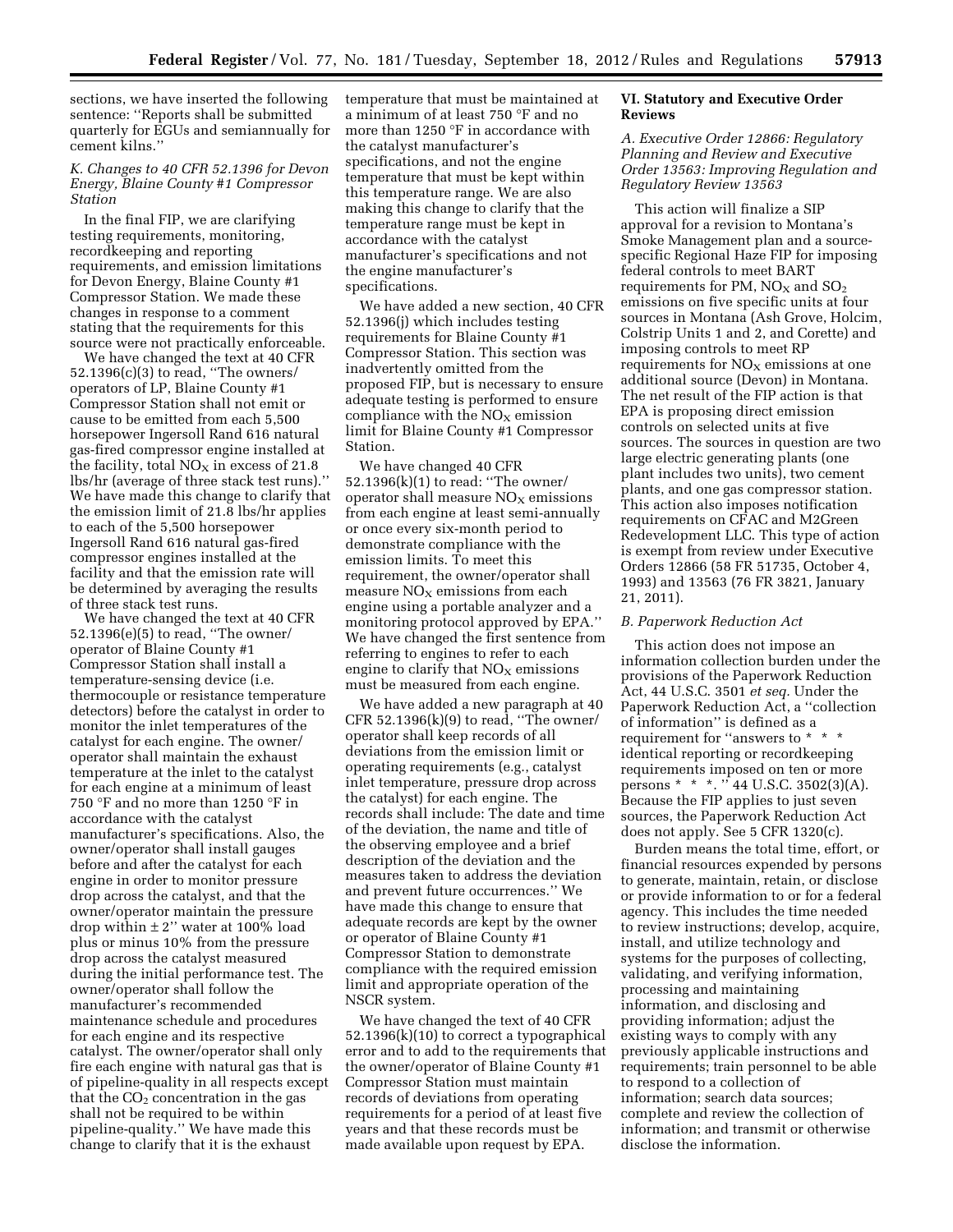sections, we have inserted the following sentence: ''Reports shall be submitted quarterly for EGUs and semiannually for cement kilns.''

#### *K. Changes to 40 CFR 52.1396 for Devon Energy, Blaine County #1 Compressor Station*

In the final FIP, we are clarifying testing requirements, monitoring, recordkeeping and reporting requirements, and emission limitations for Devon Energy, Blaine County #1 Compressor Station. We made these changes in response to a comment stating that the requirements for this source were not practically enforceable.

We have changed the text at 40 CFR 52.1396(c)(3) to read, ''The owners/ operators of LP, Blaine County #1 Compressor Station shall not emit or cause to be emitted from each 5,500 horsepower Ingersoll Rand 616 natural gas-fired compressor engine installed at the facility, total  $NO<sub>X</sub>$  in excess of 21.8 lbs/hr (average of three stack test runs).'' We have made this change to clarify that the emission limit of 21.8 lbs/hr applies to each of the 5,500 horsepower Ingersoll Rand 616 natural gas-fired compressor engines installed at the facility and that the emission rate will be determined by averaging the results of three stack test runs.

We have changed the text at 40 CFR 52.1396(e)(5) to read, ''The owner/ operator of Blaine County #1 Compressor Station shall install a temperature-sensing device (i.e. thermocouple or resistance temperature detectors) before the catalyst in order to monitor the inlet temperatures of the catalyst for each engine. The owner/ operator shall maintain the exhaust temperature at the inlet to the catalyst for each engine at a minimum of least 750 °F and no more than 1250 °F in accordance with the catalyst manufacturer's specifications. Also, the owner/operator shall install gauges before and after the catalyst for each engine in order to monitor pressure drop across the catalyst, and that the owner/operator maintain the pressure drop within  $\pm 2$ " water at 100% load plus or minus 10% from the pressure drop across the catalyst measured during the initial performance test. The owner/operator shall follow the manufacturer's recommended maintenance schedule and procedures for each engine and its respective catalyst. The owner/operator shall only fire each engine with natural gas that is of pipeline-quality in all respects except that the  $CO<sub>2</sub>$  concentration in the gas shall not be required to be within pipeline-quality.'' We have made this change to clarify that it is the exhaust

temperature that must be maintained at a minimum of at least 750 °F and no more than 1250 °F in accordance with the catalyst manufacturer's specifications, and not the engine temperature that must be kept within this temperature range. We are also making this change to clarify that the temperature range must be kept in accordance with the catalyst manufacturer's specifications and not the engine manufacturer's specifications.

We have added a new section, 40 CFR 52.1396(j) which includes testing requirements for Blaine County #1 Compressor Station. This section was inadvertently omitted from the proposed FIP, but is necessary to ensure adequate testing is performed to ensure compliance with the  $NO<sub>x</sub>$  emission limit for Blaine County #1 Compressor Station.

We have changed 40 CFR 52.1396(k)(1) to read: ''The owner/ operator shall measure  $NO<sub>x</sub>$  emissions from each engine at least semi-annually or once every six-month period to demonstrate compliance with the emission limits. To meet this requirement, the owner/operator shall measure  $NO<sub>x</sub>$  emissions from each engine using a portable analyzer and a monitoring protocol approved by EPA.'' We have changed the first sentence from referring to engines to refer to each engine to clarify that  $NO<sub>x</sub>$  emissions must be measured from each engine.

We have added a new paragraph at 40 CFR  $52.1396(k)(9)$  to read, "The owner/ operator shall keep records of all deviations from the emission limit or operating requirements (e.g., catalyst inlet temperature, pressure drop across the catalyst) for each engine. The records shall include: The date and time of the deviation, the name and title of the observing employee and a brief description of the deviation and the measures taken to address the deviation and prevent future occurrences.'' We have made this change to ensure that adequate records are kept by the owner or operator of Blaine County #1 Compressor Station to demonstrate compliance with the required emission limit and appropriate operation of the NSCR system.

We have changed the text of 40 CFR 52.1396(k)(10) to correct a typographical error and to add to the requirements that the owner/operator of Blaine County #1 Compressor Station must maintain records of deviations from operating requirements for a period of at least five years and that these records must be made available upon request by EPA.

#### **VI. Statutory and Executive Order Reviews**

#### *A. Executive Order 12866: Regulatory Planning and Review and Executive Order 13563: Improving Regulation and Regulatory Review 13563*

This action will finalize a SIP approval for a revision to Montana's Smoke Management plan and a sourcespecific Regional Haze FIP for imposing federal controls to meet BART requirements for PM,  $NO<sub>x</sub>$  and  $SO<sub>2</sub>$ emissions on five specific units at four sources in Montana (Ash Grove, Holcim, Colstrip Units 1 and 2, and Corette) and imposing controls to meet RP requirements for  $NO<sub>X</sub>$  emissions at one additional source (Devon) in Montana. The net result of the FIP action is that EPA is proposing direct emission controls on selected units at five sources. The sources in question are two large electric generating plants (one plant includes two units), two cement plants, and one gas compressor station. This action also imposes notification requirements on CFAC and M2Green Redevelopment LLC. This type of action is exempt from review under Executive Orders 12866 (58 FR 51735, October 4, 1993) and 13563 (76 FR 3821, January 21, 2011).

#### *B. Paperwork Reduction Act*

This action does not impose an information collection burden under the provisions of the Paperwork Reduction Act, 44 U.S.C. 3501 *et seq.* Under the Paperwork Reduction Act, a ''collection of information'' is defined as a requirement for ''answers to \*  $\,$  \*  $\,$  \* identical reporting or recordkeeping requirements imposed on ten or more persons \* \* \*. '' 44 U.S.C. 3502(3)(A). Because the FIP applies to just seven sources, the Paperwork Reduction Act does not apply. See 5 CFR 1320(c).

Burden means the total time, effort, or financial resources expended by persons to generate, maintain, retain, or disclose or provide information to or for a federal agency. This includes the time needed to review instructions; develop, acquire, install, and utilize technology and systems for the purposes of collecting, validating, and verifying information, processing and maintaining information, and disclosing and providing information; adjust the existing ways to comply with any previously applicable instructions and requirements; train personnel to be able to respond to a collection of information; search data sources; complete and review the collection of information; and transmit or otherwise disclose the information.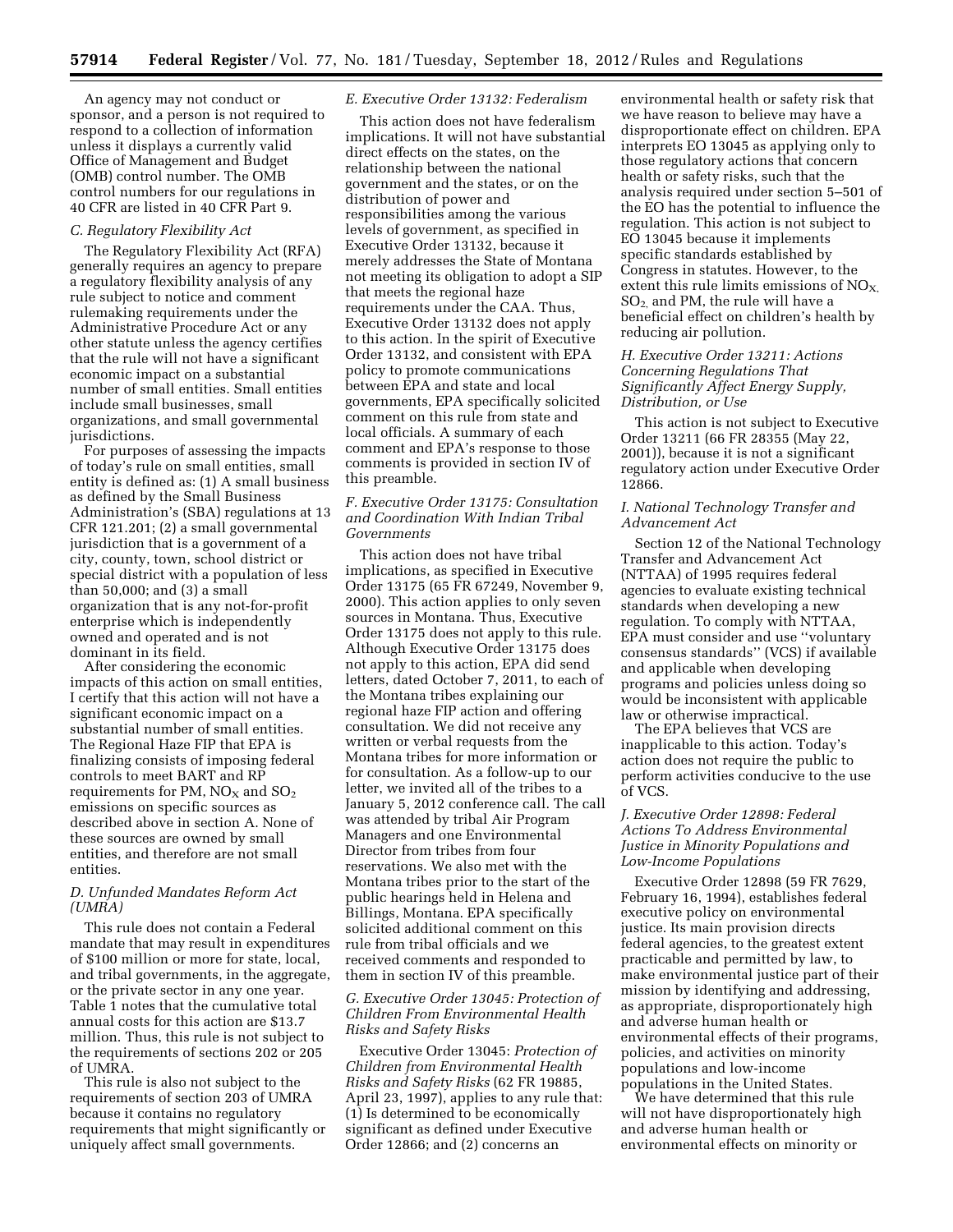An agency may not conduct or sponsor, and a person is not required to respond to a collection of information unless it displays a currently valid Office of Management and Budget (OMB) control number. The OMB control numbers for our regulations in 40 CFR are listed in 40 CFR Part 9.

#### *C. Regulatory Flexibility Act*

The Regulatory Flexibility Act (RFA) generally requires an agency to prepare a regulatory flexibility analysis of any rule subject to notice and comment rulemaking requirements under the Administrative Procedure Act or any other statute unless the agency certifies that the rule will not have a significant economic impact on a substantial number of small entities. Small entities include small businesses, small organizations, and small governmental jurisdictions.

For purposes of assessing the impacts of today's rule on small entities, small entity is defined as: (1) A small business as defined by the Small Business Administration's (SBA) regulations at 13 CFR 121.201; (2) a small governmental jurisdiction that is a government of a city, county, town, school district or special district with a population of less than 50,000; and (3) a small organization that is any not-for-profit enterprise which is independently owned and operated and is not dominant in its field.

After considering the economic impacts of this action on small entities, I certify that this action will not have a significant economic impact on a substantial number of small entities. The Regional Haze FIP that EPA is finalizing consists of imposing federal controls to meet BART and RP requirements for PM,  $NO<sub>X</sub>$  and  $SO<sub>2</sub>$ emissions on specific sources as described above in section A. None of these sources are owned by small entities, and therefore are not small entities.

#### *D. Unfunded Mandates Reform Act (UMRA)*

This rule does not contain a Federal mandate that may result in expenditures of \$100 million or more for state, local, and tribal governments, in the aggregate, or the private sector in any one year. Table 1 notes that the cumulative total annual costs for this action are \$13.7 million. Thus, this rule is not subject to the requirements of sections 202 or 205 of UMRA.

This rule is also not subject to the requirements of section 203 of UMRA because it contains no regulatory requirements that might significantly or uniquely affect small governments.

#### *E. Executive Order 13132: Federalism*

This action does not have federalism implications. It will not have substantial direct effects on the states, on the relationship between the national government and the states, or on the distribution of power and responsibilities among the various levels of government, as specified in Executive Order 13132, because it merely addresses the State of Montana not meeting its obligation to adopt a SIP that meets the regional haze requirements under the CAA. Thus, Executive Order 13132 does not apply to this action. In the spirit of Executive Order 13132, and consistent with EPA policy to promote communications between EPA and state and local governments, EPA specifically solicited comment on this rule from state and local officials. A summary of each comment and EPA's response to those comments is provided in section IV of this preamble.

#### *F. Executive Order 13175: Consultation and Coordination With Indian Tribal Governments*

This action does not have tribal implications, as specified in Executive Order 13175 (65 FR 67249, November 9, 2000). This action applies to only seven sources in Montana. Thus, Executive Order 13175 does not apply to this rule. Although Executive Order 13175 does not apply to this action, EPA did send letters, dated October 7, 2011, to each of the Montana tribes explaining our regional haze FIP action and offering consultation. We did not receive any written or verbal requests from the Montana tribes for more information or for consultation. As a follow-up to our letter, we invited all of the tribes to a January 5, 2012 conference call. The call was attended by tribal Air Program Managers and one Environmental Director from tribes from four reservations. We also met with the Montana tribes prior to the start of the public hearings held in Helena and Billings, Montana. EPA specifically solicited additional comment on this rule from tribal officials and we received comments and responded to them in section IV of this preamble.

#### *G. Executive Order 13045: Protection of Children From Environmental Health Risks and Safety Risks*

Executive Order 13045: *Protection of Children from Environmental Health Risks and Safety Risks* (62 FR 19885, April 23, 1997), applies to any rule that: (1) Is determined to be economically significant as defined under Executive Order 12866; and (2) concerns an

environmental health or safety risk that we have reason to believe may have a disproportionate effect on children. EPA interprets EO 13045 as applying only to those regulatory actions that concern health or safety risks, such that the analysis required under section 5–501 of the EO has the potential to influence the regulation. This action is not subject to EO 13045 because it implements specific standards established by Congress in statutes. However, to the extent this rule limits emissions of  $NO<sub>X</sub>$ , SO2, and PM, the rule will have a beneficial effect on children's health by reducing air pollution.

#### *H. Executive Order 13211: Actions Concerning Regulations That Significantly Affect Energy Supply, Distribution, or Use*

This action is not subject to Executive Order 13211 (66 FR 28355 (May 22, 2001)), because it is not a significant regulatory action under Executive Order 12866.

#### *I. National Technology Transfer and Advancement Act*

Section 12 of the National Technology Transfer and Advancement Act (NTTAA) of 1995 requires federal agencies to evaluate existing technical standards when developing a new regulation. To comply with NTTAA, EPA must consider and use ''voluntary consensus standards'' (VCS) if available and applicable when developing programs and policies unless doing so would be inconsistent with applicable law or otherwise impractical.

The EPA believes that VCS are inapplicable to this action. Today's action does not require the public to perform activities conducive to the use of VCS.

#### *J. Executive Order 12898: Federal Actions To Address Environmental Justice in Minority Populations and Low-Income Populations*

Executive Order 12898 (59 FR 7629, February 16, 1994), establishes federal executive policy on environmental justice. Its main provision directs federal agencies, to the greatest extent practicable and permitted by law, to make environmental justice part of their mission by identifying and addressing, as appropriate, disproportionately high and adverse human health or environmental effects of their programs, policies, and activities on minority populations and low-income populations in the United States.

We have determined that this rule will not have disproportionately high and adverse human health or environmental effects on minority or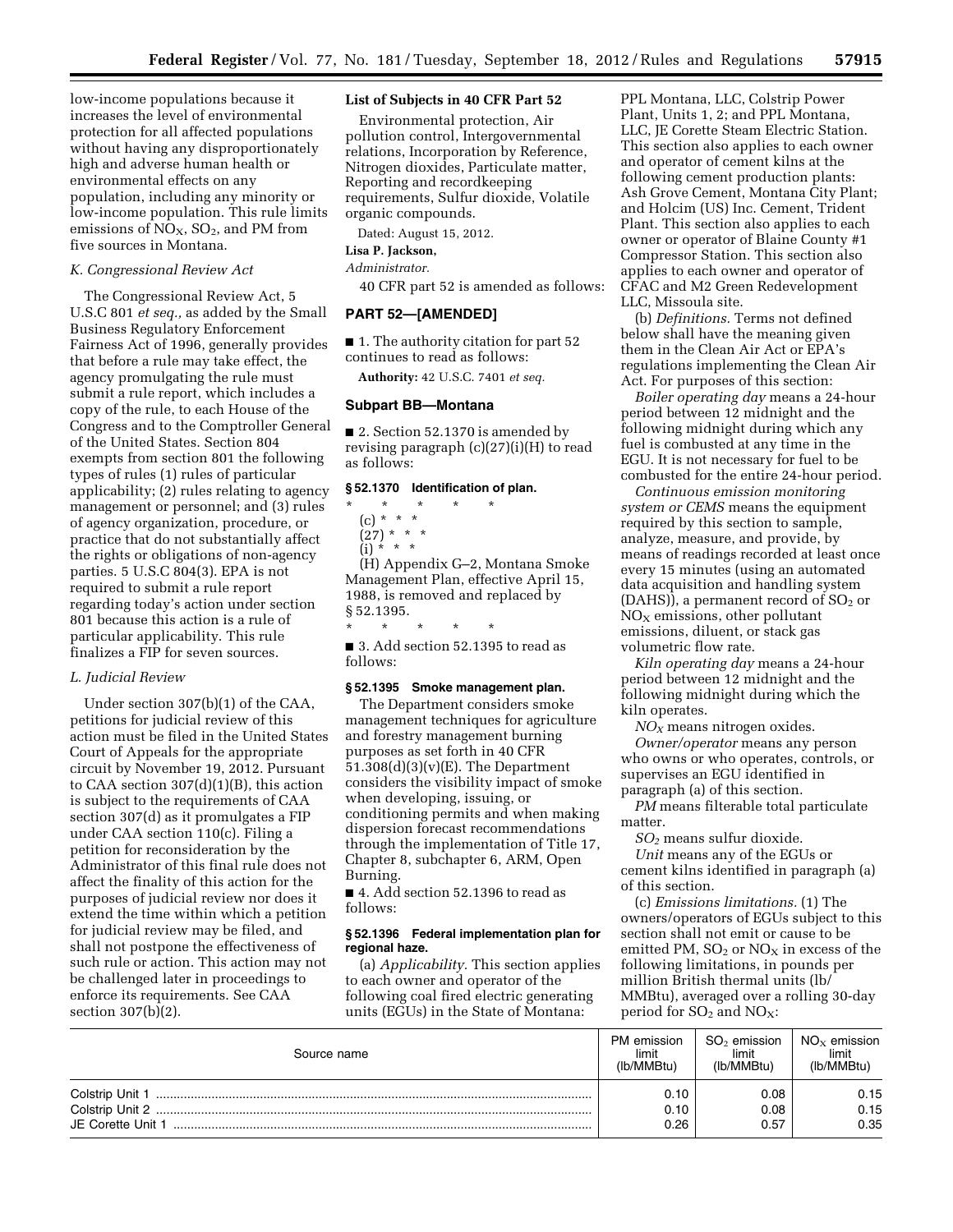low-income populations because it increases the level of environmental protection for all affected populations without having any disproportionately high and adverse human health or environmental effects on any population, including any minority or low-income population. This rule limits emissions of  $NO<sub>X</sub>$ ,  $SO<sub>2</sub>$ , and PM from five sources in Montana.

#### *K. Congressional Review Act*

The Congressional Review Act, 5 U.S.C 801 *et seq.,* as added by the Small Business Regulatory Enforcement Fairness Act of 1996, generally provides that before a rule may take effect, the agency promulgating the rule must submit a rule report, which includes a copy of the rule, to each House of the Congress and to the Comptroller General of the United States. Section 804 exempts from section 801 the following types of rules (1) rules of particular applicability; (2) rules relating to agency management or personnel; and (3) rules of agency organization, procedure, or practice that do not substantially affect the rights or obligations of non-agency parties. 5 U.S.C 804(3). EPA is not required to submit a rule report regarding today's action under section 801 because this action is a rule of particular applicability. This rule finalizes a FIP for seven sources.

#### *L. Judicial Review*

Under section 307(b)(1) of the CAA, petitions for judicial review of this action must be filed in the United States Court of Appeals for the appropriate circuit by November 19, 2012. Pursuant to CAA section  $307(d)(1)(B)$ , this action is subject to the requirements of CAA section 307(d) as it promulgates a FIP under CAA section 110(c). Filing a petition for reconsideration by the Administrator of this final rule does not affect the finality of this action for the purposes of judicial review nor does it extend the time within which a petition for judicial review may be filed, and shall not postpone the effectiveness of such rule or action. This action may not be challenged later in proceedings to enforce its requirements. See CAA section 307(b)(2).

#### **List of Subjects in 40 CFR Part 52**

Environmental protection, Air pollution control, Intergovernmental relations, Incorporation by Reference, Nitrogen dioxides, Particulate matter, Reporting and recordkeeping requirements, Sulfur dioxide, Volatile organic compounds.

Dated: August 15, 2012.

#### **Lisa P. Jackson,**

*Administrator.* 

40 CFR part 52 is amended as follows:

#### **PART 52—[AMENDED]**

■ 1. The authority citation for part 52 continues to read as follows:

**Authority:** 42 U.S.C. 7401 *et seq.* 

#### **Subpart BB—Montana**

■ 2. Section 52.1370 is amended by revising paragraph (c)(27)(i)(H) to read as follows:

#### **§ 52.1370 Identification of plan.**

- \* \* \* \* \*
	- (c) \* \* \*
	- (27) \* \* \*

(i) \* \* \*

(H) Appendix G–2, Montana Smoke Management Plan, effective April 15, 1988, is removed and replaced by § 52.1395.

■ 3. Add section 52.1395 to read as follows:

\* \* \* \* \*

#### **§ 52.1395 Smoke management plan.**

The Department considers smoke management techniques for agriculture and forestry management burning purposes as set forth in 40 CFR 51.308(d)(3)(v)(E). The Department considers the visibility impact of smoke when developing, issuing, or conditioning permits and when making dispersion forecast recommendations through the implementation of Title 17, Chapter 8, subchapter 6, ARM, Open Burning.

■ 4. Add section 52.1396 to read as follows:

#### **§ 52.1396 Federal implementation plan for regional haze.**

(a) *Applicability.* This section applies to each owner and operator of the following coal fired electric generating units (EGUs) in the State of Montana:

PPL Montana, LLC, Colstrip Power Plant, Units 1, 2; and PPL Montana, LLC, JE Corette Steam Electric Station. This section also applies to each owner and operator of cement kilns at the following cement production plants: Ash Grove Cement, Montana City Plant; and Holcim (US) Inc. Cement, Trident Plant. This section also applies to each owner or operator of Blaine County #1 Compressor Station. This section also applies to each owner and operator of CFAC and M2 Green Redevelopment LLC, Missoula site.

(b) *Definitions.* Terms not defined below shall have the meaning given them in the Clean Air Act or EPA's regulations implementing the Clean Air Act. For purposes of this section:

*Boiler operating day* means a 24-hour period between 12 midnight and the following midnight during which any fuel is combusted at any time in the EGU. It is not necessary for fuel to be combusted for the entire 24-hour period.

*Continuous emission monitoring system or CEMS* means the equipment required by this section to sample, analyze, measure, and provide, by means of readings recorded at least once every 15 minutes (using an automated data acquisition and handling system (DAHS)), a permanent record of  $SO<sub>2</sub>$  or  $NO<sub>x</sub>$  emissions, other pollutant emissions, diluent, or stack gas volumetric flow rate.

*Kiln operating day* means a 24-hour period between 12 midnight and the following midnight during which the kiln operates.

*NOX* means nitrogen oxides. *Owner/operator* means any person who owns or who operates, controls, or supervises an EGU identified in paragraph (a) of this section.

*PM* means filterable total particulate matter.

*SO2* means sulfur dioxide.

*Unit* means any of the EGUs or cement kilns identified in paragraph (a) of this section.

(c) *Emissions limitations.* (1) The owners/operators of EGUs subject to this section shall not emit or cause to be emitted PM,  $SO_2$  or  $NO_X$  in excess of the following limitations, in pounds per million British thermal units (lb/ MMBtu), averaged over a rolling 30-day period for  $SO_2$  and  $NO_X$ :

| Source name       | PM emission<br>limit<br>(lb/MMBtu) | $SO2$ emission<br>limit<br>(lb/MMBtu) | NO $_\mathrm{x}$ emission<br>limit<br>(lb/MMBtu) |
|-------------------|------------------------------------|---------------------------------------|--------------------------------------------------|
| Colstrip Unit 1   | 0.10                               | 0.08                                  | 0.15                                             |
| Colstrip Unit 2   | 0.10                               | 0.08                                  | 0.15                                             |
| JE Corette Unit 1 | 0.26                               | 0.57                                  | 0.35                                             |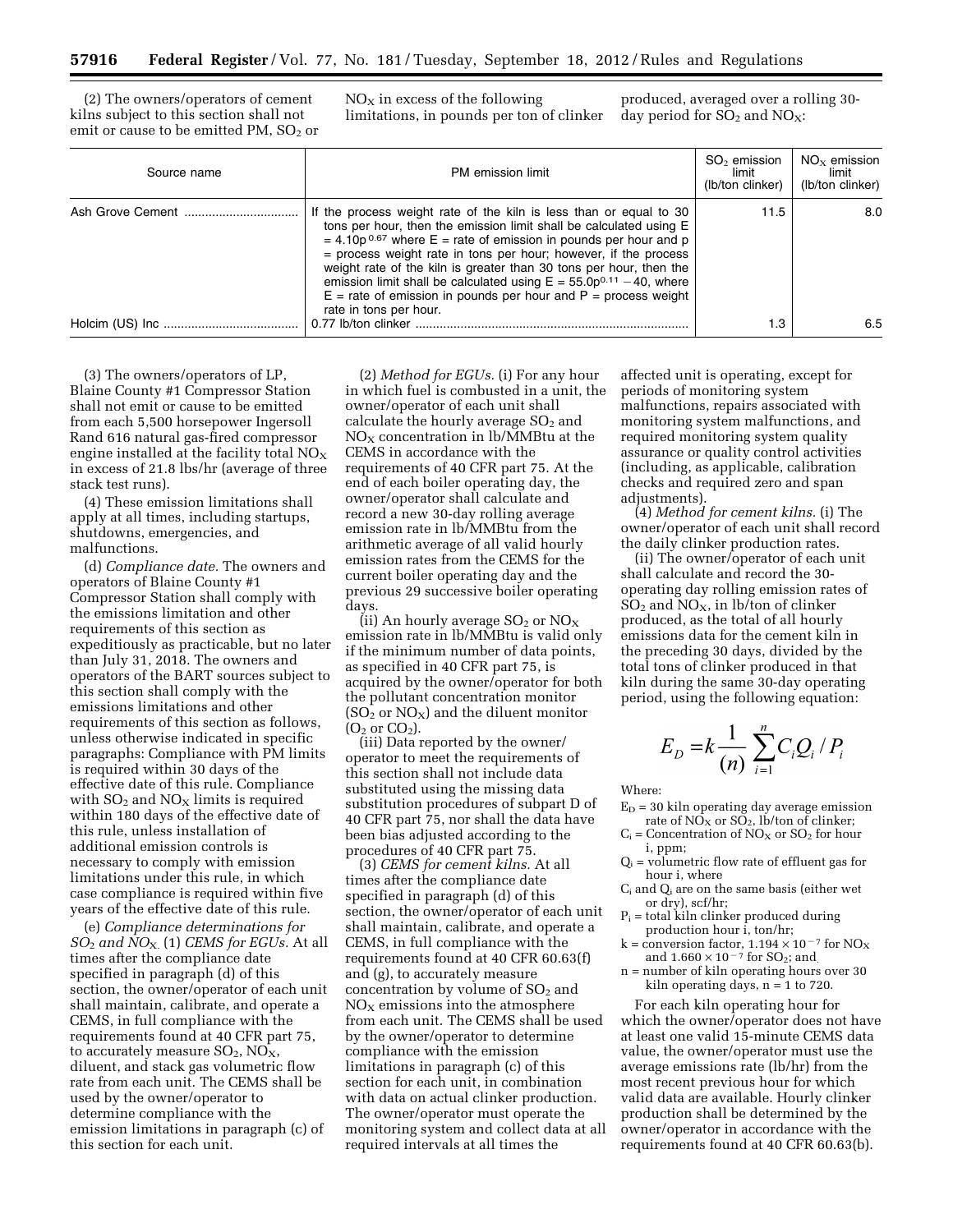(2) The owners/operators of cement kilns subject to this section shall not emit or cause to be emitted PM,  $SO<sub>2</sub>$  or  $NO<sub>x</sub>$  in excess of the following limitations, in pounds per ton of clinker

produced, averaged over a rolling 30 day period for  $SO_2$  and  $NO_X$ :

| Source name | PM emission limit                                                                                                                                                                                                                                                                                                                                                                                                                                                                                                                            | $SO2$ emission<br>limit<br>(lb/ton clinker) | $NOx$ emission<br>limit<br>(lb/ton clinker) |
|-------------|----------------------------------------------------------------------------------------------------------------------------------------------------------------------------------------------------------------------------------------------------------------------------------------------------------------------------------------------------------------------------------------------------------------------------------------------------------------------------------------------------------------------------------------------|---------------------------------------------|---------------------------------------------|
|             | If the process weight rate of the kiln is less than or equal to 30<br>tons per hour, then the emission limit shall be calculated using E<br>$=$ 4.10p <sup>0.67</sup> where E = rate of emission in pounds per hour and p<br>= process weight rate in tons per hour; however, if the process<br>weight rate of the kiln is greater than 30 tons per hour, then the<br>emission limit shall be calculated using $E = 55.0p^{0.11} - 40$ , where<br>$E$ = rate of emission in pounds per hour and P = process weight<br>rate in tons per hour. | 11.5                                        | 8.0                                         |
|             |                                                                                                                                                                                                                                                                                                                                                                                                                                                                                                                                              | 1.3                                         | 6.5                                         |

(3) The owners/operators of LP, Blaine County #1 Compressor Station shall not emit or cause to be emitted from each 5,500 horsepower Ingersoll Rand 616 natural gas-fired compressor engine installed at the facility total  $NO<sub>x</sub>$ in excess of 21.8 lbs/hr (average of three stack test runs).

(4) These emission limitations shall apply at all times, including startups, shutdowns, emergencies, and malfunctions.

(d) *Compliance date.* The owners and operators of Blaine County #1 Compressor Station shall comply with the emissions limitation and other requirements of this section as expeditiously as practicable, but no later than July 31, 2018. The owners and operators of the BART sources subject to this section shall comply with the emissions limitations and other requirements of this section as follows, unless otherwise indicated in specific paragraphs: Compliance with PM limits is required within 30 days of the effective date of this rule. Compliance with  $SO<sub>2</sub>$  and  $NO<sub>x</sub>$  limits is required within 180 days of the effective date of this rule, unless installation of additional emission controls is necessary to comply with emission limitations under this rule, in which case compliance is required within five years of the effective date of this rule.

(e) *Compliance determinations for SO*2 *and NO*X. (1) *CEMS for EGUs.* At all times after the compliance date specified in paragraph (d) of this section, the owner/operator of each unit shall maintain, calibrate, and operate a CEMS, in full compliance with the requirements found at 40 CFR part 75, to accurately measure  $SO_2$ ,  $NO<sub>X</sub>$ , diluent, and stack gas volumetric flow rate from each unit. The CEMS shall be used by the owner/operator to determine compliance with the emission limitations in paragraph (c) of this section for each unit.

(2) *Method for EGUs.* (i) For any hour in which fuel is combusted in a unit, the owner/operator of each unit shall calculate the hourly average  $SO<sub>2</sub>$  and  $NO<sub>X</sub>$  concentration in lb/MMBtu at the CEMS in accordance with the requirements of 40 CFR part 75. At the end of each boiler operating day, the owner/operator shall calculate and record a new 30-day rolling average emission rate in lb/MMBtu from the arithmetic average of all valid hourly emission rates from the CEMS for the current boiler operating day and the previous 29 successive boiler operating days.

(ii) An hourly average  $SO_2$  or  $NO_X$ emission rate in lb/MMBtu is valid only if the minimum number of data points, as specified in 40 CFR part 75, is acquired by the owner/operator for both the pollutant concentration monitor  $(SO<sub>2</sub>$  or NO<sub>X</sub>) and the diluent monitor  $(O<sub>2</sub>$  or  $CO<sub>2</sub>$ ).

(iii) Data reported by the owner/ operator to meet the requirements of this section shall not include data substituted using the missing data substitution procedures of subpart D of 40 CFR part 75, nor shall the data have been bias adjusted according to the procedures of 40 CFR part 75.

(3) *CEMS for cement kilns.* At all times after the compliance date specified in paragraph (d) of this section, the owner/operator of each unit shall maintain, calibrate, and operate a CEMS, in full compliance with the requirements found at 40 CFR 60.63(f) and (g), to accurately measure concentration by volume of  $SO<sub>2</sub>$  and  $NO<sub>x</sub>$  emissions into the atmosphere from each unit. The CEMS shall be used by the owner/operator to determine compliance with the emission limitations in paragraph (c) of this section for each unit, in combination with data on actual clinker production. The owner/operator must operate the monitoring system and collect data at all required intervals at all times the

affected unit is operating, except for periods of monitoring system malfunctions, repairs associated with monitoring system malfunctions, and required monitoring system quality assurance or quality control activities (including, as applicable, calibration checks and required zero and span adjustments).

(4) *Method for cement kilns.* (i) The owner/operator of each unit shall record the daily clinker production rates.

(ii) The owner/operator of each unit shall calculate and record the 30 operating day rolling emission rates of  $SO_2$  and  $NO_X$ , in lb/ton of clinker produced, as the total of all hourly emissions data for the cement kiln in the preceding 30 days, divided by the total tons of clinker produced in that kiln during the same 30-day operating period, using the following equation:

$$
E_D = k \frac{1}{(n)} \sum_{i=1}^n C_i Q_i / P_i
$$

Where:

- $E_D = 30$  kiln operating day average emission rate of  $N\overline{O}_X$  or  $S\overline{O}_2$ , lb/ton of clinker;
- $C_i$  = Concentration of NO<sub>X</sub> or SO<sub>2</sub> for hour i, ppm;
- $Q_i$  = volumetric flow rate of effluent gas for hour i, where
- $C_i$  and  $Q_i$  are on the same basis (either wet or dry), scf/hr;
- $P_i$  = total kiln clinker produced during production hour i, ton/hr;
- k = conversion factor,  $1.194 \times 10^{-7}$  for NO<sub>X</sub> and  $1.660 \times 10^{-7}$  for SO<sub>2</sub>; and.
- n = number of kiln operating hours over 30 kiln operating days,  $n = 1$  to 720.

For each kiln operating hour for which the owner/operator does not have at least one valid 15-minute CEMS data value, the owner/operator must use the average emissions rate (lb/hr) from the most recent previous hour for which valid data are available. Hourly clinker production shall be determined by the owner/operator in accordance with the requirements found at 40 CFR 60.63(b).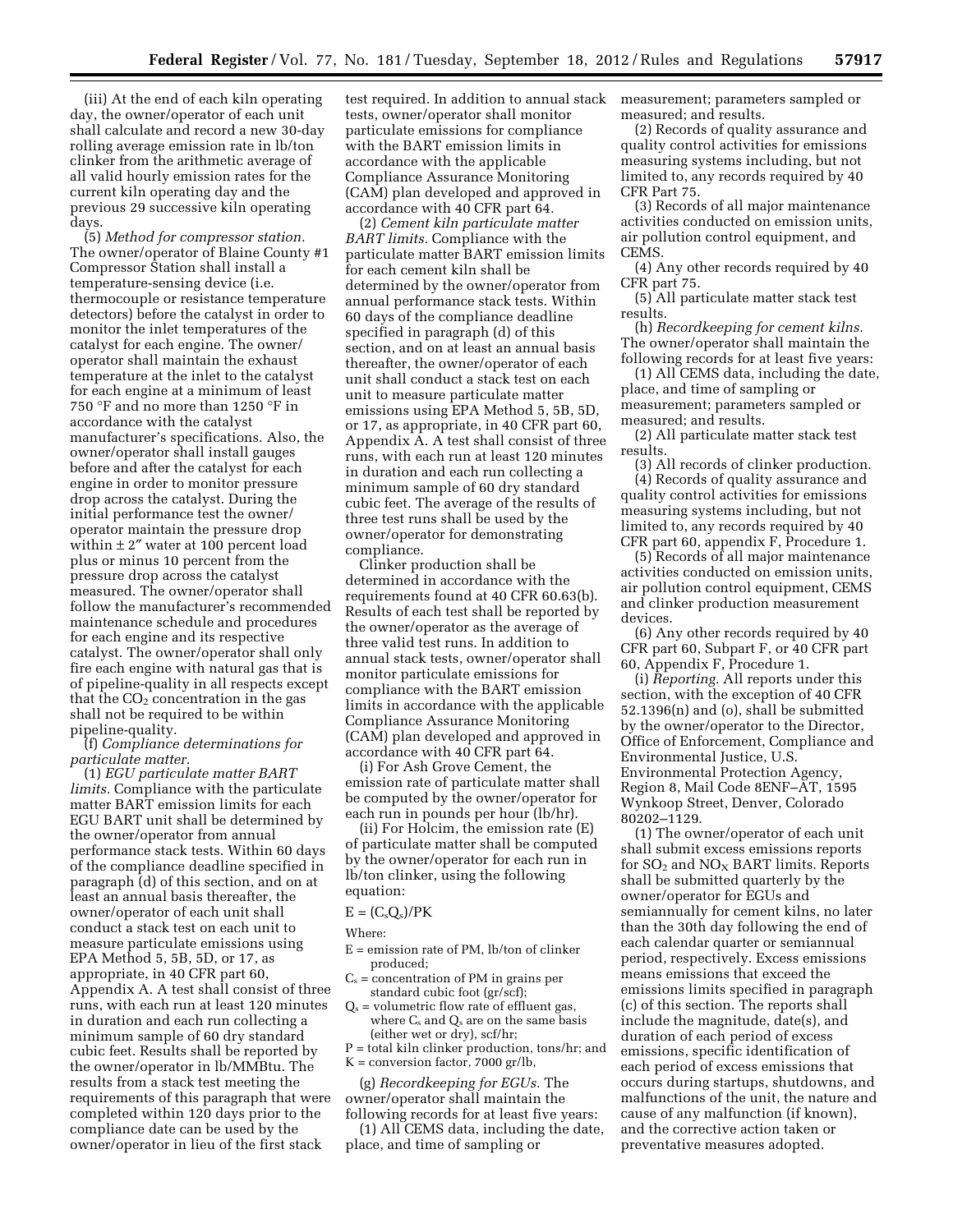(iii) At the end of each kiln operating day, the owner/operator of each unit shall calculate and record a new 30-day rolling average emission rate in lb/ton clinker from the arithmetic average of all valid hourly emission rates for the current kiln operating day and the previous 29 successive kiln operating days.

(5) *Method for compressor station.*  The owner/operator of Blaine County #1 Compressor Station shall install a temperature-sensing device (i.e. thermocouple or resistance temperature detectors) before the catalyst in order to monitor the inlet temperatures of the catalyst for each engine. The owner/ operator shall maintain the exhaust temperature at the inlet to the catalyst for each engine at a minimum of least 750 °F and no more than 1250 °F in accordance with the catalyst manufacturer's specifications. Also, the owner/operator shall install gauges before and after the catalyst for each engine in order to monitor pressure drop across the catalyst. During the initial performance test the owner/ operator maintain the pressure drop within  $\pm 2''$  water at 100 percent load plus or minus 10 percent from the pressure drop across the catalyst measured. The owner/operator shall follow the manufacturer's recommended maintenance schedule and procedures for each engine and its respective catalyst. The owner/operator shall only fire each engine with natural gas that is of pipeline-quality in all respects except that the  $CO<sub>2</sub>$  concentration in the gas shall not be required to be within pipeline-quality.

(f) *Compliance determinations for particulate matter.* 

(1) *EGU particulate matter BART limits.* Compliance with the particulate matter BART emission limits for each EGU BART unit shall be determined by the owner/operator from annual performance stack tests. Within 60 days of the compliance deadline specified in paragraph (d) of this section, and on at least an annual basis thereafter, the owner/operator of each unit shall conduct a stack test on each unit to measure particulate emissions using EPA Method 5, 5B, 5D, or 17, as appropriate, in 40 CFR part 60, Appendix A. A test shall consist of three runs, with each run at least 120 minutes in duration and each run collecting a minimum sample of 60 dry standard cubic feet. Results shall be reported by the owner/operator in lb/MMBtu. The results from a stack test meeting the requirements of this paragraph that were completed within 120 days prior to the compliance date can be used by the owner/operator in lieu of the first stack

test required. In addition to annual stack tests, owner/operator shall monitor particulate emissions for compliance with the BART emission limits in accordance with the applicable Compliance Assurance Monitoring (CAM) plan developed and approved in accordance with 40 CFR part 64.

(2) *Cement kiln particulate matter BART limits.* Compliance with the particulate matter BART emission limits for each cement kiln shall be determined by the owner/operator from annual performance stack tests. Within 60 days of the compliance deadline specified in paragraph (d) of this section, and on at least an annual basis thereafter, the owner/operator of each unit shall conduct a stack test on each unit to measure particulate matter emissions using EPA Method 5, 5B, 5D, or 17, as appropriate, in 40 CFR part 60, Appendix A. A test shall consist of three runs, with each run at least 120 minutes in duration and each run collecting a minimum sample of 60 dry standard cubic feet. The average of the results of three test runs shall be used by the owner/operator for demonstrating compliance.

Clinker production shall be determined in accordance with the requirements found at 40 CFR 60.63(b). Results of each test shall be reported by the owner/operator as the average of three valid test runs. In addition to annual stack tests, owner/operator shall monitor particulate emissions for compliance with the BART emission limits in accordance with the applicable Compliance Assurance Monitoring (CAM) plan developed and approved in accordance with 40 CFR part 64.

(i) For Ash Grove Cement, the emission rate of particulate matter shall be computed by the owner/operator for each run in pounds per hour (lb/hr).

(ii) For Holcim, the emission rate (E) of particulate matter shall be computed by the owner/operator for each run in lb/ton clinker, using the following equation:

#### $E = (C_s Q_s)/PK$

Where:

- E = emission rate of PM, lb/ton of clinker produced;
- $C_s =$  concentration of PM in grains per standard cubic foot (gr/scf);
- $Q_s$  = volumetric flow rate of effluent gas, where  $C_s$  and  $Q_s$  are on the same basis (either wet or dry), scf/hr;
- P = total kiln clinker production, tons/hr; and
- $K =$  conversion factor, 7000 gr/lb,

(g) *Recordkeeping for EGUs.* The owner/operator shall maintain the following records for at least five years:

(1) All CEMS data, including the date, place, and time of sampling or

measurement; parameters sampled or measured; and results.

(2) Records of quality assurance and quality control activities for emissions measuring systems including, but not limited to, any records required by 40 CFR Part 75.

(3) Records of all major maintenance activities conducted on emission units, air pollution control equipment, and CEMS.

(4) Any other records required by 40 CFR part 75.

(5) All particulate matter stack test results.

(h) *Recordkeeping for cement kilns.*  The owner/operator shall maintain the following records for at least five years:

(1) All CEMS data, including the date, place, and time of sampling or measurement; parameters sampled or measured; and results.

(2) All particulate matter stack test results.

(3) All records of clinker production. (4) Records of quality assurance and quality control activities for emissions measuring systems including, but not limited to, any records required by 40 CFR part 60, appendix F, Procedure 1.

(5) Records of all major maintenance activities conducted on emission units, air pollution control equipment, CEMS and clinker production measurement devices.

(6) Any other records required by 40 CFR part 60, Subpart F, or 40 CFR part 60, Appendix F, Procedure 1.

(i) *Reporting.* All reports under this section, with the exception of 40 CFR 52.1396(n) and (o), shall be submitted by the owner/operator to the Director, Office of Enforcement, Compliance and Environmental Justice, U.S. Environmental Protection Agency, Region 8, Mail Code 8ENF–AT, 1595 Wynkoop Street, Denver, Colorado 80202–1129.

(1) The owner/operator of each unit shall submit excess emissions reports for  $SO_2$  and  $NO_X$  BART limits. Reports shall be submitted quarterly by the owner/operator for EGUs and semiannually for cement kilns, no later than the 30th day following the end of each calendar quarter or semiannual period, respectively. Excess emissions means emissions that exceed the emissions limits specified in paragraph (c) of this section. The reports shall include the magnitude, date(s), and duration of each period of excess emissions, specific identification of each period of excess emissions that occurs during startups, shutdowns, and malfunctions of the unit, the nature and cause of any malfunction (if known), and the corrective action taken or preventative measures adopted.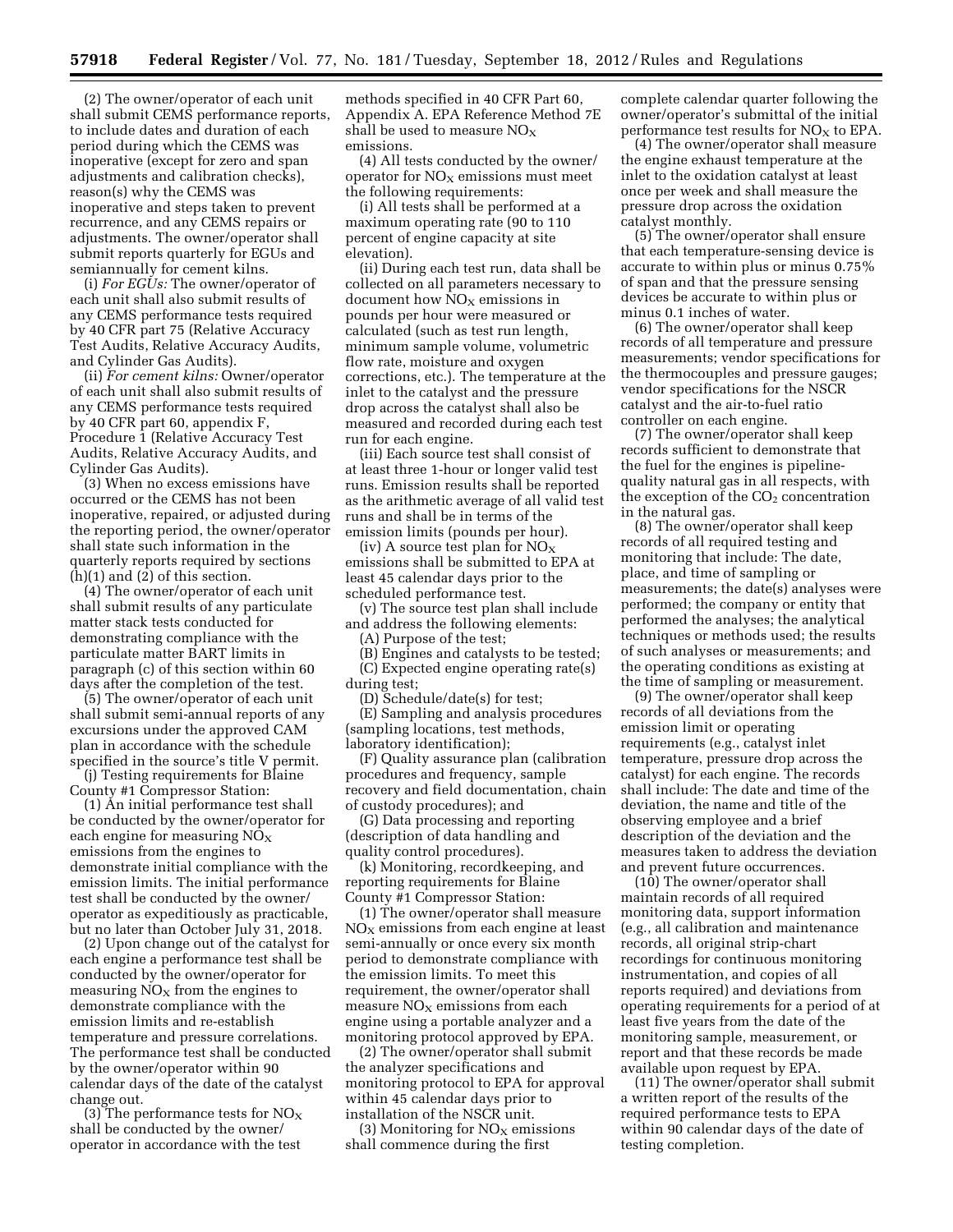(2) The owner/operator of each unit shall submit CEMS performance reports, to include dates and duration of each period during which the CEMS was inoperative (except for zero and span adjustments and calibration checks), reason(s) why the CEMS was inoperative and steps taken to prevent recurrence, and any CEMS repairs or adjustments. The owner/operator shall submit reports quarterly for EGUs and semiannually for cement kilns.

(i) *For EGUs:* The owner/operator of each unit shall also submit results of any CEMS performance tests required by 40 CFR part 75 (Relative Accuracy Test Audits, Relative Accuracy Audits, and Cylinder Gas Audits).

(ii) *For cement kilns:* Owner/operator of each unit shall also submit results of any CEMS performance tests required by 40 CFR part 60, appendix F, Procedure 1 (Relative Accuracy Test Audits, Relative Accuracy Audits, and Cylinder Gas Audits).

(3) When no excess emissions have occurred or the CEMS has not been inoperative, repaired, or adjusted during the reporting period, the owner/operator shall state such information in the quarterly reports required by sections (h)(1) and (2) of this section.

(4) The owner/operator of each unit shall submit results of any particulate matter stack tests conducted for demonstrating compliance with the particulate matter BART limits in paragraph (c) of this section within 60 days after the completion of the test.

(5) The owner/operator of each unit shall submit semi-annual reports of any excursions under the approved CAM plan in accordance with the schedule specified in the source's title V permit.

(j) Testing requirements for Blaine County #1 Compressor Station:

(1) An initial performance test shall be conducted by the owner/operator for each engine for measuring  $NO<sub>x</sub>$ emissions from the engines to demonstrate initial compliance with the emission limits. The initial performance test shall be conducted by the owner/ operator as expeditiously as practicable, but no later than October July 31, 2018.

(2) Upon change out of the catalyst for each engine a performance test shall be conducted by the owner/operator for measuring  $NO<sub>x</sub>$  from the engines to demonstrate compliance with the emission limits and re-establish temperature and pressure correlations. The performance test shall be conducted by the owner/operator within 90 calendar days of the date of the catalyst change out.

(3) The performance tests for  $NO<sub>x</sub>$ shall be conducted by the owner/ operator in accordance with the test

methods specified in 40 CFR Part 60, Appendix A. EPA Reference Method 7E shall be used to measure  $NO<sub>x</sub>$ emissions.

(4) All tests conducted by the owner/ operator for  $NO<sub>x</sub>$  emissions must meet the following requirements:

(i) All tests shall be performed at a maximum operating rate (90 to 110 percent of engine capacity at site elevation).

(ii) During each test run, data shall be collected on all parameters necessary to document how  $NO<sub>X</sub>$  emissions in pounds per hour were measured or calculated (such as test run length, minimum sample volume, volumetric flow rate, moisture and oxygen corrections, etc.). The temperature at the inlet to the catalyst and the pressure drop across the catalyst shall also be measured and recorded during each test run for each engine.

(iii) Each source test shall consist of at least three 1-hour or longer valid test runs. Emission results shall be reported as the arithmetic average of all valid test runs and shall be in terms of the emission limits (pounds per hour).

(iv) A source test plan for  $NO<sub>x</sub>$ emissions shall be submitted to EPA at least 45 calendar days prior to the scheduled performance test.

(v) The source test plan shall include and address the following elements:

(A) Purpose of the test;

(B) Engines and catalysts to be tested; (C) Expected engine operating rate(s) during test;

(D) Schedule/date(s) for test; (E) Sampling and analysis procedures (sampling locations, test methods, laboratory identification);

(F) Quality assurance plan (calibration procedures and frequency, sample recovery and field documentation, chain of custody procedures); and

(G) Data processing and reporting (description of data handling and quality control procedures).

(k) Monitoring, recordkeeping, and reporting requirements for Blaine County #1 Compressor Station:

(1) The owner/operator shall measure  $NO<sub>X</sub>$  emissions from each engine at least semi-annually or once every six month period to demonstrate compliance with the emission limits. To meet this requirement, the owner/operator shall measure  $NO<sub>x</sub>$  emissions from each engine using a portable analyzer and a monitoring protocol approved by EPA.

(2) The owner/operator shall submit the analyzer specifications and monitoring protocol to EPA for approval within 45 calendar days prior to installation of the NSCR unit.

(3) Monitoring for  $NO<sub>x</sub>$  emissions shall commence during the first

complete calendar quarter following the owner/operator's submittal of the initial performance test results for  $NO<sub>x</sub>$  to EPA.

(4) The owner/operator shall measure the engine exhaust temperature at the inlet to the oxidation catalyst at least once per week and shall measure the pressure drop across the oxidation catalyst monthly.

(5) The owner/operator shall ensure that each temperature-sensing device is accurate to within plus or minus 0.75% of span and that the pressure sensing devices be accurate to within plus or minus 0.1 inches of water.

(6) The owner/operator shall keep records of all temperature and pressure measurements; vendor specifications for the thermocouples and pressure gauges; vendor specifications for the NSCR catalyst and the air-to-fuel ratio controller on each engine.

(7) The owner/operator shall keep records sufficient to demonstrate that the fuel for the engines is pipelinequality natural gas in all respects, with the exception of the  $CO<sub>2</sub>$  concentration in the natural gas.

(8) The owner/operator shall keep records of all required testing and monitoring that include: The date, place, and time of sampling or measurements; the date(s) analyses were performed; the company or entity that performed the analyses; the analytical techniques or methods used; the results of such analyses or measurements; and the operating conditions as existing at the time of sampling or measurement.

(9) The owner/operator shall keep records of all deviations from the emission limit or operating requirements (e.g., catalyst inlet temperature, pressure drop across the catalyst) for each engine. The records shall include: The date and time of the deviation, the name and title of the observing employee and a brief description of the deviation and the measures taken to address the deviation and prevent future occurrences.

(10) The owner/operator shall maintain records of all required monitoring data, support information (e.g., all calibration and maintenance records, all original strip-chart recordings for continuous monitoring instrumentation, and copies of all reports required) and deviations from operating requirements for a period of at least five years from the date of the monitoring sample, measurement, or report and that these records be made available upon request by EPA.

(11) The owner/operator shall submit a written report of the results of the required performance tests to EPA within 90 calendar days of the date of testing completion.